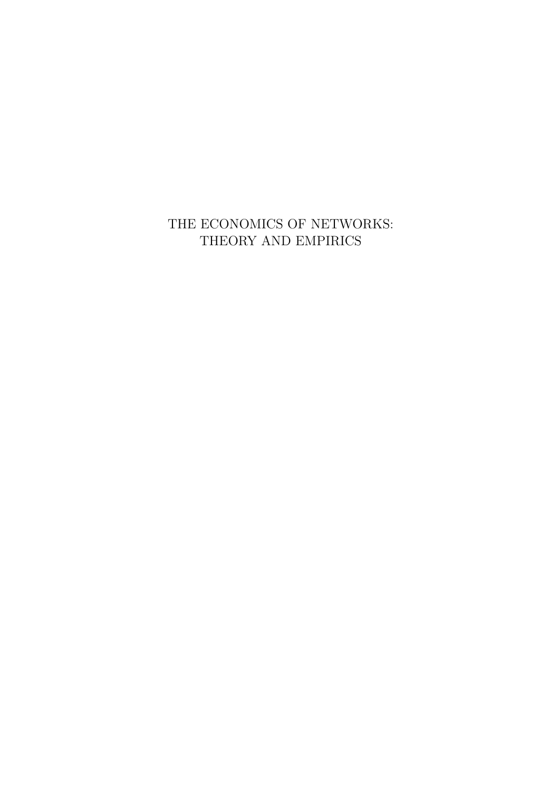THE ECONOMICS OF NETWORKS: THEORY AND EMPIRICS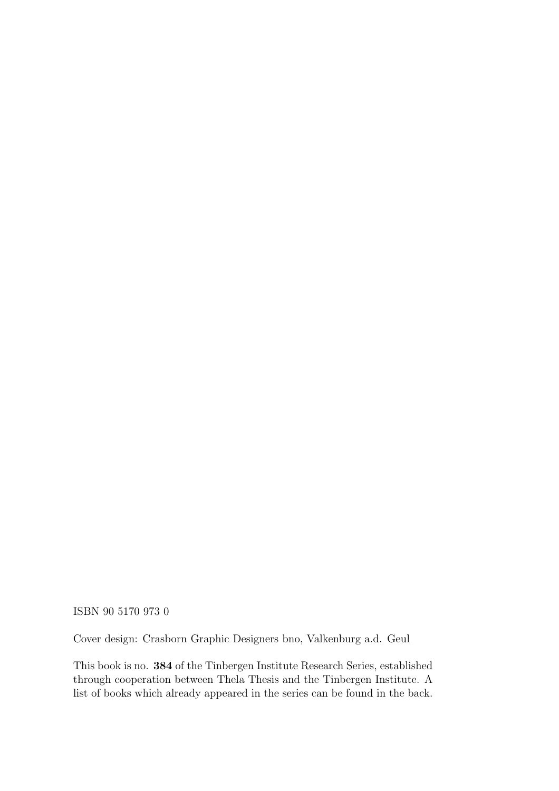ISBN 90 5170 973 0

Cover design: Crasborn Graphic Designers bno, Valkenburg a.d. Geul

This book is no. 384 of the Tinbergen Institute Research Series, established through cooperation between Thela Thesis and the Tinbergen Institute. A list of books which already appeared in the series can be found in the back.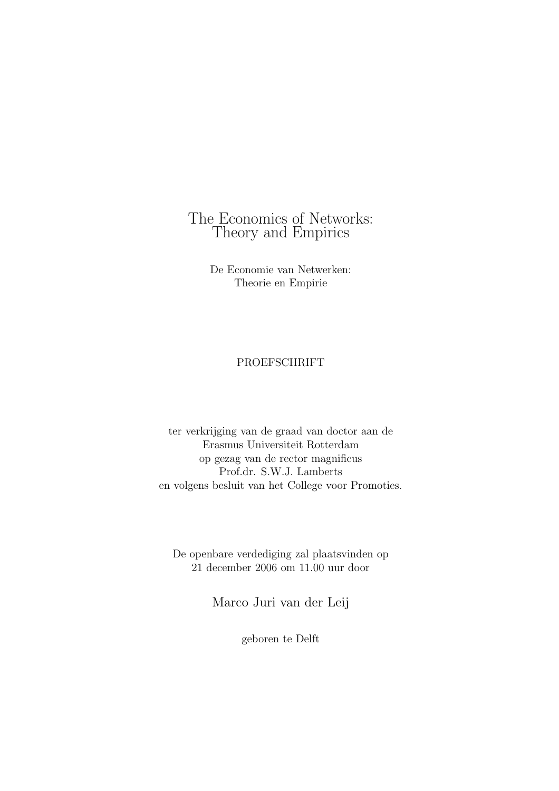### The Economics of Networks: Theory and Empirics

De Economie van Netwerken: Theorie en Empirie

#### PROEFSCHRIFT

ter verkrijging van de graad van doctor aan de Erasmus Universiteit Rotterdam op gezag van de rector magnificus Prof.dr. S.W.J. Lamberts en volgens besluit van het College voor Promoties.

De openbare verdediging zal plaatsvinden op 21 december 2006 om 11.00 uur door

Marco Juri van der Leij

geboren te Delft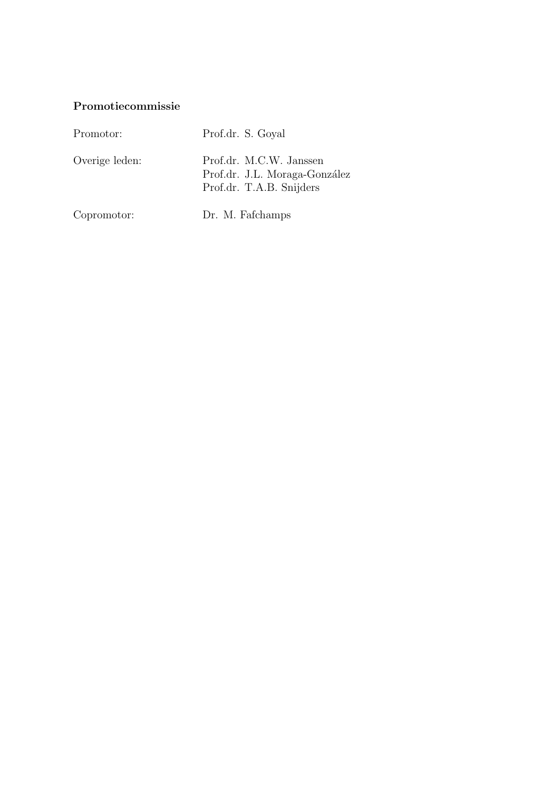### Promotiecommissie

| Promotor:      | Prof.dr. S. Goyal                                                                    |
|----------------|--------------------------------------------------------------------------------------|
| Overige leden: | Prof.dr. M.C.W. Janssen<br>Prof.dr. J.L. Moraga-González<br>Prof.dr. T.A.B. Snijders |
| Copromotor:    | Dr. M. Fafchamps                                                                     |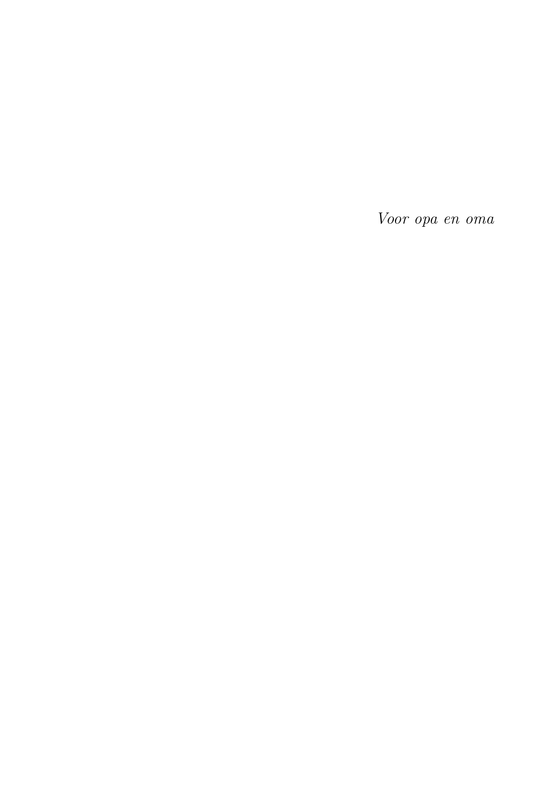Voor opa en oma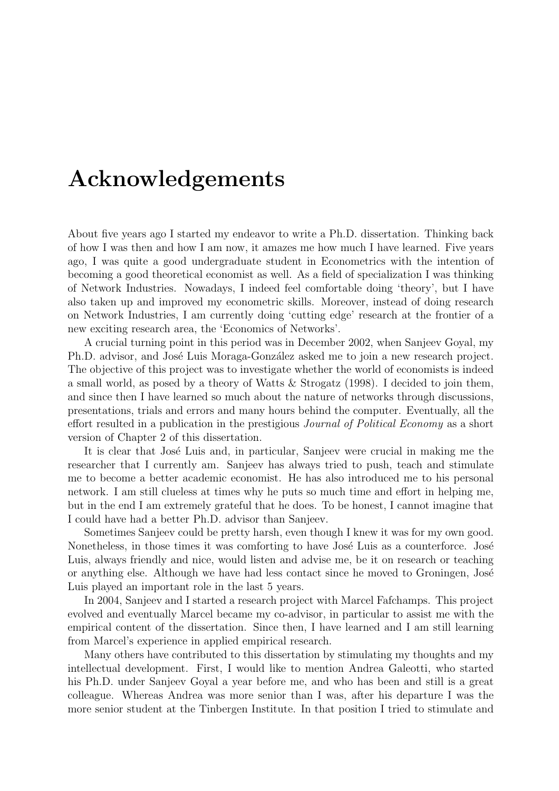# Acknowledgements

About five years ago I started my endeavor to write a Ph.D. dissertation. Thinking back of how I was then and how I am now, it amazes me how much I have learned. Five years ago, I was quite a good undergraduate student in Econometrics with the intention of becoming a good theoretical economist as well. As a field of specialization I was thinking of Network Industries. Nowadays, I indeed feel comfortable doing 'theory', but I have also taken up and improved my econometric skills. Moreover, instead of doing research on Network Industries, I am currently doing 'cutting edge' research at the frontier of a new exciting research area, the 'Economics of Networks'.

A crucial turning point in this period was in December 2002, when Sanjeev Goyal, my Ph.D. advisor, and José Luis Moraga-González asked me to join a new research project. The objective of this project was to investigate whether the world of economists is indeed a small world, as posed by a theory of Watts  $\&$  Strogatz (1998). I decided to join them, and since then I have learned so much about the nature of networks through discussions, presentations, trials and errors and many hours behind the computer. Eventually, all the effort resulted in a publication in the prestigious Journal of Political Economy as a short version of Chapter 2 of this dissertation.

It is clear that José Luis and, in particular, Sanjeev were crucial in making me the researcher that I currently am. Sanjeev has always tried to push, teach and stimulate me to become a better academic economist. He has also introduced me to his personal network. I am still clueless at times why he puts so much time and effort in helping me, but in the end I am extremely grateful that he does. To be honest, I cannot imagine that I could have had a better Ph.D. advisor than Sanjeev.

Sometimes Sanjeev could be pretty harsh, even though I knew it was for my own good. Nonetheless, in those times it was comforting to have José Luis as a counterforce. José Luis, always friendly and nice, would listen and advise me, be it on research or teaching or anything else. Although we have had less contact since he moved to Groningen, Jos´e Luis played an important role in the last 5 years.

In 2004, Sanjeev and I started a research project with Marcel Fafchamps. This project evolved and eventually Marcel became my co-advisor, in particular to assist me with the empirical content of the dissertation. Since then, I have learned and I am still learning from Marcel's experience in applied empirical research.

Many others have contributed to this dissertation by stimulating my thoughts and my intellectual development. First, I would like to mention Andrea Galeotti, who started his Ph.D. under Sanjeev Goyal a year before me, and who has been and still is a great colleague. Whereas Andrea was more senior than I was, after his departure I was the more senior student at the Tinbergen Institute. In that position I tried to stimulate and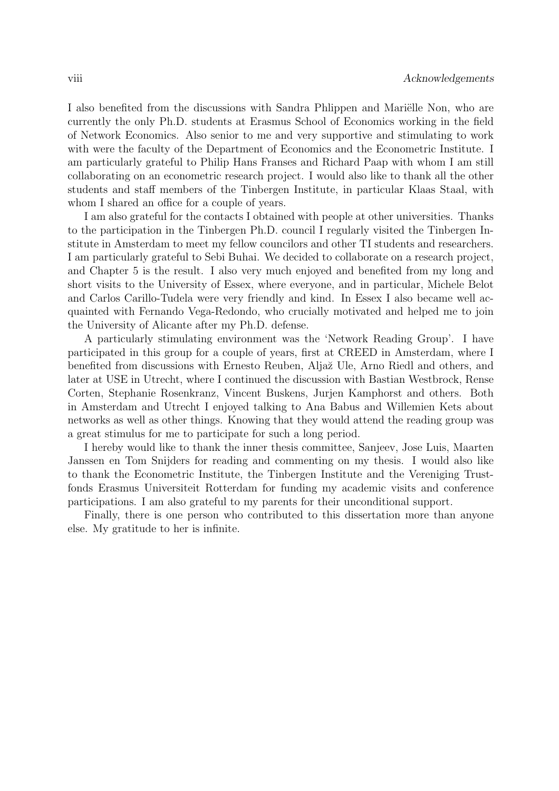I also benefited from the discussions with Sandra Phlippen and Marielle Non, who are currently the only Ph.D. students at Erasmus School of Economics working in the field of Network Economics. Also senior to me and very supportive and stimulating to work with were the faculty of the Department of Economics and the Econometric Institute. I am particularly grateful to Philip Hans Franses and Richard Paap with whom I am still collaborating on an econometric research project. I would also like to thank all the other students and staff members of the Tinbergen Institute, in particular Klaas Staal, with whom I shared an office for a couple of years.

I am also grateful for the contacts I obtained with people at other universities. Thanks to the participation in the Tinbergen Ph.D. council I regularly visited the Tinbergen Institute in Amsterdam to meet my fellow councilors and other TI students and researchers. I am particularly grateful to Sebi Buhai. We decided to collaborate on a research project, and Chapter 5 is the result. I also very much enjoyed and benefited from my long and short visits to the University of Essex, where everyone, and in particular, Michele Belot and Carlos Carillo-Tudela were very friendly and kind. In Essex I also became well acquainted with Fernando Vega-Redondo, who crucially motivated and helped me to join the University of Alicante after my Ph.D. defense.

A particularly stimulating environment was the 'Network Reading Group'. I have participated in this group for a couple of years, first at CREED in Amsterdam, where I benefited from discussions with Ernesto Reuben, Alja˘z Ule, Arno Riedl and others, and later at USE in Utrecht, where I continued the discussion with Bastian Westbrock, Rense Corten, Stephanie Rosenkranz, Vincent Buskens, Jurjen Kamphorst and others. Both in Amsterdam and Utrecht I enjoyed talking to Ana Babus and Willemien Kets about networks as well as other things. Knowing that they would attend the reading group was a great stimulus for me to participate for such a long period.

I hereby would like to thank the inner thesis committee, Sanjeev, Jose Luis, Maarten Janssen en Tom Snijders for reading and commenting on my thesis. I would also like to thank the Econometric Institute, the Tinbergen Institute and the Vereniging Trustfonds Erasmus Universiteit Rotterdam for funding my academic visits and conference participations. I am also grateful to my parents for their unconditional support.

Finally, there is one person who contributed to this dissertation more than anyone else. My gratitude to her is infinite.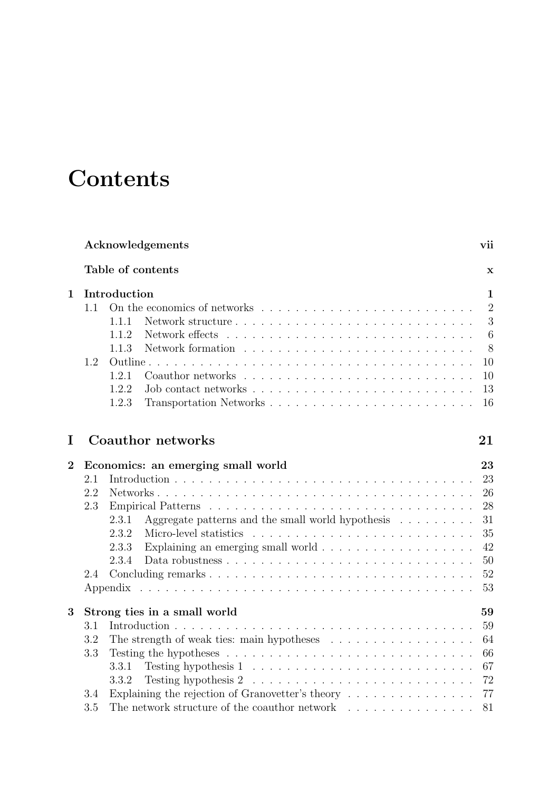# **Contents**

| Acknowledgements |     |                                                                                                        | vii             |  |
|------------------|-----|--------------------------------------------------------------------------------------------------------|-----------------|--|
|                  |     | Table of contents                                                                                      | $\mathbf x$     |  |
| $\mathbf{1}$     |     | Introduction                                                                                           | $\mathbf{1}$    |  |
|                  | 1.1 | On the economics of networks $\dots \dots \dots \dots \dots \dots \dots \dots \dots \dots \dots \dots$ | $\overline{2}$  |  |
|                  |     | 1.1.1                                                                                                  | 3               |  |
|                  |     | 1.1.2                                                                                                  | $6\phantom{.}6$ |  |
|                  |     | 1.1.3                                                                                                  | 8               |  |
|                  | 1.2 |                                                                                                        | 10              |  |
|                  |     | 1.2.1                                                                                                  | 10              |  |
|                  |     | 1.2.2                                                                                                  | 13              |  |
|                  |     | 1.2.3                                                                                                  | 16              |  |
| I                |     | Coauthor networks                                                                                      | 21              |  |
| $\overline{2}$   |     | Economics: an emerging small world                                                                     | 23              |  |
|                  | 2.1 |                                                                                                        | 23              |  |
|                  | 2.2 |                                                                                                        | 26              |  |
|                  | 2.3 |                                                                                                        | 28              |  |
|                  |     | Aggregate patterns and the small world hypothesis $\dots \dots$<br>2.3.1                               | 31              |  |
|                  |     | 2.3.2                                                                                                  | 35              |  |
|                  |     | 2.3.3<br>Explaining an emerging small world                                                            | 42              |  |
|                  |     | 2.3.4                                                                                                  | 50              |  |
|                  | 2.4 |                                                                                                        | 52              |  |
|                  |     |                                                                                                        | 53              |  |
| 3                |     | Strong ties in a small world                                                                           | 59              |  |
|                  | 3.1 |                                                                                                        | 59              |  |
|                  | 3.2 | The strength of weak ties: main hypotheses $\dots \dots \dots \dots \dots \dots$                       | 64              |  |
|                  | 3.3 | Testing the hypotheses $\ldots \ldots \ldots \ldots \ldots \ldots \ldots \ldots \ldots \ldots \ldots$  | 66              |  |
|                  |     | Testing hypothesis $1 \ldots \ldots \ldots \ldots \ldots \ldots \ldots \ldots \ldots$<br>3.3.1         | 67              |  |
|                  |     | Testing hypothesis $2 \dots \dots \dots \dots \dots \dots \dots \dots \dots \dots$<br>3.3.2            | 72              |  |
|                  | 3.4 | Explaining the rejection of Granovetter's theory $\dots \dots \dots \dots \dots$                       | 77              |  |
|                  | 3.5 | The network structure of the coauthor network $\ldots \ldots \ldots \ldots \ldots$                     | 81              |  |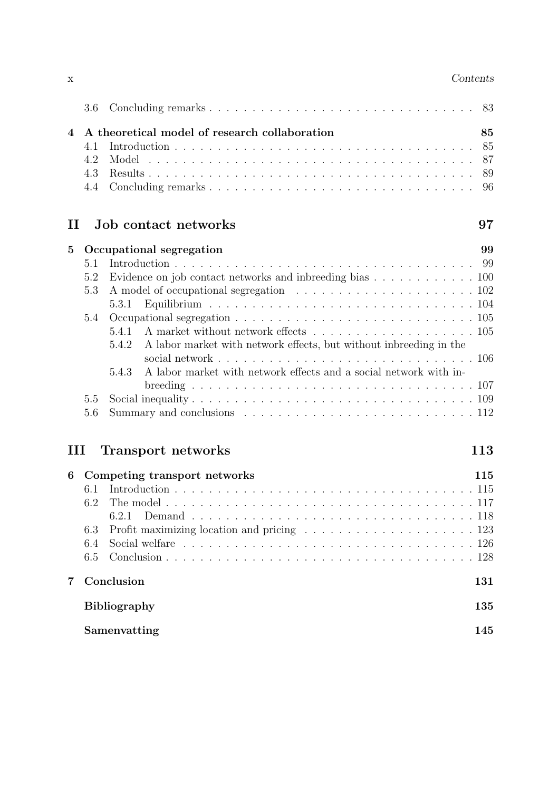#### x Contents

|                         | 3.6                                        |                                                                                                                                                                                                                                                                                                                                                                                                                                                                                           | 83                         |  |  |
|-------------------------|--------------------------------------------|-------------------------------------------------------------------------------------------------------------------------------------------------------------------------------------------------------------------------------------------------------------------------------------------------------------------------------------------------------------------------------------------------------------------------------------------------------------------------------------------|----------------------------|--|--|
| $\overline{\mathbf{4}}$ | 4.1<br>4.2<br>4.3<br>4.4                   | A theoretical model of research collaboration                                                                                                                                                                                                                                                                                                                                                                                                                                             | 85<br>85<br>87<br>89<br>96 |  |  |
| $\bm{\Pi}$              |                                            | Job contact networks                                                                                                                                                                                                                                                                                                                                                                                                                                                                      | 97                         |  |  |
| 5                       | 5.1<br>5.2<br>5.3<br>5.4<br>$5.5\,$<br>5.6 | Occupational segregation<br>Evidence on job contact networks and inbreeding bias 100<br>5.3.1<br>Occupational segregation $\ldots \ldots \ldots \ldots \ldots \ldots \ldots \ldots \ldots \ldots \ldots 105$<br>5.4.1<br>A labor market with network effects, but without inbreeding in the<br>5.4.2<br>A labor market with network effects and a social network with in-<br>5.4.3<br>Summary and conclusions $\ldots \ldots \ldots \ldots \ldots \ldots \ldots \ldots \ldots \ldots 112$ | 99<br>99                   |  |  |
| Ш                       |                                            | Transport networks                                                                                                                                                                                                                                                                                                                                                                                                                                                                        | 113                        |  |  |
| 6                       | 6.1<br>6.2<br>6.3<br>6.4<br>6.5            | Competing transport networks<br>Profit maximizing location and pricing $\ldots \ldots \ldots \ldots \ldots \ldots \ldots 123$<br>Social welfare $\ldots \ldots \ldots \ldots \ldots \ldots \ldots \ldots \ldots \ldots \ldots \ldots \ldots 126$                                                                                                                                                                                                                                          | 115                        |  |  |
| 7                       |                                            | Conclusion                                                                                                                                                                                                                                                                                                                                                                                                                                                                                | 131                        |  |  |
| <b>Bibliography</b>     |                                            |                                                                                                                                                                                                                                                                                                                                                                                                                                                                                           |                            |  |  |
| Samenvatting<br>145     |                                            |                                                                                                                                                                                                                                                                                                                                                                                                                                                                                           |                            |  |  |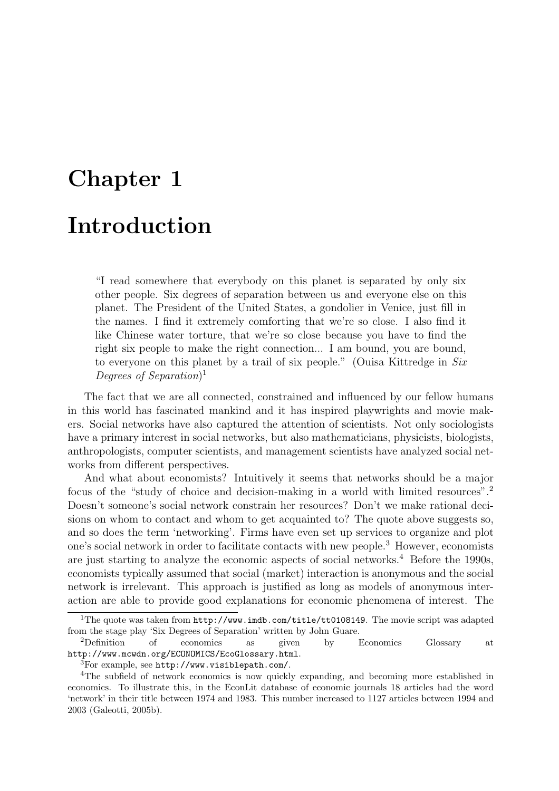# Chapter 1 Introduction

"I read somewhere that everybody on this planet is separated by only six other people. Six degrees of separation between us and everyone else on this planet. The President of the United States, a gondolier in Venice, just fill in the names. I find it extremely comforting that we're so close. I also find it like Chinese water torture, that we're so close because you have to find the right six people to make the right connection... I am bound, you are bound, to everyone on this planet by a trail of six people." (Ouisa Kittredge in Six Degrees of Separation) 1

The fact that we are all connected, constrained and influenced by our fellow humans in this world has fascinated mankind and it has inspired playwrights and movie makers. Social networks have also captured the attention of scientists. Not only sociologists have a primary interest in social networks, but also mathematicians, physicists, biologists, anthropologists, computer scientists, and management scientists have analyzed social networks from different perspectives.

And what about economists? Intuitively it seems that networks should be a major focus of the "study of choice and decision-making in a world with limited resources".<sup>2</sup> Doesn't someone's social network constrain her resources? Don't we make rational decisions on whom to contact and whom to get acquainted to? The quote above suggests so, and so does the term 'networking'. Firms have even set up services to organize and plot one's social network in order to facilitate contacts with new people.<sup>3</sup> However, economists are just starting to analyze the economic aspects of social networks.<sup>4</sup> Before the 1990s, economists typically assumed that social (market) interaction is anonymous and the social network is irrelevant. This approach is justified as long as models of anonymous interaction are able to provide good explanations for economic phenomena of interest. The

<sup>&</sup>lt;sup>1</sup>The quote was taken from  $http://www.indb.com/title/tt0108149.$  The movie script was adapted from the stage play 'Six Degrees of Separation' written by John Guare.

<sup>&</sup>lt;sup>2</sup>Definition of economics as given by Economics Glossary at http://www.mcwdn.org/ECONOMICS/EcoGlossary.html.

 ${}^{3}$ For example, see http://www.visiblepath.com/.

<sup>&</sup>lt;sup>4</sup>The subfield of network economics is now quickly expanding, and becoming more established in economics. To illustrate this, in the EconLit database of economic journals 18 articles had the word 'network' in their title between 1974 and 1983. This number increased to 1127 articles between 1994 and 2003 (Galeotti, 2005b).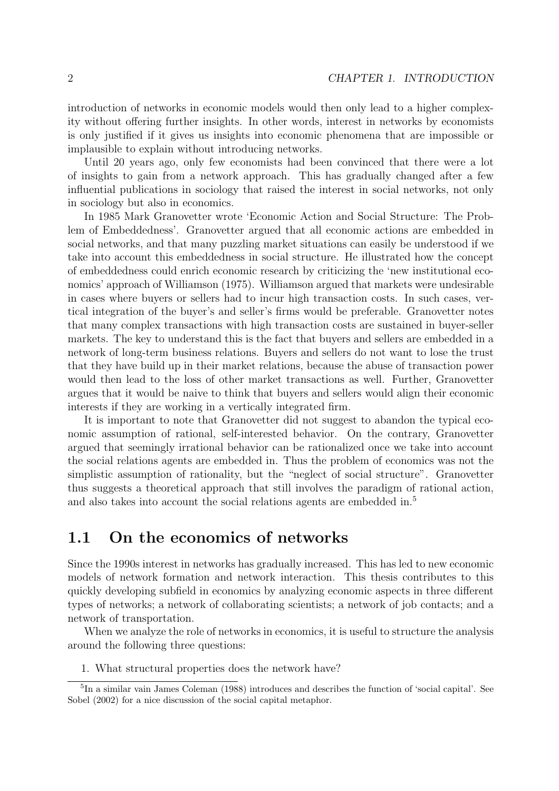introduction of networks in economic models would then only lead to a higher complexity without offering further insights. In other words, interest in networks by economists is only justified if it gives us insights into economic phenomena that are impossible or implausible to explain without introducing networks.

Until 20 years ago, only few economists had been convinced that there were a lot of insights to gain from a network approach. This has gradually changed after a few influential publications in sociology that raised the interest in social networks, not only in sociology but also in economics.

In 1985 Mark Granovetter wrote 'Economic Action and Social Structure: The Problem of Embeddedness'. Granovetter argued that all economic actions are embedded in social networks, and that many puzzling market situations can easily be understood if we take into account this embeddedness in social structure. He illustrated how the concept of embeddedness could enrich economic research by criticizing the 'new institutional economics' approach of Williamson (1975). Williamson argued that markets were undesirable in cases where buyers or sellers had to incur high transaction costs. In such cases, vertical integration of the buyer's and seller's firms would be preferable. Granovetter notes that many complex transactions with high transaction costs are sustained in buyer-seller markets. The key to understand this is the fact that buyers and sellers are embedded in a network of long-term business relations. Buyers and sellers do not want to lose the trust that they have build up in their market relations, because the abuse of transaction power would then lead to the loss of other market transactions as well. Further, Granovetter argues that it would be naive to think that buyers and sellers would align their economic interests if they are working in a vertically integrated firm.

It is important to note that Granovetter did not suggest to abandon the typical economic assumption of rational, self-interested behavior. On the contrary, Granovetter argued that seemingly irrational behavior can be rationalized once we take into account the social relations agents are embedded in. Thus the problem of economics was not the simplistic assumption of rationality, but the "neglect of social structure". Granovetter thus suggests a theoretical approach that still involves the paradigm of rational action, and also takes into account the social relations agents are embedded in.<sup>5</sup>

## 1.1 On the economics of networks

Since the 1990s interest in networks has gradually increased. This has led to new economic models of network formation and network interaction. This thesis contributes to this quickly developing subfield in economics by analyzing economic aspects in three different types of networks; a network of collaborating scientists; a network of job contacts; and a network of transportation.

When we analyze the role of networks in economics, it is useful to structure the analysis around the following three questions:

1. What structural properties does the network have?

<sup>&</sup>lt;sup>5</sup>In a similar vain James Coleman (1988) introduces and describes the function of 'social capital'. See Sobel (2002) for a nice discussion of the social capital metaphor.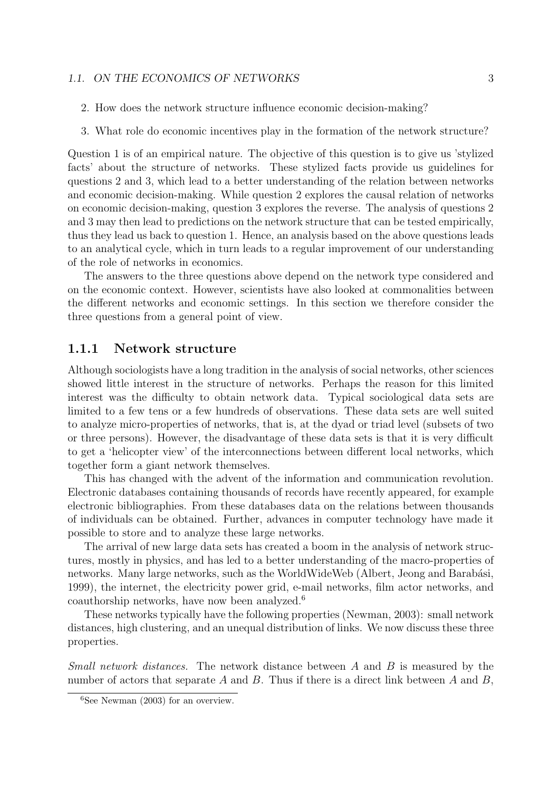#### 1.1. ON THE ECONOMICS OF NETWORKS 3

- 2. How does the network structure influence economic decision-making?
- 3. What role do economic incentives play in the formation of the network structure?

Question 1 is of an empirical nature. The objective of this question is to give us 'stylized facts' about the structure of networks. These stylized facts provide us guidelines for questions 2 and 3, which lead to a better understanding of the relation between networks and economic decision-making. While question 2 explores the causal relation of networks on economic decision-making, question 3 explores the reverse. The analysis of questions 2 and 3 may then lead to predictions on the network structure that can be tested empirically, thus they lead us back to question 1. Hence, an analysis based on the above questions leads to an analytical cycle, which in turn leads to a regular improvement of our understanding of the role of networks in economics.

The answers to the three questions above depend on the network type considered and on the economic context. However, scientists have also looked at commonalities between the different networks and economic settings. In this section we therefore consider the three questions from a general point of view.

#### 1.1.1 Network structure

Although sociologists have a long tradition in the analysis of social networks, other sciences showed little interest in the structure of networks. Perhaps the reason for this limited interest was the difficulty to obtain network data. Typical sociological data sets are limited to a few tens or a few hundreds of observations. These data sets are well suited to analyze micro-properties of networks, that is, at the dyad or triad level (subsets of two or three persons). However, the disadvantage of these data sets is that it is very difficult to get a 'helicopter view' of the interconnections between different local networks, which together form a giant network themselves.

This has changed with the advent of the information and communication revolution. Electronic databases containing thousands of records have recently appeared, for example electronic bibliographies. From these databases data on the relations between thousands of individuals can be obtained. Further, advances in computer technology have made it possible to store and to analyze these large networks.

The arrival of new large data sets has created a boom in the analysis of network structures, mostly in physics, and has led to a better understanding of the macro-properties of networks. Many large networks, such as the WorldWideWeb (Albert, Jeong and Barabási, 1999), the internet, the electricity power grid, e-mail networks, film actor networks, and coauthorship networks, have now been analyzed.<sup>6</sup>

These networks typically have the following properties (Newman, 2003): small network distances, high clustering, and an unequal distribution of links. We now discuss these three properties.

Small network distances. The network distance between A and B is measured by the number of actors that separate A and B. Thus if there is a direct link between A and  $B$ ,

 $6$ See Newman (2003) for an overview.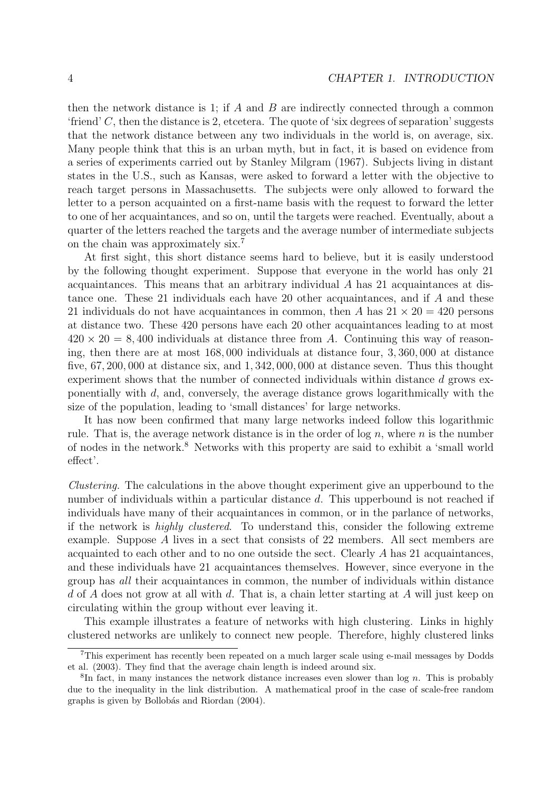then the network distance is 1; if  $A$  and  $B$  are indirectly connected through a common 'friend'  $C$ , then the distance is 2, etcetera. The quote of 'six degrees of separation' suggests that the network distance between any two individuals in the world is, on average, six. Many people think that this is an urban myth, but in fact, it is based on evidence from a series of experiments carried out by Stanley Milgram (1967). Subjects living in distant states in the U.S., such as Kansas, were asked to forward a letter with the objective to reach target persons in Massachusetts. The subjects were only allowed to forward the letter to a person acquainted on a first-name basis with the request to forward the letter to one of her acquaintances, and so on, until the targets were reached. Eventually, about a quarter of the letters reached the targets and the average number of intermediate subjects on the chain was approximately six.<sup>7</sup>

At first sight, this short distance seems hard to believe, but it is easily understood by the following thought experiment. Suppose that everyone in the world has only 21 acquaintances. This means that an arbitrary individual A has 21 acquaintances at distance one. These 21 individuals each have 20 other acquaintances, and if A and these 21 individuals do not have acquaintances in common, then A has  $21 \times 20 = 420$  persons at distance two. These 420 persons have each 20 other acquaintances leading to at most  $420 \times 20 = 8,400$  individuals at distance three from A. Continuing this way of reasoning, then there are at most 168, 000 individuals at distance four, 3, 360, 000 at distance five, 67, 200, 000 at distance six, and 1, 342, 000, 000 at distance seven. Thus this thought experiment shows that the number of connected individuals within distance d grows exponentially with d, and, conversely, the average distance grows logarithmically with the size of the population, leading to 'small distances' for large networks.

It has now been confirmed that many large networks indeed follow this logarithmic rule. That is, the average network distance is in the order of log  $n$ , where  $n$  is the number of nodes in the network.<sup>8</sup> Networks with this property are said to exhibit a 'small world effect'.

Clustering. The calculations in the above thought experiment give an upperbound to the number of individuals within a particular distance d. This upperbound is not reached if individuals have many of their acquaintances in common, or in the parlance of networks, if the network is highly clustered. To understand this, consider the following extreme example. Suppose A lives in a sect that consists of 22 members. All sect members are acquainted to each other and to no one outside the sect. Clearly  $A$  has 21 acquaintances, and these individuals have 21 acquaintances themselves. However, since everyone in the group has all their acquaintances in common, the number of individuals within distance  $d$  of A does not grow at all with  $d$ . That is, a chain letter starting at A will just keep on circulating within the group without ever leaving it.

This example illustrates a feature of networks with high clustering. Links in highly clustered networks are unlikely to connect new people. Therefore, highly clustered links

<sup>7</sup>This experiment has recently been repeated on a much larger scale using e-mail messages by Dodds et al. (2003). They find that the average chain length is indeed around six.

 ${}^{8}$ In fact, in many instances the network distance increases even slower than log n. This is probably due to the inequality in the link distribution. A mathematical proof in the case of scale-free random graphs is given by Bollobás and Riordan (2004).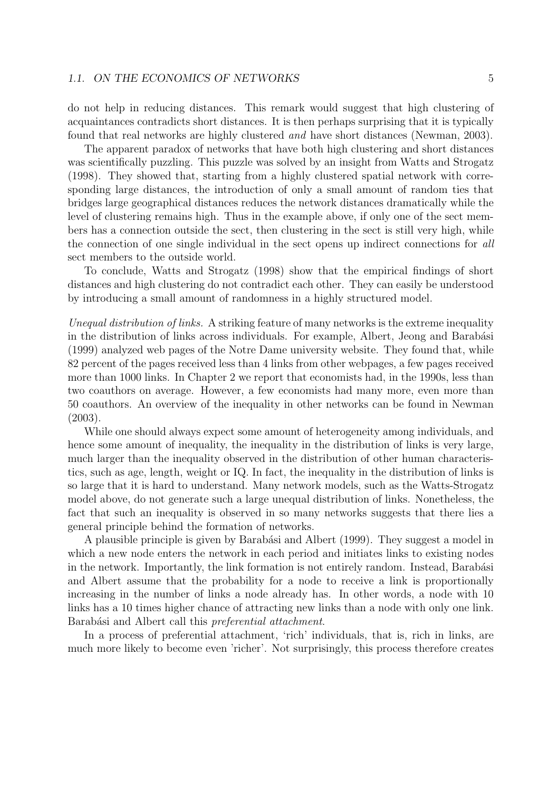do not help in reducing distances. This remark would suggest that high clustering of acquaintances contradicts short distances. It is then perhaps surprising that it is typically found that real networks are highly clustered and have short distances (Newman, 2003).

The apparent paradox of networks that have both high clustering and short distances was scientifically puzzling. This puzzle was solved by an insight from Watts and Strogatz (1998). They showed that, starting from a highly clustered spatial network with corresponding large distances, the introduction of only a small amount of random ties that bridges large geographical distances reduces the network distances dramatically while the level of clustering remains high. Thus in the example above, if only one of the sect members has a connection outside the sect, then clustering in the sect is still very high, while the connection of one single individual in the sect opens up indirect connections for all sect members to the outside world.

To conclude, Watts and Strogatz (1998) show that the empirical findings of short distances and high clustering do not contradict each other. They can easily be understood by introducing a small amount of randomness in a highly structured model.

Unequal distribution of links. A striking feature of many networks is the extreme inequality in the distribution of links across individuals. For example, Albert, Jeong and Barabási (1999) analyzed web pages of the Notre Dame university website. They found that, while 82 percent of the pages received less than 4 links from other webpages, a few pages received more than 1000 links. In Chapter 2 we report that economists had, in the 1990s, less than two coauthors on average. However, a few economists had many more, even more than 50 coauthors. An overview of the inequality in other networks can be found in Newman (2003).

While one should always expect some amount of heterogeneity among individuals, and hence some amount of inequality, the inequality in the distribution of links is very large, much larger than the inequality observed in the distribution of other human characteristics, such as age, length, weight or IQ. In fact, the inequality in the distribution of links is so large that it is hard to understand. Many network models, such as the Watts-Strogatz model above, do not generate such a large unequal distribution of links. Nonetheless, the fact that such an inequality is observed in so many networks suggests that there lies a general principle behind the formation of networks.

A plausible principle is given by Barabási and Albert (1999). They suggest a model in which a new node enters the network in each period and initiates links to existing nodes in the network. Importantly, the link formation is not entirely random. Instead, Barabási and Albert assume that the probability for a node to receive a link is proportionally increasing in the number of links a node already has. In other words, a node with 10 links has a 10 times higher chance of attracting new links than a node with only one link. Barabási and Albert call this *preferential attachment*.

In a process of preferential attachment, 'rich' individuals, that is, rich in links, are much more likely to become even 'richer'. Not surprisingly, this process therefore creates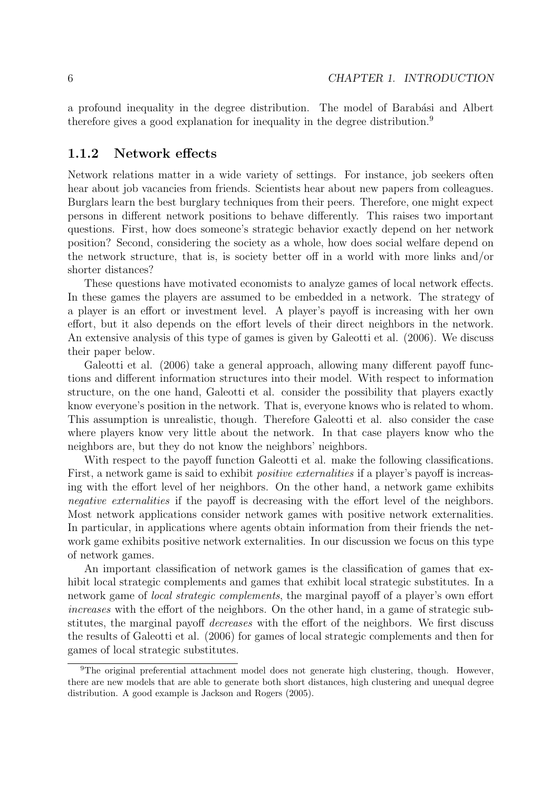a profound inequality in the degree distribution. The model of Barabási and Albert therefore gives a good explanation for inequality in the degree distribution.<sup>9</sup>

#### 1.1.2 Network effects

Network relations matter in a wide variety of settings. For instance, job seekers often hear about job vacancies from friends. Scientists hear about new papers from colleagues. Burglars learn the best burglary techniques from their peers. Therefore, one might expect persons in different network positions to behave differently. This raises two important questions. First, how does someone's strategic behavior exactly depend on her network position? Second, considering the society as a whole, how does social welfare depend on the network structure, that is, is society better off in a world with more links and/or shorter distances?

These questions have motivated economists to analyze games of local network effects. In these games the players are assumed to be embedded in a network. The strategy of a player is an effort or investment level. A player's payoff is increasing with her own effort, but it also depends on the effort levels of their direct neighbors in the network. An extensive analysis of this type of games is given by Galeotti et al. (2006). We discuss their paper below.

Galeotti et al. (2006) take a general approach, allowing many different payoff functions and different information structures into their model. With respect to information structure, on the one hand, Galeotti et al. consider the possibility that players exactly know everyone's position in the network. That is, everyone knows who is related to whom. This assumption is unrealistic, though. Therefore Galeotti et al. also consider the case where players know very little about the network. In that case players know who the neighbors are, but they do not know the neighbors' neighbors.

With respect to the payoff function Galeotti et al. make the following classifications. First, a network game is said to exhibit *positive externalities* if a player's payoff is increasing with the effort level of her neighbors. On the other hand, a network game exhibits negative externalities if the payoff is decreasing with the effort level of the neighbors. Most network applications consider network games with positive network externalities. In particular, in applications where agents obtain information from their friends the network game exhibits positive network externalities. In our discussion we focus on this type of network games.

An important classification of network games is the classification of games that exhibit local strategic complements and games that exhibit local strategic substitutes. In a network game of local strategic complements, the marginal payoff of a player's own effort increases with the effort of the neighbors. On the other hand, in a game of strategic substitutes, the marginal payoff decreases with the effort of the neighbors. We first discuss the results of Galeotti et al. (2006) for games of local strategic complements and then for games of local strategic substitutes.

<sup>9</sup>The original preferential attachment model does not generate high clustering, though. However, there are new models that are able to generate both short distances, high clustering and unequal degree distribution. A good example is Jackson and Rogers (2005).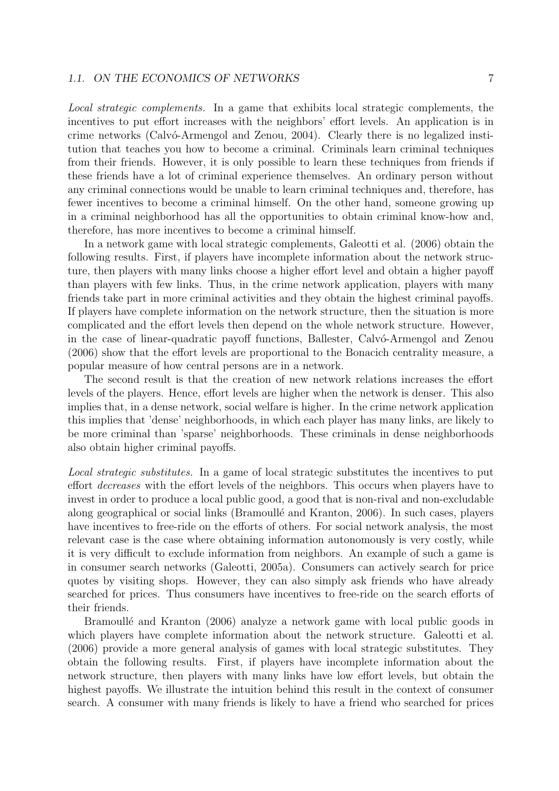#### 1.1. ON THE ECONOMICS OF NETWORKS  $7$

Local strategic complements. In a game that exhibits local strategic complements, the incentives to put effort increases with the neighbors' effort levels. An application is in crime networks (Calvó-Armengol and Zenou, 2004). Clearly there is no legalized institution that teaches you how to become a criminal. Criminals learn criminal techniques from their friends. However, it is only possible to learn these techniques from friends if these friends have a lot of criminal experience themselves. An ordinary person without any criminal connections would be unable to learn criminal techniques and, therefore, has fewer incentives to become a criminal himself. On the other hand, someone growing up in a criminal neighborhood has all the opportunities to obtain criminal know-how and, therefore, has more incentives to become a criminal himself.

In a network game with local strategic complements, Galeotti et al. (2006) obtain the following results. First, if players have incomplete information about the network structure, then players with many links choose a higher effort level and obtain a higher payoff than players with few links. Thus, in the crime network application, players with many friends take part in more criminal activities and they obtain the highest criminal payoffs. If players have complete information on the network structure, then the situation is more complicated and the effort levels then depend on the whole network structure. However, in the case of linear-quadratic payoff functions, Ballester, Calvo-Armengol and Zenou (2006) show that the effort levels are proportional to the Bonacich centrality measure, a popular measure of how central persons are in a network.

The second result is that the creation of new network relations increases the effort levels of the players. Hence, effort levels are higher when the network is denser. This also implies that, in a dense network, social welfare is higher. In the crime network application this implies that 'dense' neighborhoods, in which each player has many links, are likely to be more criminal than 'sparse' neighborhoods. These criminals in dense neighborhoods also obtain higher criminal payoffs.

Local strategic substitutes. In a game of local strategic substitutes the incentives to put effort decreases with the effort levels of the neighbors. This occurs when players have to invest in order to produce a local public good, a good that is non-rival and non-excludable along geographical or social links (Bramoull´e and Kranton, 2006). In such cases, players have incentives to free-ride on the efforts of others. For social network analysis, the most relevant case is the case where obtaining information autonomously is very costly, while it is very difficult to exclude information from neighbors. An example of such a game is in consumer search networks (Galeotti, 2005a). Consumers can actively search for price quotes by visiting shops. However, they can also simply ask friends who have already searched for prices. Thus consumers have incentives to free-ride on the search efforts of their friends.

Bramoullé and Kranton (2006) analyze a network game with local public goods in which players have complete information about the network structure. Galeotti et al. (2006) provide a more general analysis of games with local strategic substitutes. They obtain the following results. First, if players have incomplete information about the network structure, then players with many links have low effort levels, but obtain the highest payoffs. We illustrate the intuition behind this result in the context of consumer search. A consumer with many friends is likely to have a friend who searched for prices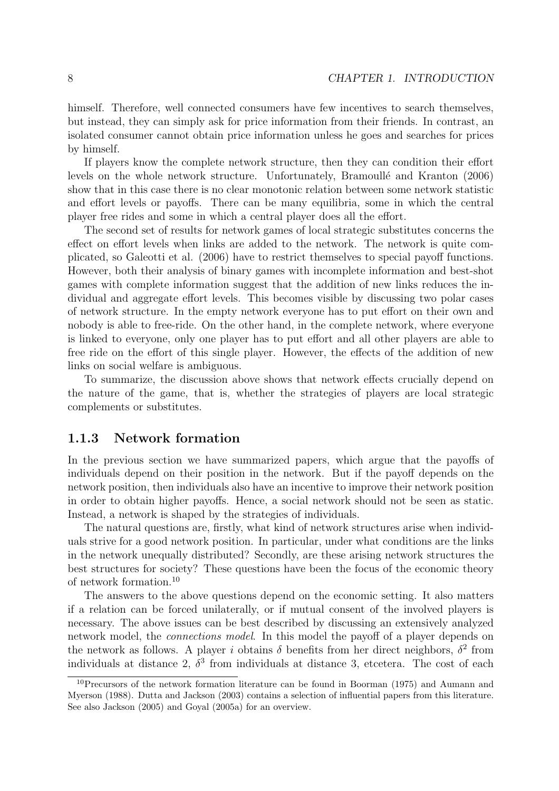himself. Therefore, well connected consumers have few incentives to search themselves, but instead, they can simply ask for price information from their friends. In contrast, an isolated consumer cannot obtain price information unless he goes and searches for prices by himself.

If players know the complete network structure, then they can condition their effort levels on the whole network structure. Unfortunately, Bramoullé and Kranton (2006) show that in this case there is no clear monotonic relation between some network statistic and effort levels or payoffs. There can be many equilibria, some in which the central player free rides and some in which a central player does all the effort.

The second set of results for network games of local strategic substitutes concerns the effect on effort levels when links are added to the network. The network is quite complicated, so Galeotti et al. (2006) have to restrict themselves to special payoff functions. However, both their analysis of binary games with incomplete information and best-shot games with complete information suggest that the addition of new links reduces the individual and aggregate effort levels. This becomes visible by discussing two polar cases of network structure. In the empty network everyone has to put effort on their own and nobody is able to free-ride. On the other hand, in the complete network, where everyone is linked to everyone, only one player has to put effort and all other players are able to free ride on the effort of this single player. However, the effects of the addition of new links on social welfare is ambiguous.

To summarize, the discussion above shows that network effects crucially depend on the nature of the game, that is, whether the strategies of players are local strategic complements or substitutes.

#### 1.1.3 Network formation

In the previous section we have summarized papers, which argue that the payoffs of individuals depend on their position in the network. But if the payoff depends on the network position, then individuals also have an incentive to improve their network position in order to obtain higher payoffs. Hence, a social network should not be seen as static. Instead, a network is shaped by the strategies of individuals.

The natural questions are, firstly, what kind of network structures arise when individuals strive for a good network position. In particular, under what conditions are the links in the network unequally distributed? Secondly, are these arising network structures the best structures for society? These questions have been the focus of the economic theory of network formation.<sup>10</sup>

The answers to the above questions depend on the economic setting. It also matters if a relation can be forced unilaterally, or if mutual consent of the involved players is necessary. The above issues can be best described by discussing an extensively analyzed network model, the connections model. In this model the payoff of a player depends on the network as follows. A player i obtains  $\delta$  benefits from her direct neighbors,  $\delta^2$  from individuals at distance 2,  $\delta^3$  from individuals at distance 3, etcetera. The cost of each

<sup>10</sup>Precursors of the network formation literature can be found in Boorman (1975) and Aumann and Myerson (1988). Dutta and Jackson (2003) contains a selection of influential papers from this literature. See also Jackson (2005) and Goyal (2005a) for an overview.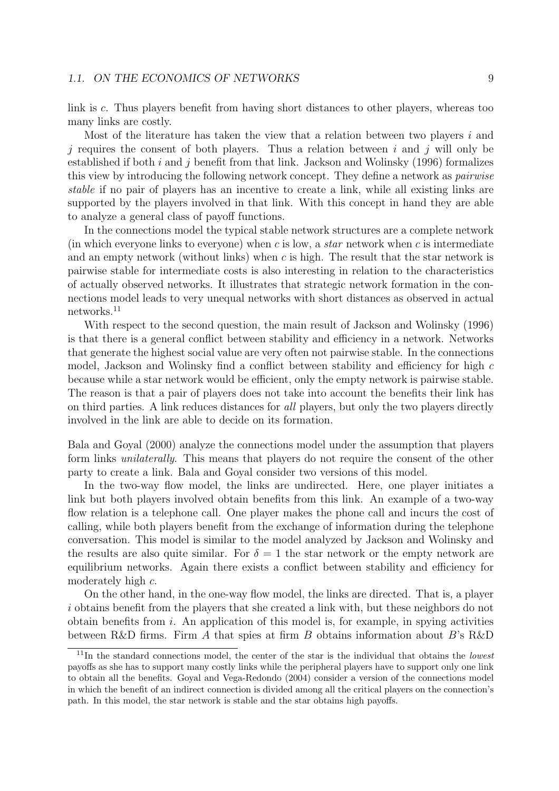#### 1.1. ON THE ECONOMICS OF NETWORKS 9

link is c. Thus players benefit from having short distances to other players, whereas too many links are costly.

Most of the literature has taken the view that a relation between two players  $i$  and  $j$  requires the consent of both players. Thus a relation between i and j will only be established if both  $i$  and  $j$  benefit from that link. Jackson and Wolinsky (1996) formalizes this view by introducing the following network concept. They define a network as pairwise stable if no pair of players has an incentive to create a link, while all existing links are supported by the players involved in that link. With this concept in hand they are able to analyze a general class of payoff functions.

In the connections model the typical stable network structures are a complete network (in which everyone links to everyone) when c is low, a *star* network when c is intermediate and an empty network (without links) when  $c$  is high. The result that the star network is pairwise stable for intermediate costs is also interesting in relation to the characteristics of actually observed networks. It illustrates that strategic network formation in the connections model leads to very unequal networks with short distances as observed in actual networks.<sup>11</sup>

With respect to the second question, the main result of Jackson and Wolinsky (1996) is that there is a general conflict between stability and efficiency in a network. Networks that generate the highest social value are very often not pairwise stable. In the connections model, Jackson and Wolinsky find a conflict between stability and efficiency for high  $c$ because while a star network would be efficient, only the empty network is pairwise stable. The reason is that a pair of players does not take into account the benefits their link has on third parties. A link reduces distances for all players, but only the two players directly involved in the link are able to decide on its formation.

Bala and Goyal (2000) analyze the connections model under the assumption that players form links unilaterally. This means that players do not require the consent of the other party to create a link. Bala and Goyal consider two versions of this model.

In the two-way flow model, the links are undirected. Here, one player initiates a link but both players involved obtain benefits from this link. An example of a two-way flow relation is a telephone call. One player makes the phone call and incurs the cost of calling, while both players benefit from the exchange of information during the telephone conversation. This model is similar to the model analyzed by Jackson and Wolinsky and the results are also quite similar. For  $\delta = 1$  the star network or the empty network are equilibrium networks. Again there exists a conflict between stability and efficiency for moderately high c.

On the other hand, in the one-way flow model, the links are directed. That is, a player i obtains benefit from the players that she created a link with, but these neighbors do not obtain benefits from  $i$ . An application of this model is, for example, in spying activities between R&D firms. Firm A that spies at firm B obtains information about B's R&D

 $11$ In the standard connections model, the center of the star is the individual that obtains the *lowest* payoffs as she has to support many costly links while the peripheral players have to support only one link to obtain all the benefits. Goyal and Vega-Redondo (2004) consider a version of the connections model in which the benefit of an indirect connection is divided among all the critical players on the connection's path. In this model, the star network is stable and the star obtains high payoffs.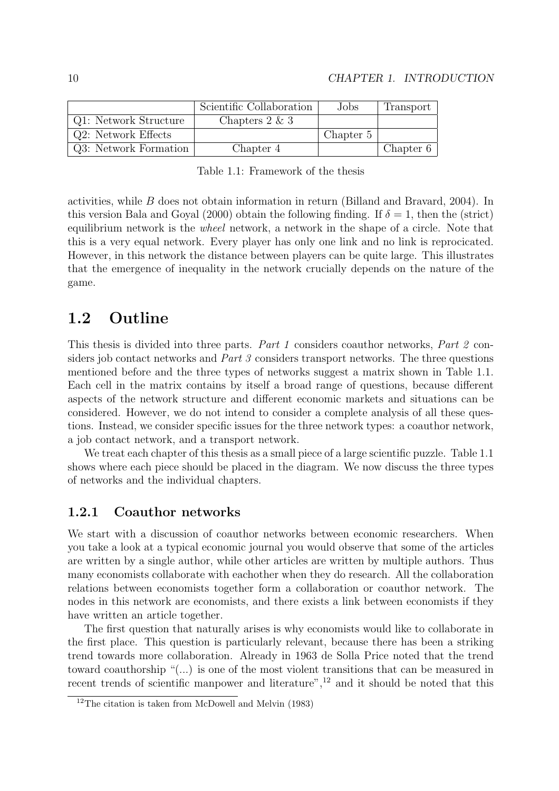|                       | Scientific Collaboration | Jobs      | Transport |
|-----------------------|--------------------------|-----------|-----------|
| Q1: Network Structure | Chapters $2 \& 3$        |           |           |
| Q2: Network Effects   |                          | Chapter 5 |           |
| Q3: Network Formation | Chapter 4                |           | Chapter 6 |

Table 1.1: Framework of the thesis

activities, while B does not obtain information in return (Billand and Bravard, 2004). In this version Bala and Goyal (2000) obtain the following finding. If  $\delta = 1$ , then the (strict) equilibrium network is the wheel network, a network in the shape of a circle. Note that this is a very equal network. Every player has only one link and no link is reprocicated. However, in this network the distance between players can be quite large. This illustrates that the emergence of inequality in the network crucially depends on the nature of the game.

## 1.2 Outline

This thesis is divided into three parts. Part 1 considers coauthor networks, Part 2 considers job contact networks and *Part 3* considers transport networks. The three questions mentioned before and the three types of networks suggest a matrix shown in Table 1.1. Each cell in the matrix contains by itself a broad range of questions, because different aspects of the network structure and different economic markets and situations can be considered. However, we do not intend to consider a complete analysis of all these questions. Instead, we consider specific issues for the three network types: a coauthor network, a job contact network, and a transport network.

We treat each chapter of this thesis as a small piece of a large scientific puzzle. Table 1.1 shows where each piece should be placed in the diagram. We now discuss the three types of networks and the individual chapters.

#### 1.2.1 Coauthor networks

We start with a discussion of coauthor networks between economic researchers. When you take a look at a typical economic journal you would observe that some of the articles are written by a single author, while other articles are written by multiple authors. Thus many economists collaborate with eachother when they do research. All the collaboration relations between economists together form a collaboration or coauthor network. The nodes in this network are economists, and there exists a link between economists if they have written an article together.

The first question that naturally arises is why economists would like to collaborate in the first place. This question is particularly relevant, because there has been a striking trend towards more collaboration. Already in 1963 de Solla Price noted that the trend toward coauthorship "(...) is one of the most violent transitions that can be measured in recent trends of scientific manpower and literature",<sup>12</sup> and it should be noted that this

 $12$ The citation is taken from McDowell and Melvin (1983)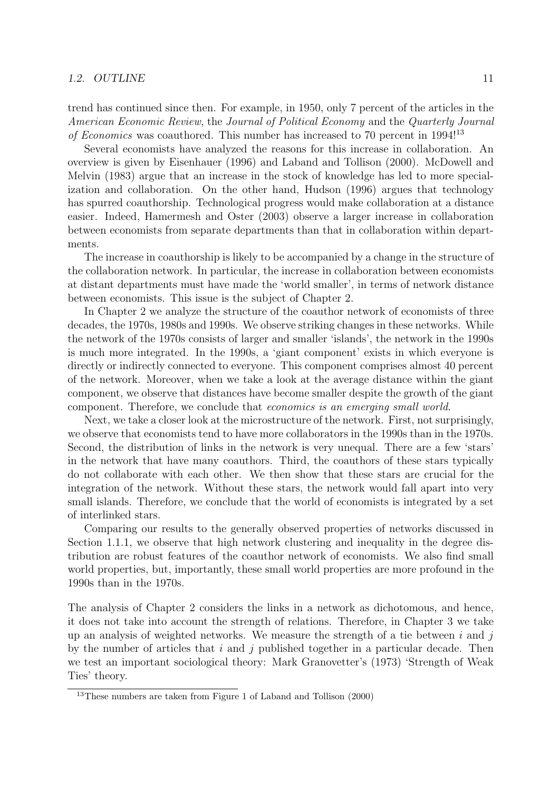#### 1.2. OUTLINE 11

trend has continued since then. For example, in 1950, only 7 percent of the articles in the American Economic Review, the Journal of Political Economy and the Quarterly Journal of Economics was coauthored. This number has increased to 70 percent in 1994!<sup>13</sup>

Several economists have analyzed the reasons for this increase in collaboration. An overview is given by Eisenhauer (1996) and Laband and Tollison (2000). McDowell and Melvin (1983) argue that an increase in the stock of knowledge has led to more specialization and collaboration. On the other hand, Hudson (1996) argues that technology has spurred coauthorship. Technological progress would make collaboration at a distance easier. Indeed, Hamermesh and Oster (2003) observe a larger increase in collaboration between economists from separate departments than that in collaboration within departments.

The increase in coauthorship is likely to be accompanied by a change in the structure of the collaboration network. In particular, the increase in collaboration between economists at distant departments must have made the 'world smaller', in terms of network distance between economists. This issue is the subject of Chapter 2.

In Chapter 2 we analyze the structure of the coauthor network of economists of three decades, the 1970s, 1980s and 1990s. We observe striking changes in these networks. While the network of the 1970s consists of larger and smaller 'islands', the network in the 1990s is much more integrated. In the 1990s, a 'giant component' exists in which everyone is directly or indirectly connected to everyone. This component comprises almost 40 percent of the network. Moreover, when we take a look at the average distance within the giant component, we observe that distances have become smaller despite the growth of the giant component. Therefore, we conclude that economics is an emerging small world.

Next, we take a closer look at the microstructure of the network. First, not surprisingly, we observe that economists tend to have more collaborators in the 1990s than in the 1970s. Second, the distribution of links in the network is very unequal. There are a few 'stars' in the network that have many coauthors. Third, the coauthors of these stars typically do not collaborate with each other. We then show that these stars are crucial for the integration of the network. Without these stars, the network would fall apart into very small islands. Therefore, we conclude that the world of economists is integrated by a set of interlinked stars.

Comparing our results to the generally observed properties of networks discussed in Section 1.1.1, we observe that high network clustering and inequality in the degree distribution are robust features of the coauthor network of economists. We also find small world properties, but, importantly, these small world properties are more profound in the 1990s than in the 1970s.

The analysis of Chapter 2 considers the links in a network as dichotomous, and hence, it does not take into account the strength of relations. Therefore, in Chapter 3 we take up an analysis of weighted networks. We measure the strength of a tie between  $i$  and  $j$ by the number of articles that  $i$  and  $j$  published together in a particular decade. Then we test an important sociological theory: Mark Granovetter's (1973) 'Strength of Weak Ties' theory.

<sup>13</sup>These numbers are taken from Figure 1 of Laband and Tollison (2000)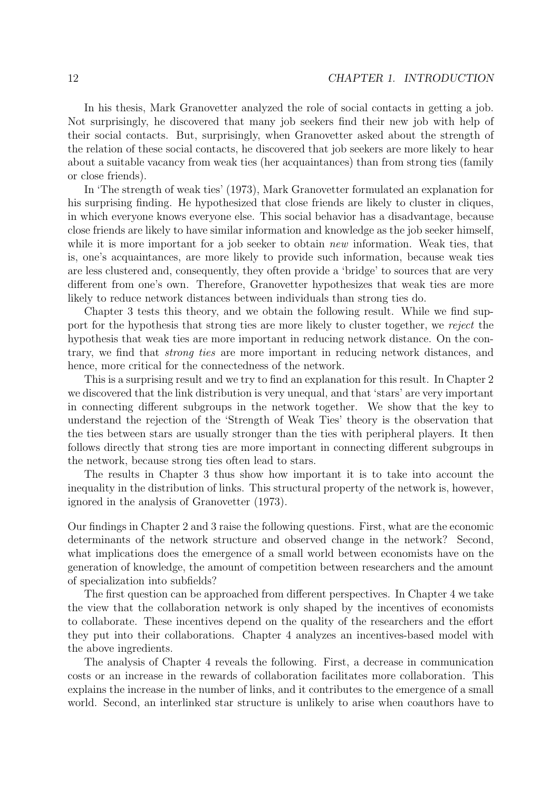In his thesis, Mark Granovetter analyzed the role of social contacts in getting a job. Not surprisingly, he discovered that many job seekers find their new job with help of their social contacts. But, surprisingly, when Granovetter asked about the strength of the relation of these social contacts, he discovered that job seekers are more likely to hear about a suitable vacancy from weak ties (her acquaintances) than from strong ties (family or close friends).

In 'The strength of weak ties' (1973), Mark Granovetter formulated an explanation for his surprising finding. He hypothesized that close friends are likely to cluster in cliques, in which everyone knows everyone else. This social behavior has a disadvantage, because close friends are likely to have similar information and knowledge as the job seeker himself, while it is more important for a job seeker to obtain *new* information. Weak ties, that is, one's acquaintances, are more likely to provide such information, because weak ties are less clustered and, consequently, they often provide a 'bridge' to sources that are very different from one's own. Therefore, Granovetter hypothesizes that weak ties are more likely to reduce network distances between individuals than strong ties do.

Chapter 3 tests this theory, and we obtain the following result. While we find support for the hypothesis that strong ties are more likely to cluster together, we reject the hypothesis that weak ties are more important in reducing network distance. On the contrary, we find that strong ties are more important in reducing network distances, and hence, more critical for the connectedness of the network.

This is a surprising result and we try to find an explanation for this result. In Chapter 2 we discovered that the link distribution is very unequal, and that 'stars' are very important in connecting different subgroups in the network together. We show that the key to understand the rejection of the 'Strength of Weak Ties' theory is the observation that the ties between stars are usually stronger than the ties with peripheral players. It then follows directly that strong ties are more important in connecting different subgroups in the network, because strong ties often lead to stars.

The results in Chapter 3 thus show how important it is to take into account the inequality in the distribution of links. This structural property of the network is, however, ignored in the analysis of Granovetter (1973).

Our findings in Chapter 2 and 3 raise the following questions. First, what are the economic determinants of the network structure and observed change in the network? Second, what implications does the emergence of a small world between economists have on the generation of knowledge, the amount of competition between researchers and the amount of specialization into subfields?

The first question can be approached from different perspectives. In Chapter 4 we take the view that the collaboration network is only shaped by the incentives of economists to collaborate. These incentives depend on the quality of the researchers and the effort they put into their collaborations. Chapter 4 analyzes an incentives-based model with the above ingredients.

The analysis of Chapter 4 reveals the following. First, a decrease in communication costs or an increase in the rewards of collaboration facilitates more collaboration. This explains the increase in the number of links, and it contributes to the emergence of a small world. Second, an interlinked star structure is unlikely to arise when coauthors have to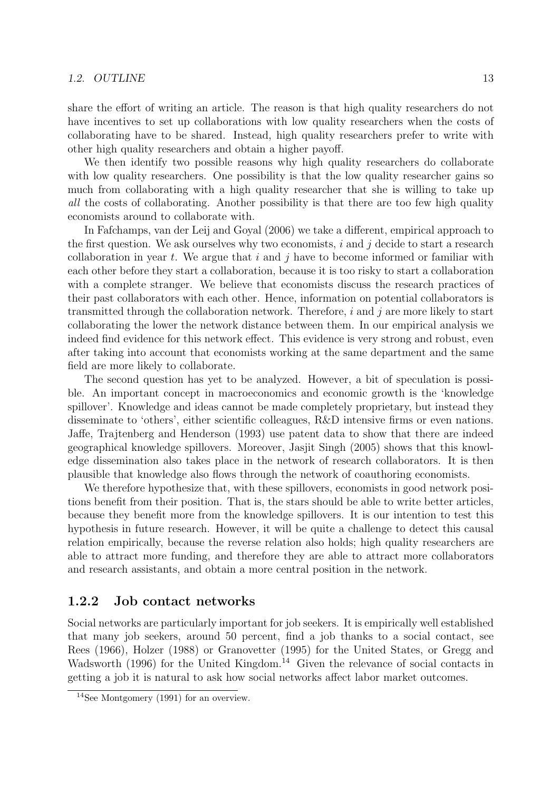#### 1.2. OUTLINE 13

share the effort of writing an article. The reason is that high quality researchers do not have incentives to set up collaborations with low quality researchers when the costs of collaborating have to be shared. Instead, high quality researchers prefer to write with other high quality researchers and obtain a higher payoff.

We then identify two possible reasons why high quality researchers do collaborate with low quality researchers. One possibility is that the low quality researcher gains so much from collaborating with a high quality researcher that she is willing to take up all the costs of collaborating. Another possibility is that there are too few high quality economists around to collaborate with.

In Fafchamps, van der Leij and Goyal (2006) we take a different, empirical approach to the first question. We ask ourselves why two economists,  $i$  and  $j$  decide to start a research collaboration in year t. We argue that  $i$  and  $j$  have to become informed or familiar with each other before they start a collaboration, because it is too risky to start a collaboration with a complete stranger. We believe that economists discuss the research practices of their past collaborators with each other. Hence, information on potential collaborators is transmitted through the collaboration network. Therefore,  $i$  and  $j$  are more likely to start collaborating the lower the network distance between them. In our empirical analysis we indeed find evidence for this network effect. This evidence is very strong and robust, even after taking into account that economists working at the same department and the same field are more likely to collaborate.

The second question has yet to be analyzed. However, a bit of speculation is possible. An important concept in macroeconomics and economic growth is the 'knowledge spillover'. Knowledge and ideas cannot be made completely proprietary, but instead they disseminate to 'others', either scientific colleagues, R&D intensive firms or even nations. Jaffe, Trajtenberg and Henderson (1993) use patent data to show that there are indeed geographical knowledge spillovers. Moreover, Jasjit Singh (2005) shows that this knowledge dissemination also takes place in the network of research collaborators. It is then plausible that knowledge also flows through the network of coauthoring economists.

We therefore hypothesize that, with these spillovers, economists in good network positions benefit from their position. That is, the stars should be able to write better articles, because they benefit more from the knowledge spillovers. It is our intention to test this hypothesis in future research. However, it will be quite a challenge to detect this causal relation empirically, because the reverse relation also holds; high quality researchers are able to attract more funding, and therefore they are able to attract more collaborators and research assistants, and obtain a more central position in the network.

#### 1.2.2 Job contact networks

Social networks are particularly important for job seekers. It is empirically well established that many job seekers, around 50 percent, find a job thanks to a social contact, see Rees (1966), Holzer (1988) or Granovetter (1995) for the United States, or Gregg and Wadsworth (1996) for the United Kingdom.<sup>14</sup> Given the relevance of social contacts in getting a job it is natural to ask how social networks affect labor market outcomes.

<sup>14</sup>See Montgomery (1991) for an overview.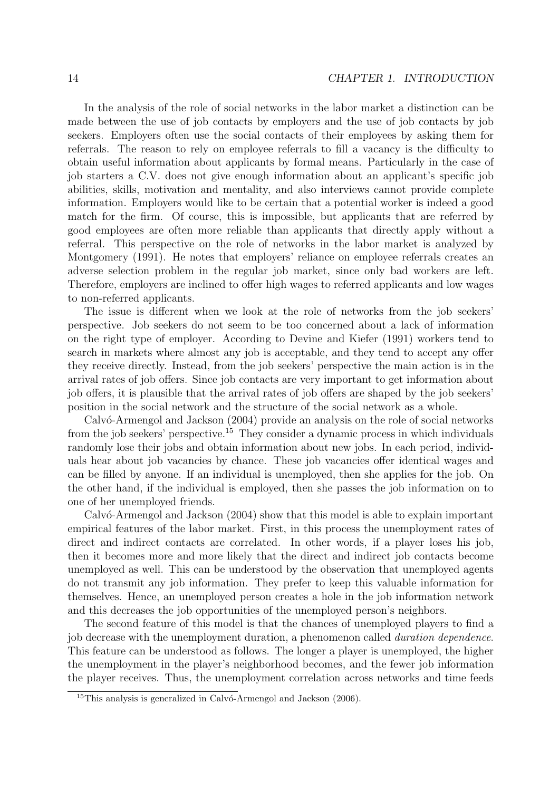In the analysis of the role of social networks in the labor market a distinction can be made between the use of job contacts by employers and the use of job contacts by job seekers. Employers often use the social contacts of their employees by asking them for referrals. The reason to rely on employee referrals to fill a vacancy is the difficulty to obtain useful information about applicants by formal means. Particularly in the case of job starters a C.V. does not give enough information about an applicant's specific job abilities, skills, motivation and mentality, and also interviews cannot provide complete information. Employers would like to be certain that a potential worker is indeed a good match for the firm. Of course, this is impossible, but applicants that are referred by good employees are often more reliable than applicants that directly apply without a referral. This perspective on the role of networks in the labor market is analyzed by Montgomery (1991). He notes that employers' reliance on employee referrals creates an adverse selection problem in the regular job market, since only bad workers are left. Therefore, employers are inclined to offer high wages to referred applicants and low wages to non-referred applicants.

The issue is different when we look at the role of networks from the job seekers' perspective. Job seekers do not seem to be too concerned about a lack of information on the right type of employer. According to Devine and Kiefer (1991) workers tend to search in markets where almost any job is acceptable, and they tend to accept any offer they receive directly. Instead, from the job seekers' perspective the main action is in the arrival rates of job offers. Since job contacts are very important to get information about job offers, it is plausible that the arrival rates of job offers are shaped by the job seekers' position in the social network and the structure of the social network as a whole.

Calvó-Armengol and Jackson (2004) provide an analysis on the role of social networks from the job seekers' perspective.<sup>15</sup> They consider a dynamic process in which individuals randomly lose their jobs and obtain information about new jobs. In each period, individuals hear about job vacancies by chance. These job vacancies offer identical wages and can be filled by anyone. If an individual is unemployed, then she applies for the job. On the other hand, if the individual is employed, then she passes the job information on to one of her unemployed friends.

Calvó-Armengol and Jackson (2004) show that this model is able to explain important empirical features of the labor market. First, in this process the unemployment rates of direct and indirect contacts are correlated. In other words, if a player loses his job, then it becomes more and more likely that the direct and indirect job contacts become unemployed as well. This can be understood by the observation that unemployed agents do not transmit any job information. They prefer to keep this valuable information for themselves. Hence, an unemployed person creates a hole in the job information network and this decreases the job opportunities of the unemployed person's neighbors.

The second feature of this model is that the chances of unemployed players to find a job decrease with the unemployment duration, a phenomenon called duration dependence. This feature can be understood as follows. The longer a player is unemployed, the higher the unemployment in the player's neighborhood becomes, and the fewer job information the player receives. Thus, the unemployment correlation across networks and time feeds

 $15$ This analysis is generalized in Calvó-Armengol and Jackson (2006).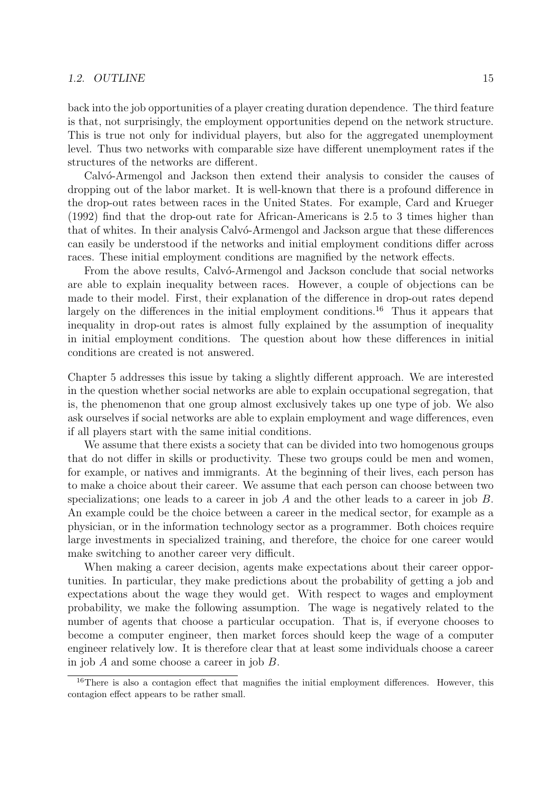#### 1.2. OUTLINE 15

back into the job opportunities of a player creating duration dependence. The third feature is that, not surprisingly, the employment opportunities depend on the network structure. This is true not only for individual players, but also for the aggregated unemployment level. Thus two networks with comparable size have different unemployment rates if the structures of the networks are different.

Calv<sub>o</sub>-Armengol and Jackson then extend their analysis to consider the causes of dropping out of the labor market. It is well-known that there is a profound difference in the drop-out rates between races in the United States. For example, Card and Krueger (1992) find that the drop-out rate for African-Americans is 2.5 to 3 times higher than that of whites. In their analysis Calvo-Armengol and Jackson argue that these differences can easily be understood if the networks and initial employment conditions differ across races. These initial employment conditions are magnified by the network effects.

From the above results, Calvó-Armengol and Jackson conclude that social networks are able to explain inequality between races. However, a couple of objections can be made to their model. First, their explanation of the difference in drop-out rates depend largely on the differences in the initial employment conditions.<sup>16</sup> Thus it appears that inequality in drop-out rates is almost fully explained by the assumption of inequality in initial employment conditions. The question about how these differences in initial conditions are created is not answered.

Chapter 5 addresses this issue by taking a slightly different approach. We are interested in the question whether social networks are able to explain occupational segregation, that is, the phenomenon that one group almost exclusively takes up one type of job. We also ask ourselves if social networks are able to explain employment and wage differences, even if all players start with the same initial conditions.

We assume that there exists a society that can be divided into two homogenous groups that do not differ in skills or productivity. These two groups could be men and women, for example, or natives and immigrants. At the beginning of their lives, each person has to make a choice about their career. We assume that each person can choose between two specializations; one leads to a career in job  $A$  and the other leads to a career in job  $B$ . An example could be the choice between a career in the medical sector, for example as a physician, or in the information technology sector as a programmer. Both choices require large investments in specialized training, and therefore, the choice for one career would make switching to another career very difficult.

When making a career decision, agents make expectations about their career opportunities. In particular, they make predictions about the probability of getting a job and expectations about the wage they would get. With respect to wages and employment probability, we make the following assumption. The wage is negatively related to the number of agents that choose a particular occupation. That is, if everyone chooses to become a computer engineer, then market forces should keep the wage of a computer engineer relatively low. It is therefore clear that at least some individuals choose a career in job A and some choose a career in job B.

<sup>&</sup>lt;sup>16</sup>There is also a contagion effect that magnifies the initial employment differences. However, this contagion effect appears to be rather small.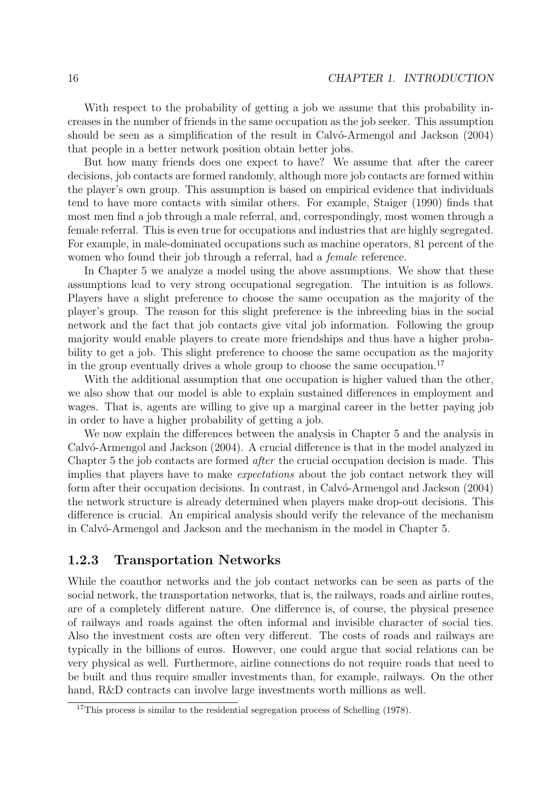With respect to the probability of getting a job we assume that this probability increases in the number of friends in the same occupation as the job seeker. This assumption should be seen as a simplification of the result in Calvó-Armengol and Jackson (2004) that people in a better network position obtain better jobs.

But how many friends does one expect to have? We assume that after the career decisions, job contacts are formed randomly, although more job contacts are formed within the player's own group. This assumption is based on empirical evidence that individuals tend to have more contacts with similar others. For example, Staiger (1990) finds that most men find a job through a male referral, and, correspondingly, most women through a female referral. This is even true for occupations and industries that are highly segregated. For example, in male-dominated occupations such as machine operators, 81 percent of the women who found their job through a referral, had a *female* reference.

In Chapter 5 we analyze a model using the above assumptions. We show that these assumptions lead to very strong occupational segregation. The intuition is as follows. Players have a slight preference to choose the same occupation as the majority of the player's group. The reason for this slight preference is the inbreeding bias in the social network and the fact that job contacts give vital job information. Following the group majority would enable players to create more friendships and thus have a higher probability to get a job. This slight preference to choose the same occupation as the majority in the group eventually drives a whole group to choose the same occupation.<sup>17</sup>

With the additional assumption that one occupation is higher valued than the other, we also show that our model is able to explain sustained differences in employment and wages. That is, agents are willing to give up a marginal career in the better paying job in order to have a higher probability of getting a job.

We now explain the differences between the analysis in Chapter 5 and the analysis in Calvó-Armengol and Jackson (2004). A crucial difference is that in the model analyzed in Chapter 5 the job contacts are formed after the crucial occupation decision is made. This implies that players have to make expectations about the job contact network they will form after their occupation decisions. In contrast, in Calvó-Armengol and Jackson (2004) the network structure is already determined when players make drop-out decisions. This difference is crucial. An empirical analysis should verify the relevance of the mechanism in Calv<sub>ó</sub>-Armengol and Jackson and the mechanism in the model in Chapter 5.

#### 1.2.3 Transportation Networks

While the coauthor networks and the job contact networks can be seen as parts of the social network, the transportation networks, that is, the railways, roads and airline routes, are of a completely different nature. One difference is, of course, the physical presence of railways and roads against the often informal and invisible character of social ties. Also the investment costs are often very different. The costs of roads and railways are typically in the billions of euros. However, one could argue that social relations can be very physical as well. Furthermore, airline connections do not require roads that need to be built and thus require smaller investments than, for example, railways. On the other hand, R&D contracts can involve large investments worth millions as well.

<sup>&</sup>lt;sup>17</sup>This process is similar to the residential segregation process of Schelling (1978).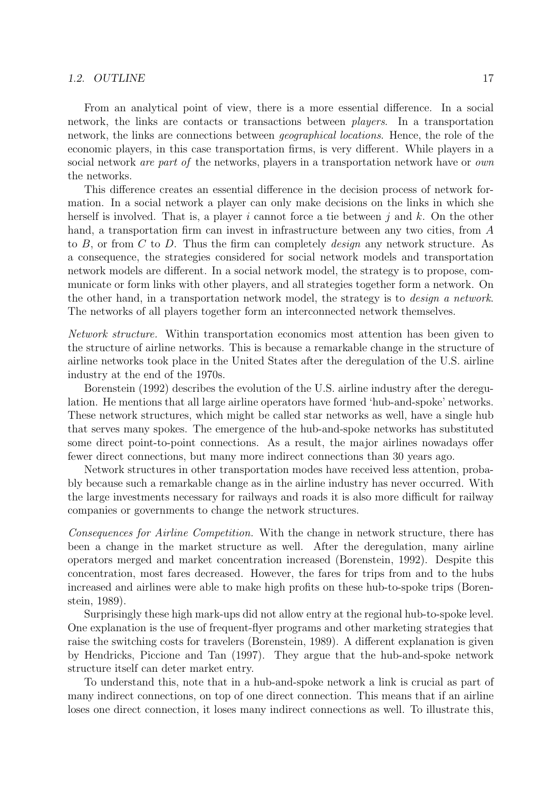#### 1.2. OUTLINE 17

From an analytical point of view, there is a more essential difference. In a social network, the links are contacts or transactions between players. In a transportation network, the links are connections between geographical locations. Hence, the role of the economic players, in this case transportation firms, is very different. While players in a social network *are part of* the networks, players in a transportation network have or *own* the networks.

This difference creates an essential difference in the decision process of network formation. In a social network a player can only make decisions on the links in which she herself is involved. That is, a player i cannot force a tie between j and k. On the other hand, a transportation firm can invest in infrastructure between any two cities, from A to  $B$ , or from  $C$  to  $D$ . Thus the firm can completely *design* any network structure. As a consequence, the strategies considered for social network models and transportation network models are different. In a social network model, the strategy is to propose, communicate or form links with other players, and all strategies together form a network. On the other hand, in a transportation network model, the strategy is to design a network. The networks of all players together form an interconnected network themselves.

Network structure. Within transportation economics most attention has been given to the structure of airline networks. This is because a remarkable change in the structure of airline networks took place in the United States after the deregulation of the U.S. airline industry at the end of the 1970s.

Borenstein (1992) describes the evolution of the U.S. airline industry after the deregulation. He mentions that all large airline operators have formed 'hub-and-spoke' networks. These network structures, which might be called star networks as well, have a single hub that serves many spokes. The emergence of the hub-and-spoke networks has substituted some direct point-to-point connections. As a result, the major airlines nowadays offer fewer direct connections, but many more indirect connections than 30 years ago.

Network structures in other transportation modes have received less attention, probably because such a remarkable change as in the airline industry has never occurred. With the large investments necessary for railways and roads it is also more difficult for railway companies or governments to change the network structures.

Consequences for Airline Competition. With the change in network structure, there has been a change in the market structure as well. After the deregulation, many airline operators merged and market concentration increased (Borenstein, 1992). Despite this concentration, most fares decreased. However, the fares for trips from and to the hubs increased and airlines were able to make high profits on these hub-to-spoke trips (Borenstein, 1989).

Surprisingly these high mark-ups did not allow entry at the regional hub-to-spoke level. One explanation is the use of frequent-flyer programs and other marketing strategies that raise the switching costs for travelers (Borenstein, 1989). A different explanation is given by Hendricks, Piccione and Tan (1997). They argue that the hub-and-spoke network structure itself can deter market entry.

To understand this, note that in a hub-and-spoke network a link is crucial as part of many indirect connections, on top of one direct connection. This means that if an airline loses one direct connection, it loses many indirect connections as well. To illustrate this,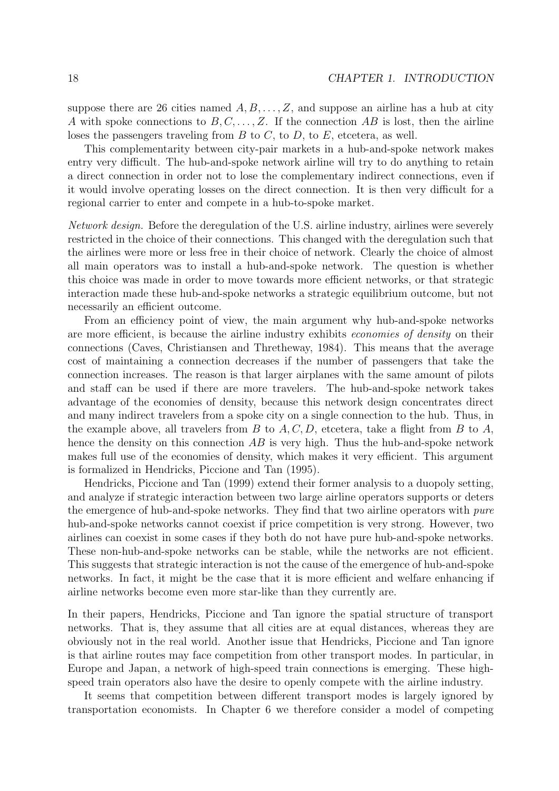suppose there are 26 cities named  $A, B, \ldots, Z$ , and suppose an airline has a hub at city A with spoke connections to  $B, C, \ldots, Z$ . If the connection AB is lost, then the airline loses the passengers traveling from  $B$  to  $C$ , to  $D$ , to  $E$ , etcetera, as well.

This complementarity between city-pair markets in a hub-and-spoke network makes entry very difficult. The hub-and-spoke network airline will try to do anything to retain a direct connection in order not to lose the complementary indirect connections, even if it would involve operating losses on the direct connection. It is then very difficult for a regional carrier to enter and compete in a hub-to-spoke market.

Network design. Before the deregulation of the U.S. airline industry, airlines were severely restricted in the choice of their connections. This changed with the deregulation such that the airlines were more or less free in their choice of network. Clearly the choice of almost all main operators was to install a hub-and-spoke network. The question is whether this choice was made in order to move towards more efficient networks, or that strategic interaction made these hub-and-spoke networks a strategic equilibrium outcome, but not necessarily an efficient outcome.

From an efficiency point of view, the main argument why hub-and-spoke networks are more efficient, is because the airline industry exhibits economies of density on their connections (Caves, Christiansen and Thretheway, 1984). This means that the average cost of maintaining a connection decreases if the number of passengers that take the connection increases. The reason is that larger airplanes with the same amount of pilots and staff can be used if there are more travelers. The hub-and-spoke network takes advantage of the economies of density, because this network design concentrates direct and many indirect travelers from a spoke city on a single connection to the hub. Thus, in the example above, all travelers from B to A, C, D, etcetera, take a flight from B to A, hence the density on this connection  $AB$  is very high. Thus the hub-and-spoke network makes full use of the economies of density, which makes it very efficient. This argument is formalized in Hendricks, Piccione and Tan (1995).

Hendricks, Piccione and Tan (1999) extend their former analysis to a duopoly setting, and analyze if strategic interaction between two large airline operators supports or deters the emergence of hub-and-spoke networks. They find that two airline operators with *pure* hub-and-spoke networks cannot coexist if price competition is very strong. However, two airlines can coexist in some cases if they both do not have pure hub-and-spoke networks. These non-hub-and-spoke networks can be stable, while the networks are not efficient. This suggests that strategic interaction is not the cause of the emergence of hub-and-spoke networks. In fact, it might be the case that it is more efficient and welfare enhancing if airline networks become even more star-like than they currently are.

In their papers, Hendricks, Piccione and Tan ignore the spatial structure of transport networks. That is, they assume that all cities are at equal distances, whereas they are obviously not in the real world. Another issue that Hendricks, Piccione and Tan ignore is that airline routes may face competition from other transport modes. In particular, in Europe and Japan, a network of high-speed train connections is emerging. These highspeed train operators also have the desire to openly compete with the airline industry.

It seems that competition between different transport modes is largely ignored by transportation economists. In Chapter 6 we therefore consider a model of competing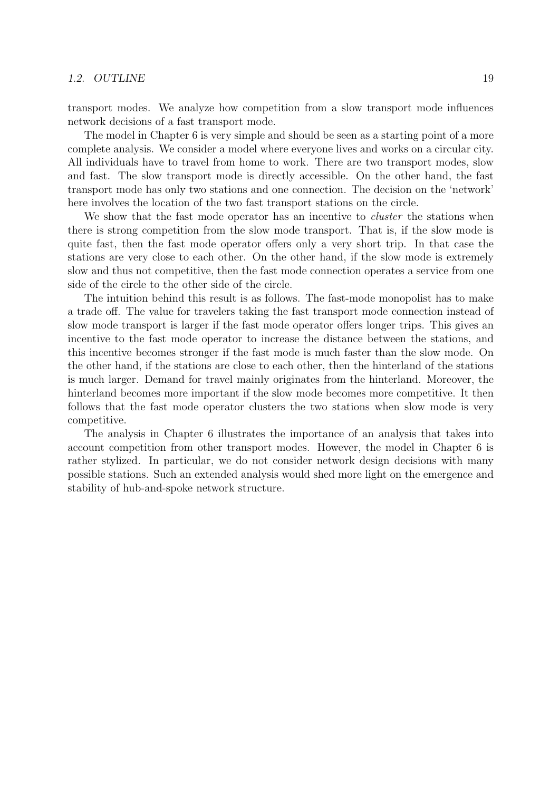#### 1.2. OUTLINE 19

transport modes. We analyze how competition from a slow transport mode influences network decisions of a fast transport mode.

The model in Chapter 6 is very simple and should be seen as a starting point of a more complete analysis. We consider a model where everyone lives and works on a circular city. All individuals have to travel from home to work. There are two transport modes, slow and fast. The slow transport mode is directly accessible. On the other hand, the fast transport mode has only two stations and one connection. The decision on the 'network' here involves the location of the two fast transport stations on the circle.

We show that the fast mode operator has an incentive to *cluster* the stations when there is strong competition from the slow mode transport. That is, if the slow mode is quite fast, then the fast mode operator offers only a very short trip. In that case the stations are very close to each other. On the other hand, if the slow mode is extremely slow and thus not competitive, then the fast mode connection operates a service from one side of the circle to the other side of the circle.

The intuition behind this result is as follows. The fast-mode monopolist has to make a trade off. The value for travelers taking the fast transport mode connection instead of slow mode transport is larger if the fast mode operator offers longer trips. This gives an incentive to the fast mode operator to increase the distance between the stations, and this incentive becomes stronger if the fast mode is much faster than the slow mode. On the other hand, if the stations are close to each other, then the hinterland of the stations is much larger. Demand for travel mainly originates from the hinterland. Moreover, the hinterland becomes more important if the slow mode becomes more competitive. It then follows that the fast mode operator clusters the two stations when slow mode is very competitive.

The analysis in Chapter 6 illustrates the importance of an analysis that takes into account competition from other transport modes. However, the model in Chapter 6 is rather stylized. In particular, we do not consider network design decisions with many possible stations. Such an extended analysis would shed more light on the emergence and stability of hub-and-spoke network structure.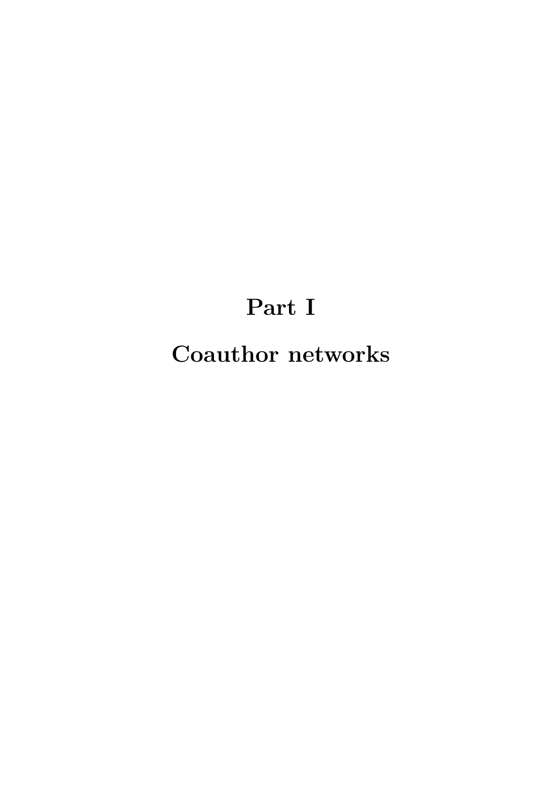# Part I

Coauthor networks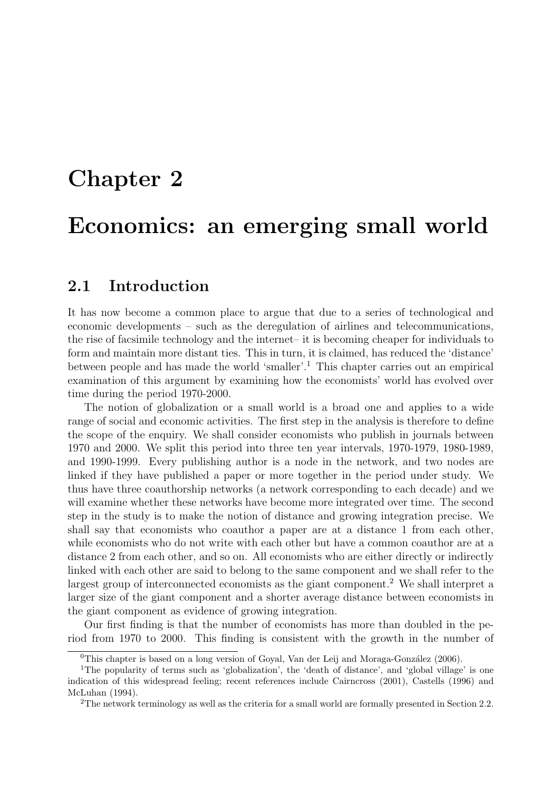# Chapter 2

# Economics: an emerging small world

## 2.1 Introduction

It has now become a common place to argue that due to a series of technological and economic developments – such as the deregulation of airlines and telecommunications, the rise of facsimile technology and the internet– it is becoming cheaper for individuals to form and maintain more distant ties. This in turn, it is claimed, has reduced the 'distance' between people and has made the world 'smaller'.<sup>1</sup> This chapter carries out an empirical examination of this argument by examining how the economists' world has evolved over time during the period 1970-2000.

The notion of globalization or a small world is a broad one and applies to a wide range of social and economic activities. The first step in the analysis is therefore to define the scope of the enquiry. We shall consider economists who publish in journals between 1970 and 2000. We split this period into three ten year intervals, 1970-1979, 1980-1989, and 1990-1999. Every publishing author is a node in the network, and two nodes are linked if they have published a paper or more together in the period under study. We thus have three coauthorship networks (a network corresponding to each decade) and we will examine whether these networks have become more integrated over time. The second step in the study is to make the notion of distance and growing integration precise. We shall say that economists who coauthor a paper are at a distance 1 from each other, while economists who do not write with each other but have a common coauthor are at a distance 2 from each other, and so on. All economists who are either directly or indirectly linked with each other are said to belong to the same component and we shall refer to the largest group of interconnected economists as the giant component.<sup>2</sup> We shall interpret a larger size of the giant component and a shorter average distance between economists in the giant component as evidence of growing integration.

Our first finding is that the number of economists has more than doubled in the period from 1970 to 2000. This finding is consistent with the growth in the number of

<sup>&</sup>lt;sup>0</sup>This chapter is based on a long version of Goyal, Van der Leij and Moraga-González (2006).

<sup>&</sup>lt;sup>1</sup>The popularity of terms such as 'globalization', the 'death of distance', and 'global village' is one indication of this widespread feeling; recent references include Cairncross (2001), Castells (1996) and McLuhan (1994).

<sup>2</sup>The network terminology as well as the criteria for a small world are formally presented in Section 2.2.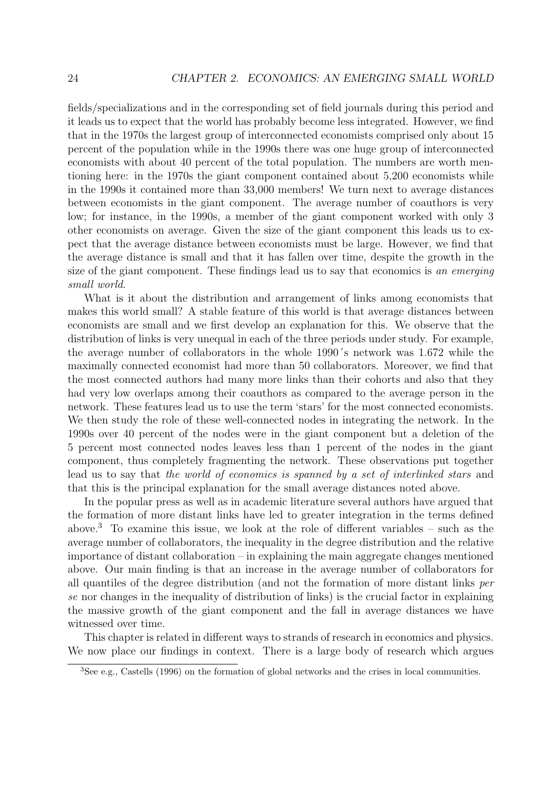fields/specializations and in the corresponding set of field journals during this period and it leads us to expect that the world has probably become less integrated. However, we find that in the 1970s the largest group of interconnected economists comprised only about 15 percent of the population while in the 1990s there was one huge group of interconnected economists with about 40 percent of the total population. The numbers are worth mentioning here: in the 1970s the giant component contained about 5,200 economists while in the 1990s it contained more than 33,000 members! We turn next to average distances between economists in the giant component. The average number of coauthors is very low; for instance, in the 1990s, a member of the giant component worked with only 3 other economists on average. Given the size of the giant component this leads us to expect that the average distance between economists must be large. However, we find that the average distance is small and that it has fallen over time, despite the growth in the size of the giant component. These findings lead us to say that economics is an emerging small world.

What is it about the distribution and arrangement of links among economists that makes this world small? A stable feature of this world is that average distances between economists are small and we first develop an explanation for this. We observe that the distribution of links is very unequal in each of the three periods under study. For example, the average number of collaborators in the whole 1990´s network was 1.672 while the maximally connected economist had more than 50 collaborators. Moreover, we find that the most connected authors had many more links than their cohorts and also that they had very low overlaps among their coauthors as compared to the average person in the network. These features lead us to use the term 'stars' for the most connected economists. We then study the role of these well-connected nodes in integrating the network. In the 1990s over 40 percent of the nodes were in the giant component but a deletion of the 5 percent most connected nodes leaves less than 1 percent of the nodes in the giant component, thus completely fragmenting the network. These observations put together lead us to say that the world of economics is spanned by a set of interlinked stars and that this is the principal explanation for the small average distances noted above.

In the popular press as well as in academic literature several authors have argued that the formation of more distant links have led to greater integration in the terms defined above.<sup>3</sup> To examine this issue, we look at the role of different variables – such as the average number of collaborators, the inequality in the degree distribution and the relative importance of distant collaboration – in explaining the main aggregate changes mentioned above. Our main finding is that an increase in the average number of collaborators for all quantiles of the degree distribution (and not the formation of more distant links per se nor changes in the inequality of distribution of links) is the crucial factor in explaining the massive growth of the giant component and the fall in average distances we have witnessed over time.

This chapter is related in different ways to strands of research in economics and physics. We now place our findings in context. There is a large body of research which argues

<sup>3</sup>See e.g., Castells (1996) on the formation of global networks and the crises in local communities.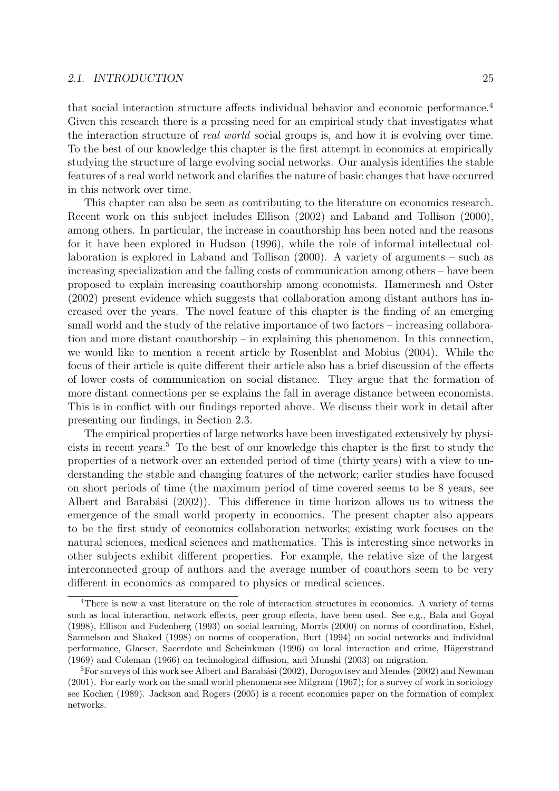#### 2.1. INTRODUCTION 25

that social interaction structure affects individual behavior and economic performance.<sup>4</sup> Given this research there is a pressing need for an empirical study that investigates what the interaction structure of real world social groups is, and how it is evolving over time. To the best of our knowledge this chapter is the first attempt in economics at empirically studying the structure of large evolving social networks. Our analysis identifies the stable features of a real world network and clarifies the nature of basic changes that have occurred in this network over time.

This chapter can also be seen as contributing to the literature on economics research. Recent work on this subject includes Ellison (2002) and Laband and Tollison (2000), among others. In particular, the increase in coauthorship has been noted and the reasons for it have been explored in Hudson (1996), while the role of informal intellectual collaboration is explored in Laband and Tollison (2000). A variety of arguments – such as increasing specialization and the falling costs of communication among others – have been proposed to explain increasing coauthorship among economists. Hamermesh and Oster (2002) present evidence which suggests that collaboration among distant authors has increased over the years. The novel feature of this chapter is the finding of an emerging small world and the study of the relative importance of two factors – increasing collaboration and more distant coauthorship – in explaining this phenomenon. In this connection, we would like to mention a recent article by Rosenblat and Mobius (2004). While the focus of their article is quite different their article also has a brief discussion of the effects of lower costs of communication on social distance. They argue that the formation of more distant connections per se explains the fall in average distance between economists. This is in conflict with our findings reported above. We discuss their work in detail after presenting our findings, in Section 2.3.

The empirical properties of large networks have been investigated extensively by physicists in recent years.<sup>5</sup> To the best of our knowledge this chapter is the first to study the properties of a network over an extended period of time (thirty years) with a view to understanding the stable and changing features of the network; earlier studies have focused on short periods of time (the maximum period of time covered seems to be 8 years, see Albert and Barabási (2002)). This difference in time horizon allows us to witness the emergence of the small world property in economics. The present chapter also appears to be the first study of economics collaboration networks; existing work focuses on the natural sciences, medical sciences and mathematics. This is interesting since networks in other subjects exhibit different properties. For example, the relative size of the largest interconnected group of authors and the average number of coauthors seem to be very different in economics as compared to physics or medical sciences.

<sup>4</sup>There is now a vast literature on the role of interaction structures in economics. A variety of terms such as local interaction, network effects, peer group effects, have been used. See e.g., Bala and Goyal (1998), Ellison and Fudenberg (1993) on social learning, Morris (2000) on norms of coordination, Eshel, Samuelson and Shaked (1998) on norms of cooperation, Burt (1994) on social networks and individual performance, Glaeser, Sacerdote and Scheinkman (1996) on local interaction and crime, Hägerstrand (1969) and Coleman (1966) on technological diffusion, and Munshi (2003) on migration.

 ${}^{5}$ For surveys of this work see Albert and Barabási (2002), Dorogovtsev and Mendes (2002) and Newman (2001). For early work on the small world phenomena see Milgram (1967); for a survey of work in sociology see Kochen (1989). Jackson and Rogers (2005) is a recent economics paper on the formation of complex networks.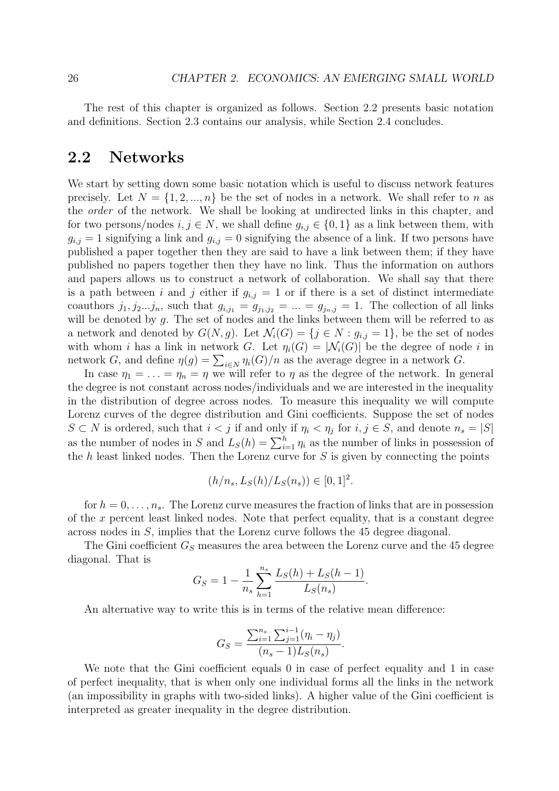The rest of this chapter is organized as follows. Section 2.2 presents basic notation and definitions. Section 2.3 contains our analysis, while Section 2.4 concludes.

### 2.2 Networks

We start by setting down some basic notation which is useful to discuss network features precisely. Let  $N = \{1, 2, ..., n\}$  be the set of nodes in a network. We shall refer to n as the order of the network. We shall be looking at undirected links in this chapter, and for two persons/nodes  $i, j \in N$ , we shall define  $g_{i,j} \in \{0,1\}$  as a link between them, with  $g_{i,j} = 1$  signifying a link and  $g_{i,j} = 0$  signifying the absence of a link. If two persons have published a paper together then they are said to have a link between them; if they have published no papers together then they have no link. Thus the information on authors and papers allows us to construct a network of collaboration. We shall say that there is a path between i and j either if  $g_{i,j} = 1$  or if there is a set of distinct intermediate coauthors  $j_1, j_2...j_n$ , such that  $g_{i,j_1} = g_{j_1,j_2} = ... = g_{j_n,j} = 1$ . The collection of all links will be denoted by  $g$ . The set of nodes and the links between them will be referred to as a network and denoted by  $G(N, g)$ . Let  $\mathcal{N}_i(G) = \{j \in N : g_{i,j} = 1\}$ , be the set of nodes with whom i has a link in network G. Let  $\eta_i(G) = |\mathcal{N}_i(G)|$  be the degree of node i in with whom *t* has a link in hetwork G. Let  $\eta_i(G) = |\mathcal{N}_i(G)|$  be the degree of hod<br>network G, and define  $\eta(g) = \sum_{i \in N} \eta_i(G)/n$  as the average degree in a network G.

In case  $\eta_1 = \ldots = \eta_n = \eta$  we will refer to  $\eta$  as the degree of the network. In general the degree is not constant across nodes/individuals and we are interested in the inequality in the distribution of degree across nodes. To measure this inequality we will compute Lorenz curves of the degree distribution and Gini coefficients. Suppose the set of nodes  $S \subset N$  is ordered, such that  $i < j$  if and only if  $\eta_i < \eta_j$  for  $i, j \in S$ , and denote  $n_s = |S|$  $a \in \mathbb{R}^n$  is ordered, such that  $i < j$  if and only if  $\eta_i < \eta_j$  for  $i, j \in \mathcal{D}$ , and denote  $n_s = |\mathcal{D}|$  as the number of links in possession of the  $h$  least linked nodes. Then the Lorenz curve for  $S$  is given by connecting the points

$$
(h/n_s, L_S(h)/L_S(n_s)) \in [0, 1]^2.
$$

for  $h = 0, \ldots, n_s$ . The Lorenz curve measures the fraction of links that are in possession of the x percent least linked nodes. Note that perfect equality, that is a constant degree across nodes in S, implies that the Lorenz curve follows the 45 degree diagonal.

The Gini coefficient  $G<sub>S</sub>$  measures the area between the Lorenz curve and the 45 degree diagonal. That is

$$
G_S = 1 - \frac{1}{n_s} \sum_{h=1}^{n_s} \frac{L_S(h) + L_S(h-1)}{L_S(n_s)}.
$$

An alternative way to write this is in terms of the relative mean difference:

$$
G_S = \frac{\sum_{i=1}^{n_s} \sum_{j=1}^{i-1} (\eta_i - \eta_j)}{(n_s - 1)L_S(n_s)}.
$$

We note that the Gini coefficient equals 0 in case of perfect equality and 1 in case of perfect inequality, that is when only one individual forms all the links in the network (an impossibility in graphs with two-sided links). A higher value of the Gini coefficient is interpreted as greater inequality in the degree distribution.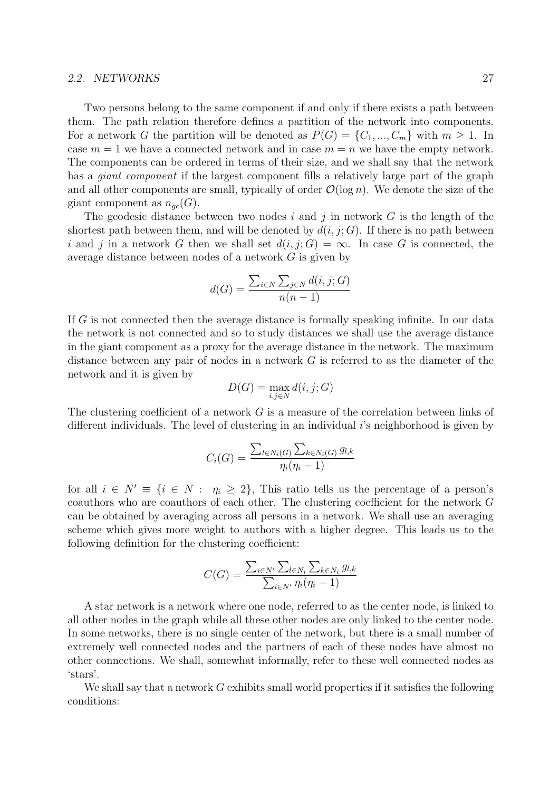#### 2.2. NETWORKS 27

Two persons belong to the same component if and only if there exists a path between them. The path relation therefore defines a partition of the network into components. For a network G the partition will be denoted as  $P(G) = \{C_1, ..., C_m\}$  with  $m \geq 1$ . In case  $m = 1$  we have a connected network and in case  $m = n$  we have the empty network. The components can be ordered in terms of their size, and we shall say that the network has a *giant component* if the largest component fills a relatively large part of the graph and all other components are small, typically of order  $\mathcal{O}(\log n)$ . We denote the size of the giant component as  $n_{ac}(G)$ .

The geodesic distance between two nodes  $i$  and  $j$  in network  $G$  is the length of the shortest path between them, and will be denoted by  $d(i, j; G)$ . If there is no path between i and j in a network G then we shall set  $d(i, j; G) = \infty$ . In case G is connected, the average distance between nodes of a network G is given by

$$
d(G) = \frac{\sum_{i \in N} \sum_{j \in N} d(i, j; G)}{n(n - 1)}
$$

If G is not connected then the average distance is formally speaking infinite. In our data the network is not connected and so to study distances we shall use the average distance in the giant component as a proxy for the average distance in the network. The maximum distance between any pair of nodes in a network  $G$  is referred to as the diameter of the network and it is given by

$$
D(G) = \max_{i,j \in N} d(i,j;G)
$$

The clustering coefficient of a network G is a measure of the correlation between links of different individuals. The level of clustering in an individual i's neighborhood is given by

$$
C_i(G) = \frac{\sum_{l \in N_i(G)} \sum_{k \in N_i(G)} g_{l,k}}{\eta_i(\eta_i - 1)}
$$

for all  $i \in N' \equiv \{i \in N : \eta_i \geq 2\}$ , This ratio tells us the percentage of a person's coauthors who are coauthors of each other. The clustering coefficient for the network G can be obtained by averaging across all persons in a network. We shall use an averaging scheme which gives more weight to authors with a higher degree. This leads us to the following definition for the clustering coefficient:

$$
C(G) = \frac{\sum_{i \in N'} \sum_{l \in N_i} \sum_{k \in N_i} g_{l,k}}{\sum_{i \in N'} \eta_i (\eta_i - 1)}
$$

A star network is a network where one node, referred to as the center node, is linked to all other nodes in the graph while all these other nodes are only linked to the center node. In some networks, there is no single center of the network, but there is a small number of extremely well connected nodes and the partners of each of these nodes have almost no other connections. We shall, somewhat informally, refer to these well connected nodes as 'stars'.

We shall say that a network  $G$  exhibits small world properties if it satisfies the following conditions: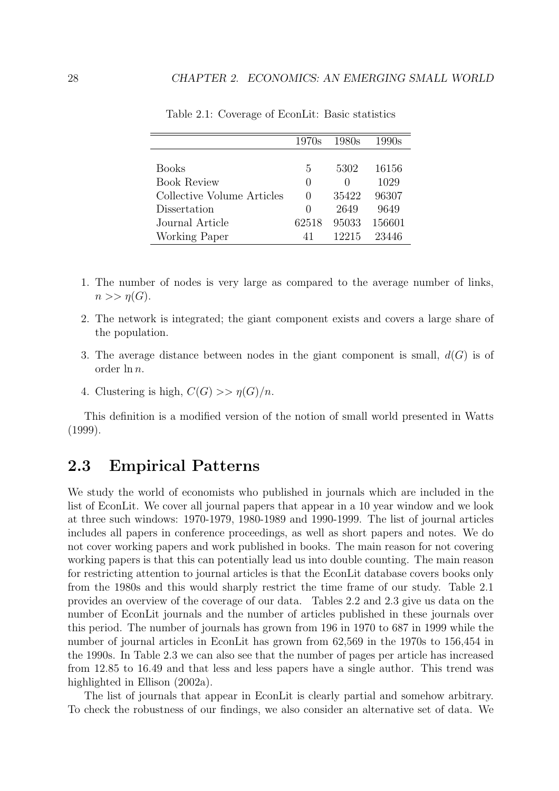|                            | 1970s            | 1980s            | 1990s  |
|----------------------------|------------------|------------------|--------|
|                            |                  |                  |        |
| Books                      | 5                | 5302             | 16156  |
| <b>Book Review</b>         | $\left( \right)$ | $\left( \right)$ | 1029   |
| Collective Volume Articles | $\mathbf{0}$     | 35422            | 96307  |
| Dissertation               | 0                | 2649             | 9649   |
| Journal Article            | 62518            | 95033            | 156601 |
| Working Paper              | 41               | 12215            | 23446  |

Table 2.1: Coverage of EconLit: Basic statistics

- 1. The number of nodes is very large as compared to the average number of links,  $n >> \eta(G)$ .
- 2. The network is integrated; the giant component exists and covers a large share of the population.
- 3. The average distance between nodes in the giant component is small,  $d(G)$  is of order ln n.
- 4. Clustering is high,  $C(G) >> \eta(G)/n$ .

This definition is a modified version of the notion of small world presented in Watts (1999).

# 2.3 Empirical Patterns

We study the world of economists who published in journals which are included in the list of EconLit. We cover all journal papers that appear in a 10 year window and we look at three such windows: 1970-1979, 1980-1989 and 1990-1999. The list of journal articles includes all papers in conference proceedings, as well as short papers and notes. We do not cover working papers and work published in books. The main reason for not covering working papers is that this can potentially lead us into double counting. The main reason for restricting attention to journal articles is that the EconLit database covers books only from the 1980s and this would sharply restrict the time frame of our study. Table 2.1 provides an overview of the coverage of our data. Tables 2.2 and 2.3 give us data on the number of EconLit journals and the number of articles published in these journals over this period. The number of journals has grown from 196 in 1970 to 687 in 1999 while the number of journal articles in EconLit has grown from 62,569 in the 1970s to 156,454 in the 1990s. In Table 2.3 we can also see that the number of pages per article has increased from 12.85 to 16.49 and that less and less papers have a single author. This trend was highlighted in Ellison (2002a).

The list of journals that appear in EconLit is clearly partial and somehow arbitrary. To check the robustness of our findings, we also consider an alternative set of data. We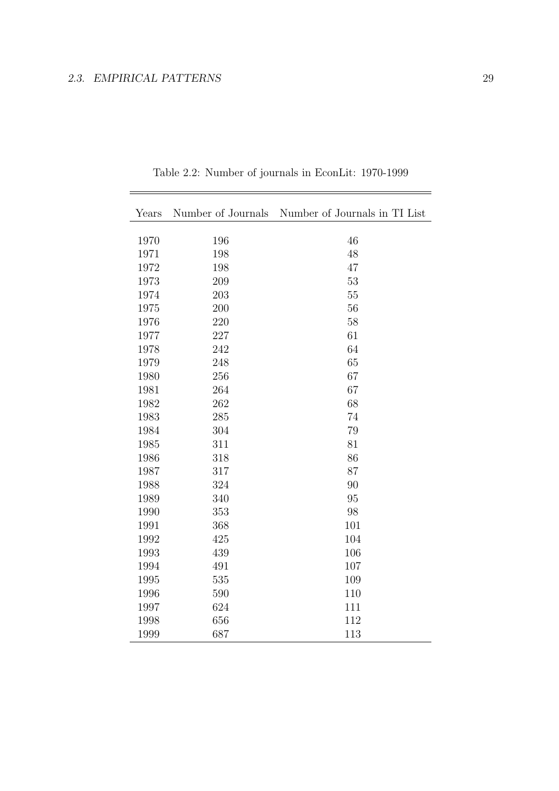## 2.3. EMPIRICAL PATTERNS 29

 $\overline{\phantom{a}}$ 

| Years | Number of Journals | Number of Journals in TI List |
|-------|--------------------|-------------------------------|
|       |                    |                               |
| 1970  | 196                | 46                            |
| 1971  | 198                | 48                            |
| 1972  | 198                | 47                            |
| 1973  | 209                | 53                            |
| 1974  | 203                | 55                            |
| 1975  | 200                | 56                            |
| 1976  | 220                | 58                            |
| 1977  | 227                | 61                            |
| 1978  | 242                | 64                            |
| 1979  | 248                | 65                            |
| 1980  | 256                | 67                            |
| 1981  | 264                | 67                            |
| 1982  | 262                | 68                            |
| 1983  | 285                | 74                            |
| 1984  | 304                | 79                            |
| 1985  | 311                | 81                            |
| 1986  | 318                | 86                            |
| 1987  | 317                | 87                            |
| 1988  | 324                | 90                            |
| 1989  | 340                | 95                            |
| 1990  | 353                | 98                            |
| 1991  | 368                | 101                           |
| 1992  | 425                | 104                           |
| 1993  | 439                | 106                           |
| 1994  | 491                | 107                           |
| 1995  | 535                | 109                           |
| 1996  | 590                | 110                           |
| 1997  | 624                | 111                           |
| 1998  | 656                | 112                           |
| 1999  | 687                | 113                           |

Table 2.2: Number of journals in EconLit: 1970-1999

 $=$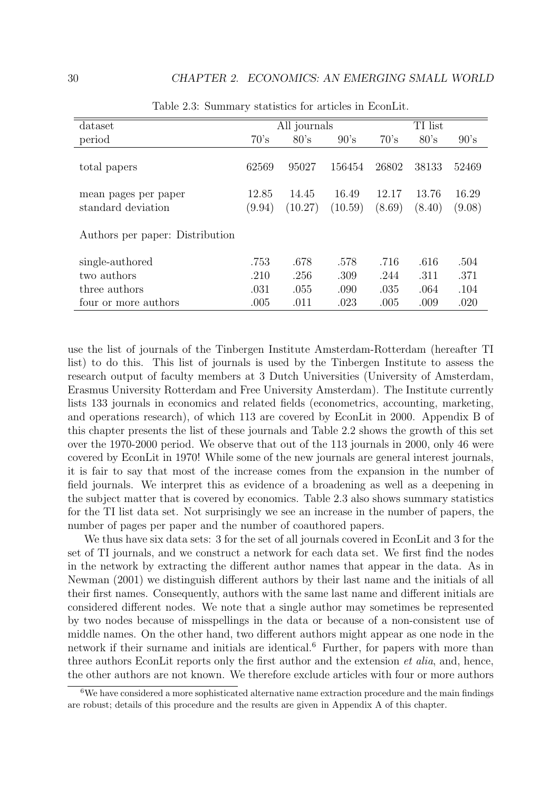| dataset                                    |                 | All journals     |                  | TI list         |                 |                 |
|--------------------------------------------|-----------------|------------------|------------------|-----------------|-----------------|-----------------|
| period                                     | 70's            | 80's             | $90^\circ s$     | $70^{\circ}$ s  | 80's            | 90's            |
| total papers                               | 62569           | 95027            | 156454           | 26802           | 38133           | 52469           |
| mean pages per paper<br>standard deviation | 12.85<br>(9.94) | 14.45<br>(10.27) | 16.49<br>(10.59) | 12.17<br>(8.69) | 13.76<br>(8.40) | 16.29<br>(9.08) |
| Authors per paper: Distribution            |                 |                  |                  |                 |                 |                 |
| single-authored                            | .753            | .678             | .578             | .716            | .616            | .504            |
| two authors                                | .210            | .256             | .309             | .244            | .311            | .371            |
| three authors                              | .031            | .055             | .090             | .035            | .064            | .104            |
| four or more authors                       | .005            | .011             | .023             | .005            | .009            | .020            |

Table 2.3: Summary statistics for articles in EconLit.

use the list of journals of the Tinbergen Institute Amsterdam-Rotterdam (hereafter TI list) to do this. This list of journals is used by the Tinbergen Institute to assess the research output of faculty members at 3 Dutch Universities (University of Amsterdam, Erasmus University Rotterdam and Free University Amsterdam). The Institute currently lists 133 journals in economics and related fields (econometrics, accounting, marketing, and operations research), of which 113 are covered by EconLit in 2000. Appendix B of this chapter presents the list of these journals and Table 2.2 shows the growth of this set over the 1970-2000 period. We observe that out of the 113 journals in 2000, only 46 were covered by EconLit in 1970! While some of the new journals are general interest journals, it is fair to say that most of the increase comes from the expansion in the number of field journals. We interpret this as evidence of a broadening as well as a deepening in the subject matter that is covered by economics. Table 2.3 also shows summary statistics for the TI list data set. Not surprisingly we see an increase in the number of papers, the number of pages per paper and the number of coauthored papers.

We thus have six data sets: 3 for the set of all journals covered in EconLit and 3 for the set of TI journals, and we construct a network for each data set. We first find the nodes in the network by extracting the different author names that appear in the data. As in Newman (2001) we distinguish different authors by their last name and the initials of all their first names. Consequently, authors with the same last name and different initials are considered different nodes. We note that a single author may sometimes be represented by two nodes because of misspellings in the data or because of a non-consistent use of middle names. On the other hand, two different authors might appear as one node in the network if their surname and initials are identical.<sup>6</sup> Further, for papers with more than three authors EconLit reports only the first author and the extension et alia, and, hence, the other authors are not known. We therefore exclude articles with four or more authors

 $6$ We have considered a more sophisticated alternative name extraction procedure and the main findings are robust; details of this procedure and the results are given in Appendix A of this chapter.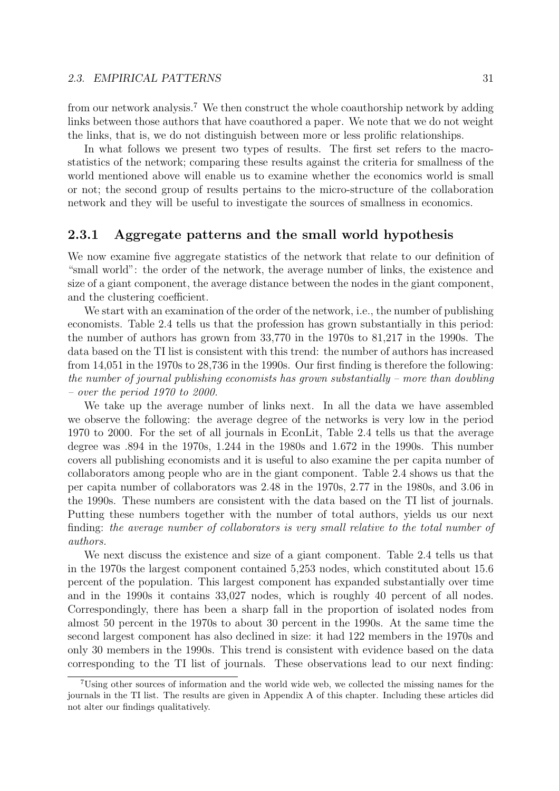from our network analysis.<sup>7</sup> We then construct the whole coauthorship network by adding links between those authors that have coauthored a paper. We note that we do not weight the links, that is, we do not distinguish between more or less prolific relationships.

In what follows we present two types of results. The first set refers to the macrostatistics of the network; comparing these results against the criteria for smallness of the world mentioned above will enable us to examine whether the economics world is small or not; the second group of results pertains to the micro-structure of the collaboration network and they will be useful to investigate the sources of smallness in economics.

### 2.3.1 Aggregate patterns and the small world hypothesis

We now examine five aggregate statistics of the network that relate to our definition of "small world": the order of the network, the average number of links, the existence and size of a giant component, the average distance between the nodes in the giant component, and the clustering coefficient.

We start with an examination of the order of the network, i.e., the number of publishing economists. Table 2.4 tells us that the profession has grown substantially in this period: the number of authors has grown from 33,770 in the 1970s to 81,217 in the 1990s. The data based on the TI list is consistent with this trend: the number of authors has increased from 14,051 in the 1970s to 28,736 in the 1990s. Our first finding is therefore the following: the number of journal publishing economists has grown substantially – more than doubling – over the period 1970 to 2000.

We take up the average number of links next. In all the data we have assembled we observe the following: the average degree of the networks is very low in the period 1970 to 2000. For the set of all journals in EconLit, Table 2.4 tells us that the average degree was .894 in the 1970s, 1.244 in the 1980s and 1.672 in the 1990s. This number covers all publishing economists and it is useful to also examine the per capita number of collaborators among people who are in the giant component. Table 2.4 shows us that the per capita number of collaborators was 2.48 in the 1970s, 2.77 in the 1980s, and 3.06 in the 1990s. These numbers are consistent with the data based on the TI list of journals. Putting these numbers together with the number of total authors, yields us our next finding: the average number of collaborators is very small relative to the total number of authors.

We next discuss the existence and size of a giant component. Table 2.4 tells us that in the 1970s the largest component contained 5,253 nodes, which constituted about 15.6 percent of the population. This largest component has expanded substantially over time and in the 1990s it contains 33,027 nodes, which is roughly 40 percent of all nodes. Correspondingly, there has been a sharp fall in the proportion of isolated nodes from almost 50 percent in the 1970s to about 30 percent in the 1990s. At the same time the second largest component has also declined in size: it had 122 members in the 1970s and only 30 members in the 1990s. This trend is consistent with evidence based on the data corresponding to the TI list of journals. These observations lead to our next finding:

<sup>7</sup>Using other sources of information and the world wide web, we collected the missing names for the journals in the TI list. The results are given in Appendix A of this chapter. Including these articles did not alter our findings qualitatively.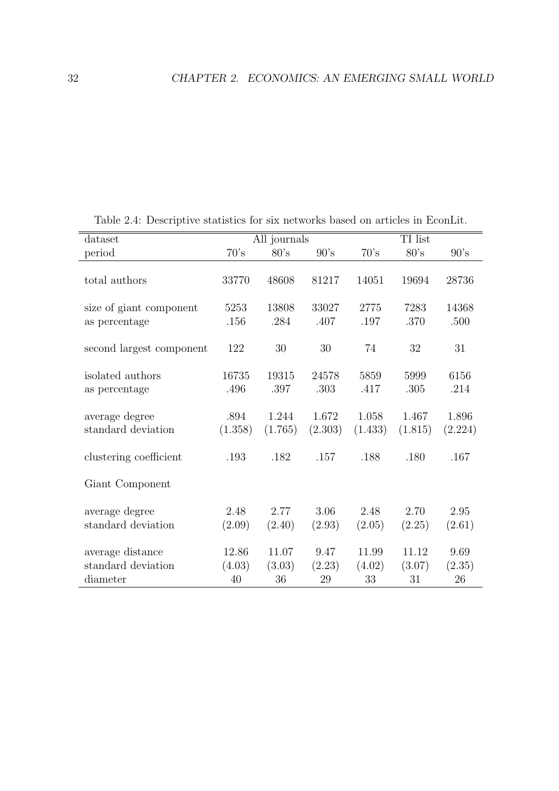| dataset                                            |                       | All journals          |                      |                       | TI list               |                      |
|----------------------------------------------------|-----------------------|-----------------------|----------------------|-----------------------|-----------------------|----------------------|
| period                                             | 70's                  | 80's                  | 90's                 | 70's                  | 80's                  | 90's                 |
| total authors                                      | 33770                 | 48608                 | 81217                | 14051                 | 19694                 | 28736                |
| size of giant component<br>as percentage           | 5253<br>.156          | 13808<br>.284         | 33027<br>.407        | 2775<br>.197          | 7283<br>.370          | 14368<br>.500        |
| second largest component                           | 122                   | 30                    | 30                   | 74                    | 32                    | 31                   |
| isolated authors<br>as percentage                  | 16735<br>.496         | 19315<br>.397         | 24578<br>.303        | 5859<br>.417          | 5999<br>.305          | 6156<br>.214         |
| average degree<br>standard deviation               | .894<br>(1.358)       | 1.244<br>(1.765)      | 1.672<br>(2.303)     | 1.058<br>(1.433)      | 1.467<br>(1.815)      | 1.896<br>(2.224)     |
| clustering coefficient                             | .193                  | .182                  | .157                 | .188                  | .180                  | .167                 |
| Giant Component                                    |                       |                       |                      |                       |                       |                      |
| average degree<br>standard deviation               | 2.48<br>(2.09)        | 2.77<br>(2.40)        | 3.06<br>(2.93)       | 2.48<br>(2.05)        | 2.70<br>(2.25)        | 2.95<br>(2.61)       |
| average distance<br>standard deviation<br>diameter | 12.86<br>(4.03)<br>40 | 11.07<br>(3.03)<br>36 | 9.47<br>(2.23)<br>29 | 11.99<br>(4.02)<br>33 | 11.12<br>(3.07)<br>31 | 9.69<br>(2.35)<br>26 |

Table 2.4: Descriptive statistics for six networks based on articles in EconLit.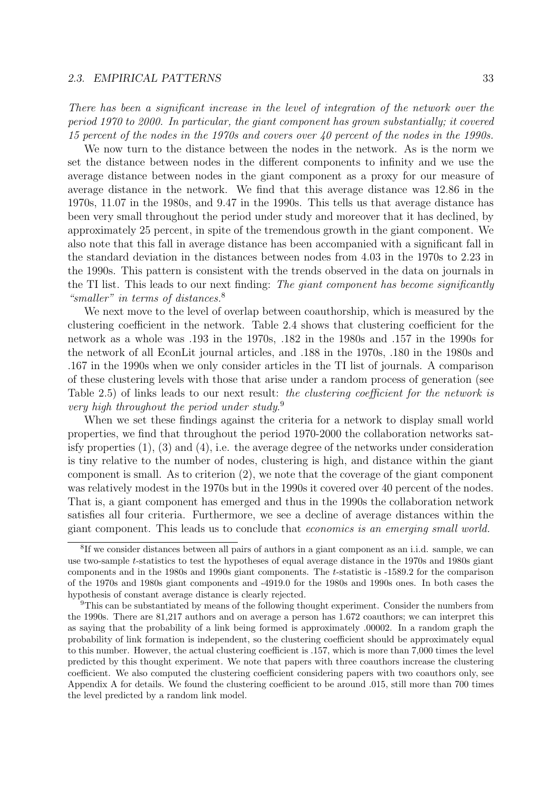#### 2.3. EMPIRICAL PATTERNS 33

There has been a significant increase in the level of integration of the network over the period 1970 to 2000. In particular, the giant component has grown substantially; it covered 15 percent of the nodes in the 1970s and covers over 40 percent of the nodes in the 1990s.

We now turn to the distance between the nodes in the network. As is the norm we set the distance between nodes in the different components to infinity and we use the average distance between nodes in the giant component as a proxy for our measure of average distance in the network. We find that this average distance was 12.86 in the 1970s, 11.07 in the 1980s, and 9.47 in the 1990s. This tells us that average distance has been very small throughout the period under study and moreover that it has declined, by approximately 25 percent, in spite of the tremendous growth in the giant component. We also note that this fall in average distance has been accompanied with a significant fall in the standard deviation in the distances between nodes from 4.03 in the 1970s to 2.23 in the 1990s. This pattern is consistent with the trends observed in the data on journals in the TI list. This leads to our next finding: The giant component has become significantly "smaller" in terms of distances.<sup>8</sup>

We next move to the level of overlap between coauthorship, which is measured by the clustering coefficient in the network. Table 2.4 shows that clustering coefficient for the network as a whole was .193 in the 1970s, .182 in the 1980s and .157 in the 1990s for the network of all EconLit journal articles, and .188 in the 1970s, .180 in the 1980s and .167 in the 1990s when we only consider articles in the TI list of journals. A comparison of these clustering levels with those that arise under a random process of generation (see Table 2.5) of links leads to our next result: the *clustering coefficient for the network is* very high throughout the period under study.<sup>9</sup>

When we set these findings against the criteria for a network to display small world properties, we find that throughout the period 1970-2000 the collaboration networks satisfy properties  $(1)$ ,  $(3)$  and  $(4)$ , i.e. the average degree of the networks under consideration is tiny relative to the number of nodes, clustering is high, and distance within the giant component is small. As to criterion (2), we note that the coverage of the giant component was relatively modest in the 1970s but in the 1990s it covered over 40 percent of the nodes. That is, a giant component has emerged and thus in the 1990s the collaboration network satisfies all four criteria. Furthermore, we see a decline of average distances within the giant component. This leads us to conclude that economics is an emerging small world.

<sup>&</sup>lt;sup>8</sup>If we consider distances between all pairs of authors in a giant component as an i.i.d. sample, we can use two-sample t-statistics to test the hypotheses of equal average distance in the 1970s and 1980s giant components and in the 1980s and 1990s giant components. The t-statistic is -1589.2 for the comparison of the 1970s and 1980s giant components and -4919.0 for the 1980s and 1990s ones. In both cases the hypothesis of constant average distance is clearly rejected.

<sup>9</sup>This can be substantiated by means of the following thought experiment. Consider the numbers from the 1990s. There are 81,217 authors and on average a person has 1.672 coauthors; we can interpret this as saying that the probability of a link being formed is approximately .00002. In a random graph the probability of link formation is independent, so the clustering coefficient should be approximately equal to this number. However, the actual clustering coefficient is .157, which is more than 7,000 times the level predicted by this thought experiment. We note that papers with three coauthors increase the clustering coefficient. We also computed the clustering coefficient considering papers with two coauthors only, see Appendix A for details. We found the clustering coefficient to be around .015, still more than 700 times the level predicted by a random link model.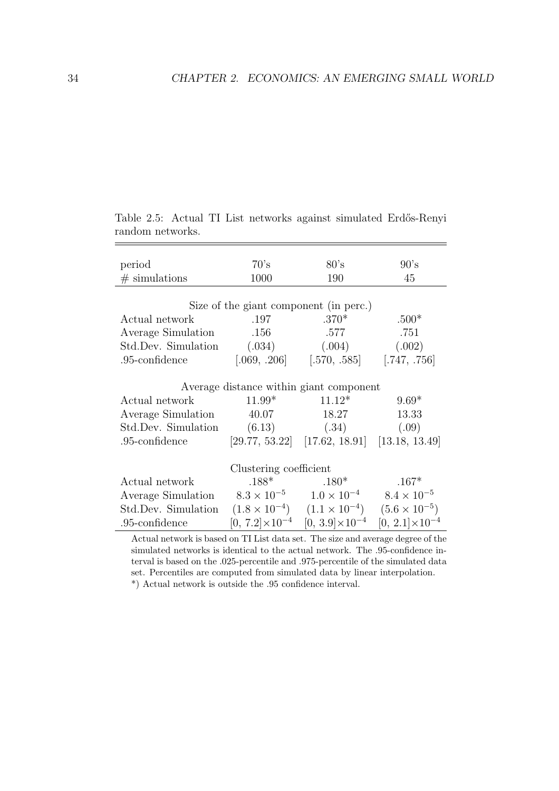| period                                                      | $70^{\circ}$ s         | 80's                                                                 | 90's                      |  |  |  |  |  |
|-------------------------------------------------------------|------------------------|----------------------------------------------------------------------|---------------------------|--|--|--|--|--|
| $#$ simulations                                             | 1000                   | 190                                                                  | 45                        |  |  |  |  |  |
|                                                             |                        |                                                                      |                           |  |  |  |  |  |
| Size of the giant component (in perc.)                      |                        |                                                                      |                           |  |  |  |  |  |
| Actual network                                              | $.197 \t\t 0.370*$     |                                                                      | $.500*$                   |  |  |  |  |  |
| Average Simulation 156 577                                  |                        |                                                                      | .751                      |  |  |  |  |  |
| Std.Dev. Simulation (.034) (.004) (.002)                    |                        |                                                                      |                           |  |  |  |  |  |
| .95-confidence [.069, .206] [.570, .585] [.747, .756]       |                        |                                                                      |                           |  |  |  |  |  |
|                                                             |                        |                                                                      |                           |  |  |  |  |  |
|                                                             |                        | Average distance within giant component                              |                           |  |  |  |  |  |
| Actual network                                              | $11.99*$               | $11.12*$                                                             | $9.69*$                   |  |  |  |  |  |
| Average Simulation 40.07 18.27                              |                        |                                                                      | 13.33                     |  |  |  |  |  |
| Std.Dev. Simulation $(6.13)$ $(.34)$ $(.09)$                |                        |                                                                      |                           |  |  |  |  |  |
| .95-confidence [29.77, 53.22] [17.62, 18.91] [13.18, 13.49] |                        |                                                                      |                           |  |  |  |  |  |
|                                                             |                        |                                                                      |                           |  |  |  |  |  |
|                                                             | Clustering coefficient |                                                                      |                           |  |  |  |  |  |
| Actual network                                              |                        | $.188*$ $.180*$                                                      | $.167*$                   |  |  |  |  |  |
| Average Simulation                                          |                        | $8.3 \times 10^{-5}$ $1.0 \times 10^{-4}$                            | $8.4 \times 10^{-5}$      |  |  |  |  |  |
| Std.Dev. Simulation                                         |                        | $(1.8 \times 10^{-4})$ $(1.1 \times 10^{-4})$ $(5.6 \times 10^{-5})$ |                           |  |  |  |  |  |
| .95-confidence                                              |                        | $[0, 7.2] \times 10^{-4}$ $[0, 3.9] \times 10^{-4}$                  | $[0, 2.1] \times 10^{-4}$ |  |  |  |  |  |
|                                                             |                        |                                                                      |                           |  |  |  |  |  |

Table 2.5: Actual TI List networks against simulated Erdős-Renyi random networks.

Actual network is based on TI List data set. The size and average degree of the simulated networks is identical to the actual network. The .95-confidence interval is based on the .025-percentile and .975-percentile of the simulated data set. Percentiles are computed from simulated data by linear interpolation. \*) Actual network is outside the .95 confidence interval.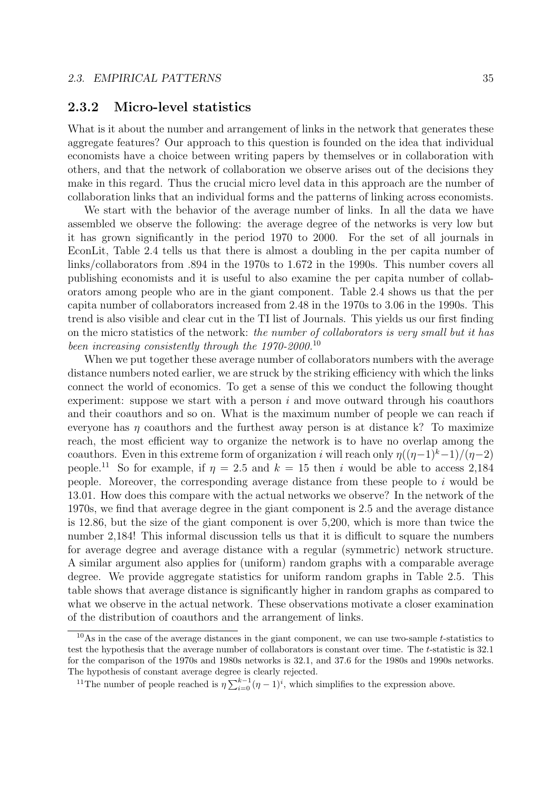### 2.3.2 Micro-level statistics

What is it about the number and arrangement of links in the network that generates these aggregate features? Our approach to this question is founded on the idea that individual economists have a choice between writing papers by themselves or in collaboration with others, and that the network of collaboration we observe arises out of the decisions they make in this regard. Thus the crucial micro level data in this approach are the number of collaboration links that an individual forms and the patterns of linking across economists.

We start with the behavior of the average number of links. In all the data we have assembled we observe the following: the average degree of the networks is very low but it has grown significantly in the period 1970 to 2000. For the set of all journals in EconLit, Table 2.4 tells us that there is almost a doubling in the per capita number of links/collaborators from .894 in the 1970s to 1.672 in the 1990s. This number covers all publishing economists and it is useful to also examine the per capita number of collaborators among people who are in the giant component. Table 2.4 shows us that the per capita number of collaborators increased from 2.48 in the 1970s to 3.06 in the 1990s. This trend is also visible and clear cut in the TI list of Journals. This yields us our first finding on the micro statistics of the network: the number of collaborators is very small but it has been increasing consistently through the 1970-2000.<sup>10</sup>

When we put together these average number of collaborators numbers with the average distance numbers noted earlier, we are struck by the striking efficiency with which the links connect the world of economics. To get a sense of this we conduct the following thought experiment: suppose we start with a person  $i$  and move outward through his coauthors and their coauthors and so on. What is the maximum number of people we can reach if everyone has  $\eta$  coauthors and the furthest away person is at distance k? To maximize reach, the most efficient way to organize the network is to have no overlap among the coauthors. Even in this extreme form of organization i will reach only  $\eta((\eta-1)^k-1)/(\eta-2)$ people.<sup>11</sup> So for example, if  $\eta = 2.5$  and  $k = 15$  then i would be able to access 2,184 people. Moreover, the corresponding average distance from these people to i would be 13.01. How does this compare with the actual networks we observe? In the network of the 1970s, we find that average degree in the giant component is 2.5 and the average distance is 12.86, but the size of the giant component is over 5,200, which is more than twice the number 2,184! This informal discussion tells us that it is difficult to square the numbers for average degree and average distance with a regular (symmetric) network structure. A similar argument also applies for (uniform) random graphs with a comparable average degree. We provide aggregate statistics for uniform random graphs in Table 2.5. This table shows that average distance is significantly higher in random graphs as compared to what we observe in the actual network. These observations motivate a closer examination of the distribution of coauthors and the arrangement of links.

 $10\text{As}$  in the case of the average distances in the giant component, we can use two-sample t-statistics to test the hypothesis that the average number of collaborators is constant over time. The t-statistic is 32.1 for the comparison of the 1970s and 1980s networks is 32.1, and 37.6 for the 1980s and 1990s networks. The hypothesis of constant average degree is clearly rejected.

<sup>&</sup>lt;sup>11</sup>The number of people reached is  $\eta \sum_{i=0}^{k-1} (\eta - 1)^i$ , which simplifies to the expression above.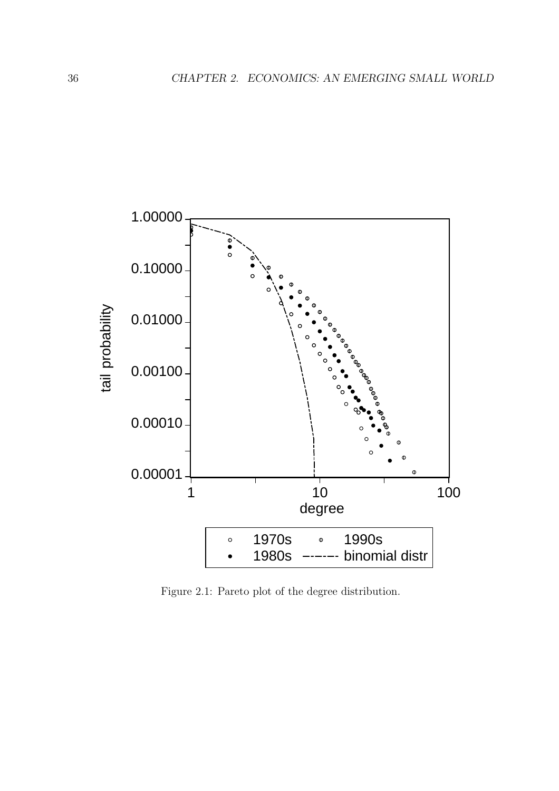

Figure 2.1: Pareto plot of the degree distribution.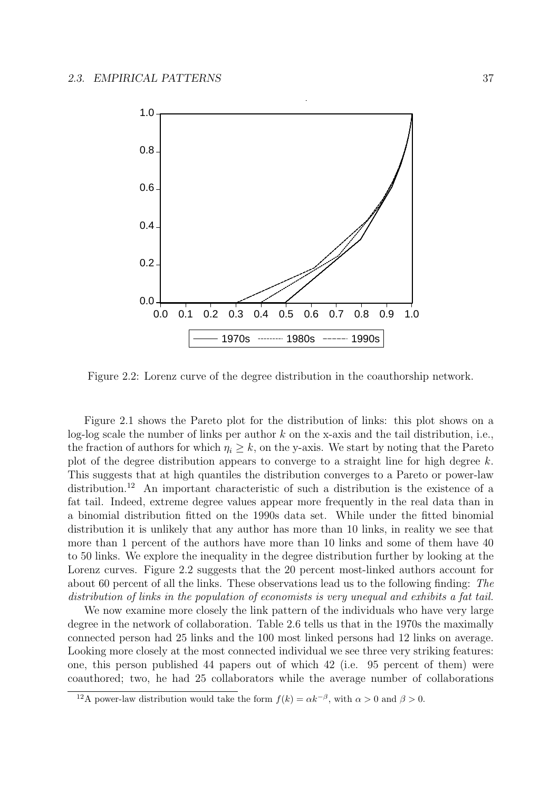

Figure 2.2: Lorenz curve of the degree distribution in the coauthorship network.

Figure 2.1 shows the Pareto plot for the distribution of links: this plot shows on a log-log scale the number of links per author k on the x-axis and the tail distribution, i.e., the fraction of authors for which  $\eta_i \geq k$ , on the y-axis. We start by noting that the Pareto plot of the degree distribution appears to converge to a straight line for high degree  $k$ . This suggests that at high quantiles the distribution converges to a Pareto or power-law distribution.<sup>12</sup> An important characteristic of such a distribution is the existence of a fat tail. Indeed, extreme degree values appear more frequently in the real data than in a binomial distribution fitted on the 1990s data set. While under the fitted binomial distribution it is unlikely that any author has more than 10 links, in reality we see that more than 1 percent of the authors have more than 10 links and some of them have 40 to 50 links. We explore the inequality in the degree distribution further by looking at the Lorenz curves. Figure 2.2 suggests that the 20 percent most-linked authors account for about 60 percent of all the links. These observations lead us to the following finding: The distribution of links in the population of economists is very unequal and exhibits a fat tail.

We now examine more closely the link pattern of the individuals who have very large degree in the network of collaboration. Table 2.6 tells us that in the 1970s the maximally connected person had 25 links and the 100 most linked persons had 12 links on average. Looking more closely at the most connected individual we see three very striking features: one, this person published 44 papers out of which 42 (i.e. 95 percent of them) were coauthored; two, he had 25 collaborators while the average number of collaborations

<sup>&</sup>lt;sup>12</sup>A power-law distribution would take the form  $f(k) = \alpha k^{-\beta}$ , with  $\alpha > 0$  and  $\beta > 0$ .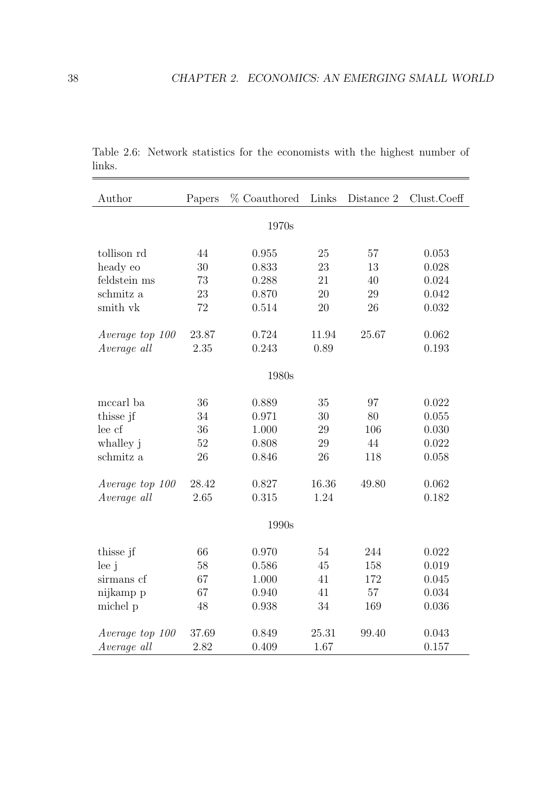$=$ 

| Author          | Papers | % Coauthored | Links  | Distance 2 | Clust.Coeff |
|-----------------|--------|--------------|--------|------------|-------------|
|                 |        |              |        |            |             |
|                 |        | 1970s        |        |            |             |
| tollison rd     | 44     | 0.955        | 25     | 57         | 0.053       |
| heady eo        | 30     | 0.833        | 23     | 13         | 0.028       |
| feldstein ms    | 73     | 0.288        | 21     | 40         | 0.024       |
| schmitz a       | 23     | 0.870        | 20     | 29         | 0.042       |
| smith vk        | 72     | 0.514        | 20     | 26         | 0.032       |
|                 |        |              |        |            |             |
| Average top 100 | 23.87  | 0.724        | 11.94  | 25.67      | 0.062       |
| Average all     | 2.35   | 0.243        | 0.89   |            | 0.193       |
|                 |        | 1980s        |        |            |             |
|                 |        |              |        |            |             |
| mccarl ba       | 36     | 0.889        | 35     | 97         | 0.022       |
| thisse jf       | 34     | 0.971        | $30\,$ | 80         | 0.055       |
| lee cf          | 36     | 1.000        | 29     | 106        | 0.030       |
| whalley j       | 52     | 0.808        | 29     | 44         | 0.022       |
| schmitz a       | 26     | 0.846        | 26     | 118        | 0.058       |
|                 |        |              |        |            |             |
| Average top 100 | 28.42  | 0.827        | 16.36  | 49.80      | 0.062       |
| Average all     | 2.65   | 0.315        | 1.24   |            | 0.182       |
|                 |        | 1990s        |        |            |             |
|                 |        |              |        |            |             |
| thisse jf       | 66     | 0.970        | 54     | 244        | 0.022       |
| lee j           | 58     | 0.586        | 45     | 158        | 0.019       |
| sirmans cf      | 67     | 1.000        | 41     | 172        | 0.045       |
| nijkamp p       | 67     | 0.940        | 41     | 57         | 0.034       |
| michel p        | 48     | 0.938        | 34     | 169        | 0.036       |
|                 |        |              |        |            |             |
| Average top 100 | 37.69  | 0.849        | 25.31  | 99.40      | 0.043       |
| Average all     | 2.82   | 0.409        | 1.67   |            | 0.157       |

Table 2.6: Network statistics for the economists with the highest number of links.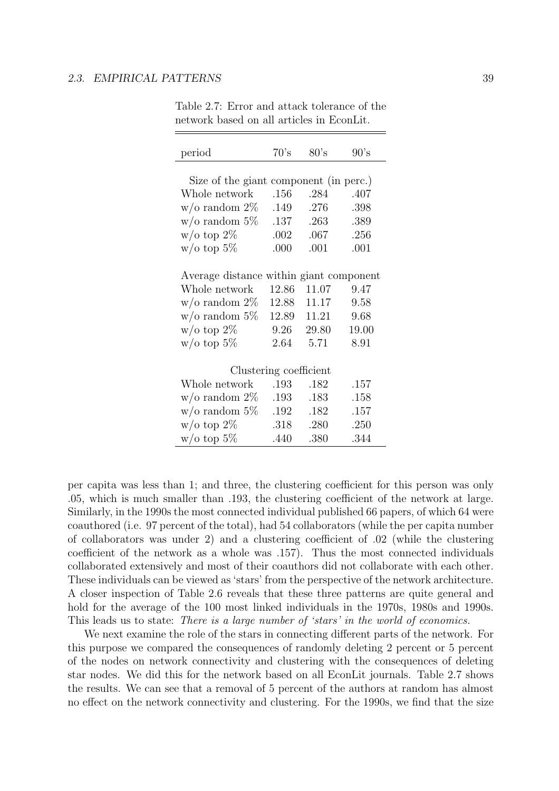| period                                  | $70^{\circ}$ s         | 80's           | 90's  |
|-----------------------------------------|------------------------|----------------|-------|
|                                         |                        |                |       |
| Size of the giant component (in perc.)  |                        |                |       |
| Whole network –                         | .156                   | .284           | .407  |
| w/o random $2\%$ .149 .276              |                        |                | .398  |
| w/o random $5\%$                        |                        | $.137 \t .263$ | .389  |
| $w/o$ top $2\%$                         |                        | $.002 \t .067$ | .256  |
| $w/o$ top 5%                            | .000                   | .001           | .001  |
|                                         |                        |                |       |
| Average distance within giant component |                        |                |       |
| Whole network                           | 12.86                  | 11.07          | 9.47  |
| $w/\text{o random } 2\%$ 12.88          |                        | 11.17          | 9.58  |
| $w$ /o random 5%                        |                        | 12.89 11.21    | 9.68  |
| $w/\sigma$ top $2\%$                    |                        | 9.26 29.80     | 19.00 |
| $w/o$ top 5%                            |                        | 2.64 5.71      | 8.91  |
|                                         |                        |                |       |
|                                         | Clustering coefficient |                |       |
| Whole network                           | .193                   | .182           | .157  |
| w/o random $2\%$ .193 .183              |                        |                | .158  |
| w/o random $5\%$                        |                        | $.192 \t .182$ | .157  |
| $w/\text{o top }2\%$                    | .318                   | .280           | .250  |
| $w/o$ top 5%                            | .440                   | .380           | .344  |

Table 2.7: Error and attack tolerance of the network based on all articles in EconLit.

per capita was less than 1; and three, the clustering coefficient for this person was only .05, which is much smaller than .193, the clustering coefficient of the network at large. Similarly, in the 1990s the most connected individual published 66 papers, of which 64 were coauthored (i.e. 97 percent of the total), had 54 collaborators (while the per capita number of collaborators was under 2) and a clustering coefficient of .02 (while the clustering coefficient of the network as a whole was .157). Thus the most connected individuals collaborated extensively and most of their coauthors did not collaborate with each other. These individuals can be viewed as 'stars' from the perspective of the network architecture. A closer inspection of Table 2.6 reveals that these three patterns are quite general and hold for the average of the 100 most linked individuals in the 1970s, 1980s and 1990s. This leads us to state: There is a large number of 'stars' in the world of economics.

We next examine the role of the stars in connecting different parts of the network. For this purpose we compared the consequences of randomly deleting 2 percent or 5 percent of the nodes on network connectivity and clustering with the consequences of deleting star nodes. We did this for the network based on all EconLit journals. Table 2.7 shows the results. We can see that a removal of 5 percent of the authors at random has almost no effect on the network connectivity and clustering. For the 1990s, we find that the size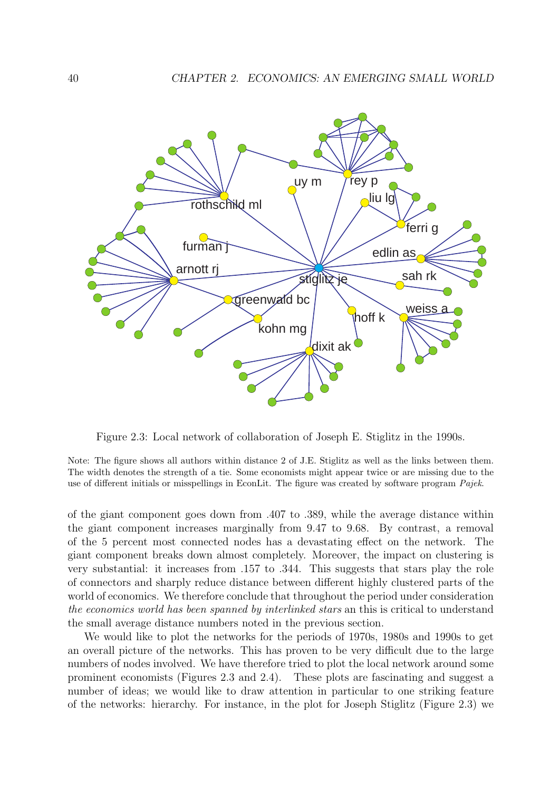

Figure 2.3: Local network of collaboration of Joseph E. Stiglitz in the 1990s.

Note: The figure shows all authors within distance 2 of J.E. Stiglitz as well as the links between them. The width denotes the strength of a tie. Some economists might appear twice or are missing due to the use of different initials or misspellings in EconLit. The figure was created by software program Pajek.

of the giant component goes down from .407 to .389, while the average distance within the giant component increases marginally from 9.47 to 9.68. By contrast, a removal of the 5 percent most connected nodes has a devastating effect on the network. The giant component breaks down almost completely. Moreover, the impact on clustering is very substantial: it increases from .157 to .344. This suggests that stars play the role of connectors and sharply reduce distance between different highly clustered parts of the world of economics. We therefore conclude that throughout the period under consideration the economics world has been spanned by interlinked stars an this is critical to understand the small average distance numbers noted in the previous section.

We would like to plot the networks for the periods of 1970s, 1980s and 1990s to get an overall picture of the networks. This has proven to be very difficult due to the large numbers of nodes involved. We have therefore tried to plot the local network around some prominent economists (Figures 2.3 and 2.4). These plots are fascinating and suggest a number of ideas; we would like to draw attention in particular to one striking feature of the networks: hierarchy. For instance, in the plot for Joseph Stiglitz (Figure 2.3) we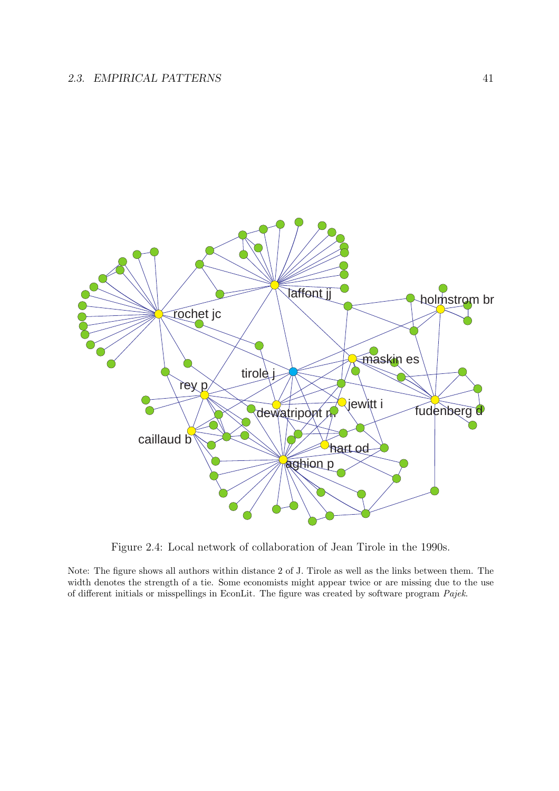

Figure 2.4: Local network of collaboration of Jean Tirole in the 1990s.

Note: The figure shows all authors within distance 2 of J. Tirole as well as the links between them. The width denotes the strength of a tie. Some economists might appear twice or are missing due to the use of different initials or misspellings in EconLit. The figure was created by software program Pajek.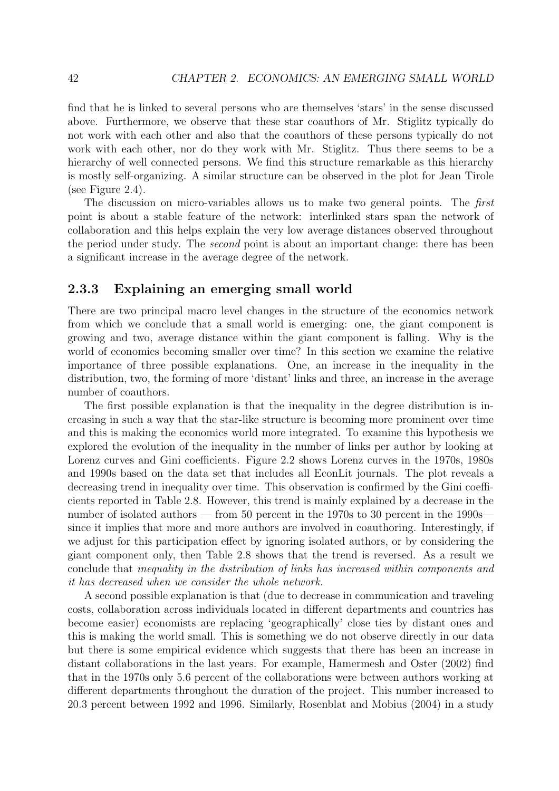find that he is linked to several persons who are themselves 'stars' in the sense discussed above. Furthermore, we observe that these star coauthors of Mr. Stiglitz typically do not work with each other and also that the coauthors of these persons typically do not work with each other, nor do they work with Mr. Stiglitz. Thus there seems to be a hierarchy of well connected persons. We find this structure remarkable as this hierarchy is mostly self-organizing. A similar structure can be observed in the plot for Jean Tirole (see Figure 2.4).

The discussion on micro-variables allows us to make two general points. The first point is about a stable feature of the network: interlinked stars span the network of collaboration and this helps explain the very low average distances observed throughout the period under study. The second point is about an important change: there has been a significant increase in the average degree of the network.

## 2.3.3 Explaining an emerging small world

There are two principal macro level changes in the structure of the economics network from which we conclude that a small world is emerging: one, the giant component is growing and two, average distance within the giant component is falling. Why is the world of economics becoming smaller over time? In this section we examine the relative importance of three possible explanations. One, an increase in the inequality in the distribution, two, the forming of more 'distant' links and three, an increase in the average number of coauthors.

The first possible explanation is that the inequality in the degree distribution is increasing in such a way that the star-like structure is becoming more prominent over time and this is making the economics world more integrated. To examine this hypothesis we explored the evolution of the inequality in the number of links per author by looking at Lorenz curves and Gini coefficients. Figure 2.2 shows Lorenz curves in the 1970s, 1980s and 1990s based on the data set that includes all EconLit journals. The plot reveals a decreasing trend in inequality over time. This observation is confirmed by the Gini coefficients reported in Table 2.8. However, this trend is mainly explained by a decrease in the number of isolated authors — from 50 percent in the 1970s to 30 percent in the 1990ssince it implies that more and more authors are involved in coauthoring. Interestingly, if we adjust for this participation effect by ignoring isolated authors, or by considering the giant component only, then Table 2.8 shows that the trend is reversed. As a result we conclude that inequality in the distribution of links has increased within components and it has decreased when we consider the whole network.

A second possible explanation is that (due to decrease in communication and traveling costs, collaboration across individuals located in different departments and countries has become easier) economists are replacing 'geographically' close ties by distant ones and this is making the world small. This is something we do not observe directly in our data but there is some empirical evidence which suggests that there has been an increase in distant collaborations in the last years. For example, Hamermesh and Oster (2002) find that in the 1970s only 5.6 percent of the collaborations were between authors working at different departments throughout the duration of the project. This number increased to 20.3 percent between 1992 and 1996. Similarly, Rosenblat and Mobius (2004) in a study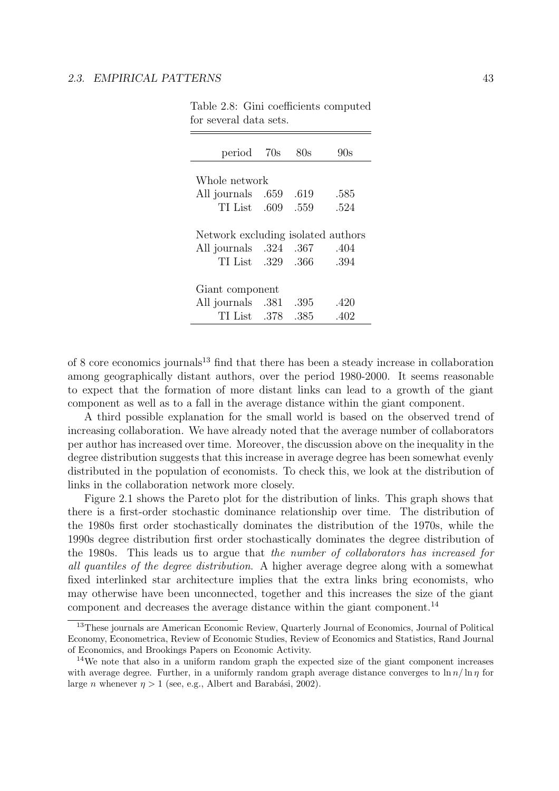| period                                                               | 70s | 80s  | 90s  |  |  |  |
|----------------------------------------------------------------------|-----|------|------|--|--|--|
|                                                                      |     |      |      |  |  |  |
| Whole network                                                        |     |      |      |  |  |  |
| All journals .659 .619                                               |     |      | .585 |  |  |  |
| TI List .609                                                         |     | .559 | .524 |  |  |  |
| Network excluding isolated authors<br>.404<br>All journals .324 .367 |     |      |      |  |  |  |
| TI List .329 .366                                                    |     |      | .394 |  |  |  |
| Giant component                                                      |     |      |      |  |  |  |
| All journals .381 .395                                               |     |      | .420 |  |  |  |
| TI List .378                                                         |     | .385 | .402 |  |  |  |

Table 2.8: Gini coefficients computed for several data sets.

of 8 core economics journals<sup>13</sup> find that there has been a steady increase in collaboration among geographically distant authors, over the period 1980-2000. It seems reasonable to expect that the formation of more distant links can lead to a growth of the giant component as well as to a fall in the average distance within the giant component.

A third possible explanation for the small world is based on the observed trend of increasing collaboration. We have already noted that the average number of collaborators per author has increased over time. Moreover, the discussion above on the inequality in the degree distribution suggests that this increase in average degree has been somewhat evenly distributed in the population of economists. To check this, we look at the distribution of links in the collaboration network more closely.

Figure 2.1 shows the Pareto plot for the distribution of links. This graph shows that there is a first-order stochastic dominance relationship over time. The distribution of the 1980s first order stochastically dominates the distribution of the 1970s, while the 1990s degree distribution first order stochastically dominates the degree distribution of the 1980s. This leads us to argue that the number of collaborators has increased for all quantiles of the degree distribution. A higher average degree along with a somewhat fixed interlinked star architecture implies that the extra links bring economists, who may otherwise have been unconnected, together and this increases the size of the giant component and decreases the average distance within the giant component.<sup>14</sup>

<sup>&</sup>lt;sup>13</sup>These journals are American Economic Review, Quarterly Journal of Economics, Journal of Political Economy, Econometrica, Review of Economic Studies, Review of Economics and Statistics, Rand Journal of Economics, and Brookings Papers on Economic Activity.

<sup>&</sup>lt;sup>14</sup>We note that also in a uniform random graph the expected size of the giant component increases with average degree. Further, in a uniformly random graph average distance converges to  $\ln n / \ln \eta$  for large *n* whenever  $\eta > 1$  (see, e.g., Albert and Barabási, 2002).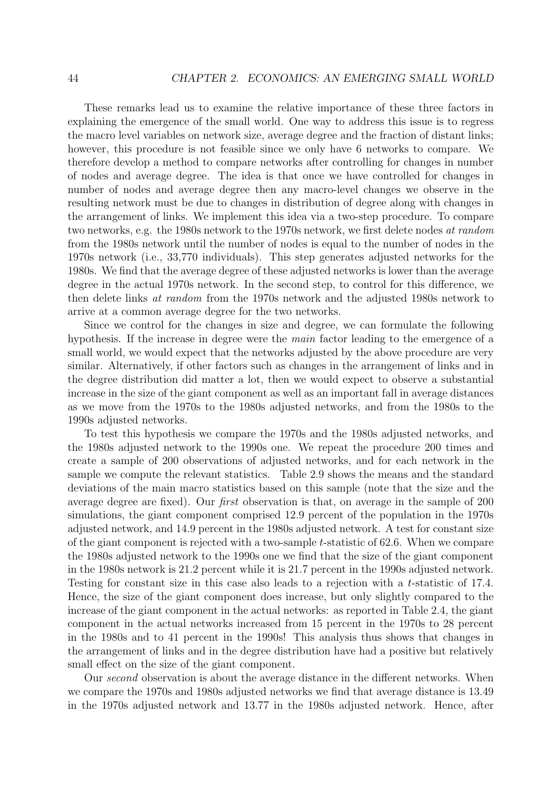These remarks lead us to examine the relative importance of these three factors in explaining the emergence of the small world. One way to address this issue is to regress the macro level variables on network size, average degree and the fraction of distant links; however, this procedure is not feasible since we only have 6 networks to compare. We therefore develop a method to compare networks after controlling for changes in number of nodes and average degree. The idea is that once we have controlled for changes in number of nodes and average degree then any macro-level changes we observe in the resulting network must be due to changes in distribution of degree along with changes in the arrangement of links. We implement this idea via a two-step procedure. To compare two networks, e.g. the 1980s network to the 1970s network, we first delete nodes at random from the 1980s network until the number of nodes is equal to the number of nodes in the 1970s network (i.e., 33,770 individuals). This step generates adjusted networks for the 1980s. We find that the average degree of these adjusted networks is lower than the average degree in the actual 1970s network. In the second step, to control for this difference, we then delete links at random from the 1970s network and the adjusted 1980s network to arrive at a common average degree for the two networks.

Since we control for the changes in size and degree, we can formulate the following hypothesis. If the increase in degree were the *main* factor leading to the emergence of a small world, we would expect that the networks adjusted by the above procedure are very similar. Alternatively, if other factors such as changes in the arrangement of links and in the degree distribution did matter a lot, then we would expect to observe a substantial increase in the size of the giant component as well as an important fall in average distances as we move from the 1970s to the 1980s adjusted networks, and from the 1980s to the 1990s adjusted networks.

To test this hypothesis we compare the 1970s and the 1980s adjusted networks, and the 1980s adjusted network to the 1990s one. We repeat the procedure 200 times and create a sample of 200 observations of adjusted networks, and for each network in the sample we compute the relevant statistics. Table 2.9 shows the means and the standard deviations of the main macro statistics based on this sample (note that the size and the average degree are fixed). Our first observation is that, on average in the sample of 200 simulations, the giant component comprised 12.9 percent of the population in the 1970s adjusted network, and 14.9 percent in the 1980s adjusted network. A test for constant size of the giant component is rejected with a two-sample t-statistic of 62.6. When we compare the 1980s adjusted network to the 1990s one we find that the size of the giant component in the 1980s network is 21.2 percent while it is 21.7 percent in the 1990s adjusted network. Testing for constant size in this case also leads to a rejection with a t-statistic of 17.4. Hence, the size of the giant component does increase, but only slightly compared to the increase of the giant component in the actual networks: as reported in Table 2.4, the giant component in the actual networks increased from 15 percent in the 1970s to 28 percent in the 1980s and to 41 percent in the 1990s! This analysis thus shows that changes in the arrangement of links and in the degree distribution have had a positive but relatively small effect on the size of the giant component.

Our second observation is about the average distance in the different networks. When we compare the 1970s and 1980s adjusted networks we find that average distance is 13.49 in the 1970s adjusted network and 13.77 in the 1980s adjusted network. Hence, after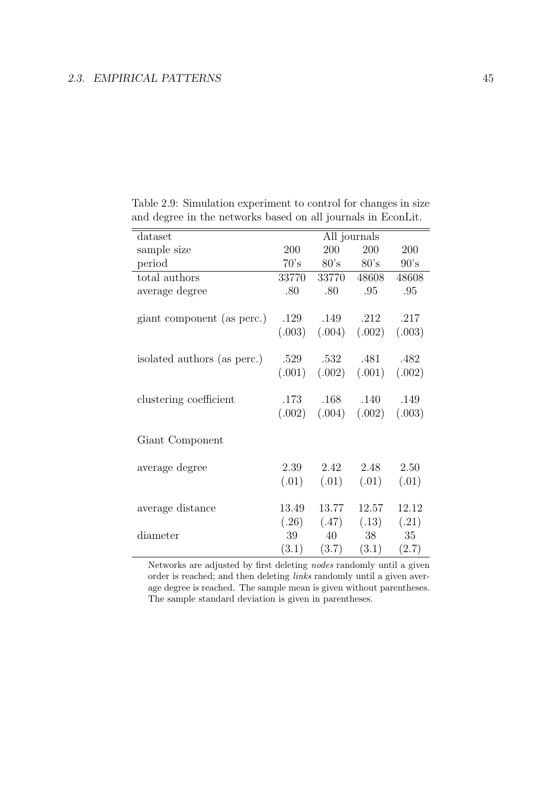| dataset                     |       |                                     | All journals |        |
|-----------------------------|-------|-------------------------------------|--------------|--------|
| sample size                 | 200   | 200                                 | 200          | 200    |
| period                      | 70's  | $80's$ $80's$                       |              | 90's   |
| total authors               |       | 33770 33770 48608                   |              | 48608  |
| average degree              | .80   | .80                                 | .95          | .95    |
|                             |       |                                     |              |        |
| giant component (as perc.)  |       | $.129$ $.149$ $.212$                |              | .217   |
|                             |       | $(.003)$ $(.004)$ $(.002)$          |              | (.003) |
|                             |       |                                     |              |        |
| isolated authors (as perc.) |       | .529 .532 .481 .482                 |              |        |
|                             |       | $(.001)$ $(.002)$ $(.001)$ $(.002)$ |              |        |
|                             |       |                                     |              |        |
| clustering coefficient      |       | .173 .168 .140 .149                 |              |        |
|                             |       | $(.002)$ $(.004)$ $(.002)$ $(.003)$ |              |        |
|                             |       |                                     |              |        |
| Giant Component             |       |                                     |              |        |
|                             |       |                                     |              |        |
| average degree              | 2.39  | 2.42                                | 2.48         | 2.50   |
|                             |       | $(.01)$ $(.01)$                     | (.01)        | (.01)  |
|                             |       |                                     |              |        |
| average distance            | 13.49 | 13.77                               | 12.57        | 12.12  |
|                             |       | $(.26)$ $(.47)$ $(.13)$ $(.21)$     |              |        |
| diameter                    |       | 39 40 38                            |              | - 35   |
|                             |       | $(3.1)$ $(3.7)$                     | (3.1)        | (2.7)  |

Table 2.9: Simulation experiment to control for changes in size and degree in the networks based on all journals in EconLit.

Networks are adjusted by first deleting nodes randomly until a given order is reached; and then deleting links randomly until a given average degree is reached. The sample mean is given without parentheses. The sample standard deviation is given in parentheses.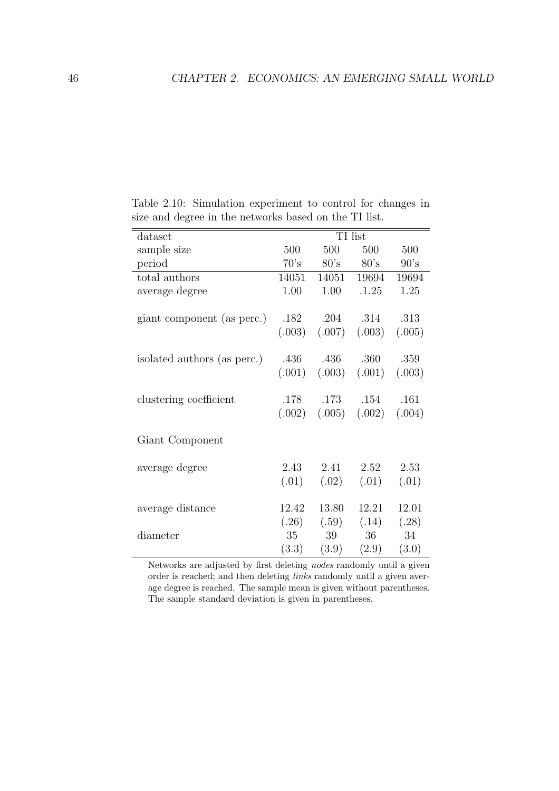| dataset                     |       |                                     | TI list            |        |
|-----------------------------|-------|-------------------------------------|--------------------|--------|
| sample size                 | 500   |                                     | 500 500            | 500    |
| period                      |       | $70's$ 80's 80's                    |                    | 90's   |
| total authors               | 14051 |                                     | 14051 19694        | 19694  |
| average degree              | 1.00  |                                     | $1.00 \qquad 1.25$ | 1.25   |
|                             |       |                                     |                    |        |
| giant component (as perc.)  |       | $.182 \t .204 \t .314 \t .313$      |                    |        |
|                             |       | $(.003)$ $(.007)$ $(.003)$          |                    | (.005) |
|                             |       |                                     |                    |        |
| isolated authors (as perc.) |       | .436 .436 .360 .359                 |                    |        |
|                             |       | $(.001)$ $(.003)$ $(.001)$ $(.003)$ |                    |        |
|                             |       |                                     |                    |        |
| clustering coefficient      |       | .178 .173 .154 .161                 |                    |        |
|                             |       | $(.002)$ $(.005)$ $(.002)$ $(.004)$ |                    |        |
|                             |       |                                     |                    |        |
| Giant Component             |       |                                     |                    |        |
|                             |       |                                     |                    |        |
| average degree              | 2.43  | 2.41                                | 2.52               | 2.53   |
|                             |       | $(.01)$ $(.02)$ $(.01)$             |                    | (.01)  |
|                             |       |                                     |                    |        |
| average distance            | 12.42 | 13.80                               | 12.21              | 12.01  |
|                             |       | $(.26)$ $(.59)$ $(.14)$             |                    | (.28)  |
| diameter                    |       | 35 39 36                            |                    | - 34   |
|                             | (3.3) | (3.9)                               | (2.9)              | (3.0)  |
|                             |       |                                     |                    |        |

Table 2.10: Simulation experiment to control for changes in size and degree in the networks based on the TI list.

Networks are adjusted by first deleting nodes randomly until a given order is reached; and then deleting links randomly until a given average degree is reached. The sample mean is given without parentheses. The sample standard deviation is given in parentheses.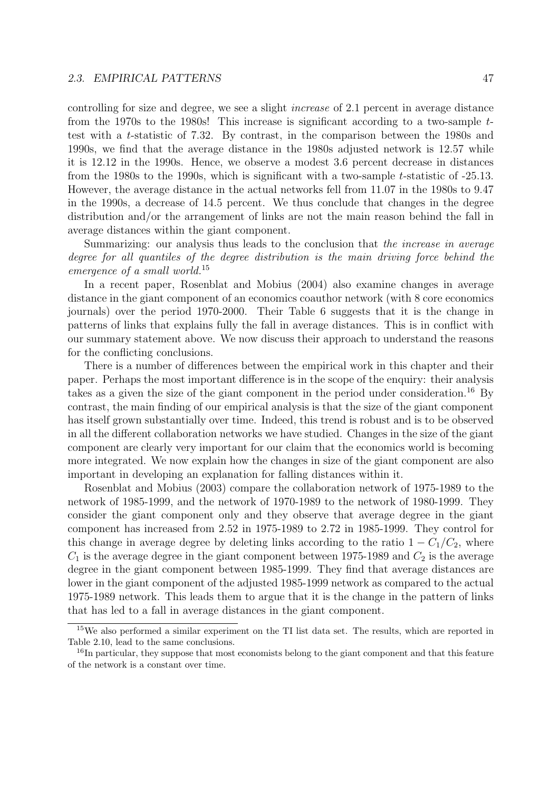controlling for size and degree, we see a slight increase of 2.1 percent in average distance from the 1970s to the 1980s! This increase is significant according to a two-sample ttest with a t-statistic of 7.32. By contrast, in the comparison between the 1980s and 1990s, we find that the average distance in the 1980s adjusted network is 12.57 while it is 12.12 in the 1990s. Hence, we observe a modest 3.6 percent decrease in distances from the 1980s to the 1990s, which is significant with a two-sample t-statistic of  $-25.13$ . However, the average distance in the actual networks fell from 11.07 in the 1980s to 9.47 in the 1990s, a decrease of 14.5 percent. We thus conclude that changes in the degree distribution and/or the arrangement of links are not the main reason behind the fall in average distances within the giant component.

Summarizing: our analysis thus leads to the conclusion that the increase in average degree for all quantiles of the degree distribution is the main driving force behind the emergence of a small world.<sup>15</sup>

In a recent paper, Rosenblat and Mobius (2004) also examine changes in average distance in the giant component of an economics coauthor network (with 8 core economics journals) over the period 1970-2000. Their Table 6 suggests that it is the change in patterns of links that explains fully the fall in average distances. This is in conflict with our summary statement above. We now discuss their approach to understand the reasons for the conflicting conclusions.

There is a number of differences between the empirical work in this chapter and their paper. Perhaps the most important difference is in the scope of the enquiry: their analysis takes as a given the size of the giant component in the period under consideration.<sup>16</sup> By contrast, the main finding of our empirical analysis is that the size of the giant component has itself grown substantially over time. Indeed, this trend is robust and is to be observed in all the different collaboration networks we have studied. Changes in the size of the giant component are clearly very important for our claim that the economics world is becoming more integrated. We now explain how the changes in size of the giant component are also important in developing an explanation for falling distances within it.

Rosenblat and Mobius (2003) compare the collaboration network of 1975-1989 to the network of 1985-1999, and the network of 1970-1989 to the network of 1980-1999. They consider the giant component only and they observe that average degree in the giant component has increased from 2.52 in 1975-1989 to 2.72 in 1985-1999. They control for this change in average degree by deleting links according to the ratio  $1 - C_1/C_2$ , where  $C_1$  is the average degree in the giant component between 1975-1989 and  $C_2$  is the average degree in the giant component between 1985-1999. They find that average distances are lower in the giant component of the adjusted 1985-1999 network as compared to the actual 1975-1989 network. This leads them to argue that it is the change in the pattern of links that has led to a fall in average distances in the giant component.

<sup>15</sup>We also performed a similar experiment on the TI list data set. The results, which are reported in Table 2.10, lead to the same conclusions.

<sup>&</sup>lt;sup>16</sup>In particular, they suppose that most economists belong to the giant component and that this feature of the network is a constant over time.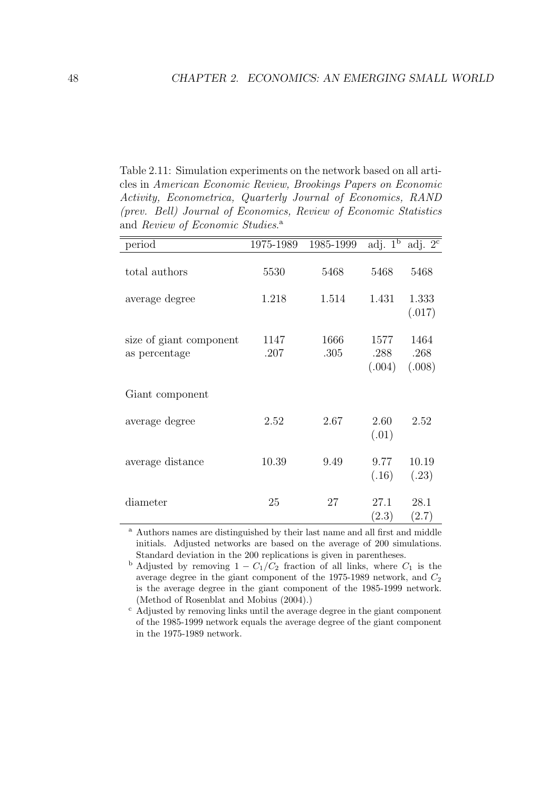Table 2.11: Simulation experiments on the network based on all articles in American Economic Review, Brookings Papers on Economic Activity, Econometrica, Quarterly Journal of Economics, RAND (prev. Bell) Journal of Economics, Review of Economic Statistics and Review of Economic Studies.<sup>a</sup>

| period                                   | 1975-1989    | 1985-1999    | adj. $1b$              | adj. $2^c$             |
|------------------------------------------|--------------|--------------|------------------------|------------------------|
| total authors                            | 5530         | 5468         | 5468                   | 5468                   |
| average degree                           | 1.218        | 1.514        | 1.431                  | 1.333<br>(.017)        |
| size of giant component<br>as percentage | 1147<br>.207 | 1666<br>.305 | 1577<br>.288<br>(.004) | 1464<br>.268<br>(.008) |
| Giant component                          |              |              |                        |                        |
| average degree                           | 2.52         | 2.67         | 2.60<br>(.01)          | 2.52                   |
| average distance                         | 10.39        | 9.49         | 9.77<br>(.16)          | 10.19<br>(.23)         |
| diameter                                 | 25           | 27           | 27.1<br>(2.3)          | 28.1<br>(2.7)          |

<sup>a</sup> Authors names are distinguished by their last name and all first and middle initials. Adjusted networks are based on the average of 200 simulations. Standard deviation in the 200 replications is given in parentheses.

<sup>b</sup> Adjusted by removing  $1 - C_1/C_2$  fraction of all links, where  $C_1$  is the average degree in the giant component of the  $1975-1989$  network, and  $C_2$ is the average degree in the giant component of the 1985-1999 network. (Method of Rosenblat and Mobius (2004).)

<sup>c</sup> Adjusted by removing links until the average degree in the giant component of the 1985-1999 network equals the average degree of the giant component in the 1975-1989 network.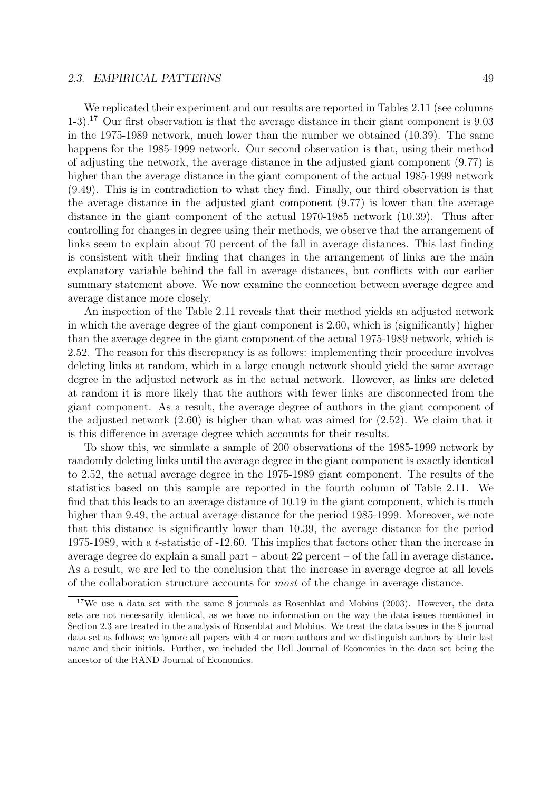#### 2.3. EMPIRICAL PATTERNS 49

We replicated their experiment and our results are reported in Tables 2.11 (see columns 1-3).<sup>17</sup> Our first observation is that the average distance in their giant component is 9.03 in the 1975-1989 network, much lower than the number we obtained (10.39). The same happens for the 1985-1999 network. Our second observation is that, using their method of adjusting the network, the average distance in the adjusted giant component (9.77) is higher than the average distance in the giant component of the actual 1985-1999 network (9.49). This is in contradiction to what they find. Finally, our third observation is that the average distance in the adjusted giant component (9.77) is lower than the average distance in the giant component of the actual 1970-1985 network (10.39). Thus after controlling for changes in degree using their methods, we observe that the arrangement of links seem to explain about 70 percent of the fall in average distances. This last finding is consistent with their finding that changes in the arrangement of links are the main explanatory variable behind the fall in average distances, but conflicts with our earlier summary statement above. We now examine the connection between average degree and average distance more closely.

An inspection of the Table 2.11 reveals that their method yields an adjusted network in which the average degree of the giant component is 2.60, which is (significantly) higher than the average degree in the giant component of the actual 1975-1989 network, which is 2.52. The reason for this discrepancy is as follows: implementing their procedure involves deleting links at random, which in a large enough network should yield the same average degree in the adjusted network as in the actual network. However, as links are deleted at random it is more likely that the authors with fewer links are disconnected from the giant component. As a result, the average degree of authors in the giant component of the adjusted network (2.60) is higher than what was aimed for (2.52). We claim that it is this difference in average degree which accounts for their results.

To show this, we simulate a sample of 200 observations of the 1985-1999 network by randomly deleting links until the average degree in the giant component is exactly identical to 2.52, the actual average degree in the 1975-1989 giant component. The results of the statistics based on this sample are reported in the fourth column of Table 2.11. We find that this leads to an average distance of 10.19 in the giant component, which is much higher than 9.49, the actual average distance for the period 1985-1999. Moreover, we note that this distance is significantly lower than 10.39, the average distance for the period 1975-1989, with a t-statistic of -12.60. This implies that factors other than the increase in average degree do explain a small part – about 22 percent – of the fall in average distance. As a result, we are led to the conclusion that the increase in average degree at all levels of the collaboration structure accounts for most of the change in average distance.

 $17\text{We use a data set with the same 8 journals as Rosenblat and Mobius (2003). However, the data$ sets are not necessarily identical, as we have no information on the way the data issues mentioned in Section 2.3 are treated in the analysis of Rosenblat and Mobius. We treat the data issues in the 8 journal data set as follows; we ignore all papers with 4 or more authors and we distinguish authors by their last name and their initials. Further, we included the Bell Journal of Economics in the data set being the ancestor of the RAND Journal of Economics.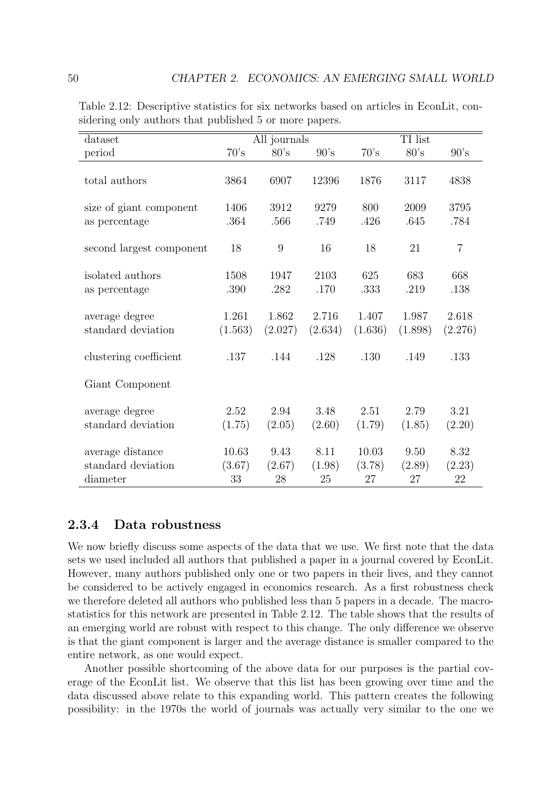| dataset                                            | All journals          |                      |                      |                       | TI list              |                      |
|----------------------------------------------------|-----------------------|----------------------|----------------------|-----------------------|----------------------|----------------------|
| period                                             | 70's                  | 80's                 | 90's                 | 70's                  | 80's                 | 90's                 |
| total authors                                      | 3864                  | 6907                 | 12396                | 1876                  | 3117                 | 4838                 |
| size of giant component<br>as percentage           | 1406<br>$.364\,$      | 3912<br>.566         | 9279<br>.749         | 800<br>.426           | 2009<br>.645         | 3795<br>.784         |
| second largest component                           | 18                    | 9                    | 16                   | 18                    | 21                   | $\overline{7}$       |
| isolated authors<br>as percentage                  | 1508<br>.390          | 1947<br>.282         | 2103<br>.170         | 625<br>.333           | 683<br>.219          | 668<br>.138          |
| average degree<br>standard deviation               | 1.261<br>(1.563)      | 1.862<br>(2.027)     | 2.716<br>(2.634)     | 1.407<br>(1.636)      | 1.987<br>(1.898)     | 2.618<br>(2.276)     |
| clustering coefficient                             | .137                  | .144                 | .128                 | .130                  | .149                 | .133                 |
| Giant Component                                    |                       |                      |                      |                       |                      |                      |
| average degree<br>standard deviation               | 2.52<br>(1.75)        | 2.94<br>(2.05)       | 3.48<br>(2.60)       | 2.51<br>(1.79)        | 2.79<br>(1.85)       | 3.21<br>(2.20)       |
| average distance<br>standard deviation<br>diameter | 10.63<br>(3.67)<br>33 | 9.43<br>(2.67)<br>28 | 8.11<br>(1.98)<br>25 | 10.03<br>(3.78)<br>27 | 9.50<br>(2.89)<br>27 | 8.32<br>(2.23)<br>22 |

Table 2.12: Descriptive statistics for six networks based on articles in EconLit, considering only authors that published 5 or more papers.

## 2.3.4 Data robustness

We now briefly discuss some aspects of the data that we use. We first note that the data sets we used included all authors that published a paper in a journal covered by EconLit. However, many authors published only one or two papers in their lives, and they cannot be considered to be actively engaged in economics research. As a first robustness check we therefore deleted all authors who published less than 5 papers in a decade. The macrostatistics for this network are presented in Table 2.12. The table shows that the results of an emerging world are robust with respect to this change. The only difference we observe is that the giant component is larger and the average distance is smaller compared to the entire network, as one would expect.

Another possible shortcoming of the above data for our purposes is the partial coverage of the EconLit list. We observe that this list has been growing over time and the data discussed above relate to this expanding world. This pattern creates the following possibility: in the 1970s the world of journals was actually very similar to the one we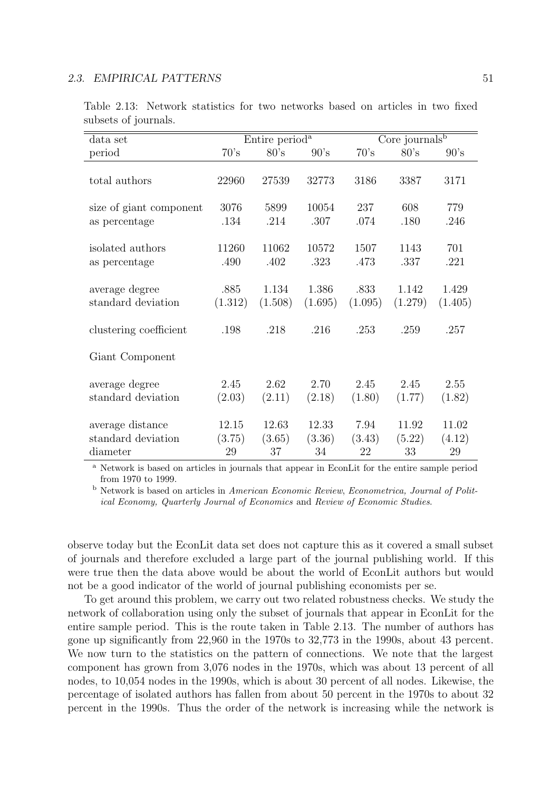#### 2.3. EMPIRICAL PATTERNS 51

| data set                |         | Entire period <sup>a</sup> |         | Core journals <sup>b</sup> |         |         |  |  |
|-------------------------|---------|----------------------------|---------|----------------------------|---------|---------|--|--|
| period                  | 70's    | 80's                       | 90's    | 70's                       | 80's    | 90's    |  |  |
| total authors           | 22960   | 27539                      | 32773   | 3186                       | 3387    | 3171    |  |  |
| size of giant component | 3076    | 5899                       | 10054   | 237                        | 608     | 779     |  |  |
| as percentage           | .134    | .214                       | .307    | .074                       | .180    | .246    |  |  |
| isolated authors        | 11260   | 11062                      | 10572   | 1507                       | 1143    | 701     |  |  |
| as percentage           | .490    | .402                       | .323    | .473                       | .337    | .221    |  |  |
| average degree          | .885    | 1.134                      | 1.386   | .833                       | 1.142   | 1.429   |  |  |
| standard deviation      | (1.312) | (1.508)                    | (1.695) | (1.095)                    | (1.279) | (1.405) |  |  |
| clustering coefficient  | .198    | .218                       | .216    | .253                       | .259    | .257    |  |  |
| Giant Component         |         |                            |         |                            |         |         |  |  |
| average degree          | 2.45    | 2.62                       | 2.70    | 2.45                       | 2.45    | 2.55    |  |  |
| standard deviation      | (2.03)  | (2.11)                     | (2.18)  | (1.80)                     | (1.77)  | (1.82)  |  |  |
| average distance        | 12.15   | 12.63                      | 12.33   | 7.94                       | 11.92   | 11.02   |  |  |
| standard deviation      | (3.75)  | (3.65)                     | (3.36)  | (3.43)                     | (5.22)  | (4.12)  |  |  |
| diameter                | 29      | 37                         | 34      | 22                         | 33      | 29      |  |  |

Table 2.13: Network statistics for two networks based on articles in two fixed subsets of journals.

<sup>a</sup> Network is based on articles in journals that appear in EconLit for the entire sample period from 1970 to 1999.

<sup>b</sup> Network is based on articles in American Economic Review, Econometrica, Journal of Political Economy, Quarterly Journal of Economics and Review of Economic Studies.

observe today but the EconLit data set does not capture this as it covered a small subset of journals and therefore excluded a large part of the journal publishing world. If this were true then the data above would be about the world of EconLit authors but would not be a good indicator of the world of journal publishing economists per se.

To get around this problem, we carry out two related robustness checks. We study the network of collaboration using only the subset of journals that appear in EconLit for the entire sample period. This is the route taken in Table 2.13. The number of authors has gone up significantly from 22,960 in the 1970s to 32,773 in the 1990s, about 43 percent. We now turn to the statistics on the pattern of connections. We note that the largest component has grown from 3,076 nodes in the 1970s, which was about 13 percent of all nodes, to 10,054 nodes in the 1990s, which is about 30 percent of all nodes. Likewise, the percentage of isolated authors has fallen from about 50 percent in the 1970s to about 32 percent in the 1990s. Thus the order of the network is increasing while the network is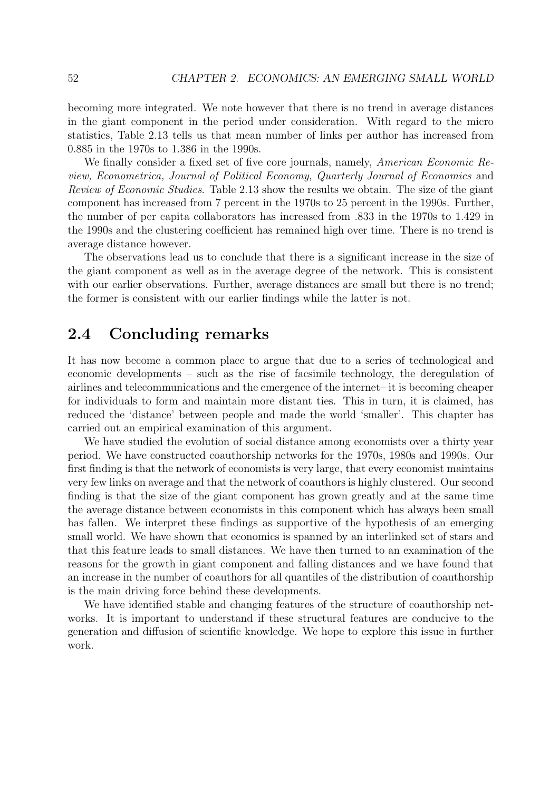becoming more integrated. We note however that there is no trend in average distances in the giant component in the period under consideration. With regard to the micro statistics, Table 2.13 tells us that mean number of links per author has increased from 0.885 in the 1970s to 1.386 in the 1990s.

We finally consider a fixed set of five core journals, namely, *American Economic Re*view, Econometrica, Journal of Political Economy, Quarterly Journal of Economics and Review of Economic Studies. Table 2.13 show the results we obtain. The size of the giant component has increased from 7 percent in the 1970s to 25 percent in the 1990s. Further, the number of per capita collaborators has increased from .833 in the 1970s to 1.429 in the 1990s and the clustering coefficient has remained high over time. There is no trend is average distance however.

The observations lead us to conclude that there is a significant increase in the size of the giant component as well as in the average degree of the network. This is consistent with our earlier observations. Further, average distances are small but there is no trend; the former is consistent with our earlier findings while the latter is not.

# 2.4 Concluding remarks

It has now become a common place to argue that due to a series of technological and economic developments – such as the rise of facsimile technology, the deregulation of airlines and telecommunications and the emergence of the internet– it is becoming cheaper for individuals to form and maintain more distant ties. This in turn, it is claimed, has reduced the 'distance' between people and made the world 'smaller'. This chapter has carried out an empirical examination of this argument.

We have studied the evolution of social distance among economists over a thirty year period. We have constructed coauthorship networks for the 1970s, 1980s and 1990s. Our first finding is that the network of economists is very large, that every economist maintains very few links on average and that the network of coauthors is highly clustered. Our second finding is that the size of the giant component has grown greatly and at the same time the average distance between economists in this component which has always been small has fallen. We interpret these findings as supportive of the hypothesis of an emerging small world. We have shown that economics is spanned by an interlinked set of stars and that this feature leads to small distances. We have then turned to an examination of the reasons for the growth in giant component and falling distances and we have found that an increase in the number of coauthors for all quantiles of the distribution of coauthorship is the main driving force behind these developments.

We have identified stable and changing features of the structure of coauthorship networks. It is important to understand if these structural features are conducive to the generation and diffusion of scientific knowledge. We hope to explore this issue in further work.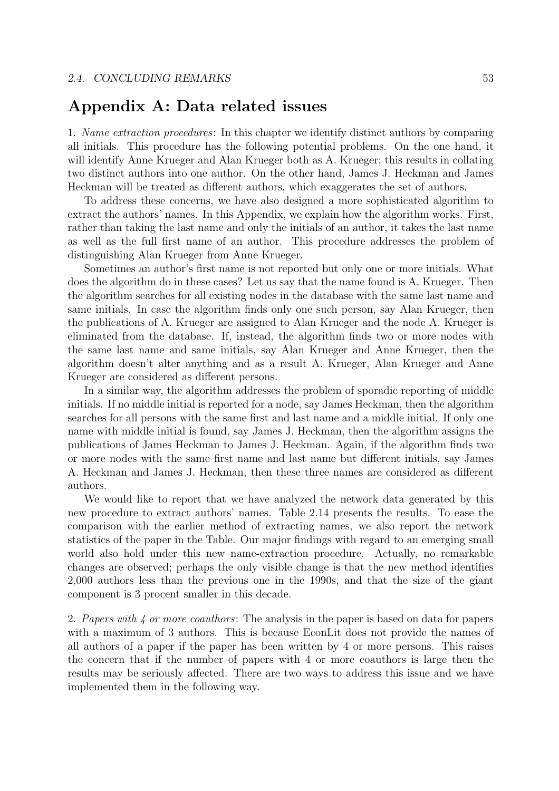## Appendix A: Data related issues

1. Name extraction procedures: In this chapter we identify distinct authors by comparing all initials. This procedure has the following potential problems. On the one hand, it will identify Anne Krueger and Alan Krueger both as A. Krueger; this results in collating two distinct authors into one author. On the other hand, James J. Heckman and James Heckman will be treated as different authors, which exaggerates the set of authors.

To address these concerns, we have also designed a more sophisticated algorithm to extract the authors' names. In this Appendix, we explain how the algorithm works. First, rather than taking the last name and only the initials of an author, it takes the last name as well as the full first name of an author. This procedure addresses the problem of distinguishing Alan Krueger from Anne Krueger.

Sometimes an author's first name is not reported but only one or more initials. What does the algorithm do in these cases? Let us say that the name found is A. Krueger. Then the algorithm searches for all existing nodes in the database with the same last name and same initials. In case the algorithm finds only one such person, say Alan Krueger, then the publications of A. Krueger are assigned to Alan Krueger and the node A. Krueger is eliminated from the database. If, instead, the algorithm finds two or more nodes with the same last name and same initials, say Alan Krueger and Anne Krueger, then the algorithm doesn't alter anything and as a result A. Krueger, Alan Krueger and Anne Krueger are considered as different persons.

In a similar way, the algorithm addresses the problem of sporadic reporting of middle initials. If no middle initial is reported for a node, say James Heckman, then the algorithm searches for all persons with the same first and last name and a middle initial. If only one name with middle initial is found, say James J. Heckman, then the algorithm assigns the publications of James Heckman to James J. Heckman. Again, if the algorithm finds two or more nodes with the same first name and last name but different initials, say James A. Heckman and James J. Heckman, then these three names are considered as different authors.

We would like to report that we have analyzed the network data generated by this new procedure to extract authors' names. Table 2.14 presents the results. To ease the comparison with the earlier method of extracting names, we also report the network statistics of the paper in the Table. Our major findings with regard to an emerging small world also hold under this new name-extraction procedure. Actually, no remarkable changes are observed; perhaps the only visible change is that the new method identifies 2,000 authors less than the previous one in the 1990s, and that the size of the giant component is 3 procent smaller in this decade.

2. Papers with 4 or more coauthors: The analysis in the paper is based on data for papers with a maximum of 3 authors. This is because EconLit does not provide the names of all authors of a paper if the paper has been written by 4 or more persons. This raises the concern that if the number of papers with 4 or more coauthors is large then the results may be seriously affected. There are two ways to address this issue and we have implemented them in the following way.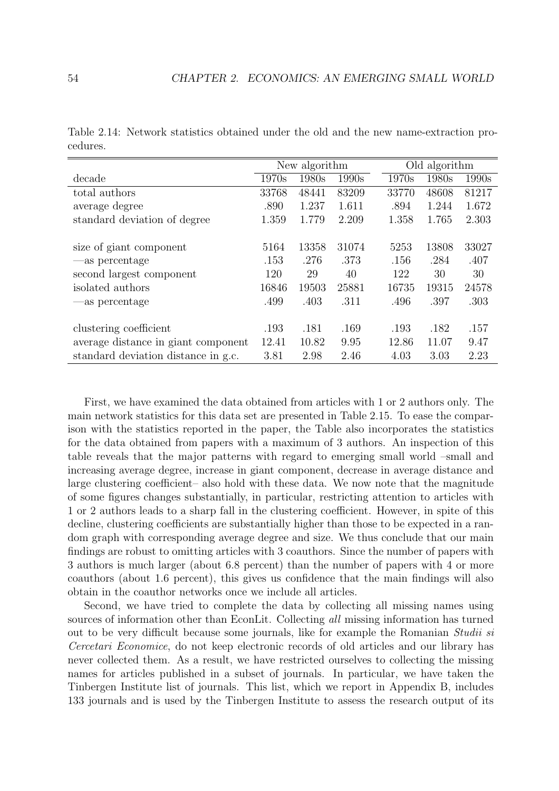|                                     | New algorithm |       |       |       | Old algorithm |       |  |
|-------------------------------------|---------------|-------|-------|-------|---------------|-------|--|
| decade                              | 1970s         | 1980s | 1990s | 1970s | 1980s         | 1990s |  |
| total authors                       | 33768         | 48441 | 83209 | 33770 | 48608         | 81217 |  |
| average degree                      | .890          | 1.237 | 1.611 | .894  | 1.244         | 1.672 |  |
| standard deviation of degree        | 1.359         | 1.779 | 2.209 | 1.358 | 1.765         | 2.303 |  |
|                                     |               |       |       |       |               |       |  |
| size of giant component             | 5164          | 13358 | 31074 | 5253  | 13808         | 33027 |  |
| —as percentage                      | .153          | .276  | .373  | .156  | .284          | .407  |  |
| second largest component            | 120           | 29    | 40    | 122   | 30            | 30    |  |
| isolated authors                    | 16846         | 19503 | 25881 | 16735 | 19315         | 24578 |  |
| —as percentage                      | .499          | .403  | .311  | .496  | .397          | .303  |  |
|                                     |               |       |       |       |               |       |  |
| clustering coefficient              | .193          | .181  | .169  | .193  | .182          | .157  |  |
| average distance in giant component | 12.41         | 10.82 | 9.95  | 12.86 | 11.07         | 9.47  |  |
| standard deviation distance in g.c. | 3.81          | 2.98  | 2.46  | 4.03  | 3.03          | 2.23  |  |

Table 2.14: Network statistics obtained under the old and the new name-extraction procedures.

First, we have examined the data obtained from articles with 1 or 2 authors only. The main network statistics for this data set are presented in Table 2.15. To ease the comparison with the statistics reported in the paper, the Table also incorporates the statistics for the data obtained from papers with a maximum of 3 authors. An inspection of this table reveals that the major patterns with regard to emerging small world –small and increasing average degree, increase in giant component, decrease in average distance and large clustering coefficient– also hold with these data. We now note that the magnitude of some figures changes substantially, in particular, restricting attention to articles with 1 or 2 authors leads to a sharp fall in the clustering coefficient. However, in spite of this decline, clustering coefficients are substantially higher than those to be expected in a random graph with corresponding average degree and size. We thus conclude that our main findings are robust to omitting articles with 3 coauthors. Since the number of papers with 3 authors is much larger (about 6.8 percent) than the number of papers with 4 or more coauthors (about 1.6 percent), this gives us confidence that the main findings will also obtain in the coauthor networks once we include all articles.

Second, we have tried to complete the data by collecting all missing names using sources of information other than EconLit. Collecting all missing information has turned out to be very difficult because some journals, like for example the Romanian Studii si Cercetari Economice, do not keep electronic records of old articles and our library has never collected them. As a result, we have restricted ourselves to collecting the missing names for articles published in a subset of journals. In particular, we have taken the Tinbergen Institute list of journals. This list, which we report in Appendix B, includes 133 journals and is used by the Tinbergen Institute to assess the research output of its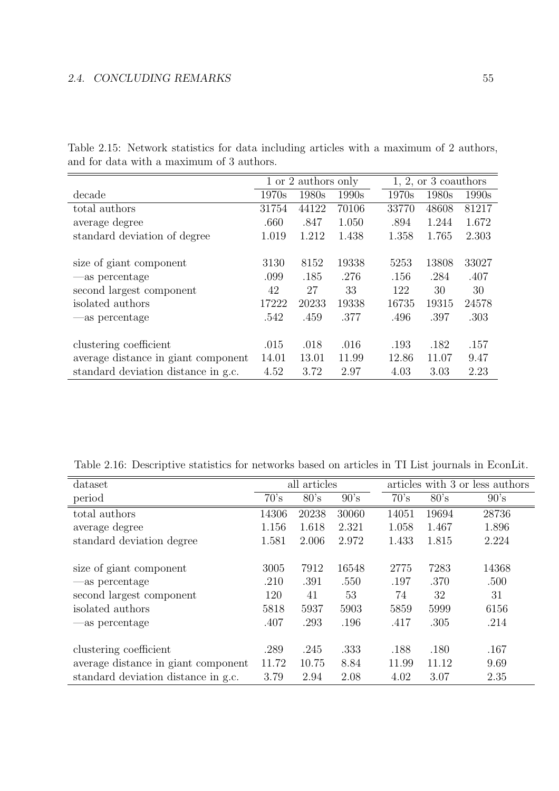## 2.4. CONCLUDING REMARKS 55

|                                     |       | 1 or 2 authors only |       |       | $1, 2, \text{or } 3$ coauthors |       |  |  |
|-------------------------------------|-------|---------------------|-------|-------|--------------------------------|-------|--|--|
| decade                              | 1970s | 1980s               | 1990s | 1970s | 1980s                          | 1990s |  |  |
| total authors                       | 31754 | 44122               | 70106 | 33770 | 48608                          | 81217 |  |  |
| average degree                      | .660  | .847                | 1.050 | .894  | 1.244                          | 1.672 |  |  |
| standard deviation of degree        | 1.019 | 1.212               | 1.438 | 1.358 | 1.765                          | 2.303 |  |  |
|                                     |       |                     |       |       |                                |       |  |  |
| size of giant component             | 3130  | 8152                | 19338 | 5253  | 13808                          | 33027 |  |  |
| —as percentage                      | .099  | .185                | .276  | .156  | .284                           | .407  |  |  |
| second largest component            | 42    | 27                  | 33    | 122   | 30                             | 30    |  |  |
| isolated authors                    | 17222 | 20233               | 19338 | 16735 | 19315                          | 24578 |  |  |
| —as percentage                      | .542  | .459                | .377  | .496  | .397                           | .303  |  |  |
|                                     |       |                     |       |       |                                |       |  |  |
| clustering coefficient              | .015  | .018                | .016  | .193  | .182                           | .157  |  |  |
| average distance in giant component | 14.01 | 13.01               | 11.99 | 12.86 | 11.07                          | 9.47  |  |  |
| standard deviation distance in g.c. | 4.52  | 3.72                | 2.97  | 4.03  | 3.03                           | 2.23  |  |  |

Table 2.15: Network statistics for data including articles with a maximum of 2 authors, and for data with a maximum of 3 authors.

|  |  | Table 2.16: Descriptive statistics for networks based on articles in TI List journals in EconLit. |  |  |  |  |  |  |  |
|--|--|---------------------------------------------------------------------------------------------------|--|--|--|--|--|--|--|
|--|--|---------------------------------------------------------------------------------------------------|--|--|--|--|--|--|--|

| dataset                             | all articles   |       |       |       | articles with 3 or less authors |       |  |  |
|-------------------------------------|----------------|-------|-------|-------|---------------------------------|-------|--|--|
| period                              | $70^{\circ}$ s | 80's  | 90's  | 70's  | 80's                            | 90's  |  |  |
| total authors                       | 14306          | 20238 | 30060 | 14051 | 19694                           | 28736 |  |  |
| average degree                      | 1.156          | 1.618 | 2.321 | 1.058 | 1.467                           | 1.896 |  |  |
| standard deviation degree           | 1.581          | 2.006 | 2.972 | 1.433 | 1.815                           | 2.224 |  |  |
|                                     |                |       |       |       |                                 |       |  |  |
| size of giant component             | 3005           | 7912  | 16548 | 2775  | 7283                            | 14368 |  |  |
| —as percentage                      | .210           | .391  | .550  | .197  | .370                            | .500  |  |  |
| second largest component            | 120            | 41    | 53    | 74    | 32                              | 31    |  |  |
| isolated authors                    | 5818           | 5937  | 5903  | 5859  | 5999                            | 6156  |  |  |
| —as percentage                      | .407           | .293  | .196  | .417  | .305                            | .214  |  |  |
|                                     |                |       |       |       |                                 |       |  |  |
| clustering coefficient              | .289           | .245  | .333  | .188  | .180                            | .167  |  |  |
| average distance in giant component | 11.72          | 10.75 | 8.84  | 11.99 | 11.12                           | 9.69  |  |  |
| standard deviation distance in g.c. | 3.79           | 2.94  | 2.08  | 4.02  | 3.07                            | 2.35  |  |  |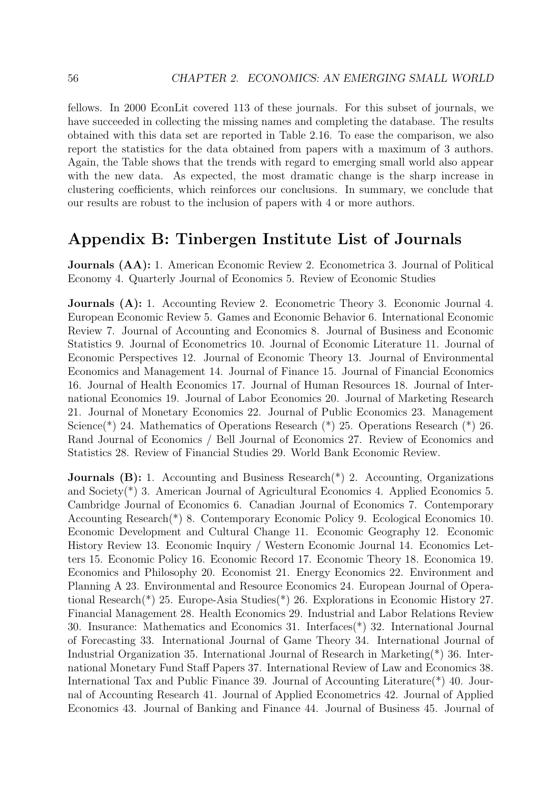fellows. In 2000 EconLit covered 113 of these journals. For this subset of journals, we have succeeded in collecting the missing names and completing the database. The results obtained with this data set are reported in Table 2.16. To ease the comparison, we also report the statistics for the data obtained from papers with a maximum of 3 authors. Again, the Table shows that the trends with regard to emerging small world also appear with the new data. As expected, the most dramatic change is the sharp increase in clustering coefficients, which reinforces our conclusions. In summary, we conclude that our results are robust to the inclusion of papers with 4 or more authors.

## Appendix B: Tinbergen Institute List of Journals

Journals (AA): 1. American Economic Review 2. Econometrica 3. Journal of Political Economy 4. Quarterly Journal of Economics 5. Review of Economic Studies

Journals (A): 1. Accounting Review 2. Econometric Theory 3. Economic Journal 4. European Economic Review 5. Games and Economic Behavior 6. International Economic Review 7. Journal of Accounting and Economics 8. Journal of Business and Economic Statistics 9. Journal of Econometrics 10. Journal of Economic Literature 11. Journal of Economic Perspectives 12. Journal of Economic Theory 13. Journal of Environmental Economics and Management 14. Journal of Finance 15. Journal of Financial Economics 16. Journal of Health Economics 17. Journal of Human Resources 18. Journal of International Economics 19. Journal of Labor Economics 20. Journal of Marketing Research 21. Journal of Monetary Economics 22. Journal of Public Economics 23. Management Science(\*) 24. Mathematics of Operations Research (\*) 25. Operations Research (\*) 26. Rand Journal of Economics / Bell Journal of Economics 27. Review of Economics and Statistics 28. Review of Financial Studies 29. World Bank Economic Review.

**Journals (B):** 1. Accounting and Business Research<sup>(\*)</sup> 2. Accounting, Organizations and Society(\*) 3. American Journal of Agricultural Economics 4. Applied Economics 5. Cambridge Journal of Economics 6. Canadian Journal of Economics 7. Contemporary Accounting Research(\*) 8. Contemporary Economic Policy 9. Ecological Economics 10. Economic Development and Cultural Change 11. Economic Geography 12. Economic History Review 13. Economic Inquiry / Western Economic Journal 14. Economics Letters 15. Economic Policy 16. Economic Record 17. Economic Theory 18. Economica 19. Economics and Philosophy 20. Economist 21. Energy Economics 22. Environment and Planning A 23. Environmental and Resource Economics 24. European Journal of Operational Research(\*) 25. Europe-Asia Studies(\*) 26. Explorations in Economic History 27. Financial Management 28. Health Economics 29. Industrial and Labor Relations Review 30. Insurance: Mathematics and Economics 31. Interfaces(\*) 32. International Journal of Forecasting 33. International Journal of Game Theory 34. International Journal of Industrial Organization 35. International Journal of Research in Marketing(\*) 36. International Monetary Fund Staff Papers 37. International Review of Law and Economics 38. International Tax and Public Finance 39. Journal of Accounting Literature(\*) 40. Journal of Accounting Research 41. Journal of Applied Econometrics 42. Journal of Applied Economics 43. Journal of Banking and Finance 44. Journal of Business 45. Journal of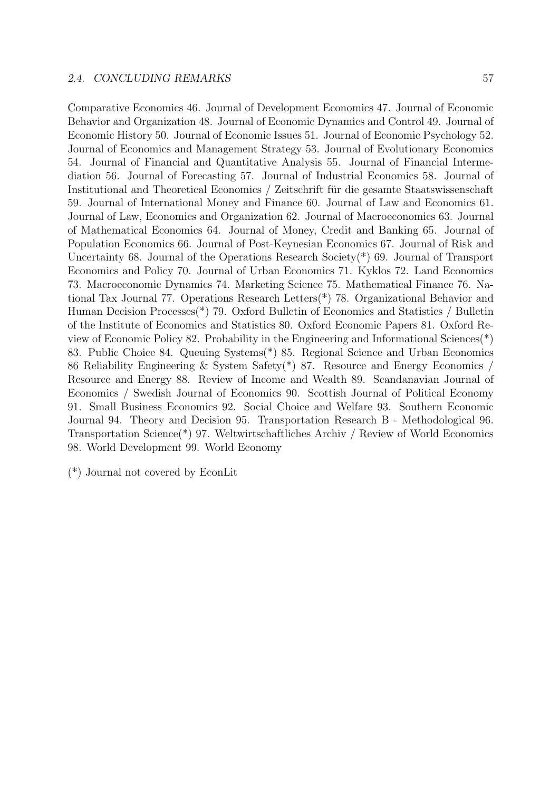Comparative Economics 46. Journal of Development Economics 47. Journal of Economic Behavior and Organization 48. Journal of Economic Dynamics and Control 49. Journal of Economic History 50. Journal of Economic Issues 51. Journal of Economic Psychology 52. Journal of Economics and Management Strategy 53. Journal of Evolutionary Economics 54. Journal of Financial and Quantitative Analysis 55. Journal of Financial Intermediation 56. Journal of Forecasting 57. Journal of Industrial Economics 58. Journal of Institutional and Theoretical Economics / Zeitschrift für die gesamte Staatswissenschaft 59. Journal of International Money and Finance 60. Journal of Law and Economics 61. Journal of Law, Economics and Organization 62. Journal of Macroeconomics 63. Journal of Mathematical Economics 64. Journal of Money, Credit and Banking 65. Journal of Population Economics 66. Journal of Post-Keynesian Economics 67. Journal of Risk and Uncertainty 68. Journal of the Operations Research Society(\*) 69. Journal of Transport Economics and Policy 70. Journal of Urban Economics 71. Kyklos 72. Land Economics 73. Macroeconomic Dynamics 74. Marketing Science 75. Mathematical Finance 76. National Tax Journal 77. Operations Research Letters(\*) 78. Organizational Behavior and Human Decision Processes(\*) 79. Oxford Bulletin of Economics and Statistics / Bulletin of the Institute of Economics and Statistics 80. Oxford Economic Papers 81. Oxford Review of Economic Policy 82. Probability in the Engineering and Informational Sciences(\*) 83. Public Choice 84. Queuing Systems(\*) 85. Regional Science and Urban Economics 86 Reliability Engineering & System Safety(\*) 87. Resource and Energy Economics / Resource and Energy 88. Review of Income and Wealth 89. Scandanavian Journal of Economics / Swedish Journal of Economics 90. Scottish Journal of Political Economy 91. Small Business Economics 92. Social Choice and Welfare 93. Southern Economic Journal 94. Theory and Decision 95. Transportation Research B - Methodological 96. Transportation Science(\*) 97. Weltwirtschaftliches Archiv / Review of World Economics 98. World Development 99. World Economy

(\*) Journal not covered by EconLit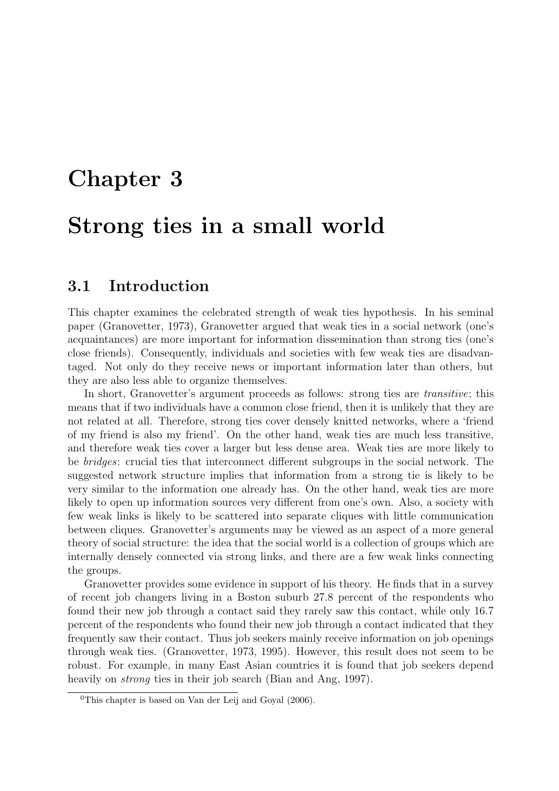# Chapter 3 Strong ties in a small world

# 3.1 Introduction

This chapter examines the celebrated strength of weak ties hypothesis. In his seminal paper (Granovetter, 1973), Granovetter argued that weak ties in a social network (one's acquaintances) are more important for information dissemination than strong ties (one's close friends). Consequently, individuals and societies with few weak ties are disadvantaged. Not only do they receive news or important information later than others, but they are also less able to organize themselves.

In short, Granovetter's argument proceeds as follows: strong ties are *transitive*; this means that if two individuals have a common close friend, then it is unlikely that they are not related at all. Therefore, strong ties cover densely knitted networks, where a 'friend of my friend is also my friend'. On the other hand, weak ties are much less transitive, and therefore weak ties cover a larger but less dense area. Weak ties are more likely to be bridges: crucial ties that interconnect different subgroups in the social network. The suggested network structure implies that information from a strong tie is likely to be very similar to the information one already has. On the other hand, weak ties are more likely to open up information sources very different from one's own. Also, a society with few weak links is likely to be scattered into separate cliques with little communication between cliques. Granovetter's arguments may be viewed as an aspect of a more general theory of social structure: the idea that the social world is a collection of groups which are internally densely connected via strong links, and there are a few weak links connecting the groups.

Granovetter provides some evidence in support of his theory. He finds that in a survey of recent job changers living in a Boston suburb 27.8 percent of the respondents who found their new job through a contact said they rarely saw this contact, while only 16.7 percent of the respondents who found their new job through a contact indicated that they frequently saw their contact. Thus job seekers mainly receive information on job openings through weak ties. (Granovetter, 1973, 1995). However, this result does not seem to be robust. For example, in many East Asian countries it is found that job seekers depend heavily on *strong* ties in their job search (Bian and Ang, 1997).

<sup>&</sup>lt;sup>0</sup>This chapter is based on Van der Leij and Goyal  $(2006)$ .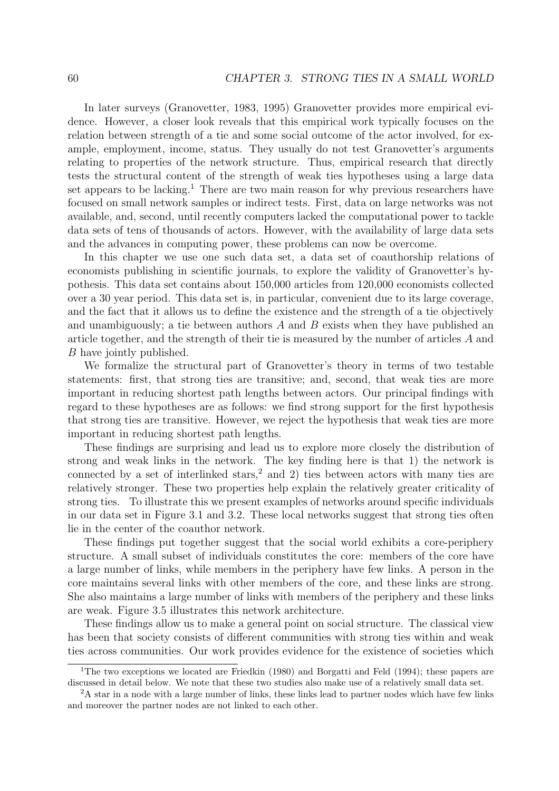In later surveys (Granovetter, 1983, 1995) Granovetter provides more empirical evidence. However, a closer look reveals that this empirical work typically focuses on the relation between strength of a tie and some social outcome of the actor involved, for example, employment, income, status. They usually do not test Granovetter's arguments relating to properties of the network structure. Thus, empirical research that directly tests the structural content of the strength of weak ties hypotheses using a large data set appears to be lacking.<sup>1</sup> There are two main reason for why previous researchers have focused on small network samples or indirect tests. First, data on large networks was not available, and, second, until recently computers lacked the computational power to tackle data sets of tens of thousands of actors. However, with the availability of large data sets and the advances in computing power, these problems can now be overcome.

In this chapter we use one such data set, a data set of coauthorship relations of economists publishing in scientific journals, to explore the validity of Granovetter's hypothesis. This data set contains about 150,000 articles from 120,000 economists collected over a 30 year period. This data set is, in particular, convenient due to its large coverage, and the fact that it allows us to define the existence and the strength of a tie objectively and unambiguously; a tie between authors  $A$  and  $B$  exists when they have published an article together, and the strength of their tie is measured by the number of articles A and B have jointly published.

We formalize the structural part of Granovetter's theory in terms of two testable statements: first, that strong ties are transitive; and, second, that weak ties are more important in reducing shortest path lengths between actors. Our principal findings with regard to these hypotheses are as follows: we find strong support for the first hypothesis that strong ties are transitive. However, we reject the hypothesis that weak ties are more important in reducing shortest path lengths.

These findings are surprising and lead us to explore more closely the distribution of strong and weak links in the network. The key finding here is that 1) the network is connected by a set of interlinked stars,<sup>2</sup> and 2) ties between actors with many ties are relatively stronger. These two properties help explain the relatively greater criticality of strong ties. To illustrate this we present examples of networks around specific individuals in our data set in Figure 3.1 and 3.2. These local networks suggest that strong ties often lie in the center of the coauthor network.

These findings put together suggest that the social world exhibits a core-periphery structure. A small subset of individuals constitutes the core: members of the core have a large number of links, while members in the periphery have few links. A person in the core maintains several links with other members of the core, and these links are strong. She also maintains a large number of links with members of the periphery and these links are weak. Figure 3.5 illustrates this network architecture.

These findings allow us to make a general point on social structure. The classical view has been that society consists of different communities with strong ties within and weak ties across communities. Our work provides evidence for the existence of societies which

<sup>&</sup>lt;sup>1</sup>The two exceptions we located are Friedkin  $(1980)$  and Borgatti and Feld  $(1994)$ ; these papers are discussed in detail below. We note that these two studies also make use of a relatively small data set.

<sup>&</sup>lt;sup>2</sup>A star in a node with a large number of links, these links lead to partner nodes which have few links and moreover the partner nodes are not linked to each other.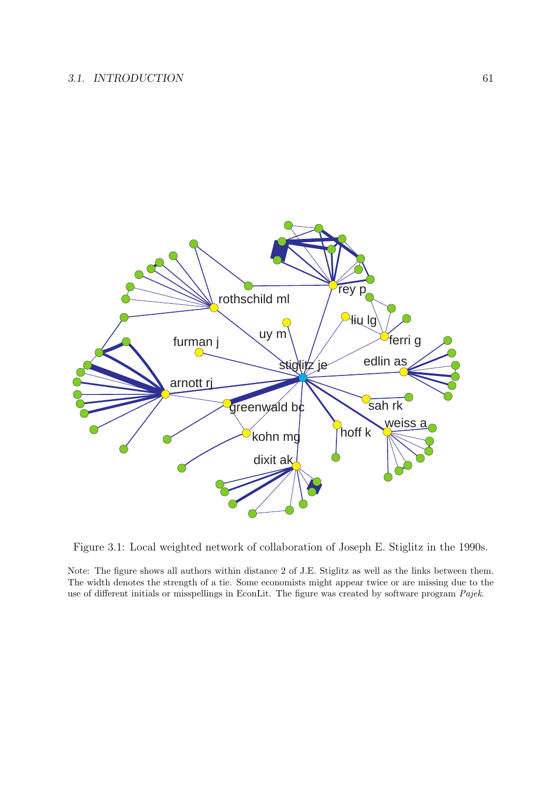

Figure 3.1: Local weighted network of collaboration of Joseph E. Stiglitz in the 1990s.

Note: The figure shows all authors within distance 2 of J.E. Stiglitz as well as the links between them. The width denotes the strength of a tie. Some economists might appear twice or are missing due to the use of different initials or misspellings in EconLit. The figure was created by software program Pajek.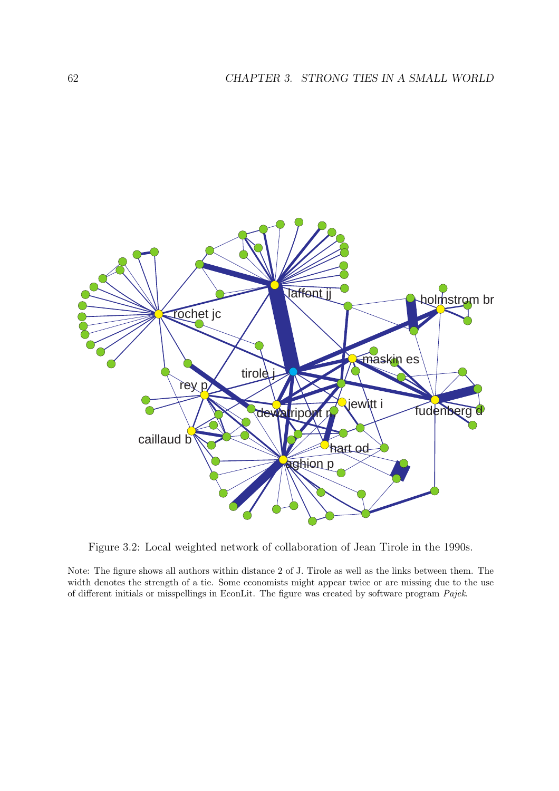

Figure 3.2: Local weighted network of collaboration of Jean Tirole in the 1990s.

Note: The figure shows all authors within distance 2 of J. Tirole as well as the links between them. The width denotes the strength of a tie. Some economists might appear twice or are missing due to the use of different initials or misspellings in EconLit. The figure was created by software program Pajek.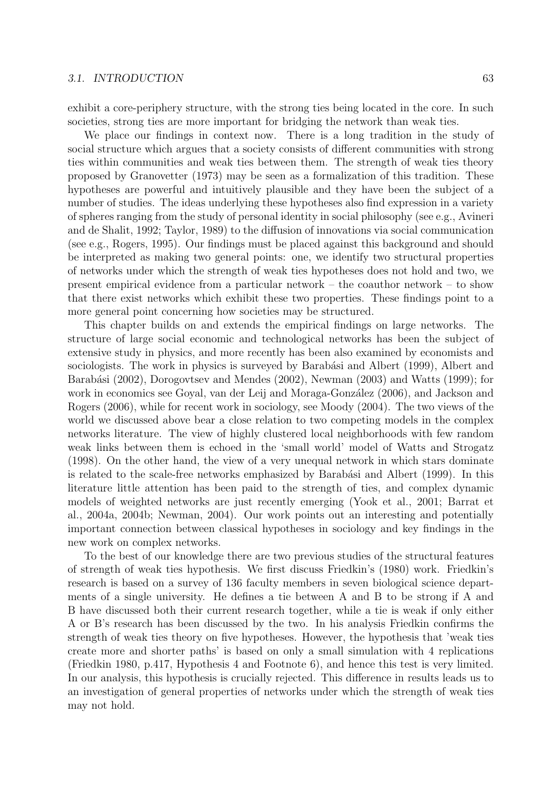### 3.1. INTRODUCTION 63

We place our findings in context now. There is a long tradition in the study of social structure which argues that a society consists of different communities with strong ties within communities and weak ties between them. The strength of weak ties theory proposed by Granovetter (1973) may be seen as a formalization of this tradition. These hypotheses are powerful and intuitively plausible and they have been the subject of a number of studies. The ideas underlying these hypotheses also find expression in a variety of spheres ranging from the study of personal identity in social philosophy (see e.g., Avineri and de Shalit, 1992; Taylor, 1989) to the diffusion of innovations via social communication (see e.g., Rogers, 1995). Our findings must be placed against this background and should be interpreted as making two general points: one, we identify two structural properties of networks under which the strength of weak ties hypotheses does not hold and two, we present empirical evidence from a particular network – the coauthor network – to show that there exist networks which exhibit these two properties. These findings point to a more general point concerning how societies may be structured.

This chapter builds on and extends the empirical findings on large networks. The structure of large social economic and technological networks has been the subject of extensive study in physics, and more recently has been also examined by economists and sociologists. The work in physics is surveyed by Barabási and Albert (1999), Albert and Barabási (2002), Dorogovtsev and Mendes (2002), Newman (2003) and Watts (1999); for work in economics see Goyal, van der Leij and Moraga-González (2006), and Jackson and Rogers (2006), while for recent work in sociology, see Moody (2004). The two views of the world we discussed above bear a close relation to two competing models in the complex networks literature. The view of highly clustered local neighborhoods with few random weak links between them is echoed in the 'small world' model of Watts and Strogatz (1998). On the other hand, the view of a very unequal network in which stars dominate is related to the scale-free networks emphasized by Barabási and Albert (1999). In this literature little attention has been paid to the strength of ties, and complex dynamic models of weighted networks are just recently emerging (Yook et al., 2001; Barrat et al., 2004a, 2004b; Newman, 2004). Our work points out an interesting and potentially important connection between classical hypotheses in sociology and key findings in the new work on complex networks.

To the best of our knowledge there are two previous studies of the structural features of strength of weak ties hypothesis. We first discuss Friedkin's (1980) work. Friedkin's research is based on a survey of 136 faculty members in seven biological science departments of a single university. He defines a tie between A and B to be strong if A and B have discussed both their current research together, while a tie is weak if only either A or B's research has been discussed by the two. In his analysis Friedkin confirms the strength of weak ties theory on five hypotheses. However, the hypothesis that 'weak ties create more and shorter paths' is based on only a small simulation with 4 replications (Friedkin 1980, p.417, Hypothesis 4 and Footnote 6), and hence this test is very limited. In our analysis, this hypothesis is crucially rejected. This difference in results leads us to an investigation of general properties of networks under which the strength of weak ties may not hold.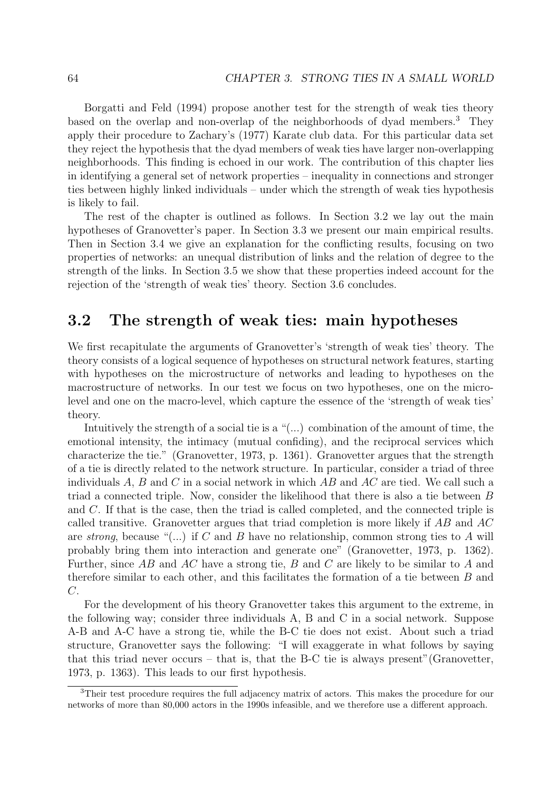Borgatti and Feld (1994) propose another test for the strength of weak ties theory based on the overlap and non-overlap of the neighborhoods of dyad members.<sup>3</sup> They apply their procedure to Zachary's (1977) Karate club data. For this particular data set they reject the hypothesis that the dyad members of weak ties have larger non-overlapping neighborhoods. This finding is echoed in our work. The contribution of this chapter lies in identifying a general set of network properties – inequality in connections and stronger ties between highly linked individuals – under which the strength of weak ties hypothesis is likely to fail.

The rest of the chapter is outlined as follows. In Section 3.2 we lay out the main hypotheses of Granovetter's paper. In Section 3.3 we present our main empirical results. Then in Section 3.4 we give an explanation for the conflicting results, focusing on two properties of networks: an unequal distribution of links and the relation of degree to the strength of the links. In Section 3.5 we show that these properties indeed account for the rejection of the 'strength of weak ties' theory. Section 3.6 concludes.

### 3.2 The strength of weak ties: main hypotheses

We first recapitulate the arguments of Granovetter's 'strength of weak ties' theory. The theory consists of a logical sequence of hypotheses on structural network features, starting with hypotheses on the microstructure of networks and leading to hypotheses on the macrostructure of networks. In our test we focus on two hypotheses, one on the microlevel and one on the macro-level, which capture the essence of the 'strength of weak ties' theory.

Intuitively the strength of a social tie is a "(...) combination of the amount of time, the emotional intensity, the intimacy (mutual confiding), and the reciprocal services which characterize the tie." (Granovetter, 1973, p. 1361). Granovetter argues that the strength of a tie is directly related to the network structure. In particular, consider a triad of three individuals  $A, B$  and  $C$  in a social network in which  $AB$  and  $AC$  are tied. We call such a triad a connected triple. Now, consider the likelihood that there is also a tie between B and C. If that is the case, then the triad is called completed, and the connected triple is called transitive. Granovetter argues that triad completion is more likely if AB and AC are strong, because "(...) if C and B have no relationship, common strong ties to A will probably bring them into interaction and generate one" (Granovetter, 1973, p. 1362). Further, since  $AB$  and  $AC$  have a strong tie, B and C are likely to be similar to A and therefore similar to each other, and this facilitates the formation of a tie between B and C.

For the development of his theory Granovetter takes this argument to the extreme, in the following way; consider three individuals A, B and C in a social network. Suppose A-B and A-C have a strong tie, while the B-C tie does not exist. About such a triad structure, Granovetter says the following: "I will exaggerate in what follows by saying that this triad never occurs – that is, that the B-C tie is always present"(Granovetter, 1973, p. 1363). This leads to our first hypothesis.

<sup>&</sup>lt;sup>3</sup>Their test procedure requires the full adjacency matrix of actors. This makes the procedure for our networks of more than 80,000 actors in the 1990s infeasible, and we therefore use a different approach.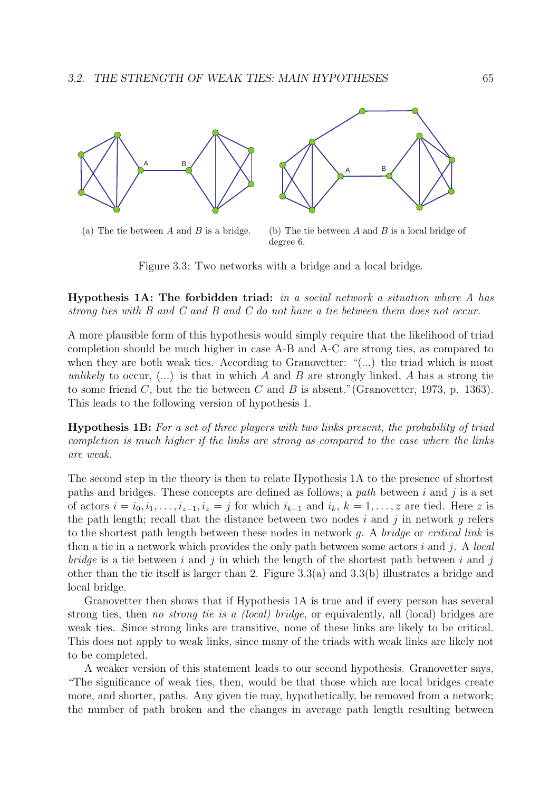

(a) The tie between  $A$  and  $B$  is a bridge.

(b) The tie between  $A$  and  $B$  is a local bridge of degree 6.

Figure 3.3: Two networks with a bridge and a local bridge.

Hypothesis 1A: The forbidden triad: in a social network a situation where A has strong ties with B and C and B and C do not have a tie between them does not occur.

A more plausible form of this hypothesis would simply require that the likelihood of triad completion should be much higher in case A-B and A-C are strong ties, as compared to when they are both weak ties. According to Granovetter: "(...) the triad which is most unlikely to occur,  $(...)$  is that in which A and B are strongly linked, A has a strong tie to some friend C, but the tie between C and B is absent." (Granovetter, 1973, p. 1363). This leads to the following version of hypothesis 1.

Hypothesis 1B: For a set of three players with two links present, the probability of triad completion is much higher if the links are strong as compared to the case where the links are weak.

The second step in the theory is then to relate Hypothesis 1A to the presence of shortest paths and bridges. These concepts are defined as follows; a path between i and j is a set of actors  $i = i_0, i_1, \ldots, i_{z-1}, i_z = j$  for which  $i_{k-1}$  and  $i_k, k = 1, \ldots, z$  are tied. Here z is the path length; recall that the distance between two nodes i and j in network q refers to the shortest path length between these nodes in network g. A bridge or critical link is then a tie in a network which provides the only path between some actors  $i$  and  $j$ . A local *bridge* is a tie between i and j in which the length of the shortest path between i and j other than the tie itself is larger than 2. Figure 3.3(a) and 3.3(b) illustrates a bridge and local bridge.

Granovetter then shows that if Hypothesis 1A is true and if every person has several strong ties, then no strong tie is a *(local)* bridge, or equivalently, all *(local)* bridges are weak ties. Since strong links are transitive, none of these links are likely to be critical. This does not apply to weak links, since many of the triads with weak links are likely not to be completed.

A weaker version of this statement leads to our second hypothesis. Granovetter says, "The significance of weak ties, then, would be that those which are local bridges create more, and shorter, paths. Any given tie may, hypothetically, be removed from a network; the number of path broken and the changes in average path length resulting between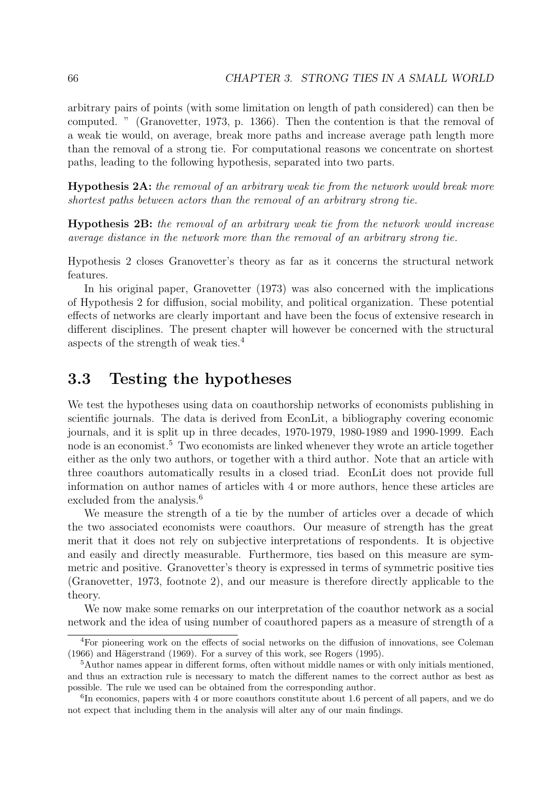arbitrary pairs of points (with some limitation on length of path considered) can then be computed. " (Granovetter, 1973, p. 1366). Then the contention is that the removal of a weak tie would, on average, break more paths and increase average path length more than the removal of a strong tie. For computational reasons we concentrate on shortest paths, leading to the following hypothesis, separated into two parts.

Hypothesis 2A: the removal of an arbitrary weak tie from the network would break more shortest paths between actors than the removal of an arbitrary strong tie.

Hypothesis 2B: the removal of an arbitrary weak tie from the network would increase average distance in the network more than the removal of an arbitrary strong tie.

Hypothesis 2 closes Granovetter's theory as far as it concerns the structural network features.

In his original paper, Granovetter (1973) was also concerned with the implications of Hypothesis 2 for diffusion, social mobility, and political organization. These potential effects of networks are clearly important and have been the focus of extensive research in different disciplines. The present chapter will however be concerned with the structural aspects of the strength of weak ties.<sup>4</sup>

## 3.3 Testing the hypotheses

We test the hypotheses using data on coauthorship networks of economists publishing in scientific journals. The data is derived from EconLit, a bibliography covering economic journals, and it is split up in three decades, 1970-1979, 1980-1989 and 1990-1999. Each node is an economist.<sup>5</sup> Two economists are linked whenever they wrote an article together either as the only two authors, or together with a third author. Note that an article with three coauthors automatically results in a closed triad. EconLit does not provide full information on author names of articles with 4 or more authors, hence these articles are excluded from the analysis.<sup>6</sup>

We measure the strength of a tie by the number of articles over a decade of which the two associated economists were coauthors. Our measure of strength has the great merit that it does not rely on subjective interpretations of respondents. It is objective and easily and directly measurable. Furthermore, ties based on this measure are symmetric and positive. Granovetter's theory is expressed in terms of symmetric positive ties (Granovetter, 1973, footnote 2), and our measure is therefore directly applicable to the theory.

We now make some remarks on our interpretation of the coauthor network as a social network and the idea of using number of coauthored papers as a measure of strength of a

<sup>4</sup>For pioneering work on the effects of social networks on the diffusion of innovations, see Coleman  $(1966)$  and Hägerstrand  $(1969)$ . For a survey of this work, see Rogers  $(1995)$ .

 $5A$ uthor names appear in different forms, often without middle names or with only initials mentioned. and thus an extraction rule is necessary to match the different names to the correct author as best as possible. The rule we used can be obtained from the corresponding author.

 ${}^{6}$ In economics, papers with 4 or more coauthors constitute about 1.6 percent of all papers, and we do not expect that including them in the analysis will alter any of our main findings.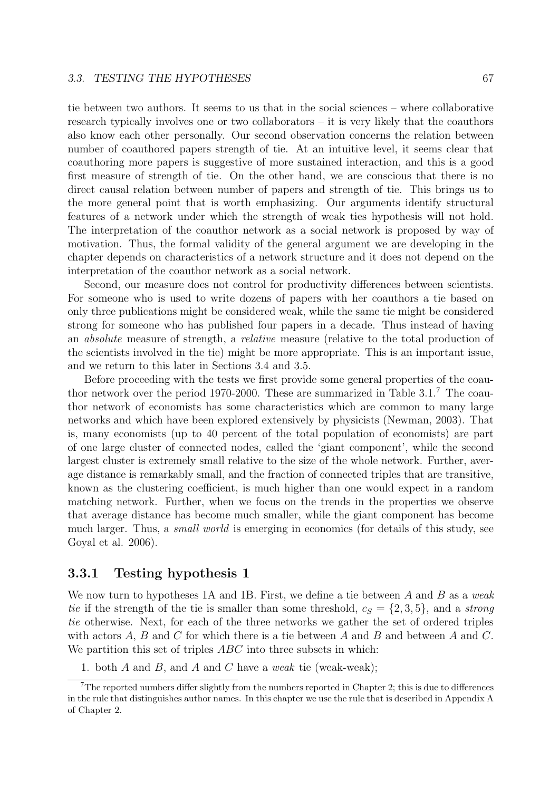tie between two authors. It seems to us that in the social sciences – where collaborative research typically involves one or two collaborators – it is very likely that the coauthors also know each other personally. Our second observation concerns the relation between number of coauthored papers strength of tie. At an intuitive level, it seems clear that coauthoring more papers is suggestive of more sustained interaction, and this is a good first measure of strength of tie. On the other hand, we are conscious that there is no direct causal relation between number of papers and strength of tie. This brings us to the more general point that is worth emphasizing. Our arguments identify structural features of a network under which the strength of weak ties hypothesis will not hold. The interpretation of the coauthor network as a social network is proposed by way of motivation. Thus, the formal validity of the general argument we are developing in the chapter depends on characteristics of a network structure and it does not depend on the interpretation of the coauthor network as a social network.

Second, our measure does not control for productivity differences between scientists. For someone who is used to write dozens of papers with her coauthors a tie based on only three publications might be considered weak, while the same tie might be considered strong for someone who has published four papers in a decade. Thus instead of having an absolute measure of strength, a relative measure (relative to the total production of the scientists involved in the tie) might be more appropriate. This is an important issue, and we return to this later in Sections 3.4 and 3.5.

Before proceeding with the tests we first provide some general properties of the coauthor network over the period 1970-2000. These are summarized in Table 3.1.<sup>7</sup> The coauthor network of economists has some characteristics which are common to many large networks and which have been explored extensively by physicists (Newman, 2003). That is, many economists (up to 40 percent of the total population of economists) are part of one large cluster of connected nodes, called the 'giant component', while the second largest cluster is extremely small relative to the size of the whole network. Further, average distance is remarkably small, and the fraction of connected triples that are transitive, known as the clustering coefficient, is much higher than one would expect in a random matching network. Further, when we focus on the trends in the properties we observe that average distance has become much smaller, while the giant component has become much larger. Thus, a *small world* is emerging in economics (for details of this study, see Goyal et al. 2006).

### 3.3.1 Testing hypothesis 1

We now turn to hypotheses 1A and 1B. First, we define a tie between  $A$  and  $B$  as a weak tie if the strength of the tie is smaller than some threshold,  $c_S = \{2, 3, 5\}$ , and a strong tie otherwise. Next, for each of the three networks we gather the set of ordered triples with actors  $A, B$  and  $C$  for which there is a tie between  $A$  and  $B$  and between  $A$  and  $C$ . We partition this set of triples  $ABC$  into three subsets in which:

1. both  $A$  and  $B$ , and  $A$  and  $C$  have a weak tie (weak-weak);

 $7$ The reported numbers differ slightly from the numbers reported in Chapter 2; this is due to differences in the rule that distinguishes author names. In this chapter we use the rule that is described in Appendix A of Chapter 2.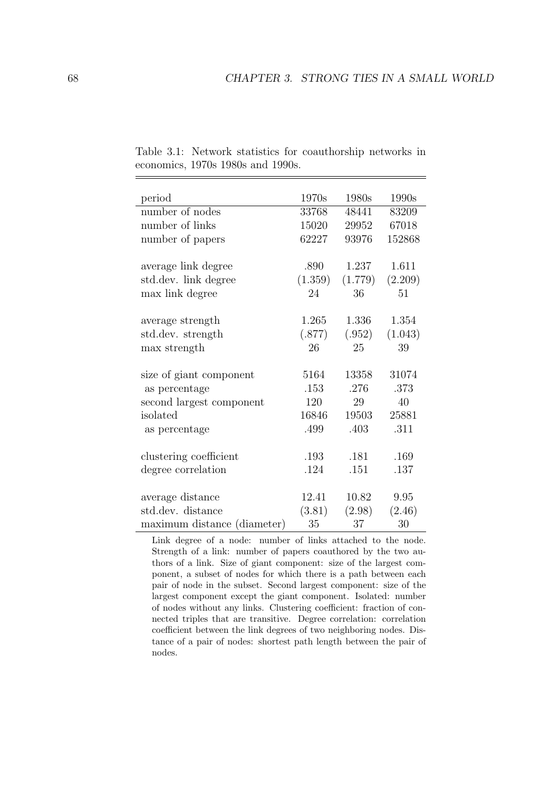| period                      | 1970s   | 1980s   | 1990s   |
|-----------------------------|---------|---------|---------|
| number of nodes             | 33768   | 48441   | 83209   |
| number of links             | 15020   | 29952   | 67018   |
| number of papers            | 62227   | 93976   | 152868  |
|                             |         |         |         |
| average link degree         | .890    | 1.237   | 1.611   |
| std.dev. link degree        | (1.359) | (1.779) | (2.209) |
| max link degree             | 24      | 36      | 51      |
|                             |         |         |         |
| average strength            | 1.265   | 1.336   | 1.354   |
| std.dev. strength           | (.877)  | (.952)  | (1.043) |
| max strength                | 26      | 25      | 39      |
|                             |         |         |         |
| size of giant component     | 5164    | 13358   | 31074   |
| as percentage               | .153    | .276    | .373    |
| second largest component    | 120     | 29      | 40      |
| isolated                    | 16846   | 19503   | 25881   |
| as percentage               | .499    | .403    | .311    |
|                             |         |         |         |
| clustering coefficient      | .193    | .181    | .169    |
| degree correlation          | .124    | .151    | .137    |
|                             |         |         |         |
| average distance            | 12.41   | 10.82   | 9.95    |
| std.dev. distance           | (3.81)  | (2.98)  | (2.46)  |
| maximum distance (diameter) | 35      | 37      | 30      |

Table 3.1: Network statistics for coauthorship networks in economics, 1970s 1980s and 1990s.

Link degree of a node: number of links attached to the node. Strength of a link: number of papers coauthored by the two authors of a link. Size of giant component: size of the largest component, a subset of nodes for which there is a path between each pair of node in the subset. Second largest component: size of the largest component except the giant component. Isolated: number of nodes without any links. Clustering coefficient: fraction of connected triples that are transitive. Degree correlation: correlation coefficient between the link degrees of two neighboring nodes. Distance of a pair of nodes: shortest path length between the pair of nodes.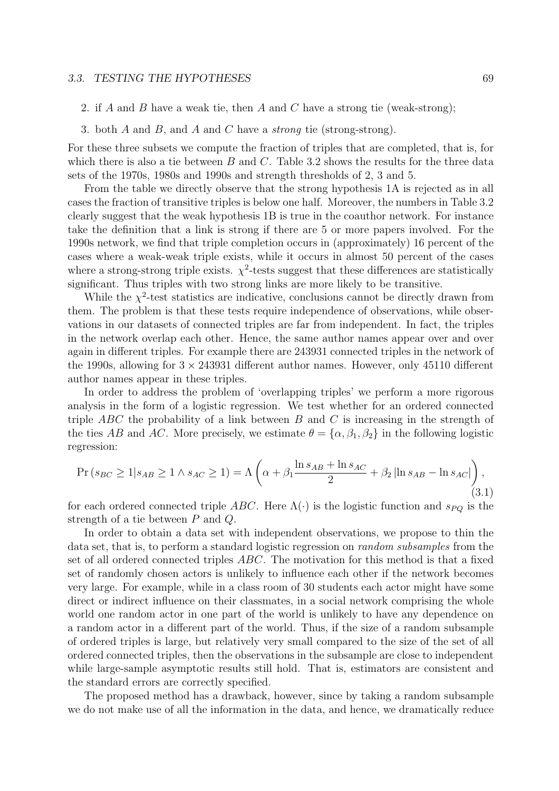### 3.3. TESTING THE HYPOTHESES 69

- 2. if A and B have a weak tie, then A and C have a strong tie (weak-strong);
- 3. both A and B, and A and C have a strong tie (strong-strong).

For these three subsets we compute the fraction of triples that are completed, that is, for which there is also a tie between  $B$  and  $C$ . Table 3.2 shows the results for the three data sets of the 1970s, 1980s and 1990s and strength thresholds of 2, 3 and 5.

From the table we directly observe that the strong hypothesis 1A is rejected as in all cases the fraction of transitive triples is below one half. Moreover, the numbers in Table 3.2 clearly suggest that the weak hypothesis 1B is true in the coauthor network. For instance take the definition that a link is strong if there are 5 or more papers involved. For the 1990s network, we find that triple completion occurs in (approximately) 16 percent of the cases where a weak-weak triple exists, while it occurs in almost 50 percent of the cases where a strong-strong triple exists.  $\chi^2$ -tests suggest that these differences are statistically significant. Thus triples with two strong links are more likely to be transitive.

While the  $\chi^2$ -test statistics are indicative, conclusions cannot be directly drawn from them. The problem is that these tests require independence of observations, while observations in our datasets of connected triples are far from independent. In fact, the triples in the network overlap each other. Hence, the same author names appear over and over again in different triples. For example there are 243931 connected triples in the network of the 1990s, allowing for  $3 \times 243931$  different author names. However, only 45110 different author names appear in these triples.

In order to address the problem of 'overlapping triples' we perform a more rigorous analysis in the form of a logistic regression. We test whether for an ordered connected triple  $ABC$  the probability of a link between  $B$  and  $C$  is increasing in the strength of the ties AB and AC. More precisely, we estimate  $\theta = {\alpha, \beta_1, \beta_2}$  in the following logistic regression:

$$
\Pr\left(s_{BC} \ge 1 | s_{AB} \ge 1 \land s_{AC} \ge 1\right) = \Lambda \left(\alpha + \beta_1 \frac{\ln s_{AB} + \ln s_{AC}}{2} + \beta_2 \left| \ln s_{AB} - \ln s_{AC} \right| \right),\tag{3.1}
$$

for each ordered connected triple ABC. Here  $\Lambda(\cdot)$  is the logistic function and  $s_{PQ}$  is the strength of a tie between P and Q.

In order to obtain a data set with independent observations, we propose to thin the data set, that is, to perform a standard logistic regression on random subsamples from the set of all ordered connected triples ABC. The motivation for this method is that a fixed set of randomly chosen actors is unlikely to influence each other if the network becomes very large. For example, while in a class room of 30 students each actor might have some direct or indirect influence on their classmates, in a social network comprising the whole world one random actor in one part of the world is unlikely to have any dependence on a random actor in a different part of the world. Thus, if the size of a random subsample of ordered triples is large, but relatively very small compared to the size of the set of all ordered connected triples, then the observations in the subsample are close to independent while large-sample asymptotic results still hold. That is, estimators are consistent and the standard errors are correctly specified.

The proposed method has a drawback, however, since by taking a random subsample we do not make use of all the information in the data, and hence, we dramatically reduce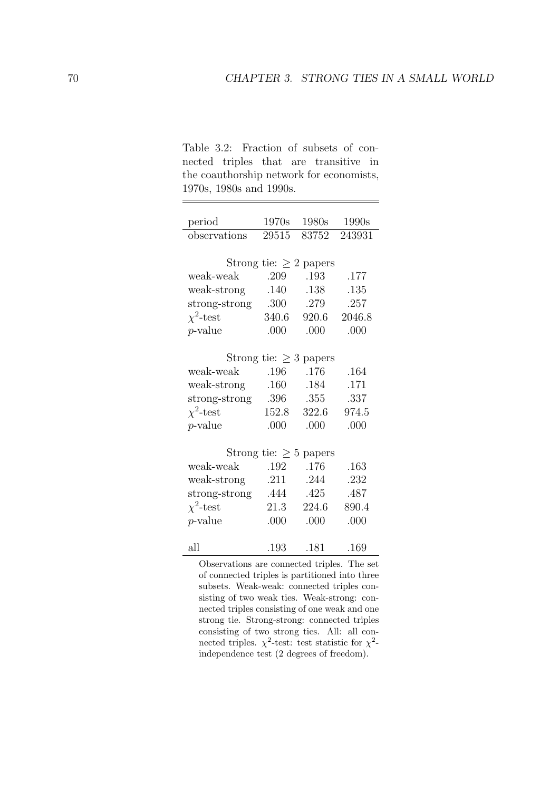Table 3.2: Fraction of subsets of connected triples that are transitive in the coauthorship network for economists, 1970s, 1980s and 1990s.

| period                                  | 1970s | 1980s                       | 1990s  |  |
|-----------------------------------------|-------|-----------------------------|--------|--|
| observations                            | 29515 | 83752                       | 243931 |  |
|                                         |       |                             |        |  |
|                                         |       | Strong tie: $\geq 2$ papers |        |  |
| weak-weak                               | .209  | .193                        | .177   |  |
| weak-strong                             | .140  | .138                        | .135   |  |
| strong-strong                           | .300  | .279                        | .257   |  |
| $\chi^2$ -test                          |       | 340.6 920.6                 | 2046.8 |  |
| $p$ -value                              | .000  | .000                        | .000   |  |
|                                         |       |                             |        |  |
|                                         |       | Strong tie: $\geq$ 3 papers |        |  |
| weak-weak                               | .196  | .176                        | .164   |  |
| weak-strong                             | .160  | .184                        | .171   |  |
| strong-strong                           | .396  | .355                        | .337   |  |
| $\chi^2$ -test                          | 152.8 | 322.6                       | 974.5  |  |
| $p$ -value                              | .000  | .000                        | .000   |  |
|                                         |       |                             |        |  |
|                                         |       | Strong tie: $\geq 5$ papers |        |  |
| weak-weak                               | .192  | .176                        | .163   |  |
| weak-strong                             | .211  | .244                        | .232   |  |
| strong-strong                           | .444  | .425                        | .487   |  |
| $\chi^2$ -test                          | 21.3  | 224.6                       | 890.4  |  |
| $p$ -value                              | .000  | .000                        | .000   |  |
|                                         |       |                             |        |  |
| all                                     | .193  | .181                        | .169   |  |
| Obcounting are connected triples<br>Tha |       |                             |        |  |

Observations are connected triples. The set of connected triples is partitioned into three subsets. Weak-weak: connected triples consisting of two weak ties. Weak-strong: connected triples consisting of one weak and one strong tie. Strong-strong: connected triples consisting of two strong ties. All: all connected triples.  $\chi^2$ -test: test statistic for  $\chi^2$ independence test (2 degrees of freedom).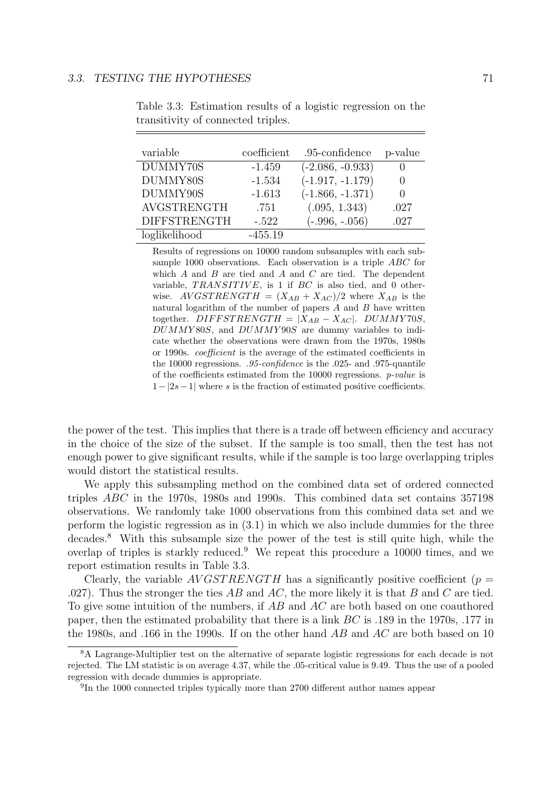| variable            | coefficient | .95-confidence     | p-value |
|---------------------|-------------|--------------------|---------|
| DUMMY70S            | $-1.459$    | $(-2.086, -0.933)$ |         |
| DUMMY80S            | $-1.534$    | $(-1.917, -1.179)$ |         |
| DUMMY90S            | $-1.613$    | $(-1.866, -1.371)$ |         |
| <b>AVGSTRENGTH</b>  | .751        | (.095, 1.343)      | .027    |
| <b>DIFFSTRENGTH</b> | $-.522$     | $(-.996, -.056)$   | .027    |
| loglikelihood       | $-455.19$   |                    |         |

Table 3.3: Estimation results of a logistic regression on the transitivity of connected triples.

Results of regressions on 10000 random subsamples with each subsample 1000 observations. Each observation is a triple ABC for which  $A$  and  $B$  are tied and  $A$  and  $C$  are tied. The dependent variable,  $TRANSITIVE$ , is 1 if  $BC$  is also tied, and 0 otherwise. AVGSTRENGTH =  $(X_{AB} + X_{AC})/2$  where  $X_{AB}$  is the natural logarithm of the number of papers  $A$  and  $B$  have written together.  $DIFFSTRENGTH = |X_{AB} - X_{AC}|$ .  $DUMMY70S$ ,  $DUMMY80S$ , and  $DUMMY90S$  are dummy variables to indicate whether the observations were drawn from the 1970s, 1980s or 1990s. coefficient is the average of the estimated coefficients in the 10000 regressions. .95-confidence is the .025- and .975-quantile of the coefficients estimated from the 10000 regressions. p-value is  $1-|2s-1|$  where s is the fraction of estimated positive coefficients.

the power of the test. This implies that there is a trade off between efficiency and accuracy in the choice of the size of the subset. If the sample is too small, then the test has not enough power to give significant results, while if the sample is too large overlapping triples would distort the statistical results.

We apply this subsampling method on the combined data set of ordered connected triples ABC in the 1970s, 1980s and 1990s. This combined data set contains 357198 observations. We randomly take 1000 observations from this combined data set and we perform the logistic regression as in (3.1) in which we also include dummies for the three decades.<sup>8</sup> With this subsample size the power of the test is still quite high, while the overlap of triples is starkly reduced.<sup>9</sup> We repeat this procedure a 10000 times, and we report estimation results in Table 3.3.

Clearly, the variable  $AVGSTRENGT$  has a significantly positive coefficient ( $p =$ .027). Thus the stronger the ties  $AB$  and  $AC$ , the more likely it is that B and C are tied. To give some intuition of the numbers, if AB and AC are both based on one coauthored paper, then the estimated probability that there is a link BC is .189 in the 1970s, .177 in the 1980s, and .166 in the 1990s. If on the other hand AB and AC are both based on 10

<sup>8</sup>A Lagrange-Multiplier test on the alternative of separate logistic regressions for each decade is not rejected. The LM statistic is on average 4.37, while the .05-critical value is 9.49. Thus the use of a pooled regression with decade dummies is appropriate.

<sup>&</sup>lt;sup>9</sup>In the 1000 connected triples typically more than 2700 different author names appear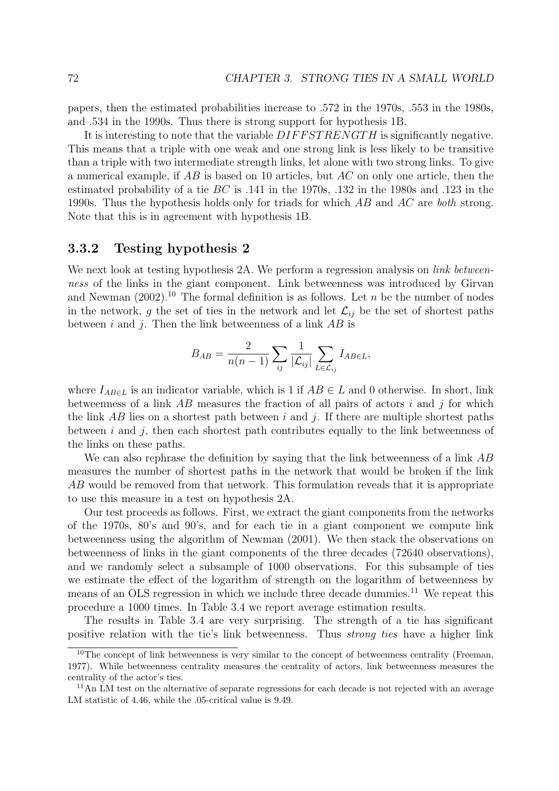papers, then the estimated probabilities increase to .572 in the 1970s, .553 in the 1980s, and .534 in the 1990s. Thus there is strong support for hypothesis 1B.

It is interesting to note that the variable  $DIFFERENGTH$  is significantly negative. This means that a triple with one weak and one strong link is less likely to be transitive than a triple with two intermediate strength links, let alone with two strong links. To give a numerical example, if  $AB$  is based on 10 articles, but  $AC$  on only one article, then the estimated probability of a tie BC is .141 in the 1970s, .132 in the 1980s and .123 in the 1990s. Thus the hypothesis holds only for triads for which AB and AC are both strong. Note that this is in agreement with hypothesis 1B.

### 3.3.2 Testing hypothesis 2

We next look at testing hypothesis 2A. We perform a regression analysis on *link between*ness of the links in the giant component. Link betweenness was introduced by Girvan and Newman  $(2002)$ .<sup>10</sup> The formal definition is as follows. Let n be the number of nodes in the network, g the set of ties in the network and let  $\mathcal{L}_{ij}$  be the set of shortest paths between  $i$  and  $j$ . Then the link betweenness of a link  $AB$  is

$$
B_{AB} = \frac{2}{n(n-1)} \sum_{ij} \frac{1}{|\mathcal{L}_{ij}|} \sum_{L \in \mathcal{L}_{ij}} I_{AB \in L},
$$

where  $I_{AB\in L}$  is an indicator variable, which is 1 if  $AB \in L$  and 0 otherwise. In short, link betweenness of a link  $AB$  measures the fraction of all pairs of actors i and j for which the link AB lies on a shortest path between  $i$  and  $j$ . If there are multiple shortest paths between  $i$  and  $j$ , then each shortest path contributes equally to the link betweenness of the links on these paths.

We can also rephrase the definition by saying that the link betweenness of a link AB measures the number of shortest paths in the network that would be broken if the link AB would be removed from that network. This formulation reveals that it is appropriate to use this measure in a test on hypothesis 2A.

Our test proceeds as follows. First, we extract the giant components from the networks of the 1970s, 80's and 90's, and for each tie in a giant component we compute link betweenness using the algorithm of Newman (2001). We then stack the observations on betweenness of links in the giant components of the three decades (72640 observations), and we randomly select a subsample of 1000 observations. For this subsample of ties we estimate the effect of the logarithm of strength on the logarithm of betweenness by means of an OLS regression in which we include three decade dummies.<sup>11</sup> We repeat this procedure a 1000 times. In Table 3.4 we report average estimation results.

The results in Table 3.4 are very surprising. The strength of a tie has significant positive relation with the tie's link betweenness. Thus strong ties have a higher link

 $10$ The concept of link betweenness is very similar to the concept of betweenness centrality (Freeman, 1977). While betweenness centrality measures the centrality of actors, link betweenness measures the centrality of the actor's ties.

<sup>&</sup>lt;sup>11</sup>An LM test on the alternative of separate regressions for each decade is not rejected with an average LM statistic of 4.46, while the .05-critical value is 9.49.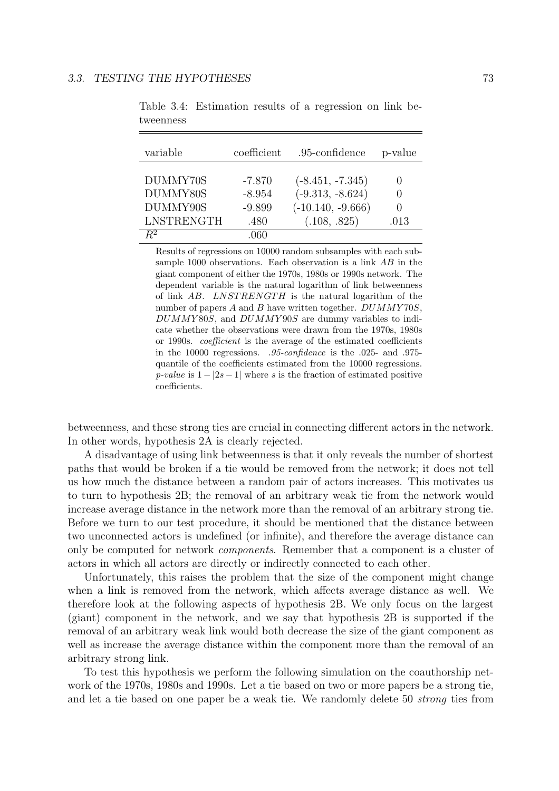| variable          | coefficient | .95-confidence      | p-value |
|-------------------|-------------|---------------------|---------|
|                   |             |                     |         |
| DUMMY70S          | $-7.870$    | $(-8.451, -7.345)$  |         |
| DUMMY80S          | $-8.954$    | $(-9.313, -8.624)$  |         |
| DUMMY90S          | $-9.899$    | $(-10.140, -9.666)$ |         |
| <b>LNSTRENGTH</b> | .480        | (.108, .825)        | .013    |
| $\rm{P}^2$        | .060        |                     |         |

Table 3.4: Estimation results of a regression on link betweenness

Results of regressions on 10000 random subsamples with each subsample 1000 observations. Each observation is a link AB in the giant component of either the 1970s, 1980s or 1990s network. The dependent variable is the natural logarithm of link betweenness of link AB. LNST RENGTH is the natural logarithm of the number of papers  $A$  and  $B$  have written together.  $DUMMY70S$ , DUMMY 80S, and DUMMY 90S are dummy variables to indicate whether the observations were drawn from the 1970s, 1980s or 1990s. coefficient is the average of the estimated coefficients in the 10000 regressions. .95-confidence is the .025- and .975 quantile of the coefficients estimated from the 10000 regressions. p-value is  $1 - |2s - 1|$  where s is the fraction of estimated positive coefficients.

betweenness, and these strong ties are crucial in connecting different actors in the network. In other words, hypothesis 2A is clearly rejected.

A disadvantage of using link betweenness is that it only reveals the number of shortest paths that would be broken if a tie would be removed from the network; it does not tell us how much the distance between a random pair of actors increases. This motivates us to turn to hypothesis 2B; the removal of an arbitrary weak tie from the network would increase average distance in the network more than the removal of an arbitrary strong tie. Before we turn to our test procedure, it should be mentioned that the distance between two unconnected actors is undefined (or infinite), and therefore the average distance can only be computed for network components. Remember that a component is a cluster of actors in which all actors are directly or indirectly connected to each other.

Unfortunately, this raises the problem that the size of the component might change when a link is removed from the network, which affects average distance as well. We therefore look at the following aspects of hypothesis 2B. We only focus on the largest (giant) component in the network, and we say that hypothesis 2B is supported if the removal of an arbitrary weak link would both decrease the size of the giant component as well as increase the average distance within the component more than the removal of an arbitrary strong link.

To test this hypothesis we perform the following simulation on the coauthorship network of the 1970s, 1980s and 1990s. Let a tie based on two or more papers be a strong tie, and let a tie based on one paper be a weak tie. We randomly delete 50 *strong* ties from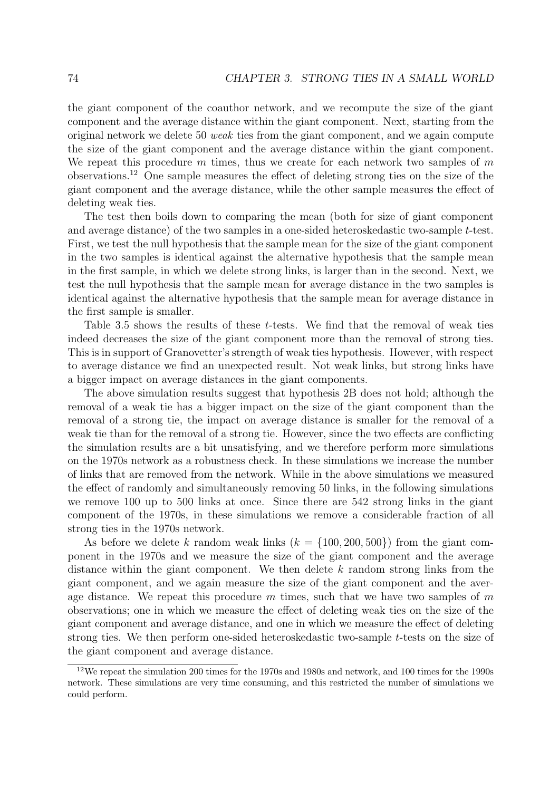the giant component of the coauthor network, and we recompute the size of the giant component and the average distance within the giant component. Next, starting from the original network we delete 50 weak ties from the giant component, and we again compute the size of the giant component and the average distance within the giant component. We repeat this procedure  $m$  times, thus we create for each network two samples of  $m$ observations.<sup>12</sup> One sample measures the effect of deleting strong ties on the size of the giant component and the average distance, while the other sample measures the effect of deleting weak ties.

The test then boils down to comparing the mean (both for size of giant component and average distance) of the two samples in a one-sided heteroskedastic two-sample t-test. First, we test the null hypothesis that the sample mean for the size of the giant component in the two samples is identical against the alternative hypothesis that the sample mean in the first sample, in which we delete strong links, is larger than in the second. Next, we test the null hypothesis that the sample mean for average distance in the two samples is identical against the alternative hypothesis that the sample mean for average distance in the first sample is smaller.

Table 3.5 shows the results of these  $t$ -tests. We find that the removal of weak ties indeed decreases the size of the giant component more than the removal of strong ties. This is in support of Granovetter's strength of weak ties hypothesis. However, with respect to average distance we find an unexpected result. Not weak links, but strong links have a bigger impact on average distances in the giant components.

The above simulation results suggest that hypothesis 2B does not hold; although the removal of a weak tie has a bigger impact on the size of the giant component than the removal of a strong tie, the impact on average distance is smaller for the removal of a weak tie than for the removal of a strong tie. However, since the two effects are conflicting the simulation results are a bit unsatisfying, and we therefore perform more simulations on the 1970s network as a robustness check. In these simulations we increase the number of links that are removed from the network. While in the above simulations we measured the effect of randomly and simultaneously removing 50 links, in the following simulations we remove 100 up to 500 links at once. Since there are 542 strong links in the giant component of the 1970s, in these simulations we remove a considerable fraction of all strong ties in the 1970s network.

As before we delete k random weak links  $(k = \{100, 200, 500\})$  from the giant component in the 1970s and we measure the size of the giant component and the average distance within the giant component. We then delete k random strong links from the giant component, and we again measure the size of the giant component and the average distance. We repeat this procedure  $m$  times, such that we have two samples of  $m$ observations; one in which we measure the effect of deleting weak ties on the size of the giant component and average distance, and one in which we measure the effect of deleting strong ties. We then perform one-sided heteroskedastic two-sample t-tests on the size of the giant component and average distance.

<sup>&</sup>lt;sup>12</sup>We repeat the simulation 200 times for the 1970s and 1980s and network, and 100 times for the 1990s network. These simulations are very time consuming, and this restricted the number of simulations we could perform.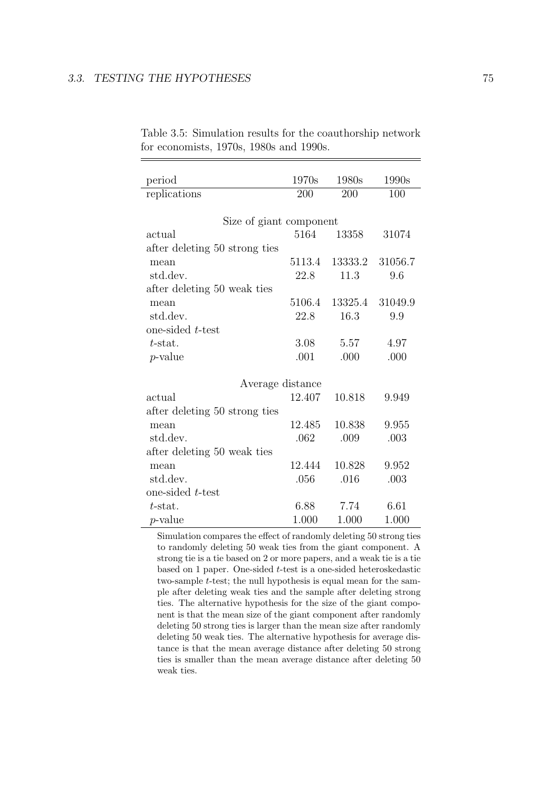| period                        | 1970s  | 1980s   | 1990s   |
|-------------------------------|--------|---------|---------|
| replications                  | 200    | 200     | 100     |
|                               |        |         |         |
| Size of giant component       |        |         |         |
| actual                        | 5164   | 13358   | 31074   |
| after deleting 50 strong ties |        |         |         |
| mean                          | 5113.4 | 13333.2 | 31056.7 |
| std.dev.                      | 22.8   | 11.3    | 9.6     |
| after deleting 50 weak ties   |        |         |         |
| mean                          | 5106.4 | 13325.4 | 31049.9 |
| std.dev.                      | 22.8   | 16.3    | 9.9     |
| one-sided t-test              |        |         |         |
| $t$ -stat.                    | 3.08   | 5.57    | 4.97    |
| $p$ -value                    | .001   | .000    | .000    |
|                               |        |         |         |
| Average distance              |        |         |         |
| actual                        | 12.407 | 10.818  | 9.949   |
| after deleting 50 strong ties |        |         |         |
| mean                          | 12.485 | 10.838  | 9.955   |
| std.dev.                      | .062   | .009    | .003    |
| after deleting 50 weak ties   |        |         |         |
| mean                          | 12.444 | 10.828  | 9.952   |
| std.dev.                      | .056   | .016    | .003    |
| one-sided t-test              |        |         |         |
| $t$ -stat.                    | 6.88   | 7.74    | 6.61    |
| $p$ -value                    | 1.000  | 1.000   | 1.000   |

Table 3.5: Simulation results for the coauthorship network for economists, 1970s, 1980s and 1990s.

Simulation compares the effect of randomly deleting 50 strong ties to randomly deleting 50 weak ties from the giant component. A strong tie is a tie based on 2 or more papers, and a weak tie is a tie based on 1 paper. One-sided t-test is a one-sided heteroskedastic two-sample t-test; the null hypothesis is equal mean for the sample after deleting weak ties and the sample after deleting strong ties. The alternative hypothesis for the size of the giant component is that the mean size of the giant component after randomly deleting 50 strong ties is larger than the mean size after randomly deleting 50 weak ties. The alternative hypothesis for average distance is that the mean average distance after deleting 50 strong ties is smaller than the mean average distance after deleting 50 weak ties.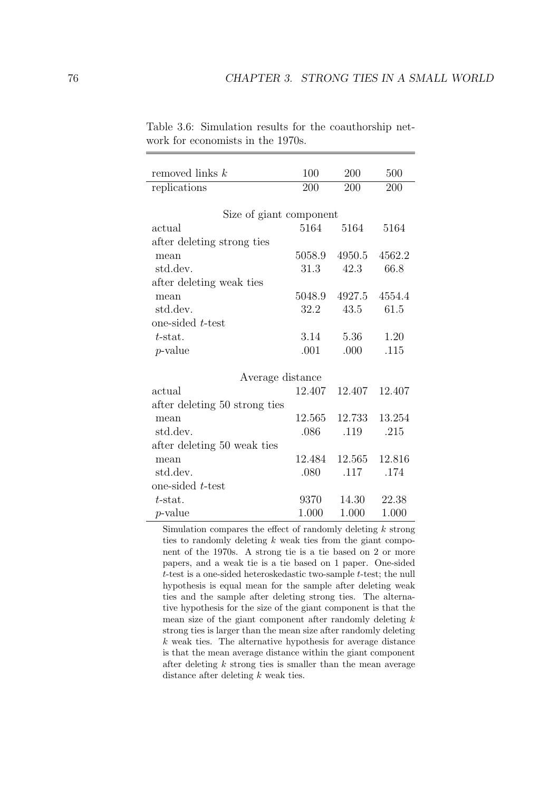| removed links $k$             | 100    | 200    | 500    |
|-------------------------------|--------|--------|--------|
| replications                  | 200    | 200    | 200    |
|                               |        |        |        |
| Size of giant component       |        |        |        |
| actual                        | 5164   | 5164   | 5164   |
| after deleting strong ties    |        |        |        |
| mean                          | 5058.9 | 4950.5 | 4562.2 |
| std.dev.                      | 31.3   | 42.3   | 66.8   |
| after deleting weak ties      |        |        |        |
| mean                          | 5048.9 | 4927.5 | 4554.4 |
| std.dev.                      | 32.2   | 43.5   | 61.5   |
| one-sided t-test              |        |        |        |
| $t$ -stat.                    | 3.14   | 5.36   | 1.20   |
| $p$ -value                    | .001   | .000   | .115   |
|                               |        |        |        |
| Average distance              |        |        |        |
| actual                        | 12.407 | 12.407 | 12.407 |
| after deleting 50 strong ties |        |        |        |
| mean                          | 12.565 | 12.733 | 13.254 |
| std.dev.                      | .086   | .119   | .215   |
| after deleting 50 weak ties   |        |        |        |
| mean                          | 12.484 | 12.565 | 12.816 |
| std.dev.                      | .080   | .117   | .174   |
| one-sided t-test              |        |        |        |
| $t$ -stat.                    | 9370   | 14.30  | 22.38  |
| $p$ -value                    | 1.000  | 1.000  | 1.000  |

Table 3.6: Simulation results for the coauthorship network for economists in the 1970s.

Simulation compares the effect of randomly deleting  $k$  strong ties to randomly deleting  $k$  weak ties from the giant component of the 1970s. A strong tie is a tie based on 2 or more papers, and a weak tie is a tie based on 1 paper. One-sided t-test is a one-sided heteroskedastic two-sample t-test; the null hypothesis is equal mean for the sample after deleting weak ties and the sample after deleting strong ties. The alternative hypothesis for the size of the giant component is that the mean size of the giant component after randomly deleting  $k$ strong ties is larger than the mean size after randomly deleting  $k$  weak ties. The alternative hypothesis for average distance is that the mean average distance within the giant component after deleting  $k$  strong ties is smaller than the mean average distance after deleting k weak ties.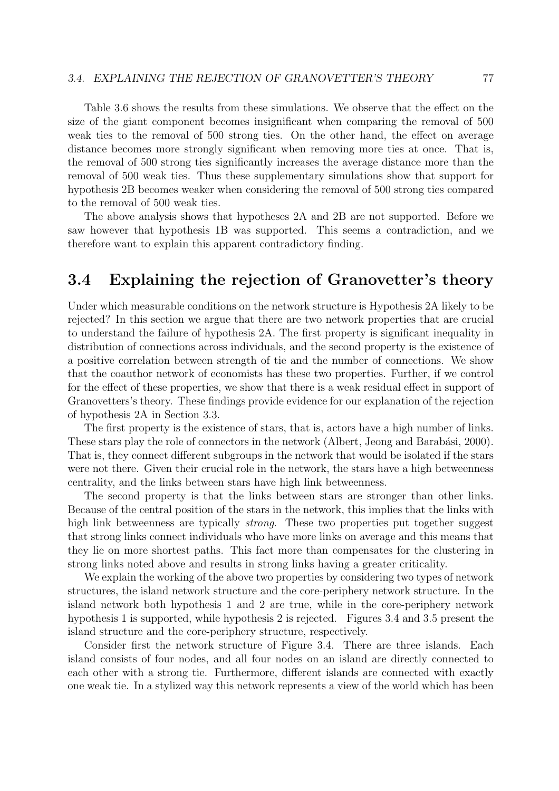Table 3.6 shows the results from these simulations. We observe that the effect on the size of the giant component becomes insignificant when comparing the removal of 500 weak ties to the removal of 500 strong ties. On the other hand, the effect on average distance becomes more strongly significant when removing more ties at once. That is, the removal of 500 strong ties significantly increases the average distance more than the removal of 500 weak ties. Thus these supplementary simulations show that support for hypothesis 2B becomes weaker when considering the removal of 500 strong ties compared to the removal of 500 weak ties.

The above analysis shows that hypotheses 2A and 2B are not supported. Before we saw however that hypothesis 1B was supported. This seems a contradiction, and we therefore want to explain this apparent contradictory finding.

## 3.4 Explaining the rejection of Granovetter's theory

Under which measurable conditions on the network structure is Hypothesis 2A likely to be rejected? In this section we argue that there are two network properties that are crucial to understand the failure of hypothesis 2A. The first property is significant inequality in distribution of connections across individuals, and the second property is the existence of a positive correlation between strength of tie and the number of connections. We show that the coauthor network of economists has these two properties. Further, if we control for the effect of these properties, we show that there is a weak residual effect in support of Granovetters's theory. These findings provide evidence for our explanation of the rejection of hypothesis 2A in Section 3.3.

The first property is the existence of stars, that is, actors have a high number of links. These stars play the role of connectors in the network (Albert, Jeong and Barabási, 2000). That is, they connect different subgroups in the network that would be isolated if the stars were not there. Given their crucial role in the network, the stars have a high betweenness centrality, and the links between stars have high link betweenness.

The second property is that the links between stars are stronger than other links. Because of the central position of the stars in the network, this implies that the links with high link betweenness are typically *strong*. These two properties put together suggest that strong links connect individuals who have more links on average and this means that they lie on more shortest paths. This fact more than compensates for the clustering in strong links noted above and results in strong links having a greater criticality.

We explain the working of the above two properties by considering two types of network structures, the island network structure and the core-periphery network structure. In the island network both hypothesis 1 and 2 are true, while in the core-periphery network hypothesis 1 is supported, while hypothesis 2 is rejected. Figures 3.4 and 3.5 present the island structure and the core-periphery structure, respectively.

Consider first the network structure of Figure 3.4. There are three islands. Each island consists of four nodes, and all four nodes on an island are directly connected to each other with a strong tie. Furthermore, different islands are connected with exactly one weak tie. In a stylized way this network represents a view of the world which has been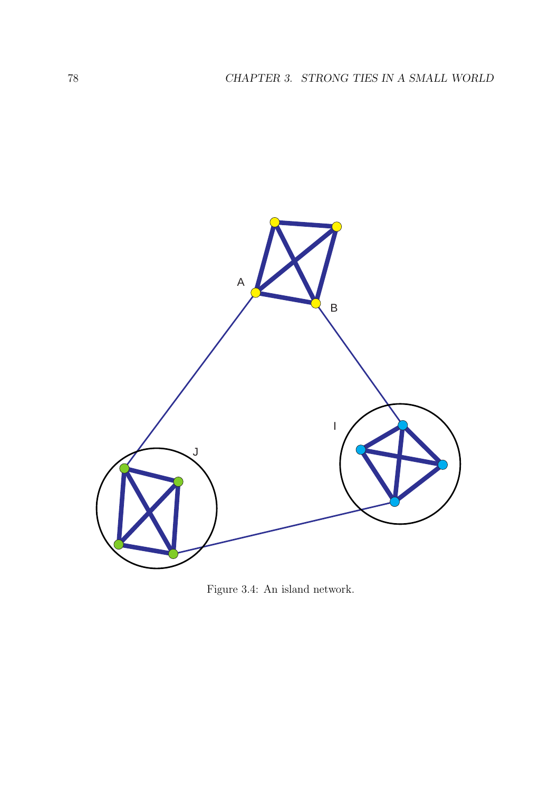

Figure 3.4: An island network.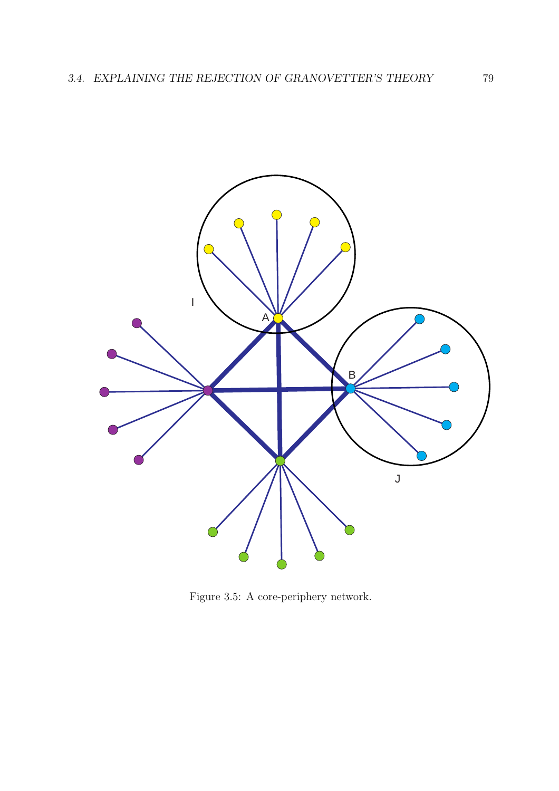

Figure 3.5: A core-periphery network.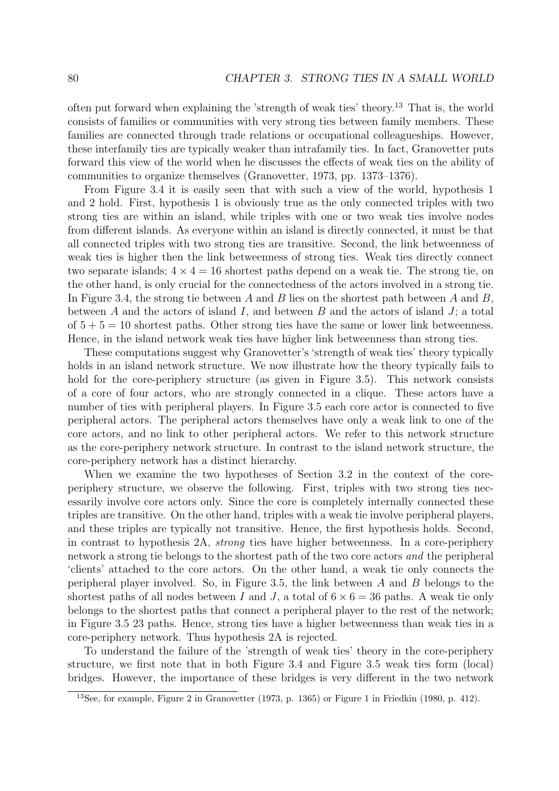often put forward when explaining the 'strength of weak ties' theory.<sup>13</sup> That is, the world consists of families or communities with very strong ties between family members. These families are connected through trade relations or occupational colleagueships. However, these interfamily ties are typically weaker than intrafamily ties. In fact, Granovetter puts forward this view of the world when he discusses the effects of weak ties on the ability of communities to organize themselves (Granovetter, 1973, pp. 1373–1376).

From Figure 3.4 it is easily seen that with such a view of the world, hypothesis 1 and 2 hold. First, hypothesis 1 is obviously true as the only connected triples with two strong ties are within an island, while triples with one or two weak ties involve nodes from different islands. As everyone within an island is directly connected, it must be that all connected triples with two strong ties are transitive. Second, the link betweenness of weak ties is higher then the link betweenness of strong ties. Weak ties directly connect two separate islands;  $4 \times 4 = 16$  shortest paths depend on a weak tie. The strong tie, on the other hand, is only crucial for the connectedness of the actors involved in a strong tie. In Figure 3.4, the strong tie between A and B lies on the shortest path between A and B, between A and the actors of island I, and between B and the actors of island  $J$ ; a total of  $5 + 5 = 10$  shortest paths. Other strong ties have the same or lower link betweenness. Hence, in the island network weak ties have higher link betweenness than strong ties.

These computations suggest why Granovetter's 'strength of weak ties' theory typically holds in an island network structure. We now illustrate how the theory typically fails to hold for the core-periphery structure (as given in Figure 3.5). This network consists of a core of four actors, who are strongly connected in a clique. These actors have a number of ties with peripheral players. In Figure 3.5 each core actor is connected to five peripheral actors. The peripheral actors themselves have only a weak link to one of the core actors, and no link to other peripheral actors. We refer to this network structure as the core-periphery network structure. In contrast to the island network structure, the core-periphery network has a distinct hierarchy.

When we examine the two hypotheses of Section 3.2 in the context of the coreperiphery structure, we observe the following. First, triples with two strong ties necessarily involve core actors only. Since the core is completely internally connected these triples are transitive. On the other hand, triples with a weak tie involve peripheral players, and these triples are typically not transitive. Hence, the first hypothesis holds. Second, in contrast to hypothesis 2A, strong ties have higher betweenness. In a core-periphery network a strong tie belongs to the shortest path of the two core actors and the peripheral 'clients' attached to the core actors. On the other hand, a weak tie only connects the peripheral player involved. So, in Figure 3.5, the link between  $A$  and  $B$  belongs to the shortest paths of all nodes between I and J, a total of  $6 \times 6 = 36$  paths. A weak tie only belongs to the shortest paths that connect a peripheral player to the rest of the network; in Figure 3.5 23 paths. Hence, strong ties have a higher betweenness than weak ties in a core-periphery network. Thus hypothesis 2A is rejected.

To understand the failure of the 'strength of weak ties' theory in the core-periphery structure, we first note that in both Figure 3.4 and Figure 3.5 weak ties form (local) bridges. However, the importance of these bridges is very different in the two network

<sup>13</sup>See, for example, Figure 2 in Granovetter (1973, p. 1365) or Figure 1 in Friedkin (1980, p. 412).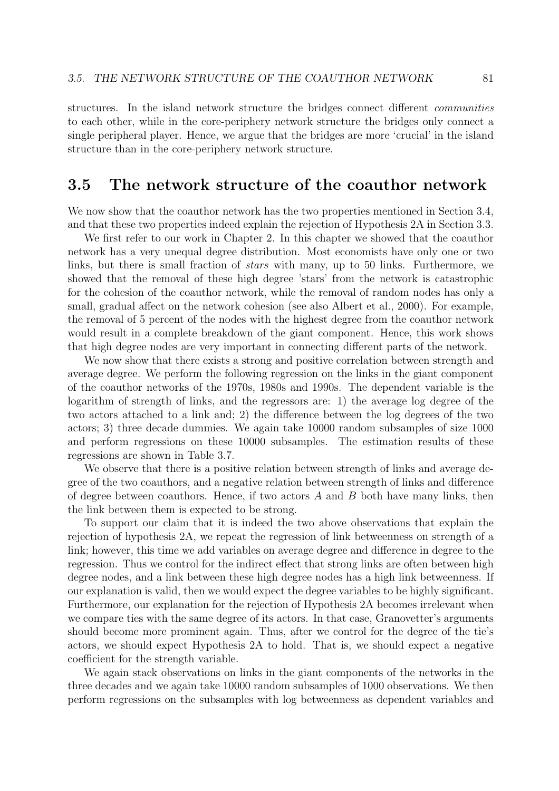structures. In the island network structure the bridges connect different communities to each other, while in the core-periphery network structure the bridges only connect a single peripheral player. Hence, we argue that the bridges are more 'crucial' in the island structure than in the core-periphery network structure.

### 3.5 The network structure of the coauthor network

We now show that the coauthor network has the two properties mentioned in Section 3.4, and that these two properties indeed explain the rejection of Hypothesis 2A in Section 3.3.

We first refer to our work in Chapter 2. In this chapter we showed that the coauthor network has a very unequal degree distribution. Most economists have only one or two links, but there is small fraction of stars with many, up to 50 links. Furthermore, we showed that the removal of these high degree 'stars' from the network is catastrophic for the cohesion of the coauthor network, while the removal of random nodes has only a small, gradual affect on the network cohesion (see also Albert et al., 2000). For example, the removal of 5 percent of the nodes with the highest degree from the coauthor network would result in a complete breakdown of the giant component. Hence, this work shows that high degree nodes are very important in connecting different parts of the network.

We now show that there exists a strong and positive correlation between strength and average degree. We perform the following regression on the links in the giant component of the coauthor networks of the 1970s, 1980s and 1990s. The dependent variable is the logarithm of strength of links, and the regressors are: 1) the average log degree of the two actors attached to a link and; 2) the difference between the log degrees of the two actors; 3) three decade dummies. We again take 10000 random subsamples of size 1000 and perform regressions on these 10000 subsamples. The estimation results of these regressions are shown in Table 3.7.

We observe that there is a positive relation between strength of links and average degree of the two coauthors, and a negative relation between strength of links and difference of degree between coauthors. Hence, if two actors  $A$  and  $B$  both have many links, then the link between them is expected to be strong.

To support our claim that it is indeed the two above observations that explain the rejection of hypothesis 2A, we repeat the regression of link betweenness on strength of a link; however, this time we add variables on average degree and difference in degree to the regression. Thus we control for the indirect effect that strong links are often between high degree nodes, and a link between these high degree nodes has a high link betweenness. If our explanation is valid, then we would expect the degree variables to be highly significant. Furthermore, our explanation for the rejection of Hypothesis 2A becomes irrelevant when we compare ties with the same degree of its actors. In that case, Granovetter's arguments should become more prominent again. Thus, after we control for the degree of the tie's actors, we should expect Hypothesis 2A to hold. That is, we should expect a negative coefficient for the strength variable.

We again stack observations on links in the giant components of the networks in the three decades and we again take 10000 random subsamples of 1000 observations. We then perform regressions on the subsamples with log betweenness as dependent variables and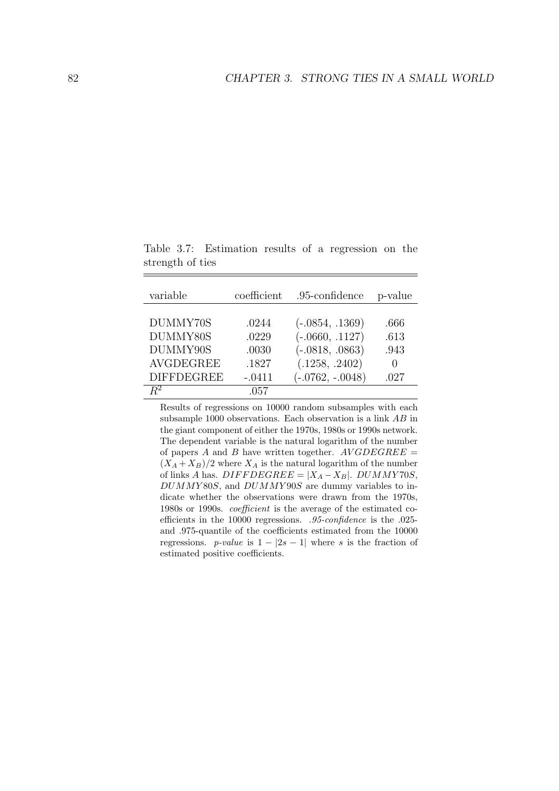Table 3.7: Estimation results of a regression on the strength of ties

| variable          | coefficient | .95-confidence     | p-value  |
|-------------------|-------------|--------------------|----------|
|                   |             |                    |          |
| DUMMY70S          | .0244       | $(-.0854, .1369)$  | .666     |
| DUMMY80S          | .0229       | $(-.0660, .1127)$  | .613     |
| DUMMY90S          | .0030       | $(-.0818, .0863)$  | .943     |
| <b>AVGDEGREE</b>  | .1827       | (.1258, .2402)     | $\theta$ |
| <b>DIFFDEGREE</b> | $-.0411$    | $(-.0762, -.0048)$ | -027     |
| $_{D2}$           | -057        |                    |          |

Results of regressions on 10000 random subsamples with each subsample 1000 observations. Each observation is a link AB in the giant component of either the 1970s, 1980s or 1990s network. The dependent variable is the natural logarithm of the number of papers A and B have written together.  $AVGDEGREE =$  $(X_A + X_B)/2$  where  $X_A$  is the natural logarithm of the number of links A has.  $DIFFDEGREE = |X_A - X_B|$ .  $DUMMY70S$ ,  $DUMMY80S$ , and  $DUMMY90S$  are dummy variables to indicate whether the observations were drawn from the 1970s, 1980s or 1990s. coefficient is the average of the estimated coefficients in the 10000 regressions. .95-confidence is the .025 and .975-quantile of the coefficients estimated from the 10000 regressions. *p-value* is  $1 - |2s - 1|$  where s is the fraction of estimated positive coefficients.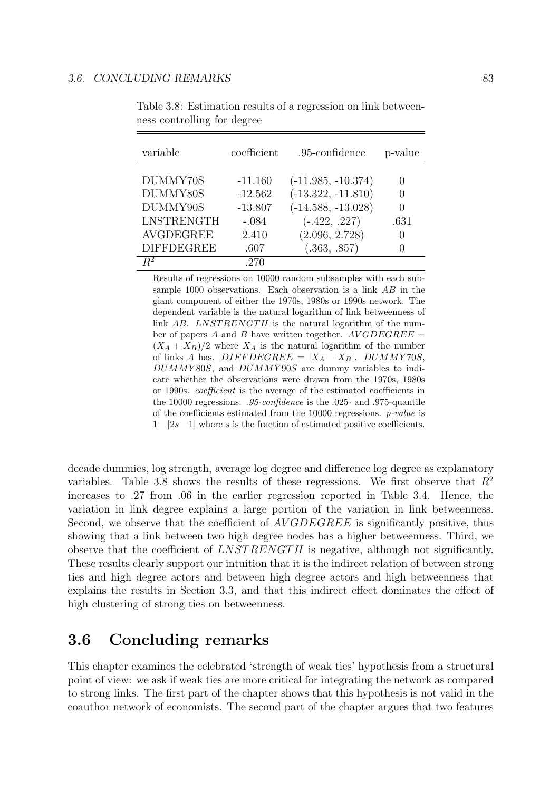| variable          | coefficient | .95-confidence       | p-value          |
|-------------------|-------------|----------------------|------------------|
|                   |             |                      |                  |
| DUMMY70S          | $-11.160$   | $(-11.985, -10.374)$ | $\left( \right)$ |
| DUMMY80S          | $-12.562$   | $(-13.322, -11.810)$ | $\left( \right)$ |
| DUMMY90S          | $-13.807$   | $(-14.588, -13.028)$ | $\left( \right)$ |
| <b>LNSTRENGTH</b> | $-.084$     | $(-.422, .227)$      | .631             |
| <b>AVGDEGREE</b>  | 2.410       | (2.096, 2.728)       | $\theta$         |
| <b>DIFFDEGREE</b> | .607        | (.363, .857)         | 0                |
| $D^2$             | 270         |                      |                  |

Table 3.8: Estimation results of a regression on link betweenness controlling for degree

Results of regressions on 10000 random subsamples with each subsample 1000 observations. Each observation is a link AB in the giant component of either the 1970s, 1980s or 1990s network. The dependent variable is the natural logarithm of link betweenness of link AB. LNSTRENGTH is the natural logarithm of the number of papers A and B have written together.  $AVGDEGREE =$  $(X_A + X_B)/2$  where  $X_A$  is the natural logarithm of the number of links A has.  $DIFFDEGRE = |X_A - X_B|$ .  $DUMMY70S$ ,  $DUMMY 80S$ , and  $DUMMY 90S$  are dummy variables to indicate whether the observations were drawn from the 1970s, 1980s or 1990s. coefficient is the average of the estimated coefficients in the 10000 regressions. .95-confidence is the .025- and .975-quantile of the coefficients estimated from the 10000 regressions. p-value is  $1-|2s-1|$  where s is the fraction of estimated positive coefficients.

decade dummies, log strength, average log degree and difference log degree as explanatory variables. Table 3.8 shows the results of these regressions. We first observe that  $R^2$ increases to .27 from .06 in the earlier regression reported in Table 3.4. Hence, the variation in link degree explains a large portion of the variation in link betweenness. Second, we observe that the coefficient of AVGDEGREE is significantly positive, thus showing that a link between two high degree nodes has a higher betweenness. Third, we observe that the coefficient of  $LNSTRENGTH$  is negative, although not significantly. These results clearly support our intuition that it is the indirect relation of between strong ties and high degree actors and between high degree actors and high betweenness that explains the results in Section 3.3, and that this indirect effect dominates the effect of high clustering of strong ties on betweenness.

## 3.6 Concluding remarks

This chapter examines the celebrated 'strength of weak ties' hypothesis from a structural point of view: we ask if weak ties are more critical for integrating the network as compared to strong links. The first part of the chapter shows that this hypothesis is not valid in the coauthor network of economists. The second part of the chapter argues that two features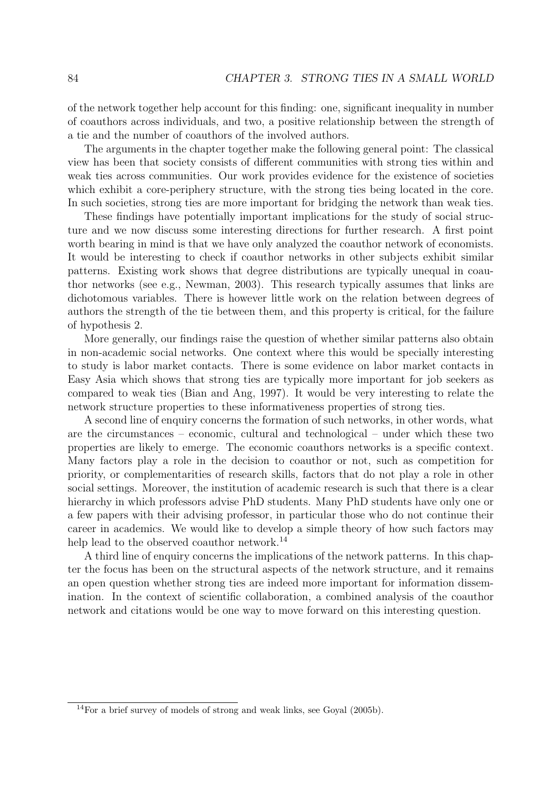of the network together help account for this finding: one, significant inequality in number of coauthors across individuals, and two, a positive relationship between the strength of a tie and the number of coauthors of the involved authors.

The arguments in the chapter together make the following general point: The classical view has been that society consists of different communities with strong ties within and weak ties across communities. Our work provides evidence for the existence of societies which exhibit a core-periphery structure, with the strong ties being located in the core. In such societies, strong ties are more important for bridging the network than weak ties.

These findings have potentially important implications for the study of social structure and we now discuss some interesting directions for further research. A first point worth bearing in mind is that we have only analyzed the coauthor network of economists. It would be interesting to check if coauthor networks in other subjects exhibit similar patterns. Existing work shows that degree distributions are typically unequal in coauthor networks (see e.g., Newman, 2003). This research typically assumes that links are dichotomous variables. There is however little work on the relation between degrees of authors the strength of the tie between them, and this property is critical, for the failure of hypothesis 2.

More generally, our findings raise the question of whether similar patterns also obtain in non-academic social networks. One context where this would be specially interesting to study is labor market contacts. There is some evidence on labor market contacts in Easy Asia which shows that strong ties are typically more important for job seekers as compared to weak ties (Bian and Ang, 1997). It would be very interesting to relate the network structure properties to these informativeness properties of strong ties.

A second line of enquiry concerns the formation of such networks, in other words, what are the circumstances – economic, cultural and technological – under which these two properties are likely to emerge. The economic coauthors networks is a specific context. Many factors play a role in the decision to coauthor or not, such as competition for priority, or complementarities of research skills, factors that do not play a role in other social settings. Moreover, the institution of academic research is such that there is a clear hierarchy in which professors advise PhD students. Many PhD students have only one or a few papers with their advising professor, in particular those who do not continue their career in academics. We would like to develop a simple theory of how such factors may help lead to the observed coauthor network.<sup>14</sup>

A third line of enquiry concerns the implications of the network patterns. In this chapter the focus has been on the structural aspects of the network structure, and it remains an open question whether strong ties are indeed more important for information dissemination. In the context of scientific collaboration, a combined analysis of the coauthor network and citations would be one way to move forward on this interesting question.

<sup>14</sup>For a brief survey of models of strong and weak links, see Goyal (2005b).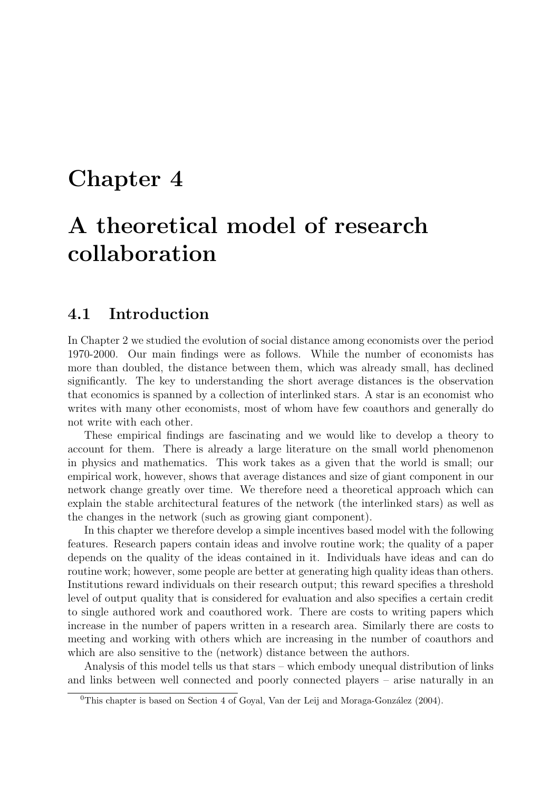## Chapter 4

## A theoretical model of research collaboration

## 4.1 Introduction

In Chapter 2 we studied the evolution of social distance among economists over the period 1970-2000. Our main findings were as follows. While the number of economists has more than doubled, the distance between them, which was already small, has declined significantly. The key to understanding the short average distances is the observation that economics is spanned by a collection of interlinked stars. A star is an economist who writes with many other economists, most of whom have few coauthors and generally do not write with each other.

These empirical findings are fascinating and we would like to develop a theory to account for them. There is already a large literature on the small world phenomenon in physics and mathematics. This work takes as a given that the world is small; our empirical work, however, shows that average distances and size of giant component in our network change greatly over time. We therefore need a theoretical approach which can explain the stable architectural features of the network (the interlinked stars) as well as the changes in the network (such as growing giant component).

In this chapter we therefore develop a simple incentives based model with the following features. Research papers contain ideas and involve routine work; the quality of a paper depends on the quality of the ideas contained in it. Individuals have ideas and can do routine work; however, some people are better at generating high quality ideas than others. Institutions reward individuals on their research output; this reward specifies a threshold level of output quality that is considered for evaluation and also specifies a certain credit to single authored work and coauthored work. There are costs to writing papers which increase in the number of papers written in a research area. Similarly there are costs to meeting and working with others which are increasing in the number of coauthors and which are also sensitive to the (network) distance between the authors.

Analysis of this model tells us that stars – which embody unequal distribution of links and links between well connected and poorly connected players – arise naturally in an

 $0$ This chapter is based on Section 4 of Goyal, Van der Leij and Moraga-González (2004).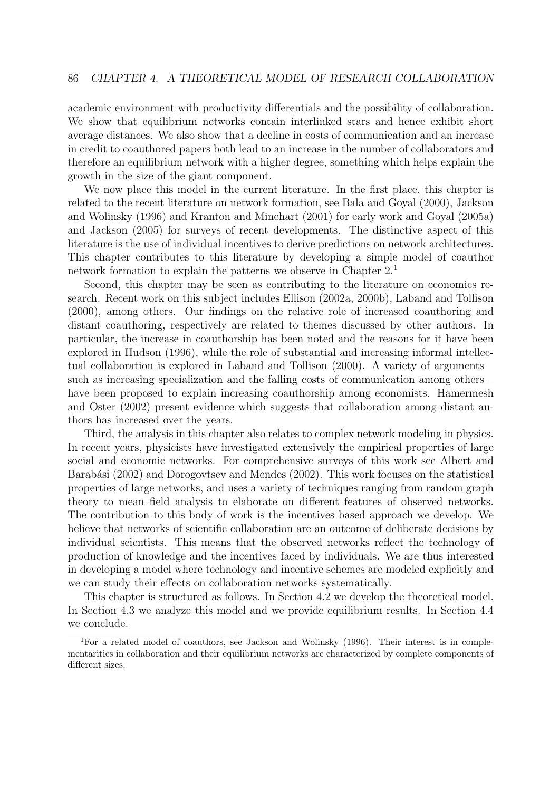academic environment with productivity differentials and the possibility of collaboration. We show that equilibrium networks contain interlinked stars and hence exhibit short average distances. We also show that a decline in costs of communication and an increase in credit to coauthored papers both lead to an increase in the number of collaborators and therefore an equilibrium network with a higher degree, something which helps explain the growth in the size of the giant component.

We now place this model in the current literature. In the first place, this chapter is related to the recent literature on network formation, see Bala and Goyal (2000), Jackson and Wolinsky (1996) and Kranton and Minehart (2001) for early work and Goyal (2005a) and Jackson (2005) for surveys of recent developments. The distinctive aspect of this literature is the use of individual incentives to derive predictions on network architectures. This chapter contributes to this literature by developing a simple model of coauthor network formation to explain the patterns we observe in Chapter  $2<sup>1</sup>$ 

Second, this chapter may be seen as contributing to the literature on economics research. Recent work on this subject includes Ellison (2002a, 2000b), Laband and Tollison (2000), among others. Our findings on the relative role of increased coauthoring and distant coauthoring, respectively are related to themes discussed by other authors. In particular, the increase in coauthorship has been noted and the reasons for it have been explored in Hudson (1996), while the role of substantial and increasing informal intellectual collaboration is explored in Laband and Tollison (2000). A variety of arguments – such as increasing specialization and the falling costs of communication among others – have been proposed to explain increasing coauthorship among economists. Hamermesh and Oster (2002) present evidence which suggests that collaboration among distant authors has increased over the years.

Third, the analysis in this chapter also relates to complex network modeling in physics. In recent years, physicists have investigated extensively the empirical properties of large social and economic networks. For comprehensive surveys of this work see Albert and Barabási (2002) and Dorogovtsev and Mendes (2002). This work focuses on the statistical properties of large networks, and uses a variety of techniques ranging from random graph theory to mean field analysis to elaborate on different features of observed networks. The contribution to this body of work is the incentives based approach we develop. We believe that networks of scientific collaboration are an outcome of deliberate decisions by individual scientists. This means that the observed networks reflect the technology of production of knowledge and the incentives faced by individuals. We are thus interested in developing a model where technology and incentive schemes are modeled explicitly and we can study their effects on collaboration networks systematically.

This chapter is structured as follows. In Section 4.2 we develop the theoretical model. In Section 4.3 we analyze this model and we provide equilibrium results. In Section 4.4 we conclude.

<sup>&</sup>lt;sup>1</sup>For a related model of coauthors, see Jackson and Wolinsky (1996). Their interest is in complementarities in collaboration and their equilibrium networks are characterized by complete components of different sizes.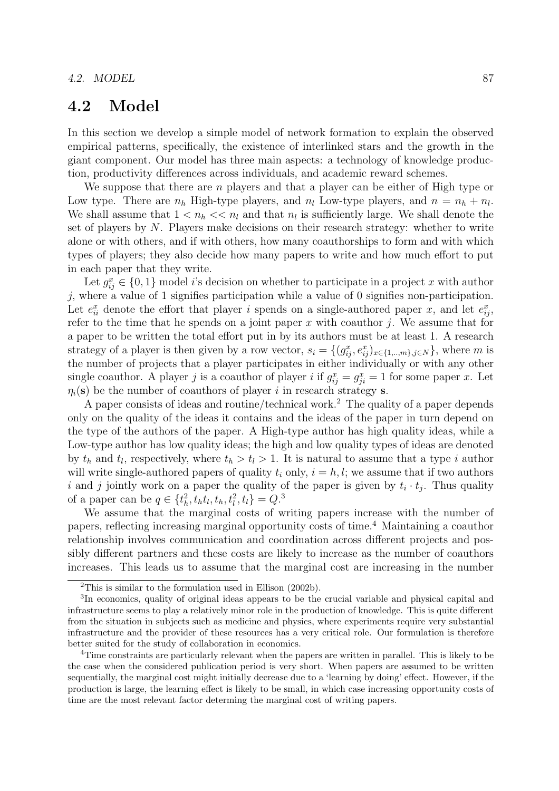### 4.2. MODEL 87

## 4.2 Model

In this section we develop a simple model of network formation to explain the observed empirical patterns, specifically, the existence of interlinked stars and the growth in the giant component. Our model has three main aspects: a technology of knowledge production, productivity differences across individuals, and academic reward schemes.

We suppose that there are  $n$  players and that a player can be either of High type or Low type. There are  $n_h$  High-type players, and  $n_l$  Low-type players, and  $n = n_h + n_l$ . We shall assume that  $1 < n_h \ll n_l$  and that  $n_l$  is sufficiently large. We shall denote the set of players by N. Players make decisions on their research strategy: whether to write alone or with others, and if with others, how many coauthorships to form and with which types of players; they also decide how many papers to write and how much effort to put in each paper that they write.

Let  $g_{ij}^x \in \{0,1\}$  model i's decision on whether to participate in a project x with author  $j$ , where a value of 1 signifies participation while a value of 0 signifies non-participation. Let  $e_{ii}^x$  denote the effort that player i spends on a single-authored paper x, and let  $e_{ij}^x$ , refer to the time that he spends on a joint paper  $x$  with coauthor  $j$ . We assume that for a paper to be written the total effort put in by its authors must be at least 1. A research strategy of a player is then given by a row vector,  $s_i = \{(g_{ij}^x, e_{ij}^x)_{x \in \{1, \ldots, m\}, j \in N}\}\,$ , where m is the number of projects that a player participates in either individually or with any other single coauthor. A player j is a coauthor of player i if  $g_{ij}^x = g_{ji}^x = 1$  for some paper x. Let  $\eta_i(\mathbf{s})$  be the number of coauthors of player i in research strategy s.

A paper consists of ideas and routine/technical work.<sup>2</sup> The quality of a paper depends only on the quality of the ideas it contains and the ideas of the paper in turn depend on the type of the authors of the paper. A High-type author has high quality ideas, while a Low-type author has low quality ideas; the high and low quality types of ideas are denoted by  $t_h$  and  $t_l$ , respectively, where  $t_h > t_l > 1$ . It is natural to assume that a type i author will write single-authored papers of quality  $t_i$  only,  $i = h, l$ ; we assume that if two authors i and j jointly work on a paper the quality of the paper is given by  $t_i \cdot t_j$ . Thus quality of a paper can be  $q \in \{t_h^2, t_h t_l, t_h, t_l^2, t_l\} = Q^{3}$ 

We assume that the marginal costs of writing papers increase with the number of papers, reflecting increasing marginal opportunity costs of time.<sup>4</sup> Maintaining a coauthor relationship involves communication and coordination across different projects and possibly different partners and these costs are likely to increase as the number of coauthors increases. This leads us to assume that the marginal cost are increasing in the number

<sup>2</sup>This is similar to the formulation used in Ellison (2002b).

<sup>&</sup>lt;sup>3</sup>In economics, quality of original ideas appears to be the crucial variable and physical capital and infrastructure seems to play a relatively minor role in the production of knowledge. This is quite different from the situation in subjects such as medicine and physics, where experiments require very substantial infrastructure and the provider of these resources has a very critical role. Our formulation is therefore better suited for the study of collaboration in economics.

<sup>&</sup>lt;sup>4</sup>Time constraints are particularly relevant when the papers are written in parallel. This is likely to be the case when the considered publication period is very short. When papers are assumed to be written sequentially, the marginal cost might initially decrease due to a 'learning by doing' effect. However, if the production is large, the learning effect is likely to be small, in which case increasing opportunity costs of time are the most relevant factor determing the marginal cost of writing papers.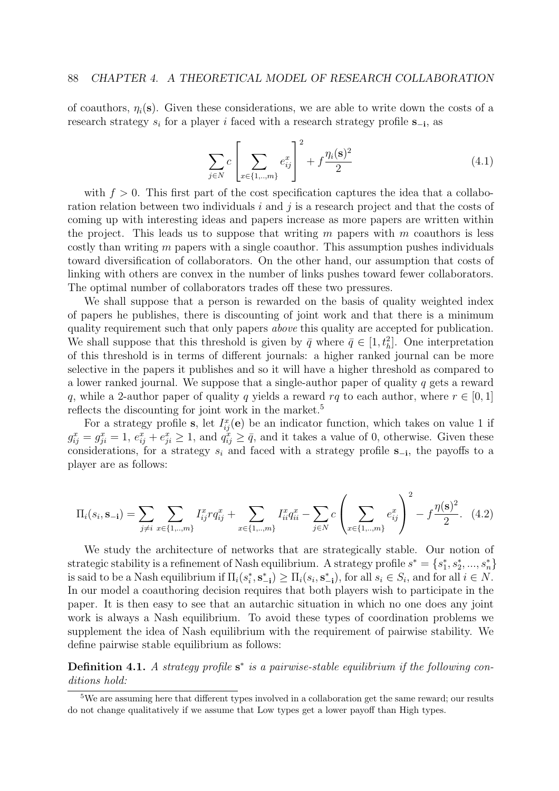of coauthors,  $\eta_i(\mathbf{s})$ . Given these considerations, we are able to write down the costs of a research strategy  $s_i$  for a player i faced with a research strategy profile  $s_{-i}$ , as

$$
\sum_{j \in N} c \left[ \sum_{x \in \{1, \dots, m\}} e_{ij}^x \right]^2 + f \frac{\eta_i(\mathbf{s})^2}{2} \tag{4.1}
$$

with  $f > 0$ . This first part of the cost specification captures the idea that a collaboration relation between two individuals i and j is a research project and that the costs of coming up with interesting ideas and papers increase as more papers are written within the project. This leads us to suppose that writing  $m$  papers with  $m$  coauthors is less costly than writing  $m$  papers with a single coauthor. This assumption pushes individuals toward diversification of collaborators. On the other hand, our assumption that costs of linking with others are convex in the number of links pushes toward fewer collaborators. The optimal number of collaborators trades off these two pressures.

We shall suppose that a person is rewarded on the basis of quality weighted index of papers he publishes, there is discounting of joint work and that there is a minimum quality requirement such that only papers above this quality are accepted for publication. We shall suppose that this threshold is given by  $\bar{q}$  where  $\bar{q} \in [1, t_h^2]$ . One interpretation of this threshold is in terms of different journals: a higher ranked journal can be more selective in the papers it publishes and so it will have a higher threshold as compared to a lower ranked journal. We suppose that a single-author paper of quality q gets a reward q, while a 2-author paper of quality q yields a reward rq to each author, where  $r \in [0, 1]$ reflects the discounting for joint work in the market.<sup>5</sup>

For a strategy profile s, let  $I_{ij}^x(e)$  be an indicator function, which takes on value 1 if  $g_{ij}^x = g_{ji}^x = 1, e_{ij}^x + e_{ji}^x \ge 1$ , and  $q_{ij}^x \ge \bar{q}$ , and it takes a value of 0, otherwise. Given these considerations, for a strategy  $s_i$  and faced with a strategy profile  $s_{-i}$ , the payoffs to a player are as follows:

$$
\Pi_i(s_i, \mathbf{s}_{-i}) = \sum_{j \neq i} \sum_{x \in \{1, \dots, m\}} I_{ij}^x r q_{ij}^x + \sum_{x \in \{1, \dots, m\}} I_{ii}^x q_{ii}^x - \sum_{j \in N} c \left( \sum_{x \in \{1, \dots, m\}} e_{ij}^x \right)^2 - f \frac{\eta(\mathbf{s})^2}{2}.
$$
 (4.2)

We study the architecture of networks that are strategically stable. Our notion of strategic stability is a refinement of Nash equilibrium. A strategy profile  $s^* = \{s_1^*, s_2^*, ..., s_n^*\}$ is said to be a Nash equilibrium if  $\Pi_i(s_i^*, \mathbf{s}_{-i}^*) \geq \Pi_i(s_i, \mathbf{s}_{-i}^*)$ , for all  $s_i \in S_i$ , and for all  $i \in N$ . In our model a coauthoring decision requires that both players wish to participate in the paper. It is then easy to see that an autarchic situation in which no one does any joint work is always a Nash equilibrium. To avoid these types of coordination problems we supplement the idea of Nash equilibrium with the requirement of pairwise stability. We define pairwise stable equilibrium as follows:

**Definition 4.1.** A strategy profile  $s^*$  is a pairwise-stable equilibrium if the following conditions hold:

 $5$ We are assuming here that different types involved in a collaboration get the same reward; our results do not change qualitatively if we assume that Low types get a lower payoff than High types.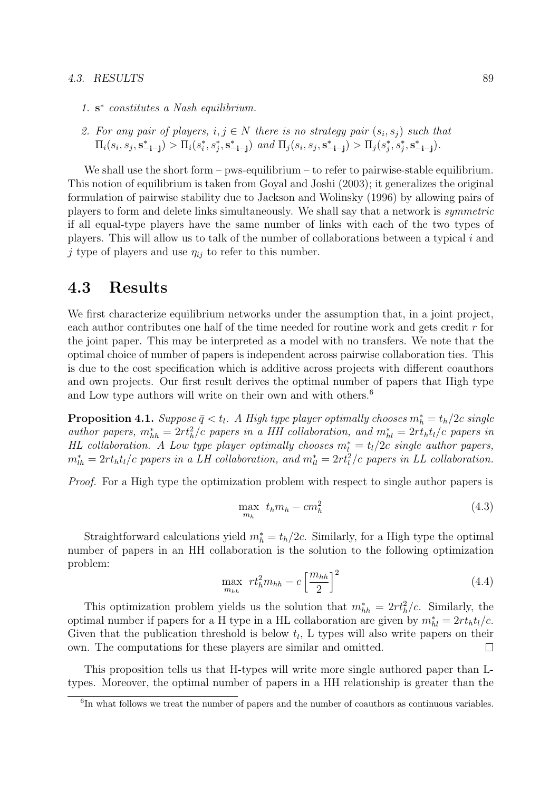#### 4.3. RESULTS 89

- 1. s<sup>\*</sup> constitutes a Nash equilibrium.
- 2. For any pair of players,  $i, j \in N$  there is no strategy pair  $(s_i, s_j)$  such that  $\Pi_i(s_i, s_j, \mathbf{s}_{-i-j}^*) > \Pi_i(s_i^*, s_j^*, \mathbf{s}_{-i-j}^*)$  and  $\Pi_j(s_i, s_j, \mathbf{s}_{-i-j}^*) > \Pi_j(s_j^*, s_j^*, \mathbf{s}_{-i-j}^*)$ .

We shall use the short form – pws-equilibrium – to refer to pairwise-stable equilibrium. This notion of equilibrium is taken from Goyal and Joshi (2003); it generalizes the original formulation of pairwise stability due to Jackson and Wolinsky (1996) by allowing pairs of players to form and delete links simultaneously. We shall say that a network is symmetric if all equal-type players have the same number of links with each of the two types of players. This will allow us to talk of the number of collaborations between a typical  $i$  and j type of players and use  $\eta_{ij}$  to refer to this number.

### 4.3 Results

We first characterize equilibrium networks under the assumption that, in a joint project, each author contributes one half of the time needed for routine work and gets credit r for the joint paper. This may be interpreted as a model with no transfers. We note that the optimal choice of number of papers is independent across pairwise collaboration ties. This is due to the cost specification which is additive across projects with different coauthors and own projects. Our first result derives the optimal number of papers that High type and Low type authors will write on their own and with others.<sup>6</sup>

**Proposition 4.1.** Suppose  $\bar{q} < t_l$ . A High type player optimally chooses  $m_h^* = t_h/2c$  single author papers,  $m_{hh}^* = 2rt_h^2/c$  papers in a HH collaboration, and  $m_{hl}^* = 2rt_ht_l/c$  papers in HL collaboration. A Low type player optimally chooses  $m_l^* = t_l/2c$  single author papers,  $m_{lh}^* = 2rt_ht_l/c$  papers in a LH collaboration, and  $m_{ll}^* = 2rt_l^2/c$  papers in LL collaboration.

*Proof.* For a High type the optimization problem with respect to single author papers is

$$
\max_{m_h} t_h m_h - c m_h^2 \tag{4.3}
$$

Straightforward calculations yield  $m_h^* = t_h/2c$ . Similarly, for a High type the optimal number of papers in an HH collaboration is the solution to the following optimization problem:

$$
\max_{m_{hh}} r t_h^2 m_{hh} - c \left[ \frac{m_{hh}}{2} \right]^2 \tag{4.4}
$$

This optimization problem yields us the solution that  $m_{hh}^* = 2rt_h^2/c$ . Similarly, the optimal number if papers for a H type in a HL collaboration are given by  $m_{hl}^* = 2rt_ht_l/c$ . Given that the publication threshold is below  $t_l$ , L types will also write papers on their own. The computations for these players are similar and omitted.  $\Box$ 

This proposition tells us that H-types will write more single authored paper than Ltypes. Moreover, the optimal number of papers in a HH relationship is greater than the

<sup>&</sup>lt;sup>6</sup>In what follows we treat the number of papers and the number of coauthors as continuous variables.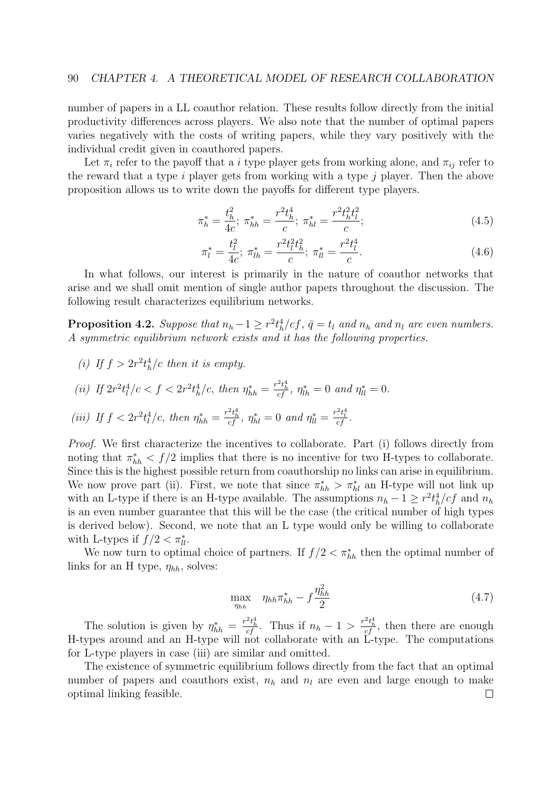number of papers in a LL coauthor relation. These results follow directly from the initial productivity differences across players. We also note that the number of optimal papers varies negatively with the costs of writing papers, while they vary positively with the individual credit given in coauthored papers.

Let  $\pi_i$  refer to the payoff that a *i* type player gets from working alone, and  $\pi_{ij}$  refer to the reward that a type i player gets from working with a type j player. Then the above proposition allows us to write down the payoffs for different type players.

$$
\pi_h^* = \frac{t_h^2}{4c}; \ \pi_{hh}^* = \frac{r^2 t_h^4}{c}; \ \pi_{hl}^* = \frac{r^2 t_h^2 t_l^2}{c}; \tag{4.5}
$$

$$
\pi_l^* = \frac{t_l^2}{4c}; \ \pi_{lh}^* = \frac{r^2 t_l^2 t_h^2}{c}; \ \pi_{ll}^* = \frac{r^2 t_l^4}{c}.
$$
\n(4.6)

In what follows, our interest is primarily in the nature of coauthor networks that arise and we shall omit mention of single author papers throughout the discussion. The following result characterizes equilibrium networks.

**Proposition 4.2.** Suppose that  $n_h - 1 \ge r^2 t_h^4 / cf$ ,  $\bar{q} = t_l$  and  $n_h$  and  $n_l$  are even numbers. A symmetric equilibrium network exists and it has the following properties.

(i) If  $f > 2r^2t_h^4/c$  then it is empty.

(ii) If  $2r^2t_l^4/c < f < 2r^2t_h^4/c$ , then  $\eta_{hh}^* = \frac{r^2t_h^4}{cf}$ ,  $\eta_{lh}^* = 0$  and  $\eta_{ll}^* = 0$ .

(iii) If 
$$
f < 2r^2t_l^4/c
$$
, then  $\eta_{hh}^* = \frac{r^2t_h^4}{cf}$ ,  $\eta_{hl}^* = 0$  and  $\eta_{ll}^* = \frac{r^2t_l^4}{cf}$ .

Proof. We first characterize the incentives to collaborate. Part (i) follows directly from noting that  $\pi_{hh}^* < f/2$  implies that there is no incentive for two H-types to collaborate. Since this is the highest possible return from coauthorship no links can arise in equilibrium. We now prove part (ii). First, we note that since  $\pi_{hh}^* > \pi_{hl}^*$  an H-type will not link up with an L-type if there is an H-type available. The assumptions  $n_h - 1 \geq r^2 t_h^4 / c f$  and  $n_h$ is an even number guarantee that this will be the case (the critical number of high types is derived below). Second, we note that an L type would only be willing to collaborate with L-types if  $f/2 < \pi_{ll}^*$ .

We now turn to optimal choice of partners. If  $f/2 < \pi_{hh}^*$  then the optimal number of links for an H type,  $\eta_{hh}$ , solves:

$$
\max_{\eta_{hh}} \quad \eta_{hh}\pi_{hh}^* - f\frac{\eta_{hh}^2}{2} \tag{4.7}
$$

The solution is given by  $\eta_{hh}^* = \frac{r^2 t_h^4}{c_f}$ . Thus if  $n_h - 1 > \frac{r^2 t_h^4}{c_f}$ , then there are enough H-types around and an H-type will not collaborate with an L-type. The computations for L-type players in case (iii) are similar and omitted.

The existence of symmetric equilibrium follows directly from the fact that an optimal number of papers and coauthors exist,  $n_h$  and  $n_l$  are even and large enough to make optimal linking feasible. $\Box$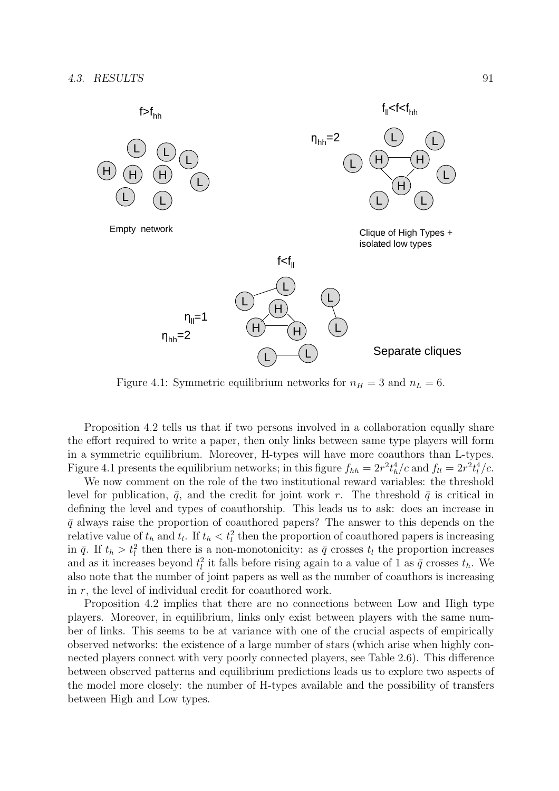

Figure 4.1: Symmetric equilibrium networks for  $n_H = 3$  and  $n_L = 6$ .

Proposition 4.2 tells us that if two persons involved in a collaboration equally share the effort required to write a paper, then only links between same type players will form in a symmetric equilibrium. Moreover, H-types will have more coauthors than L-types. Figure 4.1 presents the equilibrium networks; in this figure  $f_{hh} = 2r^2 t_h^4/c$  and  $f_{ll} = 2r^2 t_l^4/c$ .

We now comment on the role of the two institutional reward variables: the threshold level for publication,  $\bar{q}$ , and the credit for joint work r. The threshold  $\bar{q}$  is critical in defining the level and types of coauthorship. This leads us to ask: does an increase in  $\bar{q}$  always raise the proportion of coauthored papers? The answer to this depends on the relative value of  $t_h$  and  $t_l$ . If  $t_h < t_l^2$  then the proportion of coauthored papers is increasing in  $\bar{q}$ . If  $t_h > t_l^2$  then there is a non-monotonicity: as  $\bar{q}$  crosses  $t_l$  the proportion increases and as it increases beyond  $t_l^2$  it falls before rising again to a value of 1 as  $\bar{q}$  crosses  $t_h$ . We also note that the number of joint papers as well as the number of coauthors is increasing in  $r$ , the level of individual credit for coauthored work.

Proposition 4.2 implies that there are no connections between Low and High type players. Moreover, in equilibrium, links only exist between players with the same number of links. This seems to be at variance with one of the crucial aspects of empirically observed networks: the existence of a large number of stars (which arise when highly connected players connect with very poorly connected players, see Table 2.6). This difference between observed patterns and equilibrium predictions leads us to explore two aspects of the model more closely: the number of H-types available and the possibility of transfers between High and Low types.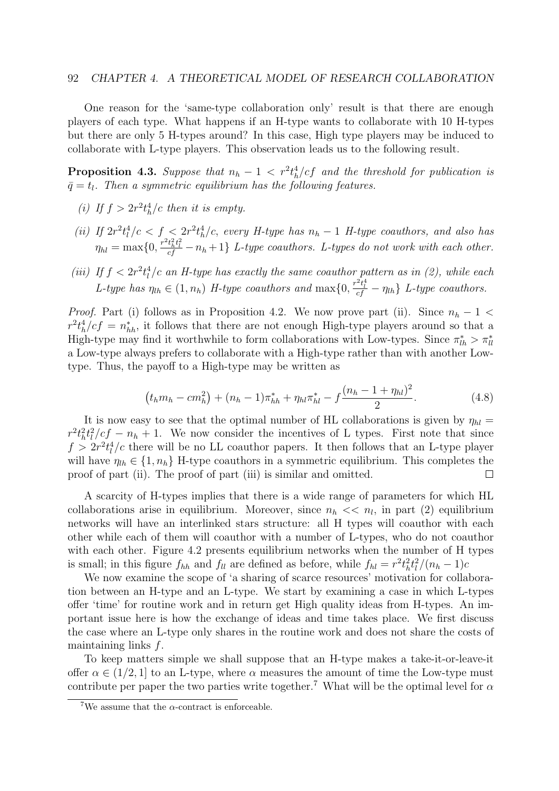One reason for the 'same-type collaboration only' result is that there are enough players of each type. What happens if an H-type wants to collaborate with 10 H-types but there are only 5 H-types around? In this case, High type players may be induced to collaborate with L-type players. This observation leads us to the following result.

**Proposition 4.3.** Suppose that  $n_h - 1 < r^2 t_h^4 / cf$  and the threshold for publication is  $\bar{q} = t_l$ . Then a symmetric equilibrium has the following features.

- (i) If  $f > 2r^2t_h^4/c$  then it is empty.
- (ii) If  $2r^2t_l^4/c < f < 2r^2t_h^4/c$ , every H-type has  $n_h 1$  H-type coauthors, and also has  $\eta_{hl} = \max\{0, \frac{r^2t_h^2t_l^2}{cf} - n_h + 1\}$  L-type coauthors. L-types do not work with each other.
- (iii) If  $f < 2r^2t_l^4/c$  an H-type has exactly the same coauthor pattern as in (2), while each L-type has  $\eta_{lh} \in (1, n_h)$  H-type coauthors and  $\max\{0, \frac{r^2t_l^4}{cf} - \eta_{lh}\}\$ L-type coauthors.

*Proof.* Part (i) follows as in Proposition 4.2. We now prove part (ii). Since  $n_h - 1$  <  $r^2t_h^4/cf = n_{hh}^*$ , it follows that there are not enough High-type players around so that a High-type may find it worthwhile to form collaborations with Low-types. Since  $\pi_{lh}^* > \pi_{ll}^*$ a Low-type always prefers to collaborate with a High-type rather than with another Lowtype. Thus, the payoff to a High-type may be written as

$$
(t_h m_h - c m_h^2) + (n_h - 1)\pi_{hh}^* + \eta_{hl}\pi_{hl}^* - f\frac{(n_h - 1 + \eta_{hl})^2}{2}.
$$
 (4.8)

It is now easy to see that the optimal number of HL collaborations is given by  $\eta_{hl} =$  $r^2t_h^2t_l^2/cf - n_h + 1$ . We now consider the incentives of L types. First note that since  $f > 2r^2t_l^4/c$  there will be no LL coauthor papers. It then follows that an L-type player will have  $\eta_{lh} \in \{1, n_h\}$  H-type coauthors in a symmetric equilibrium. This completes the proof of part (ii). The proof of part (iii) is similar and omitted.  $\Box$ 

A scarcity of H-types implies that there is a wide range of parameters for which HL collaborations arise in equilibrium. Moreover, since  $n_h \ll n_l$ , in part (2) equilibrium networks will have an interlinked stars structure: all H types will coauthor with each other while each of them will coauthor with a number of L-types, who do not coauthor with each other. Figure 4.2 presents equilibrium networks when the number of H types is small; in this figure  $f_{hh}$  and  $f_{ll}$  are defined as before, while  $f_{hl} = r^2 t_h^2 t_l^2/(n_h - 1)c$ 

We now examine the scope of 'a sharing of scarce resources' motivation for collaboration between an H-type and an L-type. We start by examining a case in which L-types offer 'time' for routine work and in return get High quality ideas from H-types. An important issue here is how the exchange of ideas and time takes place. We first discuss the case where an L-type only shares in the routine work and does not share the costs of maintaining links f.

To keep matters simple we shall suppose that an H-type makes a take-it-or-leave-it offer  $\alpha \in (1/2, 1]$  to an L-type, where  $\alpha$  measures the amount of time the Low-type must contribute per paper the two parties write together.<sup>7</sup> What will be the optimal level for  $\alpha$ 

<sup>&</sup>lt;sup>7</sup>We assume that the  $\alpha$ -contract is enforceable.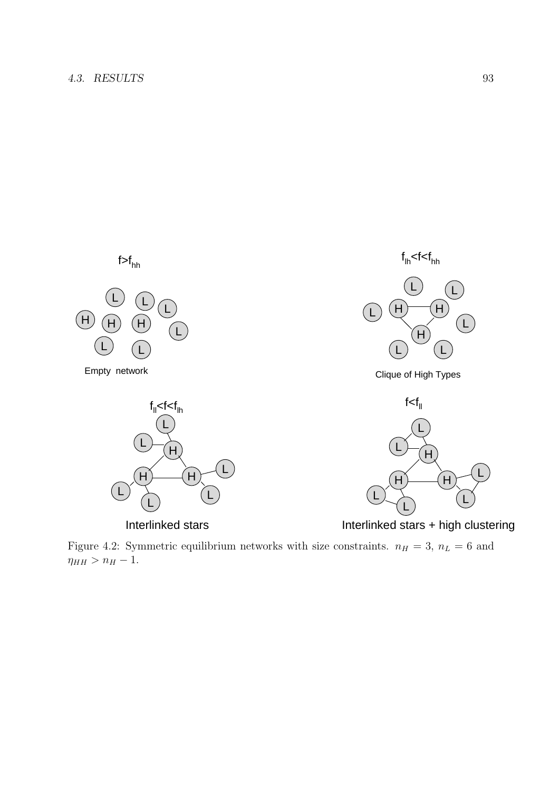

Figure 4.2: Symmetric equilibrium networks with size constraints.  $n_H = 3$ ,  $n_L = 6$  and  $\eta_{HH} > n_H - 1.$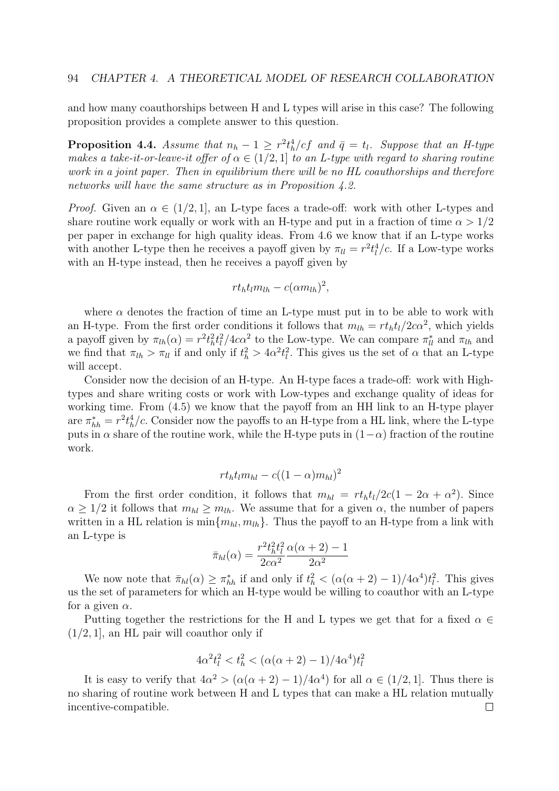and how many coauthorships between H and L types will arise in this case? The following proposition provides a complete answer to this question.

**Proposition 4.4.** Assume that  $n_h - 1 \ge r^2 t_h^4 / cf$  and  $\bar{q} = t_l$ . Suppose that an H-type makes a take-it-or-leave-it offer of  $\alpha \in (1/2, 1]$  to an L-type with regard to sharing routine work in a joint paper. Then in equilibrium there will be no HL coauthorships and therefore networks will have the same structure as in Proposition 4.2.

*Proof.* Given an  $\alpha \in (1/2, 1]$ , an L-type faces a trade-off: work with other L-types and share routine work equally or work with an H-type and put in a fraction of time  $\alpha > 1/2$ per paper in exchange for high quality ideas. From 4.6 we know that if an L-type works with another L-type then he receives a payoff given by  $\pi_{ll} = r^2 t_l^4/c$ . If a Low-type works with an H-type instead, then he receives a payoff given by

$$
rt_h t_l m_{lh} - c(\alpha m_{lh})^2,
$$

where  $\alpha$  denotes the fraction of time an L-type must put in to be able to work with an H-type. From the first order conditions it follows that  $m_{lh} = rt_h t_l/2c\alpha^2$ , which yields a payoff given by  $\pi_{lh}(\alpha) = r^2 t_h^2 t_l^2 / 4c\alpha^2$  to the Low-type. We can compare  $\pi_{ll}^*$  and  $\pi_{lh}$  and we find that  $\pi_{lh} > \pi_{ll}$  if and only if  $t_h^2 > 4\alpha^2 t_l^2$ . This gives us the set of  $\alpha$  that an L-type will accept.

Consider now the decision of an H-type. An H-type faces a trade-off: work with Hightypes and share writing costs or work with Low-types and exchange quality of ideas for working time. From (4.5) we know that the payoff from an HH link to an H-type player are  $\pi_{hh}^* = r^2 t_h^4/c$ . Consider now the payoffs to an H-type from a HL link, where the L-type puts in  $\alpha$  share of the routine work, while the H-type puts in  $(1-\alpha)$  fraction of the routine work.

$$
rt_ht_l m_{hl} - c((1-\alpha)m_{hl})^2
$$

From the first order condition, it follows that  $m_{hl} = rt_h t_l/2c(1 - 2\alpha + \alpha^2)$ . Since  $\alpha \geq 1/2$  it follows that  $m_{hl} \geq m_{lh}$ . We assume that for a given  $\alpha$ , the number of papers written in a HL relation is  $\min\{m_{hl}, m_{lh}\}\$ . Thus the payoff to an H-type from a link with an L-type is

$$
\bar{\pi}_{hl}(\alpha) = \frac{r^2 t_h^2 t_l^2}{2c\alpha^2} \frac{\alpha(\alpha+2)-1}{2\alpha^2}
$$

We now note that  $\bar{\pi}_{hl}(\alpha) \geq \pi_{hh}^*$  if and only if  $t_h^2 < (\alpha(\alpha+2)-1)/4\alpha^4)t_l^2$ . This gives us the set of parameters for which an H-type would be willing to coauthor with an L-type for a given  $\alpha$ .

Putting together the restrictions for the H and L types we get that for a fixed  $\alpha \in$  $(1/2, 1]$ , an HL pair will coauthor only if

$$
4\alpha^2 t_l^2 < t_h^2 < (\alpha(\alpha + 2) - 1)/4\alpha^4)t_l^2
$$

It is easy to verify that  $4\alpha^2 > (\alpha(\alpha+2)-1)/4\alpha^4$  for all  $\alpha \in (1/2,1]$ . Thus there is no sharing of routine work between H and L types that can make a HL relation mutually incentive-compatible. $\Box$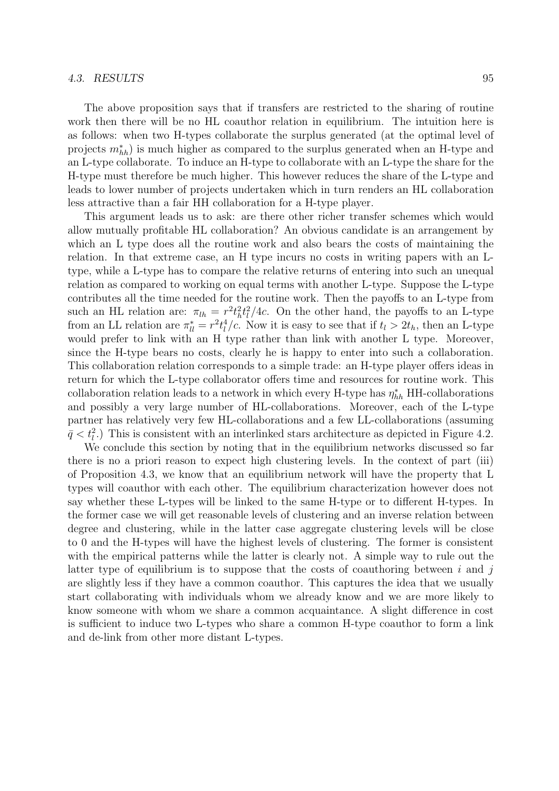#### 4.3. RESULTS 95

The above proposition says that if transfers are restricted to the sharing of routine work then there will be no HL coauthor relation in equilibrium. The intuition here is as follows: when two H-types collaborate the surplus generated (at the optimal level of projects  $m_{hh}^*$ ) is much higher as compared to the surplus generated when an H-type and an L-type collaborate. To induce an H-type to collaborate with an L-type the share for the H-type must therefore be much higher. This however reduces the share of the L-type and leads to lower number of projects undertaken which in turn renders an HL collaboration less attractive than a fair HH collaboration for a H-type player.

This argument leads us to ask: are there other richer transfer schemes which would allow mutually profitable HL collaboration? An obvious candidate is an arrangement by which an L type does all the routine work and also bears the costs of maintaining the relation. In that extreme case, an H type incurs no costs in writing papers with an Ltype, while a L-type has to compare the relative returns of entering into such an unequal relation as compared to working on equal terms with another L-type. Suppose the L-type contributes all the time needed for the routine work. Then the payoffs to an L-type from such an HL relation are:  $\pi_{lh} = r^2 t_h^2 t_l^2 / 4c$ . On the other hand, the payoffs to an L-type from an LL relation are  $\pi_{ll}^* = r^2 t_l^4/c$ . Now it is easy to see that if  $t_l > 2t_h$ , then an L-type would prefer to link with an H type rather than link with another L type. Moreover, since the H-type bears no costs, clearly he is happy to enter into such a collaboration. This collaboration relation corresponds to a simple trade: an H-type player offers ideas in return for which the L-type collaborator offers time and resources for routine work. This collaboration relation leads to a network in which every H-type has  $\eta_{hh}^*$  HH-collaborations and possibly a very large number of HL-collaborations. Moreover, each of the L-type partner has relatively very few HL-collaborations and a few LL-collaborations (assuming  $\bar{q} < t_i^2$ .) This is consistent with an interlinked stars architecture as depicted in Figure 4.2.

We conclude this section by noting that in the equilibrium networks discussed so far there is no a priori reason to expect high clustering levels. In the context of part (iii) of Proposition 4.3, we know that an equilibrium network will have the property that L types will coauthor with each other. The equilibrium characterization however does not say whether these L-types will be linked to the same H-type or to different H-types. In the former case we will get reasonable levels of clustering and an inverse relation between degree and clustering, while in the latter case aggregate clustering levels will be close to 0 and the H-types will have the highest levels of clustering. The former is consistent with the empirical patterns while the latter is clearly not. A simple way to rule out the latter type of equilibrium is to suppose that the costs of coauthoring between  $i$  and  $j$ are slightly less if they have a common coauthor. This captures the idea that we usually start collaborating with individuals whom we already know and we are more likely to know someone with whom we share a common acquaintance. A slight difference in cost is sufficient to induce two L-types who share a common H-type coauthor to form a link and de-link from other more distant L-types.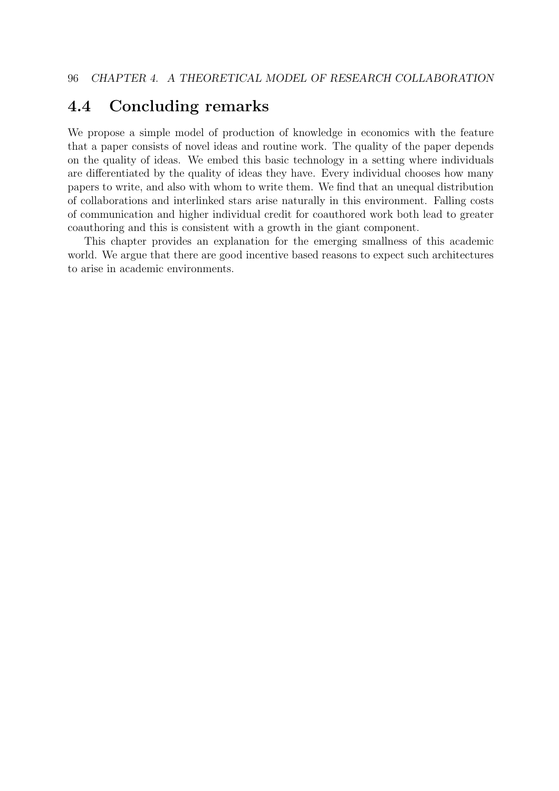## 4.4 Concluding remarks

We propose a simple model of production of knowledge in economics with the feature that a paper consists of novel ideas and routine work. The quality of the paper depends on the quality of ideas. We embed this basic technology in a setting where individuals are differentiated by the quality of ideas they have. Every individual chooses how many papers to write, and also with whom to write them. We find that an unequal distribution of collaborations and interlinked stars arise naturally in this environment. Falling costs of communication and higher individual credit for coauthored work both lead to greater coauthoring and this is consistent with a growth in the giant component.

This chapter provides an explanation for the emerging smallness of this academic world. We argue that there are good incentive based reasons to expect such architectures to arise in academic environments.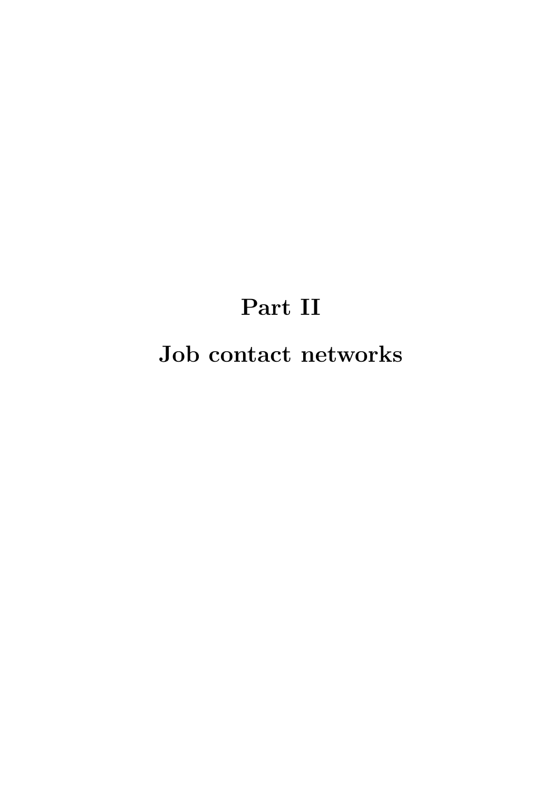# Part II Job contact networks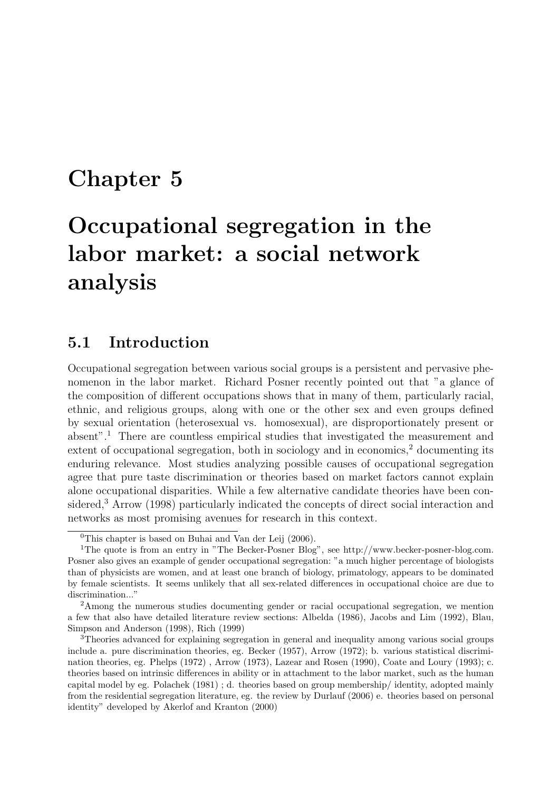# Chapter 5

# Occupational segregation in the labor market: a social network analysis

## 5.1 Introduction

Occupational segregation between various social groups is a persistent and pervasive phenomenon in the labor market. Richard Posner recently pointed out that "a glance of the composition of different occupations shows that in many of them, particularly racial, ethnic, and religious groups, along with one or the other sex and even groups defined by sexual orientation (heterosexual vs. homosexual), are disproportionately present or absent".<sup>1</sup> There are countless empirical studies that investigated the measurement and extent of occupational segregation, both in sociology and in economics, $\alpha$  documenting its enduring relevance. Most studies analyzing possible causes of occupational segregation agree that pure taste discrimination or theories based on market factors cannot explain alone occupational disparities. While a few alternative candidate theories have been considered,<sup>3</sup> Arrow (1998) particularly indicated the concepts of direct social interaction and networks as most promising avenues for research in this context.

<sup>&</sup>lt;sup>0</sup>This chapter is based on Buhai and Van der Leij  $(2006)$ .

<sup>&</sup>lt;sup>1</sup>The quote is from an entry in "The Becker-Posner Blog", see http://www.becker-posner-blog.com. Posner also gives an example of gender occupational segregation: "a much higher percentage of biologists than of physicists are women, and at least one branch of biology, primatology, appears to be dominated by female scientists. It seems unlikely that all sex-related differences in occupational choice are due to discrimination..."

<sup>2</sup>Among the numerous studies documenting gender or racial occupational segregation, we mention a few that also have detailed literature review sections: Albelda (1986), Jacobs and Lim (1992), Blau, Simpson and Anderson (1998), Rich (1999)

<sup>&</sup>lt;sup>3</sup>Theories advanced for explaining segregation in general and inequality among various social groups include a. pure discrimination theories, eg. Becker (1957), Arrow (1972); b. various statistical discrimination theories, eg. Phelps (1972) , Arrow (1973), Lazear and Rosen (1990), Coate and Loury (1993); c. theories based on intrinsic differences in ability or in attachment to the labor market, such as the human capital model by eg. Polachek (1981) ; d. theories based on group membership/ identity, adopted mainly from the residential segregation literature, eg. the review by Durlauf (2006) e. theories based on personal identity" developed by Akerlof and Kranton (2000)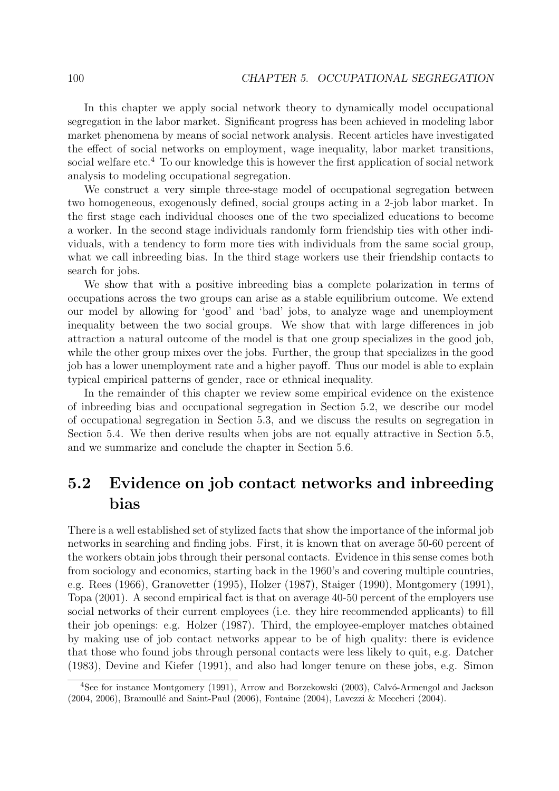In this chapter we apply social network theory to dynamically model occupational segregation in the labor market. Significant progress has been achieved in modeling labor market phenomena by means of social network analysis. Recent articles have investigated the effect of social networks on employment, wage inequality, labor market transitions, social welfare etc.<sup>4</sup> To our knowledge this is however the first application of social network analysis to modeling occupational segregation.

We construct a very simple three-stage model of occupational segregation between two homogeneous, exogenously defined, social groups acting in a 2-job labor market. In the first stage each individual chooses one of the two specialized educations to become a worker. In the second stage individuals randomly form friendship ties with other individuals, with a tendency to form more ties with individuals from the same social group, what we call inbreeding bias. In the third stage workers use their friendship contacts to search for jobs.

We show that with a positive inbreeding bias a complete polarization in terms of occupations across the two groups can arise as a stable equilibrium outcome. We extend our model by allowing for 'good' and 'bad' jobs, to analyze wage and unemployment inequality between the two social groups. We show that with large differences in job attraction a natural outcome of the model is that one group specializes in the good job, while the other group mixes over the jobs. Further, the group that specializes in the good job has a lower unemployment rate and a higher payoff. Thus our model is able to explain typical empirical patterns of gender, race or ethnical inequality.

In the remainder of this chapter we review some empirical evidence on the existence of inbreeding bias and occupational segregation in Section 5.2, we describe our model of occupational segregation in Section 5.3, and we discuss the results on segregation in Section 5.4. We then derive results when jobs are not equally attractive in Section 5.5, and we summarize and conclude the chapter in Section 5.6.

# 5.2 Evidence on job contact networks and inbreeding bias

There is a well established set of stylized facts that show the importance of the informal job networks in searching and finding jobs. First, it is known that on average 50-60 percent of the workers obtain jobs through their personal contacts. Evidence in this sense comes both from sociology and economics, starting back in the 1960's and covering multiple countries, e.g. Rees (1966), Granovetter (1995), Holzer (1987), Staiger (1990), Montgomery (1991), Topa (2001). A second empirical fact is that on average 40-50 percent of the employers use social networks of their current employees (i.e. they hire recommended applicants) to fill their job openings: e.g. Holzer (1987). Third, the employee-employer matches obtained by making use of job contact networks appear to be of high quality: there is evidence that those who found jobs through personal contacts were less likely to quit, e.g. Datcher (1983), Devine and Kiefer (1991), and also had longer tenure on these jobs, e.g. Simon

<sup>&</sup>lt;sup>4</sup>See for instance Montgomery (1991), Arrow and Borzekowski (2003), Calvó-Armengol and Jackson  $(2004, 2006)$ , Bramoullé and Saint-Paul  $(2006)$ , Fontaine  $(2004)$ , Lavezzi & Meccheri  $(2004)$ .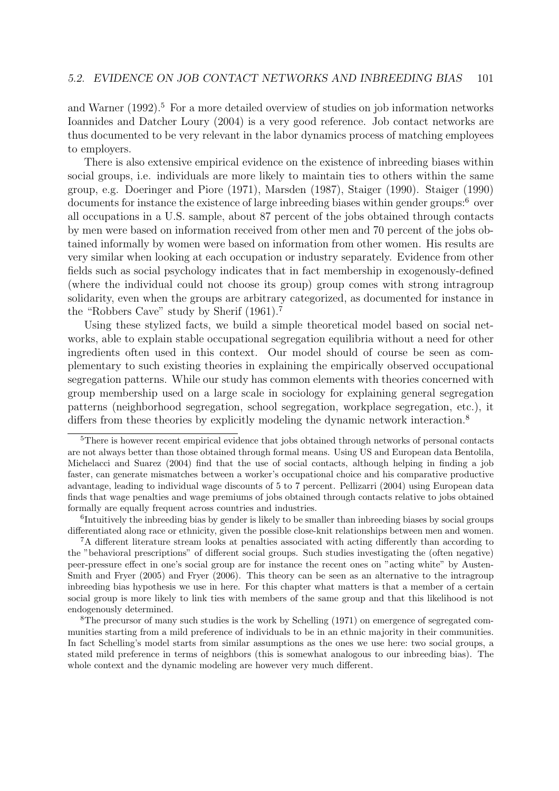and Warner (1992).<sup>5</sup> For a more detailed overview of studies on job information networks Ioannides and Datcher Loury (2004) is a very good reference. Job contact networks are thus documented to be very relevant in the labor dynamics process of matching employees to employers.

There is also extensive empirical evidence on the existence of inbreeding biases within social groups, i.e. individuals are more likely to maintain ties to others within the same group, e.g. Doeringer and Piore (1971), Marsden (1987), Staiger (1990). Staiger (1990) documents for instance the existence of large inbreeding biases within gender groups:<sup>6</sup> over all occupations in a U.S. sample, about 87 percent of the jobs obtained through contacts by men were based on information received from other men and 70 percent of the jobs obtained informally by women were based on information from other women. His results are very similar when looking at each occupation or industry separately. Evidence from other fields such as social psychology indicates that in fact membership in exogenously-defined (where the individual could not choose its group) group comes with strong intragroup solidarity, even when the groups are arbitrary categorized, as documented for instance in the "Robbers Cave" study by Sherif (1961).<sup>7</sup>

Using these stylized facts, we build a simple theoretical model based on social networks, able to explain stable occupational segregation equilibria without a need for other ingredients often used in this context. Our model should of course be seen as complementary to such existing theories in explaining the empirically observed occupational segregation patterns. While our study has common elements with theories concerned with group membership used on a large scale in sociology for explaining general segregation patterns (neighborhood segregation, school segregation, workplace segregation, etc.), it differs from these theories by explicitly modeling the dynamic network interaction.<sup>8</sup>

<sup>6</sup>Intuitively the inbreeding bias by gender is likely to be smaller than inbreeding biases by social groups differentiated along race or ethnicity, given the possible close-knit relationships between men and women.

<sup>7</sup>A different literature stream looks at penalties associated with acting differently than according to the "behavioral prescriptions" of different social groups. Such studies investigating the (often negative) peer-pressure effect in one's social group are for instance the recent ones on "acting white" by Austen-Smith and Fryer (2005) and Fryer (2006). This theory can be seen as an alternative to the intragroup inbreeding bias hypothesis we use in here. For this chapter what matters is that a member of a certain social group is more likely to link ties with members of the same group and that this likelihood is not endogenously determined.

<sup>8</sup>The precursor of many such studies is the work by Schelling (1971) on emergence of segregated communities starting from a mild preference of individuals to be in an ethnic majority in their communities. In fact Schelling's model starts from similar assumptions as the ones we use here: two social groups, a stated mild preference in terms of neighbors (this is somewhat analogous to our inbreeding bias). The whole context and the dynamic modeling are however very much different.

<sup>&</sup>lt;sup>5</sup>There is however recent empirical evidence that jobs obtained through networks of personal contacts are not always better than those obtained through formal means. Using US and European data Bentolila, Michelacci and Suarez (2004) find that the use of social contacts, although helping in finding a job faster, can generate mismatches between a worker's occupational choice and his comparative productive advantage, leading to individual wage discounts of 5 to 7 percent. Pellizarri (2004) using European data finds that wage penalties and wage premiums of jobs obtained through contacts relative to jobs obtained formally are equally frequent across countries and industries.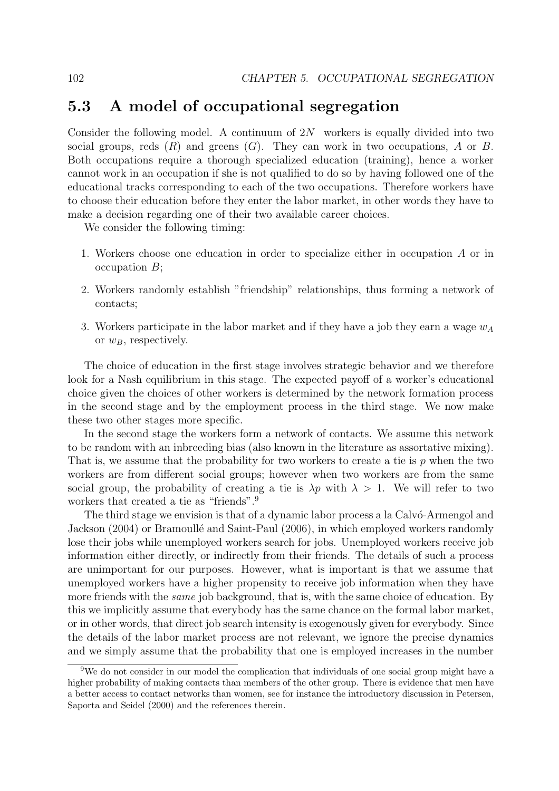### 5.3 A model of occupational segregation

Consider the following model. A continuum of  $2N$  workers is equally divided into two social groups, reds  $(R)$  and greens  $(G)$ . They can work in two occupations, A or B. Both occupations require a thorough specialized education (training), hence a worker cannot work in an occupation if she is not qualified to do so by having followed one of the educational tracks corresponding to each of the two occupations. Therefore workers have to choose their education before they enter the labor market, in other words they have to make a decision regarding one of their two available career choices.

We consider the following timing:

- 1. Workers choose one education in order to specialize either in occupation A or in occupation  $B$ ;
- 2. Workers randomly establish "friendship" relationships, thus forming a network of contacts;
- 3. Workers participate in the labor market and if they have a job they earn a wage  $w_A$ or  $w_B$ , respectively.

The choice of education in the first stage involves strategic behavior and we therefore look for a Nash equilibrium in this stage. The expected payoff of a worker's educational choice given the choices of other workers is determined by the network formation process in the second stage and by the employment process in the third stage. We now make these two other stages more specific.

In the second stage the workers form a network of contacts. We assume this network to be random with an inbreeding bias (also known in the literature as assortative mixing). That is, we assume that the probability for two workers to create a tie is  $p$  when the two workers are from different social groups; however when two workers are from the same social group, the probability of creating a tie is  $\lambda p$  with  $\lambda > 1$ . We will refer to two workers that created a tie as "friends".<sup>9</sup>

The third stage we envision is that of a dynamic labor process a la Calvó-Armengol and Jackson (2004) or Bramoullé and Saint-Paul (2006), in which employed workers randomly lose their jobs while unemployed workers search for jobs. Unemployed workers receive job information either directly, or indirectly from their friends. The details of such a process are unimportant for our purposes. However, what is important is that we assume that unemployed workers have a higher propensity to receive job information when they have more friends with the *same* job background, that is, with the same choice of education. By this we implicitly assume that everybody has the same chance on the formal labor market, or in other words, that direct job search intensity is exogenously given for everybody. Since the details of the labor market process are not relevant, we ignore the precise dynamics and we simply assume that the probability that one is employed increases in the number

<sup>9</sup>We do not consider in our model the complication that individuals of one social group might have a higher probability of making contacts than members of the other group. There is evidence that men have a better access to contact networks than women, see for instance the introductory discussion in Petersen, Saporta and Seidel (2000) and the references therein.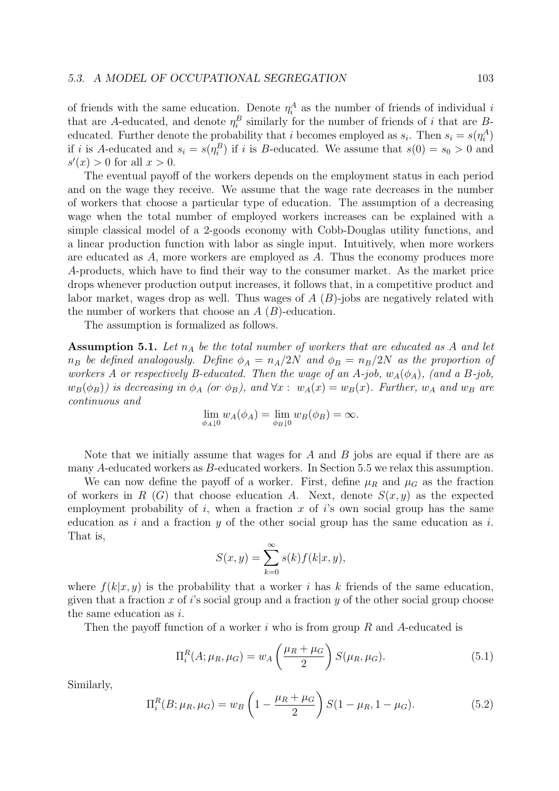of friends with the same education. Denote  $\eta_i^A$  as the number of friends of individual i that are A-educated, and denote  $\eta_i^B$  similarly for the number of friends of i that are Beducated. Further denote the probability that *i* becomes employed as  $s_i$ . Then  $s_i = s(\eta_i^A)$ if i is A-educated and  $s_i = s(\eta_i^B)$  if i is B-educated. We assume that  $s(0) = s_0 > 0$  and  $s'(x) > 0$  for all  $x > 0$ .

The eventual payoff of the workers depends on the employment status in each period and on the wage they receive. We assume that the wage rate decreases in the number of workers that choose a particular type of education. The assumption of a decreasing wage when the total number of employed workers increases can be explained with a simple classical model of a 2-goods economy with Cobb-Douglas utility functions, and a linear production function with labor as single input. Intuitively, when more workers are educated as A, more workers are employed as A. Thus the economy produces more A-products, which have to find their way to the consumer market. As the market price drops whenever production output increases, it follows that, in a competitive product and labor market, wages drop as well. Thus wages of A (B)-jobs are negatively related with the number of workers that choose an  $A(B)$ -education.

The assumption is formalized as follows.

Assumption 5.1. Let  $n_A$  be the total number of workers that are educated as A and let  $n_B$  be defined analogously. Define  $\phi_A = n_A/2N$  and  $\phi_B = n_B/2N$  as the proportion of workers A or respectively B-educated. Then the wage of an A-job,  $w_A(\phi_A)$ , (and a B-job,  $w_B(\phi_B)$ ) is decreasing in  $\phi_A$  (or  $\phi_B$ ), and  $\forall x : w_A(x) = w_B(x)$ . Further,  $w_A$  and  $w_B$  are continuous and

$$
\lim_{\phi_A \downarrow 0} w_A(\phi_A) = \lim_{\phi_B \downarrow 0} w_B(\phi_B) = \infty.
$$

Note that we initially assume that wages for A and B jobs are equal if there are as many A-educated workers as B-educated workers. In Section 5.5 we relax this assumption.

We can now define the payoff of a worker. First, define  $\mu_R$  and  $\mu_G$  as the fraction of workers in R  $(G)$  that choose education A. Next, denote  $S(x, y)$  as the expected employment probability of i, when a fraction x of i's own social group has the same education as i and a fraction y of the other social group has the same education as i. That is,

$$
S(x, y) = \sum_{k=0}^{\infty} s(k) f(k|x, y),
$$

where  $f(k|x, y)$  is the probability that a worker i has k friends of the same education, given that a fraction x of i's social group and a fraction  $y$  of the other social group choose the same education as i.

Then the payoff function of a worker i who is from group  $R$  and A-educated is

$$
\Pi_i^R(A; \mu_R, \mu_G) = w_A \left( \frac{\mu_R + \mu_G}{2} \right) S(\mu_R, \mu_G). \tag{5.1}
$$

Similarly,

$$
\Pi_i^R(B; \mu_R, \mu_G) = w_B \left( 1 - \frac{\mu_R + \mu_G}{2} \right) S(1 - \mu_R, 1 - \mu_G). \tag{5.2}
$$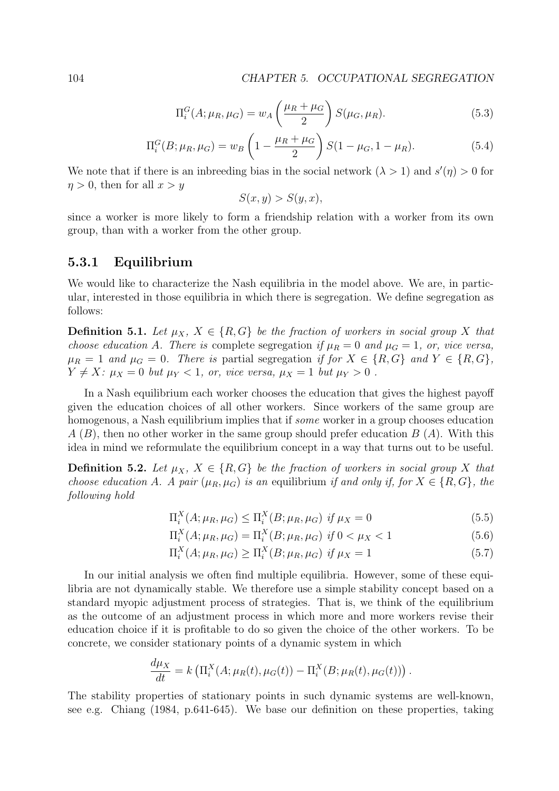$$
\Pi_i^G(A; \mu_R, \mu_G) = w_A \left(\frac{\mu_R + \mu_G}{2}\right) S(\mu_G, \mu_R). \tag{5.3}
$$

$$
\Pi_i^G(B; \mu_R, \mu_G) = w_B \left( 1 - \frac{\mu_R + \mu_G}{2} \right) S(1 - \mu_G, 1 - \mu_R). \tag{5.4}
$$

We note that if there is an inbreeding bias in the social network  $(\lambda > 1)$  and  $s'(\eta) > 0$  for  $\eta > 0$ , then for all  $x > y$ 

$$
S(x, y) > S(y, x),
$$

since a worker is more likely to form a friendship relation with a worker from its own group, than with a worker from the other group.

### 5.3.1 Equilibrium

We would like to characterize the Nash equilibria in the model above. We are, in particular, interested in those equilibria in which there is segregation. We define segregation as follows:

**Definition 5.1.** Let  $\mu_X$ ,  $X \in \{R, G\}$  be the fraction of workers in social group X that choose education A. There is complete segregation if  $\mu_R = 0$  and  $\mu_G = 1$ , or, vice versa,  $\mu_R = 1$  and  $\mu_G = 0$ . There is partial segregation if for  $X \in \{R, G\}$  and  $Y \in \{R, G\}$ ,  $Y \neq X: \mu_X = 0$  but  $\mu_Y < 1$ , or, vice versa,  $\mu_X = 1$  but  $\mu_Y > 0$ .

In a Nash equilibrium each worker chooses the education that gives the highest payoff given the education choices of all other workers. Since workers of the same group are homogenous, a Nash equilibrium implies that if *some* worker in a group chooses education  $A(B)$ , then no other worker in the same group should prefer education  $B(A)$ . With this idea in mind we reformulate the equilibrium concept in a way that turns out to be useful.

**Definition 5.2.** Let  $\mu_X$ ,  $X \in \{R, G\}$  be the fraction of workers in social group X that choose education A. A pair  $(\mu_R, \mu_G)$  is an equilibrium if and only if, for  $X \in \{R, G\}$ , the following hold

$$
\Pi_i^X(A; \mu_R, \mu_G) \le \Pi_i^X(B; \mu_R, \mu_G) \text{ if } \mu_X = 0 \tag{5.5}
$$

$$
\Pi_i^X(A; \mu_R, \mu_G) = \Pi_i^X(B; \mu_R, \mu_G) \text{ if } 0 < \mu_X < 1 \tag{5.6}
$$

$$
\Pi_i^X(A; \mu_R, \mu_G) \ge \Pi_i^X(B; \mu_R, \mu_G) \text{ if } \mu_X = 1 \tag{5.7}
$$

In our initial analysis we often find multiple equilibria. However, some of these equilibria are not dynamically stable. We therefore use a simple stability concept based on a standard myopic adjustment process of strategies. That is, we think of the equilibrium as the outcome of an adjustment process in which more and more workers revise their education choice if it is profitable to do so given the choice of the other workers. To be concrete, we consider stationary points of a dynamic system in which

$$
\frac{d\mu_X}{dt} = k \left( \Pi_i^X(A; \mu_R(t), \mu_G(t)) - \Pi_i^X(B; \mu_R(t), \mu_G(t)) \right).
$$

The stability properties of stationary points in such dynamic systems are well-known, see e.g. Chiang (1984, p.641-645). We base our definition on these properties, taking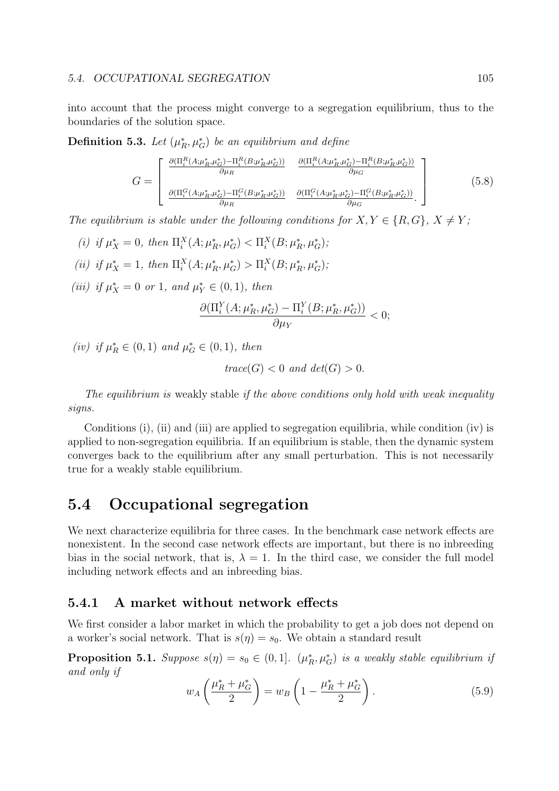into account that the process might converge to a segregation equilibrium, thus to the boundaries of the solution space.

**Definition 5.3.** Let  $(\mu_R^*, \mu_G^*)$  be an equilibrium and define

$$
G = \begin{bmatrix} \frac{\partial(\Pi_i^R(A; \mu_R^*, \mu_G^*) - \Pi_i^R(B; \mu_R^*, \mu_G^*))}{\partial \mu_R} & \frac{\partial(\Pi_i^R(A; \mu_R^*, \mu_G^*) - \Pi_i^R(B; \mu_R^*, \mu_G^*))}{\partial \mu_G} \\ \frac{\partial(\Pi_i^G(A; \mu_R^*, \mu_G^*) - \Pi_i^G(B; \mu_R^*, \mu_G^*))}{\partial \mu_R} & \frac{\partial(\Pi_i^G(A; \mu_R^*, \mu_G^*) - \Pi_i^G(B; \mu_R^*, \mu_G^*))}{\partial \mu_G} \end{bmatrix} \tag{5.8}
$$

The equilibrium is stable under the following conditions for  $X, Y \in \{R, G\}, X \neq Y$ ;

- (i) if  $\mu_X^* = 0$ , then  $\Pi_i^X(A; \mu_R^*, \mu_G^*) < \Pi_i^X(B; \mu_R^*, \mu_G^*)$ ; (ii) if  $\mu_X^* = 1$ , then  $\Pi_i^X(A; \mu_R^*, \mu_G^*) > \Pi_i^X(B; \mu_R^*, \mu_G^*)$ ;
- (iii) if  $\mu_X^* = 0$  or 1, and  $\mu_Y^* \in (0,1)$ , then

$$
\frac{\partial(\Pi_i^Y(A; \mu_R^*, \mu_G^*) - \Pi_i^Y(B; \mu_R^*, \mu_G^*))}{\partial \mu_Y} < 0;
$$

(iv) if  $\mu^*_R \in (0,1)$  and  $\mu^*_G \in (0,1)$ , then

$$
trace(G) < 0 \ and \ det(G) > 0.
$$

The equilibrium is weakly stable if the above conditions only hold with weak inequality signs.

Conditions (i), (ii) and (iii) are applied to segregation equilibria, while condition (iv) is applied to non-segregation equilibria. If an equilibrium is stable, then the dynamic system converges back to the equilibrium after any small perturbation. This is not necessarily true for a weakly stable equilibrium.

## 5.4 Occupational segregation

We next characterize equilibria for three cases. In the benchmark case network effects are nonexistent. In the second case network effects are important, but there is no inbreeding bias in the social network, that is,  $\lambda = 1$ . In the third case, we consider the full model including network effects and an inbreeding bias.

### 5.4.1 A market without network effects

We first consider a labor market in which the probability to get a job does not depend on a worker's social network. That is  $s(\eta) = s_0$ . We obtain a standard result

**Proposition 5.1.** Suppose  $s(\eta) = s_0 \in (0,1]$ .  $(\mu_R^*, \mu_G^*)$  is a weakly stable equilibrium if and only if  $\overline{a}$  $\mathbf{r}$  $\overline{a}$  $\mathbf{r}$ 

$$
w_A \left(\frac{\mu_R^* + \mu_G^*}{2}\right) = w_B \left(1 - \frac{\mu_R^* + \mu_G^*}{2}\right). \tag{5.9}
$$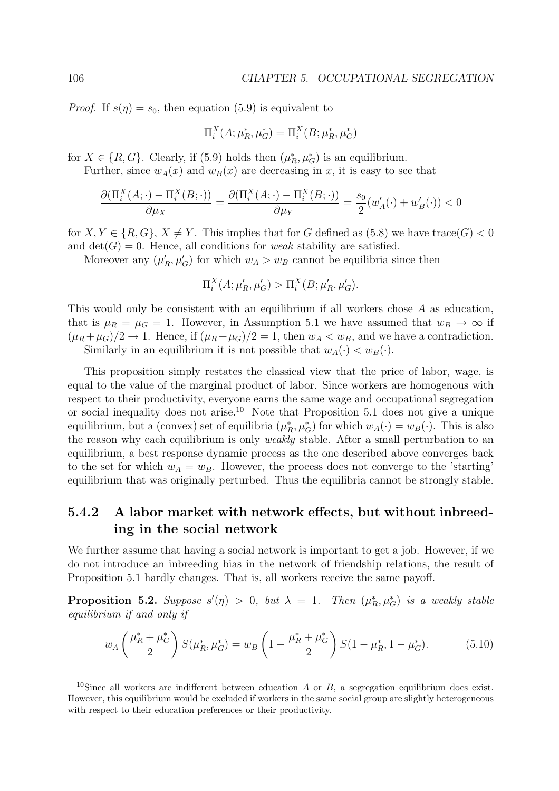*Proof.* If  $s(\eta) = s_0$ , then equation (5.9) is equivalent to

$$
\Pi_i^X(A; \mu_R^*, \mu_G^*) = \Pi_i^X(B; \mu_R^*, \mu_G^*)
$$

for  $X \in \{R, G\}$ . Clearly, if (5.9) holds then  $(\mu_R^*, \mu_G^*)$  is an equilibrium.

Further, since  $w_A(x)$  and  $w_B(x)$  are decreasing in x, it is easy to see that

$$
\frac{\partial(\Pi_i^X(A; \cdot) - \Pi_i^X(B; \cdot))}{\partial \mu_X} = \frac{\partial(\Pi_i^X(A; \cdot) - \Pi_i^X(B; \cdot))}{\partial \mu_Y} = \frac{s_0}{2}(w'_A(\cdot) + w'_B(\cdot)) < 0
$$

for  $X, Y \in \{R, G\}, X \neq Y$ . This implies that for G defined as (5.8) we have trace(G) < 0 and  $\det(G) = 0$ . Hence, all conditions for *weak* stability are satisfied.

Moreover any  $(\mu'_R, \mu'_G)$  for which  $w_A > w_B$  cannot be equilibria since then

$$
\Pi_i^X(A; \mu'_R, \mu'_G) > \Pi_i^X(B; \mu'_R, \mu'_G).
$$

This would only be consistent with an equilibrium if all workers chose A as education, that is  $\mu_R = \mu_G = 1$ . However, in Assumption 5.1 we have assumed that  $w_B \to \infty$  if  $(\mu_R + \mu_G)/2 \rightarrow 1$ . Hence, if  $(\mu_R + \mu_G)/2 = 1$ , then  $w_A < w_B$ , and we have a contradiction. Similarly in an equilibrium it is not possible that  $w_A(\cdot) < w_B(\cdot)$ .  $\Box$ 

This proposition simply restates the classical view that the price of labor, wage, is equal to the value of the marginal product of labor. Since workers are homogenous with respect to their productivity, everyone earns the same wage and occupational segregation or social inequality does not arise.<sup>10</sup> Note that Proposition 5.1 does not give a unique equilibrium, but a (convex) set of equilibria  $(\mu_R^*, \mu_G^*)$  for which  $w_A(\cdot) = w_B(\cdot)$ . This is also the reason why each equilibrium is only *weakly* stable. After a small perturbation to an equilibrium, a best response dynamic process as the one described above converges back to the set for which  $w_A = w_B$ . However, the process does not converge to the 'starting' equilibrium that was originally perturbed. Thus the equilibria cannot be strongly stable.

### 5.4.2 A labor market with network effects, but without inbreeding in the social network

We further assume that having a social network is important to get a job. However, if we do not introduce an inbreeding bias in the network of friendship relations, the result of Proposition 5.1 hardly changes. That is, all workers receive the same payoff.

**Proposition 5.2.** Suppose  $s'(\eta) > 0$ , but  $\lambda = 1$ . Then  $(\mu_R^*, \mu_G^*)$  is a weakly stable equilibrium if and only if

$$
w_A \left(\frac{\mu_R^* + \mu_G^*}{2}\right) S(\mu_R^*, \mu_G^*) = w_B \left(1 - \frac{\mu_R^* + \mu_G^*}{2}\right) S(1 - \mu_R^*, 1 - \mu_G^*). \tag{5.10}
$$

<sup>&</sup>lt;sup>10</sup>Since all workers are indifferent between education A or B, a segregation equilibrium does exist. However, this equilibrium would be excluded if workers in the same social group are slightly heterogeneous with respect to their education preferences or their productivity.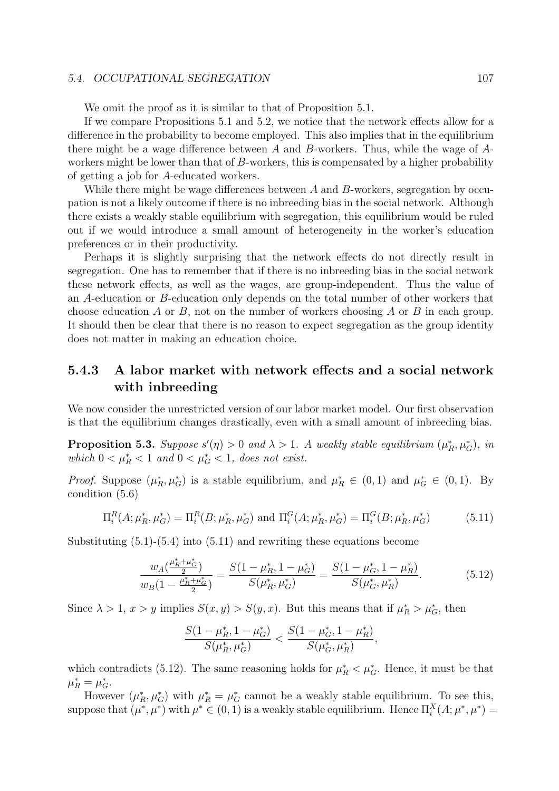#### 5.4. OCCUPATIONAL SEGREGATION 107

We omit the proof as it is similar to that of Proposition  $5.1$ .

If we compare Propositions 5.1 and 5.2, we notice that the network effects allow for a difference in the probability to become employed. This also implies that in the equilibrium there might be a wage difference between A and B-workers. Thus, while the wage of Aworkers might be lower than that of B-workers, this is compensated by a higher probability of getting a job for A-educated workers.

While there might be wage differences between  $A$  and  $B$ -workers, segregation by occupation is not a likely outcome if there is no inbreeding bias in the social network. Although there exists a weakly stable equilibrium with segregation, this equilibrium would be ruled out if we would introduce a small amount of heterogeneity in the worker's education preferences or in their productivity.

Perhaps it is slightly surprising that the network effects do not directly result in segregation. One has to remember that if there is no inbreeding bias in the social network these network effects, as well as the wages, are group-independent. Thus the value of an A-education or B-education only depends on the total number of other workers that choose education A or B, not on the number of workers choosing A or B in each group. It should then be clear that there is no reason to expect segregation as the group identity does not matter in making an education choice.

### 5.4.3 A labor market with network effects and a social network with inbreeding

We now consider the unrestricted version of our labor market model. Our first observation is that the equilibrium changes drastically, even with a small amount of inbreeding bias.

**Proposition 5.3.** Suppose  $s'(\eta) > 0$  and  $\lambda > 1$ . A weakly stable equilibrium  $(\mu_R^*, \mu_G^*)$ , in which  $0 < \mu_R^* < 1$  and  $0 < \mu_G^* < 1$ , does not exist.

*Proof.* Suppose  $(\mu_R^*, \mu_G^*)$  is a stable equilibrium, and  $\mu_R^* \in (0,1)$  and  $\mu_G^* \in (0,1)$ . By condition (5.6)

$$
\Pi_i^R(A; \mu_R^*, \mu_G^*) = \Pi_i^R(B; \mu_R^*, \mu_G^*) \text{ and } \Pi_i^G(A; \mu_R^*, \mu_G^*) = \Pi_i^G(B; \mu_R^*, \mu_G^*)
$$
(5.11)

Substituting (5.1)-(5.4) into (5.11) and rewriting these equations become

$$
\frac{w_A(\frac{\mu_R^* + \mu_G^*}{2})}{w_B(1 - \frac{\mu_R^* + \mu_G^*}{2})} = \frac{S(1 - \mu_R^*, 1 - \mu_G^*)}{S(\mu_R^*, \mu_G^*)} = \frac{S(1 - \mu_G^*, 1 - \mu_R^*)}{S(\mu_G^*, \mu_R^*)}.
$$
(5.12)

Since  $\lambda > 1$ ,  $x > y$  implies  $S(x, y) > S(y, x)$ . But this means that if  $\mu_R^* > \mu_G^*$ , then

$$
\frac{S(1-\mu_R^*,1-\mu_G^*)}{S(\mu_R^*,\mu_G^*)} < \frac{S(1-\mu_G^*,1-\mu_R^*)}{S(\mu_G^*,\mu_R^*)},
$$

which contradicts (5.12). The same reasoning holds for  $\mu_R^* < \mu_G^*$ . Hence, it must be that  $\mu_R^* = \mu_G^*$ .

However  $(\mu_R^*, \mu_G^*)$  with  $\mu_R^* = \mu_G^*$  cannot be a weakly stable equilibrium. To see this, suppose that  $(\mu^*, \mu^*)$  with  $\mu^* \in (0, 1)$  is a weakly stable equilibrium. Hence  $\Pi_i^X(A; \mu^*, \mu^*) =$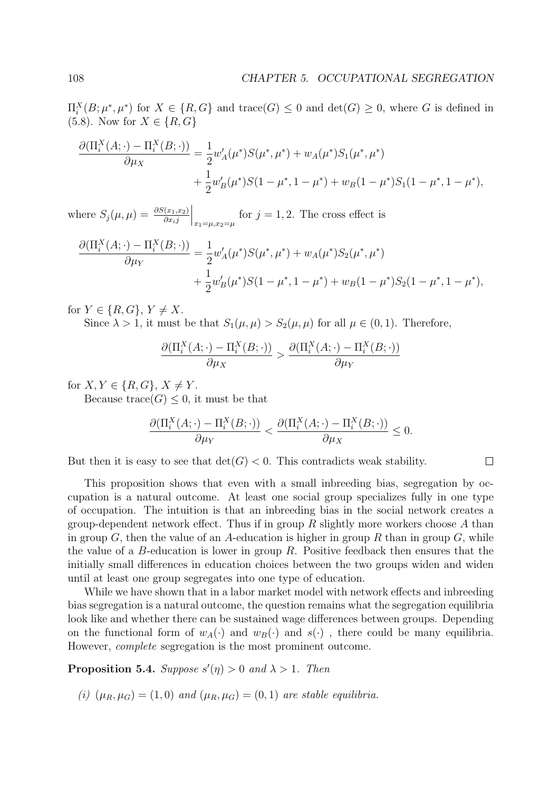$\Box$ 

 $\Pi_i^X(B; \mu^*, \mu^*)$  for  $X \in \{R, G\}$  and  $trace(G) \leq 0$  and  $det(G) \geq 0$ , where G is defined in (5.8). Now for  $X \in \{R, G\}$ 

$$
\frac{\partial(\Pi_i^X(A; \cdot) - \Pi_i^X(B; \cdot))}{\partial \mu_X} = \frac{1}{2} w'_A(\mu^*) S(\mu^*, \mu^*) + w_A(\mu^*) S_1(\mu^*, \mu^*) \n+ \frac{1}{2} w'_B(\mu^*) S(1 - \mu^*, 1 - \mu^*) + w_B(1 - \mu^*) S_1(1 - \mu^*, 1 - \mu^*),
$$

where  $S_j(\mu, \mu) = \frac{\partial S(x_1, x_2)}{\partial x_i j}$  $\Big|_{x_1 = \mu, x_2 = \mu}$ for  $j = 1, 2$ . The cross effect is

$$
\frac{\partial(\Pi_i^X(A; \cdot) - \Pi_i^X(B; \cdot))}{\partial \mu_Y} = \frac{1}{2} w'_A(\mu^*) S(\mu^*, \mu^*) + w_A(\mu^*) S_2(\mu^*, \mu^*) \n+ \frac{1}{2} w'_B(\mu^*) S(1 - \mu^*, 1 - \mu^*) + w_B(1 - \mu^*) S_2(1 - \mu^*, 1 - \mu^*),
$$

for  $Y \in \{R, G\}, Y \neq X$ .

Since  $\lambda > 1$ , it must be that  $S_1(\mu, \mu) > S_2(\mu, \mu)$  for all  $\mu \in (0, 1)$ . Therefore,

$$
\frac{\partial(\Pi_i^X(A; \cdot) - \Pi_i^X(B; \cdot))}{\partial \mu_X} > \frac{\partial(\Pi_i^X(A; \cdot) - \Pi_i^X(B; \cdot))}{\partial \mu_Y}
$$

for  $X, Y \in \{R, G\}, X \neq Y$ .

Because trace( $G$ )  $\leq$  0, it must be that

$$
\frac{\partial(\Pi_i^X(A; \cdot) - \Pi_i^X(B; \cdot))}{\partial \mu_Y} < \frac{\partial(\Pi_i^X(A; \cdot) - \Pi_i^X(B; \cdot))}{\partial \mu_X} \le 0.
$$

But then it is easy to see that  $\det(G) < 0$ . This contradicts weak stability.

This proposition shows that even with a small inbreeding bias, segregation by occupation is a natural outcome. At least one social group specializes fully in one type of occupation. The intuition is that an inbreeding bias in the social network creates a group-dependent network effect. Thus if in group  $R$  slightly more workers choose  $A$  than in group  $G$ , then the value of an A-education is higher in group  $R$  than in group  $G$ , while the value of a B-education is lower in group  $R$ . Positive feedback then ensures that the initially small differences in education choices between the two groups widen and widen until at least one group segregates into one type of education.

While we have shown that in a labor market model with network effects and inbreeding bias segregation is a natural outcome, the question remains what the segregation equilibria look like and whether there can be sustained wage differences between groups. Depending on the functional form of  $w_A(\cdot)$  and  $w_B(\cdot)$  and  $s(\cdot)$ , there could be many equilibria. However, complete segregation is the most prominent outcome.

**Proposition 5.4.** Suppose  $s'(\eta) > 0$  and  $\lambda > 1$ . Then

(i)  $(\mu_R, \mu_G) = (1, 0)$  and  $(\mu_R, \mu_G) = (0, 1)$  are stable equilibria.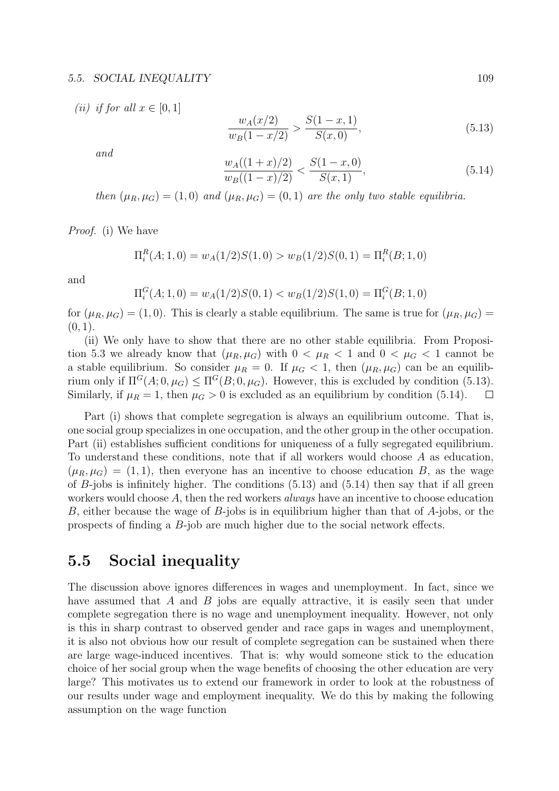(ii) if for all  $x \in [0, 1]$ 

$$
\frac{w_A(x/2)}{w_B(1-x/2)} > \frac{S(1-x,1)}{S(x,0)},\tag{5.13}
$$

and

$$
\frac{w_A((1+x)/2)}{w_B((1-x)/2)} < \frac{S(1-x,0)}{S(x,1)},\tag{5.14}
$$

then  $(\mu_R, \mu_G) = (1, 0)$  and  $(\mu_R, \mu_G) = (0, 1)$  are the only two stable equilibria.

Proof. (i) We have

$$
\Pi_i^R(A; 1, 0) = w_A(1/2)S(1, 0) > w_B(1/2)S(0, 1) = \Pi_i^R(B; 1, 0)
$$

and

$$
\Pi_i^G(A; 1, 0) = w_A(1/2)S(0, 1) < w_B(1/2)S(1, 0) = \Pi_i^G(B; 1, 0)
$$

for  $(\mu_R, \mu_G) = (1, 0)$ . This is clearly a stable equilibrium. The same is true for  $(\mu_R, \mu_G)$  $(0, 1)$ .

(ii) We only have to show that there are no other stable equilibria. From Proposition 5.3 we already know that  $(\mu_R, \mu_G)$  with  $0 < \mu_R < 1$  and  $0 < \mu_G < 1$  cannot be a stable equilibrium. So consider  $\mu_R = 0$ . If  $\mu_G < 1$ , then  $(\mu_R, \mu_G)$  can be an equilibrium only if  $\Pi^G(A; 0, \mu_G) \leq \Pi^G(B; 0, \mu_G)$ . However, this is excluded by condition (5.13). Similarly, if  $\mu_R = 1$ , then  $\mu_G > 0$  is excluded as an equilibrium by condition (5.14).  $\Box$ 

Part (i) shows that complete segregation is always an equilibrium outcome. That is, one social group specializes in one occupation, and the other group in the other occupation. Part (ii) establishes sufficient conditions for uniqueness of a fully segregated equilibrium. To understand these conditions, note that if all workers would choose A as education,  $(\mu_R, \mu_G) = (1, 1)$ , then everyone has an incentive to choose education B, as the wage of  $B$ -jobs is infinitely higher. The conditions  $(5.13)$  and  $(5.14)$  then say that if all green workers would choose  $A$ , then the red workers *always* have an incentive to choose education B, either because the wage of  $B$ -jobs is in equilibrium higher than that of  $A$ -jobs, or the prospects of finding a B-job are much higher due to the social network effects.

### 5.5 Social inequality

The discussion above ignores differences in wages and unemployment. In fact, since we have assumed that A and B jobs are equally attractive, it is easily seen that under complete segregation there is no wage and unemployment inequality. However, not only is this in sharp contrast to observed gender and race gaps in wages and unemployment, it is also not obvious how our result of complete segregation can be sustained when there are large wage-induced incentives. That is: why would someone stick to the education choice of her social group when the wage benefits of choosing the other education are very large? This motivates us to extend our framework in order to look at the robustness of our results under wage and employment inequality. We do this by making the following assumption on the wage function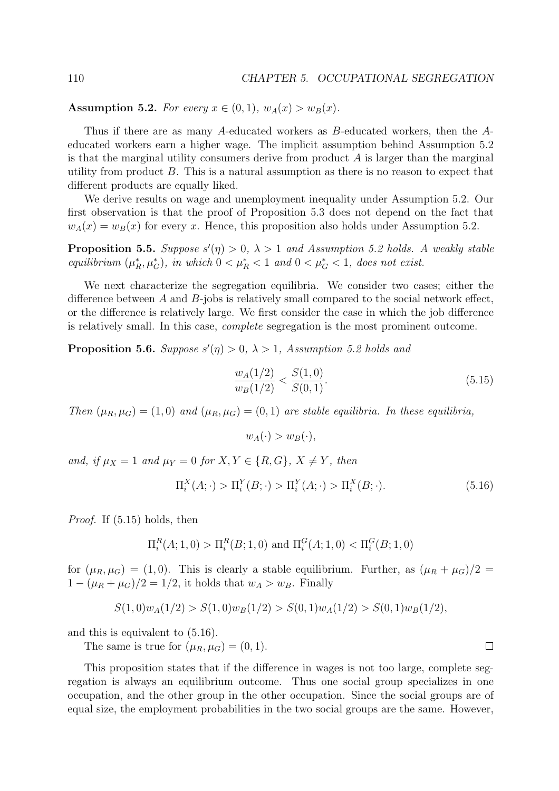Assumption 5.2. For every  $x \in (0,1)$ ,  $w_A(x) > w_B(x)$ .

Thus if there are as many A-educated workers as B-educated workers, then the Aeducated workers earn a higher wage. The implicit assumption behind Assumption 5.2 is that the marginal utility consumers derive from product A is larger than the marginal utility from product B. This is a natural assumption as there is no reason to expect that different products are equally liked.

We derive results on wage and unemployment inequality under Assumption 5.2. Our first observation is that the proof of Proposition 5.3 does not depend on the fact that  $w_A(x) = w_B(x)$  for every x. Hence, this proposition also holds under Assumption 5.2.

**Proposition 5.5.** Suppose  $s'(\eta) > 0$ ,  $\lambda > 1$  and Assumption 5.2 holds. A weakly stable equilibrium  $(\mu_R^*, \mu_G^*)$ , in which  $0 < \mu_R^* < 1$  and  $0 < \mu_G^* < 1$ , does not exist.

We next characterize the segregation equilibria. We consider two cases; either the difference between  $A$  and  $B$ -jobs is relatively small compared to the social network effect, or the difference is relatively large. We first consider the case in which the job difference is relatively small. In this case, complete segregation is the most prominent outcome.

**Proposition 5.6.** Suppose  $s'(\eta) > 0$ ,  $\lambda > 1$ , Assumption 5.2 holds and

$$
\frac{w_A(1/2)}{w_B(1/2)} < \frac{S(1,0)}{S(0,1)}.\tag{5.15}
$$

Then  $(\mu_B, \mu_G) = (1, 0)$  and  $(\mu_B, \mu_G) = (0, 1)$  are stable equilibria. In these equilibria,

$$
w_A(\cdot) > w_B(\cdot),
$$

and, if  $\mu_X = 1$  and  $\mu_Y = 0$  for  $X, Y \in \{R, G\}$ ,  $X \neq Y$ , then

$$
\Pi_i^X(A; \cdot) > \Pi_i^Y(B; \cdot) > \Pi_i^Y(A; \cdot) > \Pi_i^X(B; \cdot). \tag{5.16}
$$

*Proof.* If  $(5.15)$  holds, then

$$
\Pi_i^R(A; 1,0) > \Pi_i^R(B; 1,0)
$$
 and  $\Pi_i^G(A; 1,0) < \Pi_i^G(B; 1,0)$ 

for  $(\mu_R, \mu_G) = (1, 0)$ . This is clearly a stable equilibrium. Further, as  $(\mu_R + \mu_G)/2 =$  $1 - (\mu_R + \mu_G)/2 = 1/2$ , it holds that  $w_A > w_B$ . Finally

$$
S(1,0)w_A(1/2) > S(1,0)w_B(1/2) > S(0,1)w_A(1/2) > S(0,1)w_B(1/2),
$$

and this is equivalent to (5.16).

The same is true for  $(\mu_R, \mu_G) = (0, 1)$ .

This proposition states that if the difference in wages is not too large, complete segregation is always an equilibrium outcome. Thus one social group specializes in one occupation, and the other group in the other occupation. Since the social groups are of equal size, the employment probabilities in the two social groups are the same. However,

 $\Box$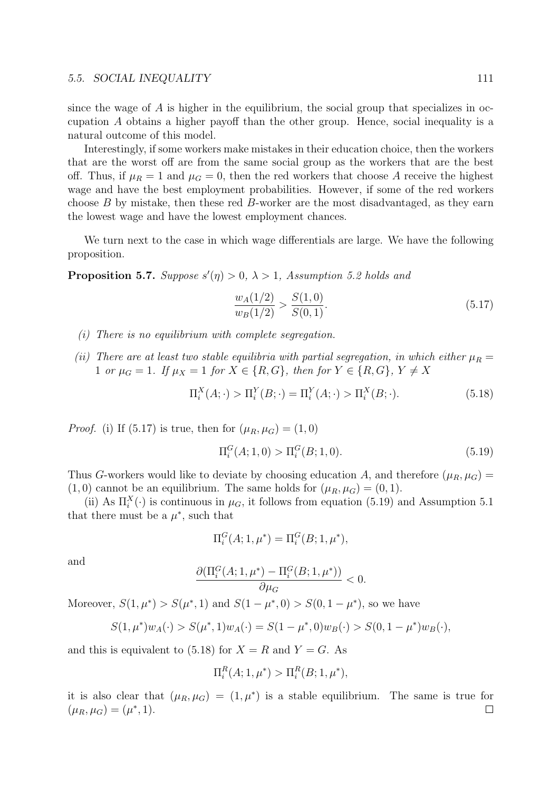since the wage of  $A$  is higher in the equilibrium, the social group that specializes in occupation A obtains a higher payoff than the other group. Hence, social inequality is a natural outcome of this model.

Interestingly, if some workers make mistakes in their education choice, then the workers that are the worst off are from the same social group as the workers that are the best off. Thus, if  $\mu_R = 1$  and  $\mu_G = 0$ , then the red workers that choose A receive the highest wage and have the best employment probabilities. However, if some of the red workers choose  $B$  by mistake, then these red  $B$ -worker are the most disadvantaged, as they earn the lowest wage and have the lowest employment chances.

We turn next to the case in which wage differentials are large. We have the following proposition.

**Proposition 5.7.** Suppose  $s'(\eta) > 0, \lambda > 1$ , Assumption 5.2 holds and

$$
\frac{w_A(1/2)}{w_B(1/2)} > \frac{S(1,0)}{S(0,1)}.\tag{5.17}
$$

- (i) There is no equilibrium with complete segregation.
- (ii) There are at least two stable equilibria with partial segregation, in which either  $\mu_R =$ 1 or  $\mu_G = 1$ . If  $\mu_X = 1$  for  $X \in \{R, G\}$ , then for  $Y \in \{R, G\}$ ,  $Y \neq X$

$$
\Pi_i^X(A; \cdot) > \Pi_i^Y(B; \cdot) = \Pi_i^Y(A; \cdot) > \Pi_i^X(B; \cdot). \tag{5.18}
$$

*Proof.* (i) If (5.17) is true, then for  $(\mu_B, \mu_G) = (1, 0)$ 

$$
\Pi_i^G(A; 1, 0) > \Pi_i^G(B; 1, 0).
$$
\n(5.19)

Thus G-workers would like to deviate by choosing education A, and therefore  $(\mu_R, \mu_G)$  =  $(1, 0)$  cannot be an equilibrium. The same holds for  $(\mu_R, \mu_G) = (0, 1)$ .

(ii) As  $\Pi_i^X(\cdot)$  is continuous in  $\mu_G$ , it follows from equation (5.19) and Assumption 5.1 that there must be a  $\mu^*$ , such that

$$
\Pi_i^G(A; 1, \mu^*) = \Pi_i^G(B; 1, \mu^*),
$$

and

$$
\frac{\partial(\Pi_i^G(A; 1, \mu^*) - \Pi_i^G(B; 1, \mu^*))}{\partial \mu_G} < 0.
$$

Moreover,  $S(1, \mu^*) > S(\mu^*, 1)$  and  $S(1 - \mu^*, 0) > S(0, 1 - \mu^*)$ , so we have

$$
S(1,\mu^*)w_A(\cdot) > S(\mu^*,1)w_A(\cdot) = S(1-\mu^*,0)w_B(\cdot) > S(0,1-\mu^*)w_B(\cdot),
$$

and this is equivalent to  $(5.18)$  for  $X = R$  and  $Y = G$ . As

$$
\Pi_i^R(A; 1, \mu^*) > \Pi_i^R(B; 1, \mu^*),
$$

it is also clear that  $(\mu_R, \mu_G) = (1, \mu^*)$  is a stable equilibrium. The same is true for  $(\mu_R, \mu_G) = (\mu^*, 1).$  $\Box$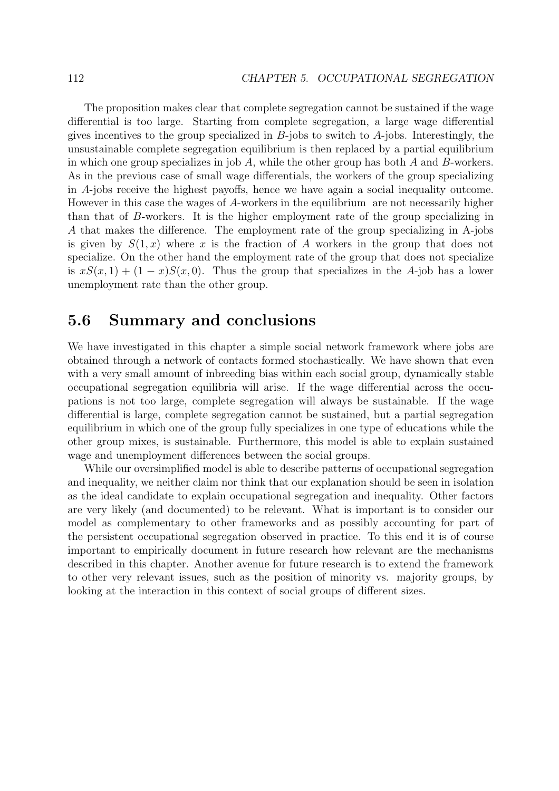The proposition makes clear that complete segregation cannot be sustained if the wage differential is too large. Starting from complete segregation, a large wage differential gives incentives to the group specialized in  $B$ -jobs to switch to  $A$ -jobs. Interestingly, the unsustainable complete segregation equilibrium is then replaced by a partial equilibrium in which one group specializes in job  $A$ , while the other group has both  $A$  and  $B$ -workers. As in the previous case of small wage differentials, the workers of the group specializing in A-jobs receive the highest payoffs, hence we have again a social inequality outcome. However in this case the wages of A-workers in the equilibrium are not necessarily higher than that of B-workers. It is the higher employment rate of the group specializing in A that makes the difference. The employment rate of the group specializing in A-jobs is given by  $S(1, x)$  where x is the fraction of A workers in the group that does not specialize. On the other hand the employment rate of the group that does not specialize is  $xS(x, 1) + (1 - x)S(x, 0)$ . Thus the group that specializes in the A-job has a lower unemployment rate than the other group.

### 5.6 Summary and conclusions

We have investigated in this chapter a simple social network framework where jobs are obtained through a network of contacts formed stochastically. We have shown that even with a very small amount of inbreeding bias within each social group, dynamically stable occupational segregation equilibria will arise. If the wage differential across the occupations is not too large, complete segregation will always be sustainable. If the wage differential is large, complete segregation cannot be sustained, but a partial segregation equilibrium in which one of the group fully specializes in one type of educations while the other group mixes, is sustainable. Furthermore, this model is able to explain sustained wage and unemployment differences between the social groups.

While our oversimplified model is able to describe patterns of occupational segregation and inequality, we neither claim nor think that our explanation should be seen in isolation as the ideal candidate to explain occupational segregation and inequality. Other factors are very likely (and documented) to be relevant. What is important is to consider our model as complementary to other frameworks and as possibly accounting for part of the persistent occupational segregation observed in practice. To this end it is of course important to empirically document in future research how relevant are the mechanisms described in this chapter. Another avenue for future research is to extend the framework to other very relevant issues, such as the position of minority vs. majority groups, by looking at the interaction in this context of social groups of different sizes.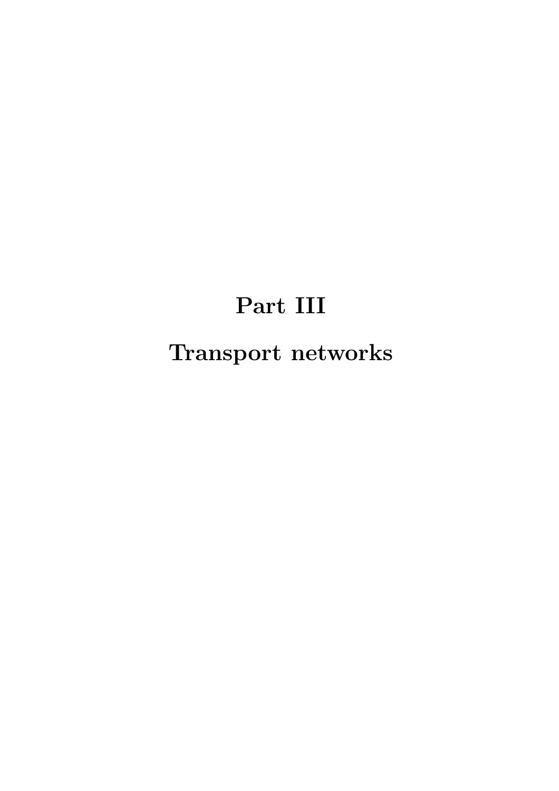# Part III Transport networks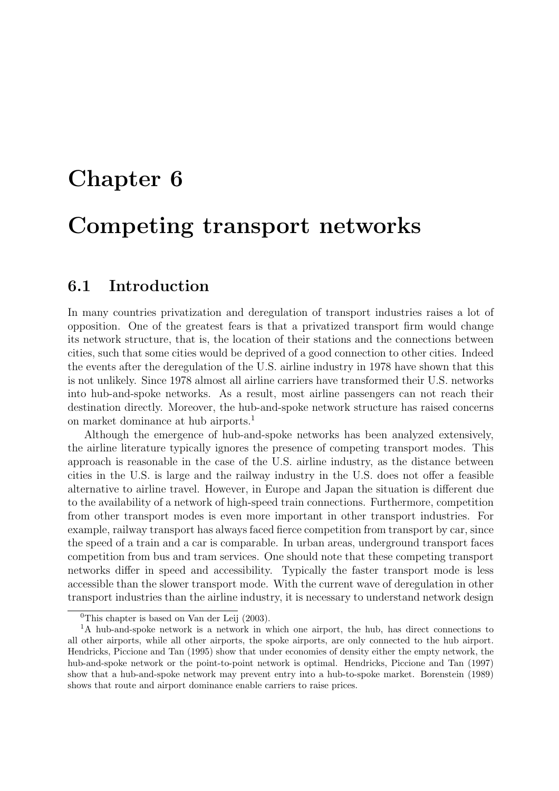# Chapter 6

# Competing transport networks

### 6.1 Introduction

In many countries privatization and deregulation of transport industries raises a lot of opposition. One of the greatest fears is that a privatized transport firm would change its network structure, that is, the location of their stations and the connections between cities, such that some cities would be deprived of a good connection to other cities. Indeed the events after the deregulation of the U.S. airline industry in 1978 have shown that this is not unlikely. Since 1978 almost all airline carriers have transformed their U.S. networks into hub-and-spoke networks. As a result, most airline passengers can not reach their destination directly. Moreover, the hub-and-spoke network structure has raised concerns on market dominance at hub airports.<sup>1</sup>

Although the emergence of hub-and-spoke networks has been analyzed extensively, the airline literature typically ignores the presence of competing transport modes. This approach is reasonable in the case of the U.S. airline industry, as the distance between cities in the U.S. is large and the railway industry in the U.S. does not offer a feasible alternative to airline travel. However, in Europe and Japan the situation is different due to the availability of a network of high-speed train connections. Furthermore, competition from other transport modes is even more important in other transport industries. For example, railway transport has always faced fierce competition from transport by car, since the speed of a train and a car is comparable. In urban areas, underground transport faces competition from bus and tram services. One should note that these competing transport networks differ in speed and accessibility. Typically the faster transport mode is less accessible than the slower transport mode. With the current wave of deregulation in other transport industries than the airline industry, it is necessary to understand network design

<sup>&</sup>lt;sup>0</sup>This chapter is based on Van der Leij  $(2003)$ .

<sup>&</sup>lt;sup>1</sup>A hub-and-spoke network is a network in which one airport, the hub, has direct connections to all other airports, while all other airports, the spoke airports, are only connected to the hub airport. Hendricks, Piccione and Tan (1995) show that under economies of density either the empty network, the hub-and-spoke network or the point-to-point network is optimal. Hendricks, Piccione and Tan (1997) show that a hub-and-spoke network may prevent entry into a hub-to-spoke market. Borenstein (1989) shows that route and airport dominance enable carriers to raise prices.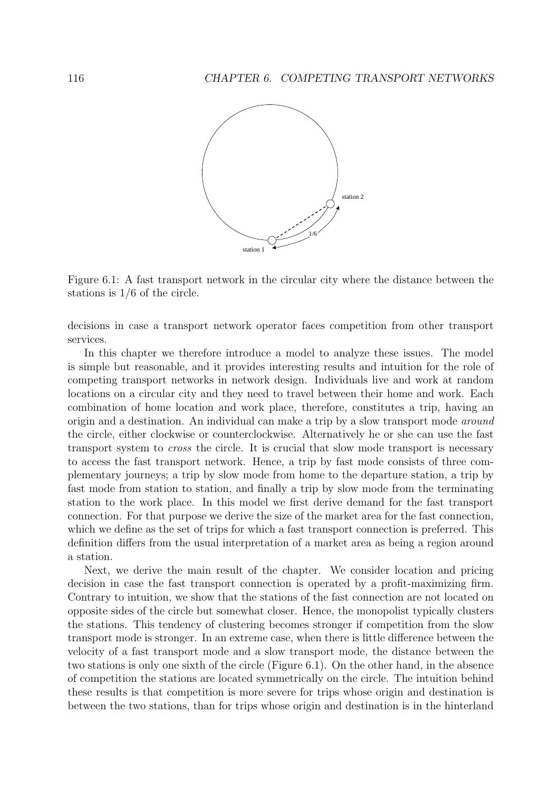

Figure 6.1: A fast transport network in the circular city where the distance between the stations is 1/6 of the circle.

decisions in case a transport network operator faces competition from other transport services.

In this chapter we therefore introduce a model to analyze these issues. The model is simple but reasonable, and it provides interesting results and intuition for the role of competing transport networks in network design. Individuals live and work at random locations on a circular city and they need to travel between their home and work. Each combination of home location and work place, therefore, constitutes a trip, having an origin and a destination. An individual can make a trip by a slow transport mode around the circle, either clockwise or counterclockwise. Alternatively he or she can use the fast transport system to cross the circle. It is crucial that slow mode transport is necessary to access the fast transport network. Hence, a trip by fast mode consists of three complementary journeys; a trip by slow mode from home to the departure station, a trip by fast mode from station to station, and finally a trip by slow mode from the terminating station to the work place. In this model we first derive demand for the fast transport connection. For that purpose we derive the size of the market area for the fast connection, which we define as the set of trips for which a fast transport connection is preferred. This definition differs from the usual interpretation of a market area as being a region around a station.

Next, we derive the main result of the chapter. We consider location and pricing decision in case the fast transport connection is operated by a profit-maximizing firm. Contrary to intuition, we show that the stations of the fast connection are not located on opposite sides of the circle but somewhat closer. Hence, the monopolist typically clusters the stations. This tendency of clustering becomes stronger if competition from the slow transport mode is stronger. In an extreme case, when there is little difference between the velocity of a fast transport mode and a slow transport mode, the distance between the two stations is only one sixth of the circle (Figure 6.1). On the other hand, in the absence of competition the stations are located symmetrically on the circle. The intuition behind these results is that competition is more severe for trips whose origin and destination is between the two stations, than for trips whose origin and destination is in the hinterland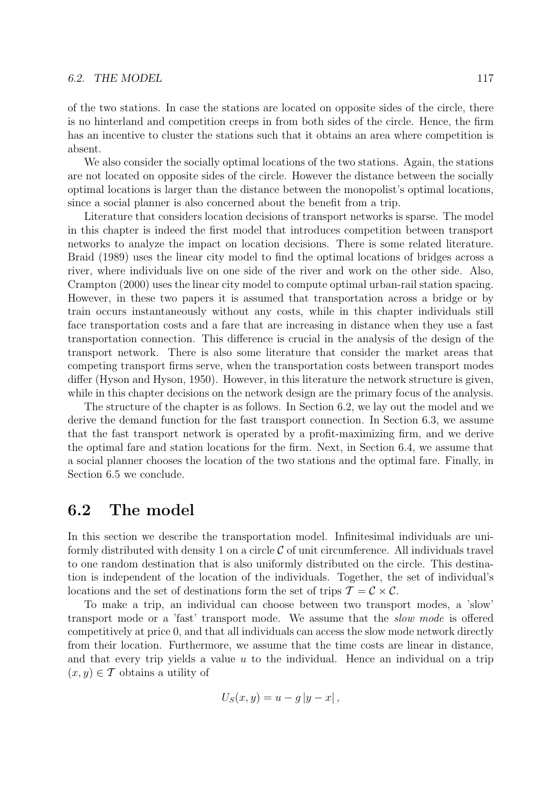#### 6.2. THE MODEL 117

of the two stations. In case the stations are located on opposite sides of the circle, there is no hinterland and competition creeps in from both sides of the circle. Hence, the firm has an incentive to cluster the stations such that it obtains an area where competition is absent.

We also consider the socially optimal locations of the two stations. Again, the stations are not located on opposite sides of the circle. However the distance between the socially optimal locations is larger than the distance between the monopolist's optimal locations, since a social planner is also concerned about the benefit from a trip.

Literature that considers location decisions of transport networks is sparse. The model in this chapter is indeed the first model that introduces competition between transport networks to analyze the impact on location decisions. There is some related literature. Braid (1989) uses the linear city model to find the optimal locations of bridges across a river, where individuals live on one side of the river and work on the other side. Also, Crampton (2000) uses the linear city model to compute optimal urban-rail station spacing. However, in these two papers it is assumed that transportation across a bridge or by train occurs instantaneously without any costs, while in this chapter individuals still face transportation costs and a fare that are increasing in distance when they use a fast transportation connection. This difference is crucial in the analysis of the design of the transport network. There is also some literature that consider the market areas that competing transport firms serve, when the transportation costs between transport modes differ (Hyson and Hyson, 1950). However, in this literature the network structure is given, while in this chapter decisions on the network design are the primary focus of the analysis.

The structure of the chapter is as follows. In Section 6.2, we lay out the model and we derive the demand function for the fast transport connection. In Section 6.3, we assume that the fast transport network is operated by a profit-maximizing firm, and we derive the optimal fare and station locations for the firm. Next, in Section 6.4, we assume that a social planner chooses the location of the two stations and the optimal fare. Finally, in Section 6.5 we conclude.

### 6.2 The model

In this section we describe the transportation model. Infinitesimal individuals are uniformly distributed with density 1 on a circle  $\mathcal C$  of unit circumference. All individuals travel to one random destination that is also uniformly distributed on the circle. This destination is independent of the location of the individuals. Together, the set of individual's locations and the set of destinations form the set of trips  $\mathcal{T} = \mathcal{C} \times \mathcal{C}$ .

To make a trip, an individual can choose between two transport modes, a 'slow' transport mode or a 'fast' transport mode. We assume that the slow mode is offered competitively at price 0, and that all individuals can access the slow mode network directly from their location. Furthermore, we assume that the time costs are linear in distance, and that every trip yields a value  $u$  to the individual. Hence an individual on a trip  $(x, y) \in \mathcal{T}$  obtains a utility of

$$
U_S(x,y) = u - g\left|y - x\right|,
$$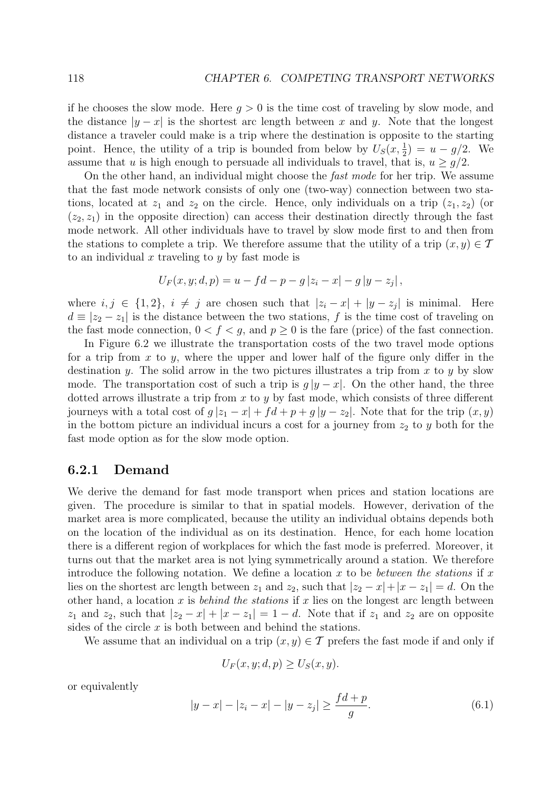if he chooses the slow mode. Here  $g > 0$  is the time cost of traveling by slow mode, and the distance  $|y - x|$  is the shortest arc length between x and y. Note that the longest distance a traveler could make is a trip where the destination is opposite to the starting point. Hence, the utility of a trip is bounded from below by  $U_S(x, \frac{1}{2}) = u - g/2$ . We assume that u is high enough to persuade all individuals to travel, that is,  $u \geq g/2$ .

On the other hand, an individual might choose the fast mode for her trip. We assume that the fast mode network consists of only one (two-way) connection between two stations, located at  $z_1$  and  $z_2$  on the circle. Hence, only individuals on a trip  $(z_1, z_2)$  (or  $(z_2, z_1)$  in the opposite direction) can access their destination directly through the fast mode network. All other individuals have to travel by slow mode first to and then from the stations to complete a trip. We therefore assume that the utility of a trip  $(x, y) \in \mathcal{T}$ to an individual x traveling to y by fast mode is

$$
U_F(x, y; d, p) = u - f d - p - g |z_i - x| - g |y - z_j|,
$$

where  $i, j \in \{1, 2\}, i \neq j$  are chosen such that  $|z_i - x| + |y - z_j|$  is minimal. Here  $d \equiv |z_2 - z_1|$  is the distance between the two stations, f is the time cost of traveling on the fast mode connection,  $0 < f < g$ , and  $p \ge 0$  is the fare (price) of the fast connection.

In Figure 6.2 we illustrate the transportation costs of the two travel mode options for a trip from x to y, where the upper and lower half of the figure only differ in the destination y. The solid arrow in the two pictures illustrates a trip from x to y by slow mode. The transportation cost of such a trip is  $g |y - x|$ . On the other hand, the three dotted arrows illustrate a trip from  $x$  to  $y$  by fast mode, which consists of three different journeys with a total cost of  $g |z_1 - x| + f d + p + g |y - z_2|$ . Note that for the trip  $(x, y)$ in the bottom picture an individual incurs a cost for a journey from  $z_2$  to y both for the fast mode option as for the slow mode option.

### 6.2.1 Demand

We derive the demand for fast mode transport when prices and station locations are given. The procedure is similar to that in spatial models. However, derivation of the market area is more complicated, because the utility an individual obtains depends both on the location of the individual as on its destination. Hence, for each home location there is a different region of workplaces for which the fast mode is preferred. Moreover, it turns out that the market area is not lying symmetrically around a station. We therefore introduce the following notation. We define a location x to be between the stations if  $x$ lies on the shortest arc length between  $z_1$  and  $z_2$ , such that  $|z_2 - x| + |x - z_1| = d$ . On the other hand, a location x is behind the stations if x lies on the longest arc length between  $z_1$  and  $z_2$ , such that  $|z_2 - x| + |x - z_1| = 1 - d$ . Note that if  $z_1$  and  $z_2$  are on opposite sides of the circle  $x$  is both between and behind the stations.

We assume that an individual on a trip  $(x, y) \in \mathcal{T}$  prefers the fast mode if and only if

$$
U_F(x, y; d, p) \ge U_S(x, y).
$$

or equivalently

$$
|y - x| - |z_i - x| - |y - z_j| \ge \frac{fd + p}{g}.\tag{6.1}
$$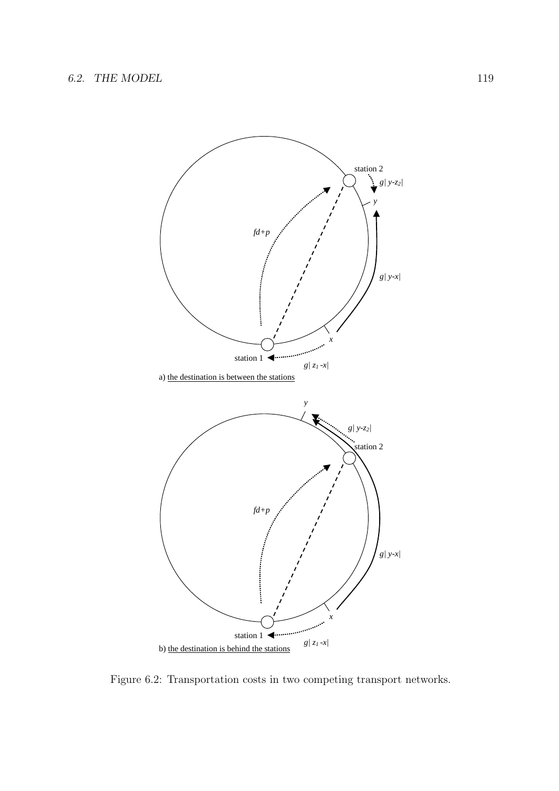

Figure 6.2: Transportation costs in two competing transport networks.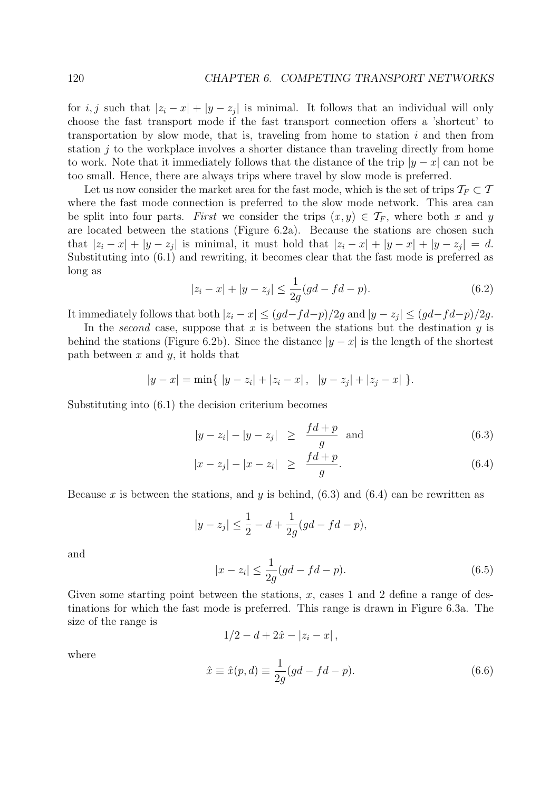for i, j such that  $|z_i - x| + |y - z_j|$  is minimal. It follows that an individual will only choose the fast transport mode if the fast transport connection offers a 'shortcut' to transportation by slow mode, that is, traveling from home to station  $i$  and then from station  $j$  to the workplace involves a shorter distance than traveling directly from home to work. Note that it immediately follows that the distance of the trip  $|y - x|$  can not be too small. Hence, there are always trips where travel by slow mode is preferred.

Let us now consider the market area for the fast mode, which is the set of trips  $\mathcal{T}_F \subset \mathcal{T}$ where the fast mode connection is preferred to the slow mode network. This area can be split into four parts. First we consider the trips  $(x, y) \in \mathcal{T}_F$ , where both x and y are located between the stations (Figure 6.2a). Because the stations are chosen such that  $|z_i - x| + |y - z_j|$  is minimal, it must hold that  $|z_i - x| + |y - x| + |y - z_j| = d$ . Substituting into (6.1) and rewriting, it becomes clear that the fast mode is preferred as long as

$$
|z_i - x| + |y - z_j| \le \frac{1}{2g}(gd - fd - p). \tag{6.2}
$$

It immediately follows that both  $|z_i - x| \le (gd - fd - p)/2g$  and  $|y - z_j| \le (gd - fd - p)/2g$ .

In the second case, suppose that x is between the stations but the destination y is behind the stations (Figure 6.2b). Since the distance  $|y - x|$  is the length of the shortest path between  $x$  and  $y$ , it holds that

$$
|y - x| = \min\{ |y - z_i| + |z_i - x|, |y - z_j| + |z_j - x| \}.
$$

Substituting into (6.1) the decision criterium becomes

$$
|y - z_i| - |y - z_j| \ge \frac{fd + p}{g} \text{ and } \tag{6.3}
$$

$$
|x - z_j| - |x - z_i| \ge \frac{fd + p}{g}.
$$
\n(6.4)

Because x is between the stations, and y is behind,  $(6.3)$  and  $(6.4)$  can be rewritten as

$$
|y-z_j|\leq \frac{1}{2}-d+\frac{1}{2g}(gd-fd-p),
$$

and

$$
|x - z_i| \le \frac{1}{2g}(gd - fd - p). \tag{6.5}
$$

Given some starting point between the stations,  $x$ , cases 1 and 2 define a range of destinations for which the fast mode is preferred. This range is drawn in Figure 6.3a. The size of the range is

$$
1/2 - d + 2\hat{x} - |z_i - x|,
$$

where

$$
\hat{x} \equiv \hat{x}(p,d) \equiv \frac{1}{2g}(gd - fd - p). \tag{6.6}
$$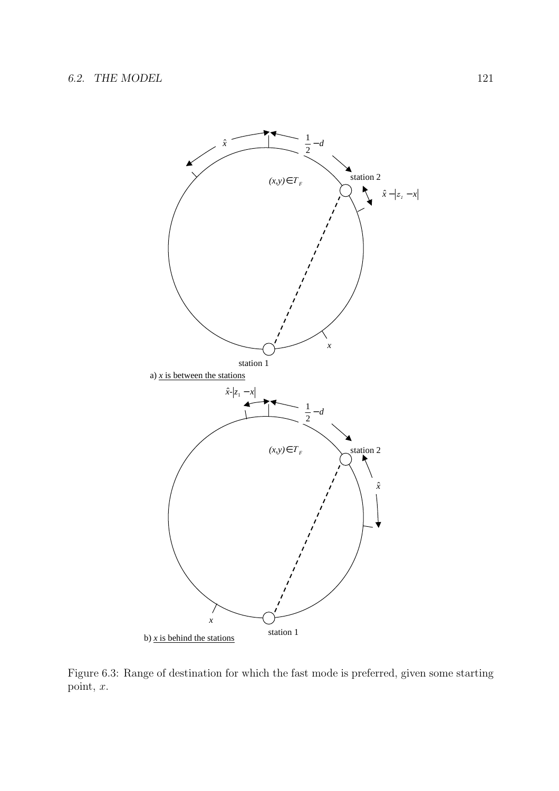

Figure 6.3: Range of destination for which the fast mode is preferred, given some starting point, x.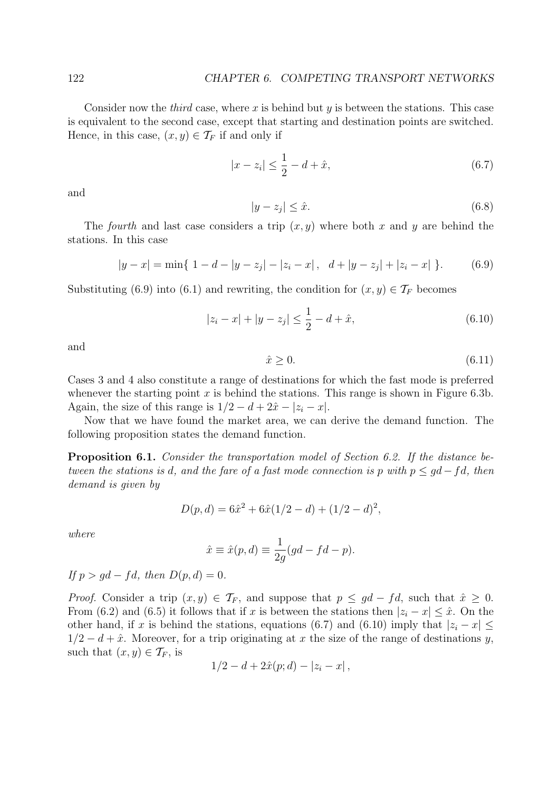Consider now the *third* case, where  $x$  is behind but  $y$  is between the stations. This case is equivalent to the second case, except that starting and destination points are switched. Hence, in this case,  $(x, y) \in \mathcal{T}_F$  if and only if

$$
|x - z_i| \le \frac{1}{2} - d + \hat{x},\tag{6.7}
$$

and

$$
|y - z_j| \leq \hat{x}.\tag{6.8}
$$

The *fourth* and last case considers a trip  $(x, y)$  where both x and y are behind the stations. In this case

$$
|y - x| = \min\{ 1 - d - |y - z_j| - |z_i - x|, d + |y - z_j| + |z_i - x| \}.
$$
 (6.9)

Substituting (6.9) into (6.1) and rewriting, the condition for  $(x, y) \in \mathcal{T}_F$  becomes

$$
|z_i - x| + |y - z_j| \le \frac{1}{2} - d + \hat{x},\tag{6.10}
$$

and

$$
\hat{x} \ge 0. \tag{6.11}
$$

Cases 3 and 4 also constitute a range of destinations for which the fast mode is preferred whenever the starting point  $x$  is behind the stations. This range is shown in Figure 6.3b. Again, the size of this range is  $1/2 - d + 2\hat{x} - |z_i - x|$ .

Now that we have found the market area, we can derive the demand function. The following proposition states the demand function.

Proposition 6.1. Consider the transportation model of Section 6.2. If the distance between the stations is d, and the fare of a fast mode connection is p with  $p \leq qd - fd$ , then demand is given by

$$
D(p, d) = 6\hat{x}^{2} + 6\hat{x}(1/2 - d) + (1/2 - d)^{2},
$$

where

$$
\hat{x} \equiv \hat{x}(p, d) \equiv \frac{1}{2g}(gd - fd - p).
$$

If 
$$
p > gd - fd
$$
, then  $D(p, d) = 0$ .

*Proof.* Consider a trip  $(x, y) \in \mathcal{T}_F$ , and suppose that  $p \leq gd - fd$ , such that  $\hat{x} \geq 0$ . From (6.2) and (6.5) it follows that if x is between the stations then  $|z_i - x| \leq \hat{x}$ . On the other hand, if x is behind the stations, equations (6.7) and (6.10) imply that  $|z_i - x| \leq$  $1/2 - d + \hat{x}$ . Moreover, for a trip originating at x the size of the range of destinations y, such that  $(x, y) \in \mathcal{T}_F$ , is

$$
1/2 - d + 2\hat{x}(p; d) - |z_i - x|,
$$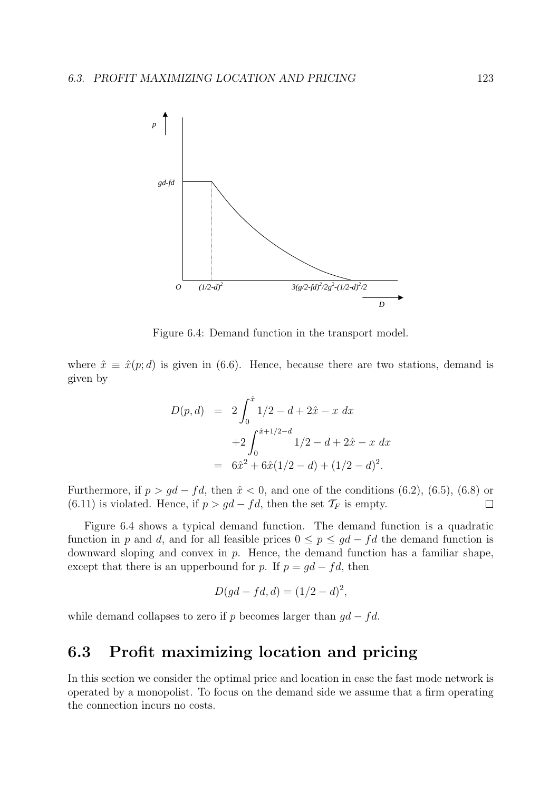

Figure 6.4: Demand function in the transport model.

where  $\hat{x} \equiv \hat{x}(p; d)$  is given in (6.6). Hence, because there are two stations, demand is given by

$$
D(p,d) = 2 \int_0^{\hat{x}} 1/2 - d + 2\hat{x} - x \, dx
$$
  
+2 
$$
\int_0^{\hat{x}+1/2-d} 1/2 - d + 2\hat{x} - x \, dx
$$
  
= 
$$
6\hat{x}^2 + 6\hat{x}(1/2 - d) + (1/2 - d)^2.
$$

Furthermore, if  $p > gd - fd$ , then  $\hat{x} < 0$ , and one of the conditions (6.2), (6.5), (6.8) or (6.11) is violated. Hence, if  $p > gd - fd$ , then the set  $\mathcal{T}_F$  is empty.  $\Box$ 

Figure 6.4 shows a typical demand function. The demand function is a quadratic function in p and d, and for all feasible prices  $0 \leq p \leq qd - fd$  the demand function is downward sloping and convex in  $p$ . Hence, the demand function has a familiar shape, except that there is an upperbound for p. If  $p = gd - fd$ , then

$$
D(gd - fd, d) = (1/2 - d)^2,
$$

while demand collapses to zero if p becomes larger than  $qd - fd$ .

## 6.3 Profit maximizing location and pricing

In this section we consider the optimal price and location in case the fast mode network is operated by a monopolist. To focus on the demand side we assume that a firm operating the connection incurs no costs.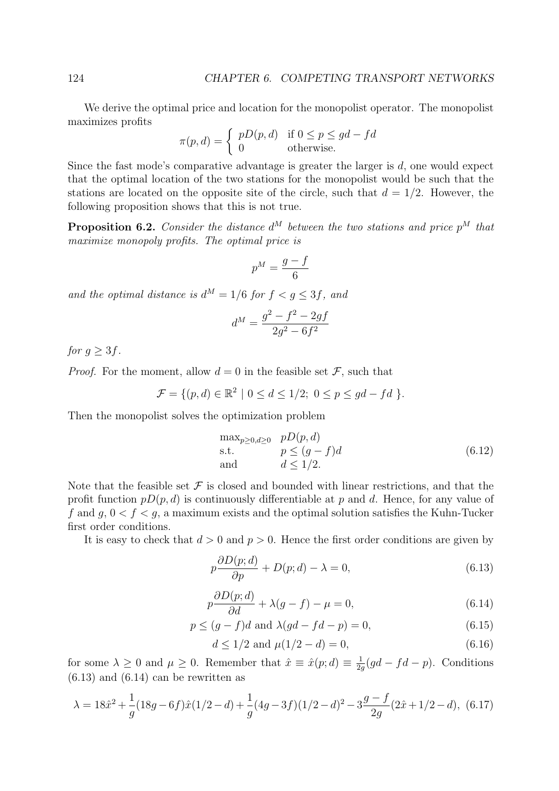We derive the optimal price and location for the monopolist operator. The monopolist maximizes profits

$$
\pi(p, d) = \begin{cases} pD(p, d) & \text{if } 0 \le p \le gd - fd \\ 0 & \text{otherwise.} \end{cases}
$$

Since the fast mode's comparative advantage is greater the larger is  $d$ , one would expect that the optimal location of the two stations for the monopolist would be such that the stations are located on the opposite site of the circle, such that  $d = 1/2$ . However, the following proposition shows that this is not true.

**Proposition 6.2.** Consider the distance  $d^M$  between the two stations and price  $p^M$  that maximize monopoly profits. The optimal price is

$$
p^M = \frac{g - f}{6}
$$

and the optimal distance is  $d^M = 1/6$  for  $f < g \leq 3f$ , and

$$
d^M = \frac{g^2 - f^2 - 2gf}{2g^2 - 6f^2}
$$

for  $q > 3f$ .

*Proof.* For the moment, allow  $d = 0$  in the feasible set  $\mathcal{F}$ , such that

$$
\mathcal{F} = \{ (p, d) \in \mathbb{R}^2 \mid 0 \le d \le 1/2; \ 0 \le p \le gd - fd \ \}.
$$

Then the monopolist solves the optimization problem

$$
\begin{array}{ll}\n\max_{p\geq 0, d\geq 0} & pD(p, d) \\
\text{s.t.} & p \leq (g - f)d \\
\text{and} & d \leq 1/2.\n\end{array} \tag{6.12}
$$

Note that the feasible set  $\mathcal F$  is closed and bounded with linear restrictions, and that the profit function  $pD(p, d)$  is continuously differentiable at p and d. Hence, for any value of f and  $g, 0 < f < g$ , a maximum exists and the optimal solution satisfies the Kuhn-Tucker first order conditions.

It is easy to check that  $d > 0$  and  $p > 0$ . Hence the first order conditions are given by

$$
p\frac{\partial D(p;d)}{\partial p} + D(p;d) - \lambda = 0,\t(6.13)
$$

$$
p\frac{\partial D(p;d)}{\partial d} + \lambda(g-f) - \mu = 0,\tag{6.14}
$$

$$
p \le (g - f)d \text{ and } \lambda(gd - fd - p) = 0,
$$
\n(6.15)

$$
d \le 1/2 \text{ and } \mu(1/2 - d) = 0,\tag{6.16}
$$

for some  $\lambda \geq 0$  and  $\mu \geq 0$ . Remember that  $\hat{x} \equiv \hat{x}(p; d) \equiv \frac{1}{2}$  $\frac{1}{2g}(gd - fd - p)$ . Conditions  $(6.13)$  and  $(6.14)$  can be rewritten as

$$
\lambda = 18\hat{x}^2 + \frac{1}{g}(18g - 6f)\hat{x}(1/2 - d) + \frac{1}{g}(4g - 3f)(1/2 - d)^2 - 3\frac{g - f}{2g}(2\hat{x} + 1/2 - d),
$$
 (6.17)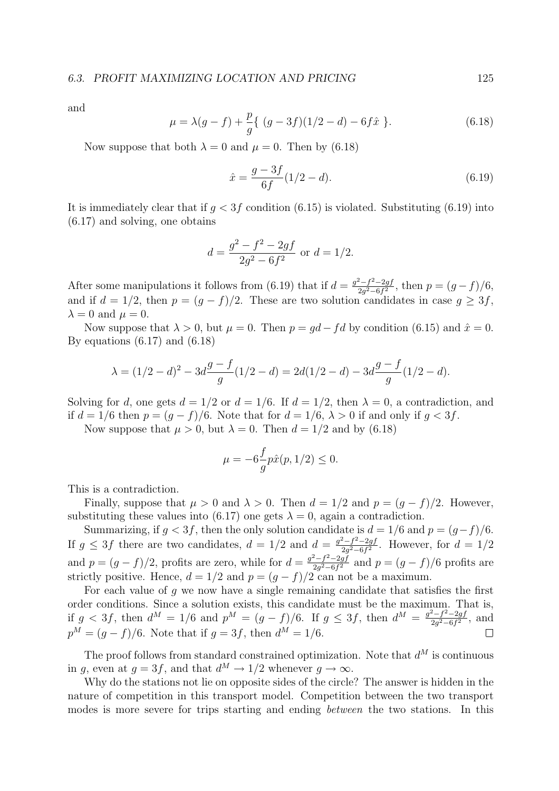and

$$
\mu = \lambda(g - f) + \frac{p}{g} \{ (g - 3f)(1/2 - d) - 6f\hat{x} \}.
$$
 (6.18)

Now suppose that both  $\lambda = 0$  and  $\mu = 0$ . Then by (6.18)

$$
\hat{x} = \frac{g - 3f}{6f}(1/2 - d). \tag{6.19}
$$

It is immediately clear that if  $q < 3f$  condition (6.15) is violated. Substituting (6.19) into (6.17) and solving, one obtains

$$
d = \frac{g^2 - f^2 - 2gf}{2g^2 - 6f^2}
$$
 or  $d = 1/2$ .

After some manipulations it follows from (6.19) that if  $d = \frac{g^2 - f^2 - 2gf}{2g^2 - 6f^2}$  $\frac{2-f^2-2gf}{2g^2-6f^2}$ , then  $p=(g-f)/6$ , and if  $d = 1/2$ , then  $p = (g - f)/2$ . These are two solution candidates in case  $g \geq 3f$ .  $\lambda = 0$  and  $\mu = 0$ .

Now suppose that  $\lambda > 0$ , but  $\mu = 0$ . Then  $p = qd - fd$  by condition (6.15) and  $\hat{x} = 0$ . By equations  $(6.17)$  and  $(6.18)$ 

$$
\lambda = (1/2 - d)^2 - 3d \frac{g - f}{g}(1/2 - d) = 2d(1/2 - d) - 3d \frac{g - f}{g}(1/2 - d).
$$

Solving for d, one gets  $d = 1/2$  or  $d = 1/6$ . If  $d = 1/2$ , then  $\lambda = 0$ , a contradiction, and if  $d = 1/6$  then  $p = (g - f)/6$ . Note that for  $d = 1/6$ ,  $\lambda > 0$  if and only if  $g < 3f$ .

Now suppose that  $\mu > 0$ , but  $\lambda = 0$ . Then  $d = 1/2$  and by (6.18)

$$
\mu = -6\frac{f}{g}p\hat{x}(p,1/2) \le 0.
$$

This is a contradiction.

Finally, suppose that  $\mu > 0$  and  $\lambda > 0$ . Then  $d = 1/2$  and  $p = (g - f)/2$ . However, substituting these values into (6.17) one gets  $\lambda = 0$ , again a contradiction.

Summarizing, if  $q < 3f$ , then the only solution candidate is  $d = 1/6$  and  $p = (q - f)/6$ . If  $g \leq 3f$  there are two candidates,  $d = 1/2$  and  $d = \frac{g^2 - f^2 - 2gf}{2g^2 - 6f^2}$  $\frac{2g^2 - f^2 - 2gf}{2g^2 - 6f^2}$ . However, for  $d = 1/2$ and  $p = (g - f)/2$ , profits are zero, while for  $d = \frac{g^2 - f^2 - 2gf}{2g^2 - 6f^2}$  $\frac{2-f^2-2gf}{2g^2-6f^2}$  and  $p=(g-f)/6$  profits are strictly positive. Hence,  $d = 1/2$  and  $p = (g - f)/2$  can not be a maximum.

For each value of  $q$  we now have a single remaining candidate that satisfies the first order conditions. Since a solution exists, this candidate must be the maximum. That is, if  $g < 3f$ , then  $d^M = 1/6$  and  $p^M = (g - f)/6$ . If  $g \le 3f$ , then  $d^M = \frac{g^2 - f^2 - 2gf}{2g^2 - 6f^2}$  $\frac{2-f^2-2gf}{2g^2-6f^2}$ , and  $p^{M} = (g - f)/6$ . Note that if  $g = 3f$ , then  $d^{M} = 1/6$ .

The proof follows from standard constrained optimization. Note that  $d^M$  is continuous in g, even at  $g = 3f$ , and that  $d^M \to 1/2$  whenever  $g \to \infty$ .

Why do the stations not lie on opposite sides of the circle? The answer is hidden in the nature of competition in this transport model. Competition between the two transport modes is more severe for trips starting and ending between the two stations. In this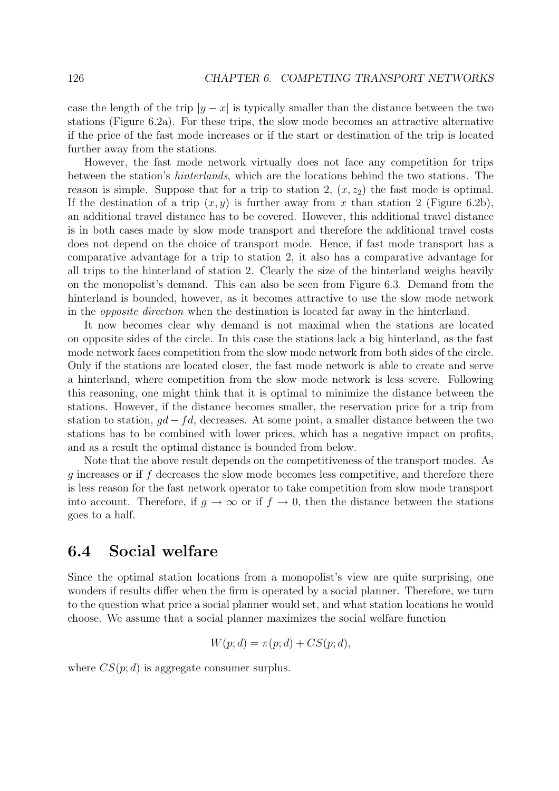case the length of the trip  $|y - x|$  is typically smaller than the distance between the two stations (Figure 6.2a). For these trips, the slow mode becomes an attractive alternative if the price of the fast mode increases or if the start or destination of the trip is located further away from the stations.

However, the fast mode network virtually does not face any competition for trips between the station's hinterlands, which are the locations behind the two stations. The reason is simple. Suppose that for a trip to station 2,  $(x, z_2)$  the fast mode is optimal. If the destination of a trip  $(x, y)$  is further away from x than station 2 (Figure 6.2b), an additional travel distance has to be covered. However, this additional travel distance is in both cases made by slow mode transport and therefore the additional travel costs does not depend on the choice of transport mode. Hence, if fast mode transport has a comparative advantage for a trip to station 2, it also has a comparative advantage for all trips to the hinterland of station 2. Clearly the size of the hinterland weighs heavily on the monopolist's demand. This can also be seen from Figure 6.3. Demand from the hinterland is bounded, however, as it becomes attractive to use the slow mode network in the opposite direction when the destination is located far away in the hinterland.

It now becomes clear why demand is not maximal when the stations are located on opposite sides of the circle. In this case the stations lack a big hinterland, as the fast mode network faces competition from the slow mode network from both sides of the circle. Only if the stations are located closer, the fast mode network is able to create and serve a hinterland, where competition from the slow mode network is less severe. Following this reasoning, one might think that it is optimal to minimize the distance between the stations. However, if the distance becomes smaller, the reservation price for a trip from station to station,  $gd - fd$ , decreases. At some point, a smaller distance between the two stations has to be combined with lower prices, which has a negative impact on profits, and as a result the optimal distance is bounded from below.

Note that the above result depends on the competitiveness of the transport modes. As g increases or if f decreases the slow mode becomes less competitive, and therefore there is less reason for the fast network operator to take competition from slow mode transport into account. Therefore, if  $g \to \infty$  or if  $f \to 0$ , then the distance between the stations goes to a half.

## 6.4 Social welfare

Since the optimal station locations from a monopolist's view are quite surprising, one wonders if results differ when the firm is operated by a social planner. Therefore, we turn to the question what price a social planner would set, and what station locations he would choose. We assume that a social planner maximizes the social welfare function

$$
W(p; d) = \pi(p; d) + CS(p; d),
$$

where  $CS(p; d)$  is aggregate consumer surplus.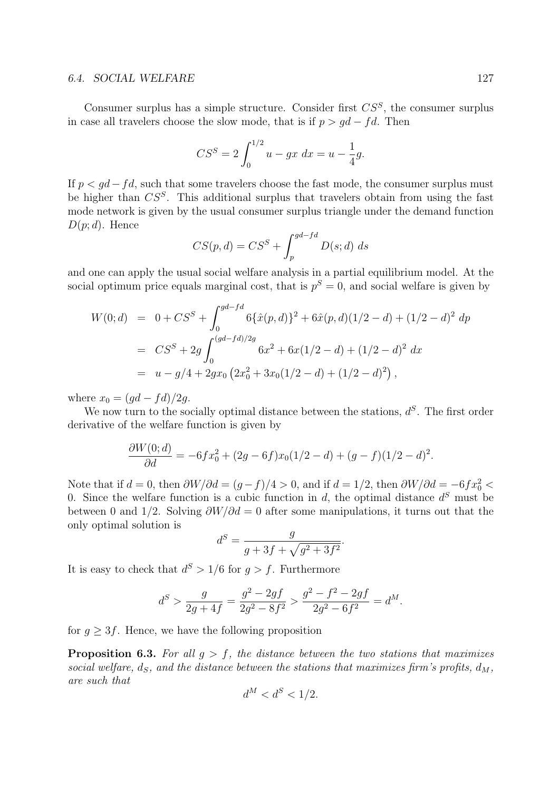#### 6.4. SOCIAL WELFARE 127

Consumer surplus has a simple structure. Consider first  $CS^S$ , the consumer surplus in case all travelers choose the slow mode, that is if  $p > qd - fd$ . Then

$$
CS^S = 2\int_0^{1/2} u - gx \, dx = u - \frac{1}{4}g.
$$

If  $p < qd - fd$ , such that some travelers choose the fast mode, the consumer surplus must be higher than  $CS^S$ . This additional surplus that travelers obtain from using the fast mode network is given by the usual consumer surplus triangle under the demand function  $D(p;d)$ . Hence

$$
CS(p,d) = CS^S + \int_p^{gd-fd} D(s;d) \ ds
$$

and one can apply the usual social welfare analysis in a partial equilibrium model. At the social optimum price equals marginal cost, that is  $p^S = 0$ , and social welfare is given by

$$
W(0; d) = 0 + CS^{S} + \int_{0}^{gd - fd} 6\{\hat{x}(p, d)\}^{2} + 6\hat{x}(p, d)(1/2 - d) + (1/2 - d)^{2} dp
$$
  
=  $CS^{S} + 2g \int_{0}^{(gd - fd)/2g} 6x^{2} + 6x(1/2 - d) + (1/2 - d)^{2} dx$   
=  $u - g/4 + 2gx_{0} (2x_{0}^{2} + 3x_{0}(1/2 - d) + (1/2 - d)^{2}),$ 

where  $x_0 = (gd - fd)/2g$ .

We now turn to the socially optimal distance between the stations,  $d^S$ . The first order derivative of the welfare function is given by

$$
\frac{\partial W(0; d)}{\partial d} = -6fx_0^2 + (2g - 6f)x_0(1/2 - d) + (g - f)(1/2 - d)^2.
$$

Note that if  $d = 0$ , then  $\frac{\partial W}{\partial d} = (g - f)/4 > 0$ , and if  $d = 1/2$ , then  $\frac{\partial W}{\partial d} = -6fx_0^2 <$ 0. Since the welfare function is a cubic function in d, the optimal distance  $d^S$  must be between 0 and 1/2. Solving  $\partial W/\partial d = 0$  after some manipulations, it turns out that the only optimal solution is

$$
d^{S} = \frac{g}{g + 3f + \sqrt{g^{2} + 3f^{2}}}.
$$

It is easy to check that  $d^S > 1/6$  for  $g > f$ . Furthermore

$$
d^S > \frac{g}{2g+4f} = \frac{g^2 - 2gf}{2g^2 - 8f^2} > \frac{g^2 - f^2 - 2gf}{2g^2 - 6f^2} = d^M.
$$

for  $g \geq 3f$ . Hence, we have the following proposition

**Proposition 6.3.** For all  $g > f$ , the distance between the two stations that maximizes social welfare,  $d_S$ , and the distance between the stations that maximizes firm's profits,  $d_M$ , are such that

$$
d^M < d^S < 1/2.
$$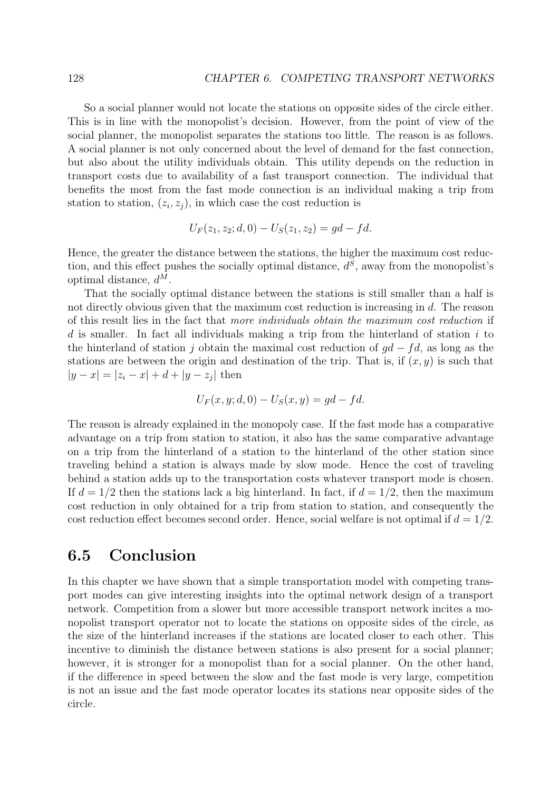So a social planner would not locate the stations on opposite sides of the circle either. This is in line with the monopolist's decision. However, from the point of view of the social planner, the monopolist separates the stations too little. The reason is as follows. A social planner is not only concerned about the level of demand for the fast connection, but also about the utility individuals obtain. This utility depends on the reduction in transport costs due to availability of a fast transport connection. The individual that benefits the most from the fast mode connection is an individual making a trip from station to station,  $(z_i, z_j)$ , in which case the cost reduction is

$$
U_F(z_1, z_2; d, 0) - U_S(z_1, z_2) = gd - fd.
$$

Hence, the greater the distance between the stations, the higher the maximum cost reduction, and this effect pushes the socially optimal distance,  $d^S$ , away from the monopolist's optimal distance,  $d^M$ .

That the socially optimal distance between the stations is still smaller than a half is not directly obvious given that the maximum cost reduction is increasing in d. The reason of this result lies in the fact that more individuals obtain the maximum cost reduction if d is smaller. In fact all individuals making a trip from the hinterland of station  $i$  to the hinterland of station j obtain the maximal cost reduction of  $qd - fd$ , as long as the stations are between the origin and destination of the trip. That is, if  $(x, y)$  is such that  $|y - x| = |z_i - x| + d + |y - z_j|$  then

$$
U_F(x, y; d, 0) - U_S(x, y) = gd - fd.
$$

The reason is already explained in the monopoly case. If the fast mode has a comparative advantage on a trip from station to station, it also has the same comparative advantage on a trip from the hinterland of a station to the hinterland of the other station since traveling behind a station is always made by slow mode. Hence the cost of traveling behind a station adds up to the transportation costs whatever transport mode is chosen. If  $d = 1/2$  then the stations lack a big hinterland. In fact, if  $d = 1/2$ , then the maximum cost reduction in only obtained for a trip from station to station, and consequently the cost reduction effect becomes second order. Hence, social welfare is not optimal if  $d = 1/2$ .

## 6.5 Conclusion

In this chapter we have shown that a simple transportation model with competing transport modes can give interesting insights into the optimal network design of a transport network. Competition from a slower but more accessible transport network incites a monopolist transport operator not to locate the stations on opposite sides of the circle, as the size of the hinterland increases if the stations are located closer to each other. This incentive to diminish the distance between stations is also present for a social planner; however, it is stronger for a monopolist than for a social planner. On the other hand, if the difference in speed between the slow and the fast mode is very large, competition is not an issue and the fast mode operator locates its stations near opposite sides of the circle.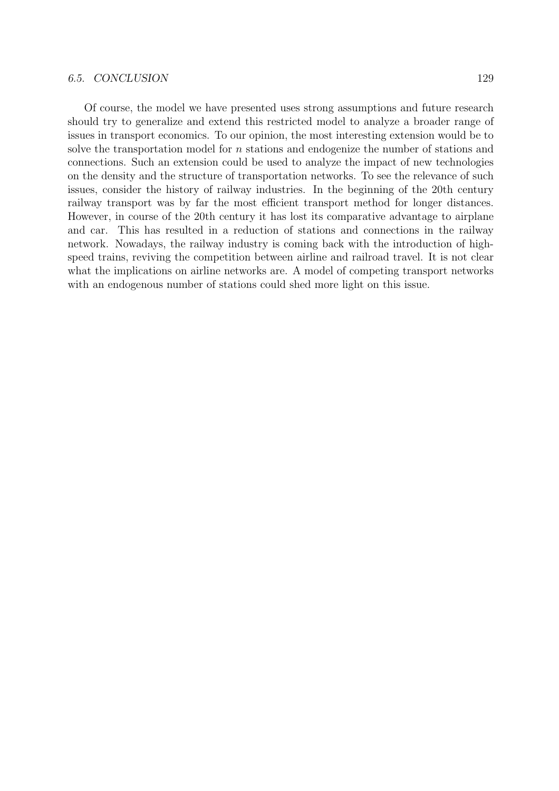#### 6.5. CONCLUSION 129

Of course, the model we have presented uses strong assumptions and future research should try to generalize and extend this restricted model to analyze a broader range of issues in transport economics. To our opinion, the most interesting extension would be to solve the transportation model for n stations and endogenize the number of stations and connections. Such an extension could be used to analyze the impact of new technologies on the density and the structure of transportation networks. To see the relevance of such issues, consider the history of railway industries. In the beginning of the 20th century railway transport was by far the most efficient transport method for longer distances. However, in course of the 20th century it has lost its comparative advantage to airplane and car. This has resulted in a reduction of stations and connections in the railway network. Nowadays, the railway industry is coming back with the introduction of highspeed trains, reviving the competition between airline and railroad travel. It is not clear what the implications on airline networks are. A model of competing transport networks with an endogenous number of stations could shed more light on this issue.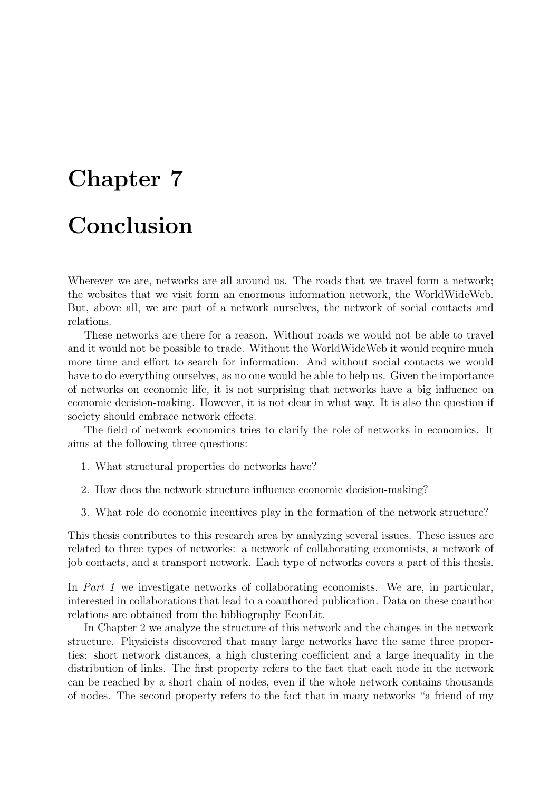# Chapter 7 Conclusion

Wherever we are, networks are all around us. The roads that we travel form a network; the websites that we visit form an enormous information network, the WorldWideWeb. But, above all, we are part of a network ourselves, the network of social contacts and relations.

These networks are there for a reason. Without roads we would not be able to travel and it would not be possible to trade. Without the WorldWideWeb it would require much more time and effort to search for information. And without social contacts we would have to do everything ourselves, as no one would be able to help us. Given the importance of networks on economic life, it is not surprising that networks have a big influence on economic decision-making. However, it is not clear in what way. It is also the question if society should embrace network effects.

The field of network economics tries to clarify the role of networks in economics. It aims at the following three questions:

- 1. What structural properties do networks have?
- 2. How does the network structure influence economic decision-making?
- 3. What role do economic incentives play in the formation of the network structure?

This thesis contributes to this research area by analyzing several issues. These issues are related to three types of networks: a network of collaborating economists, a network of job contacts, and a transport network. Each type of networks covers a part of this thesis.

In Part 1 we investigate networks of collaborating economists. We are, in particular, interested in collaborations that lead to a coauthored publication. Data on these coauthor relations are obtained from the bibliography EconLit.

In Chapter 2 we analyze the structure of this network and the changes in the network structure. Physicists discovered that many large networks have the same three properties: short network distances, a high clustering coefficient and a large inequality in the distribution of links. The first property refers to the fact that each node in the network can be reached by a short chain of nodes, even if the whole network contains thousands of nodes. The second property refers to the fact that in many networks "a friend of my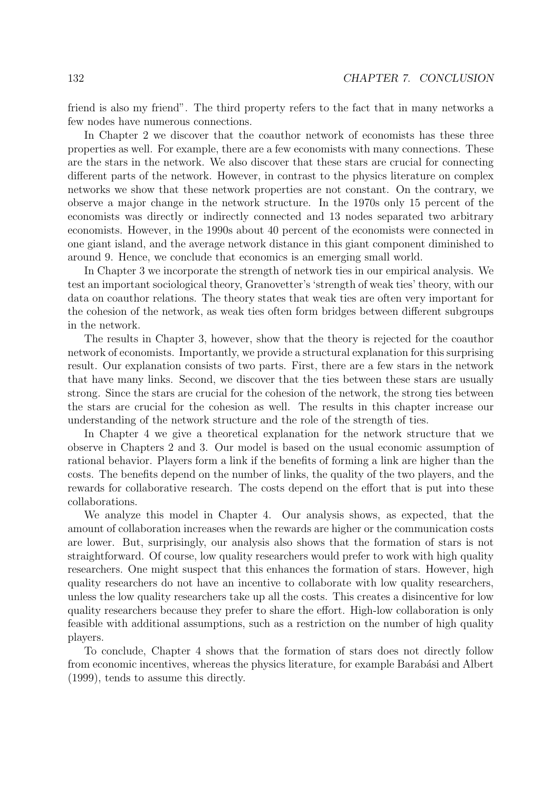friend is also my friend". The third property refers to the fact that in many networks a few nodes have numerous connections.

In Chapter 2 we discover that the coauthor network of economists has these three properties as well. For example, there are a few economists with many connections. These are the stars in the network. We also discover that these stars are crucial for connecting different parts of the network. However, in contrast to the physics literature on complex networks we show that these network properties are not constant. On the contrary, we observe a major change in the network structure. In the 1970s only 15 percent of the economists was directly or indirectly connected and 13 nodes separated two arbitrary economists. However, in the 1990s about 40 percent of the economists were connected in one giant island, and the average network distance in this giant component diminished to around 9. Hence, we conclude that economics is an emerging small world.

In Chapter 3 we incorporate the strength of network ties in our empirical analysis. We test an important sociological theory, Granovetter's 'strength of weak ties' theory, with our data on coauthor relations. The theory states that weak ties are often very important for the cohesion of the network, as weak ties often form bridges between different subgroups in the network.

The results in Chapter 3, however, show that the theory is rejected for the coauthor network of economists. Importantly, we provide a structural explanation for this surprising result. Our explanation consists of two parts. First, there are a few stars in the network that have many links. Second, we discover that the ties between these stars are usually strong. Since the stars are crucial for the cohesion of the network, the strong ties between the stars are crucial for the cohesion as well. The results in this chapter increase our understanding of the network structure and the role of the strength of ties.

In Chapter 4 we give a theoretical explanation for the network structure that we observe in Chapters 2 and 3. Our model is based on the usual economic assumption of rational behavior. Players form a link if the benefits of forming a link are higher than the costs. The benefits depend on the number of links, the quality of the two players, and the rewards for collaborative research. The costs depend on the effort that is put into these collaborations.

We analyze this model in Chapter 4. Our analysis shows, as expected, that the amount of collaboration increases when the rewards are higher or the communication costs are lower. But, surprisingly, our analysis also shows that the formation of stars is not straightforward. Of course, low quality researchers would prefer to work with high quality researchers. One might suspect that this enhances the formation of stars. However, high quality researchers do not have an incentive to collaborate with low quality researchers, unless the low quality researchers take up all the costs. This creates a disincentive for low quality researchers because they prefer to share the effort. High-low collaboration is only feasible with additional assumptions, such as a restriction on the number of high quality players.

To conclude, Chapter 4 shows that the formation of stars does not directly follow from economic incentives, whereas the physics literature, for example Barabási and Albert (1999), tends to assume this directly.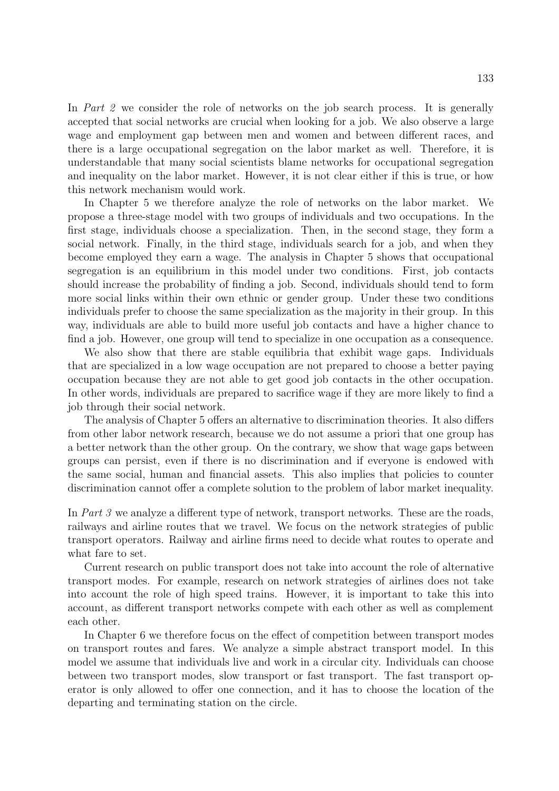In Part 2 we consider the role of networks on the job search process. It is generally accepted that social networks are crucial when looking for a job. We also observe a large wage and employment gap between men and women and between different races, and there is a large occupational segregation on the labor market as well. Therefore, it is understandable that many social scientists blame networks for occupational segregation and inequality on the labor market. However, it is not clear either if this is true, or how this network mechanism would work.

In Chapter 5 we therefore analyze the role of networks on the labor market. We propose a three-stage model with two groups of individuals and two occupations. In the first stage, individuals choose a specialization. Then, in the second stage, they form a social network. Finally, in the third stage, individuals search for a job, and when they become employed they earn a wage. The analysis in Chapter 5 shows that occupational segregation is an equilibrium in this model under two conditions. First, job contacts should increase the probability of finding a job. Second, individuals should tend to form more social links within their own ethnic or gender group. Under these two conditions individuals prefer to choose the same specialization as the majority in their group. In this way, individuals are able to build more useful job contacts and have a higher chance to find a job. However, one group will tend to specialize in one occupation as a consequence.

We also show that there are stable equilibria that exhibit wage gaps. Individuals that are specialized in a low wage occupation are not prepared to choose a better paying occupation because they are not able to get good job contacts in the other occupation. In other words, individuals are prepared to sacrifice wage if they are more likely to find a job through their social network.

The analysis of Chapter 5 offers an alternative to discrimination theories. It also differs from other labor network research, because we do not assume a priori that one group has a better network than the other group. On the contrary, we show that wage gaps between groups can persist, even if there is no discrimination and if everyone is endowed with the same social, human and financial assets. This also implies that policies to counter discrimination cannot offer a complete solution to the problem of labor market inequality.

In Part 3 we analyze a different type of network, transport networks. These are the roads, railways and airline routes that we travel. We focus on the network strategies of public transport operators. Railway and airline firms need to decide what routes to operate and what fare to set.

Current research on public transport does not take into account the role of alternative transport modes. For example, research on network strategies of airlines does not take into account the role of high speed trains. However, it is important to take this into account, as different transport networks compete with each other as well as complement each other.

In Chapter 6 we therefore focus on the effect of competition between transport modes on transport routes and fares. We analyze a simple abstract transport model. In this model we assume that individuals live and work in a circular city. Individuals can choose between two transport modes, slow transport or fast transport. The fast transport operator is only allowed to offer one connection, and it has to choose the location of the departing and terminating station on the circle.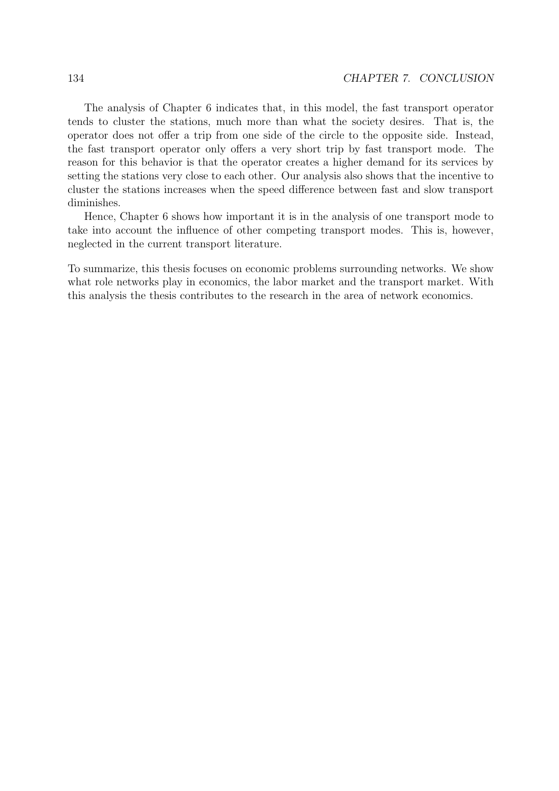The analysis of Chapter 6 indicates that, in this model, the fast transport operator tends to cluster the stations, much more than what the society desires. That is, the operator does not offer a trip from one side of the circle to the opposite side. Instead, the fast transport operator only offers a very short trip by fast transport mode. The reason for this behavior is that the operator creates a higher demand for its services by setting the stations very close to each other. Our analysis also shows that the incentive to cluster the stations increases when the speed difference between fast and slow transport diminishes.

Hence, Chapter 6 shows how important it is in the analysis of one transport mode to take into account the influence of other competing transport modes. This is, however, neglected in the current transport literature.

To summarize, this thesis focuses on economic problems surrounding networks. We show what role networks play in economics, the labor market and the transport market. With this analysis the thesis contributes to the research in the area of network economics.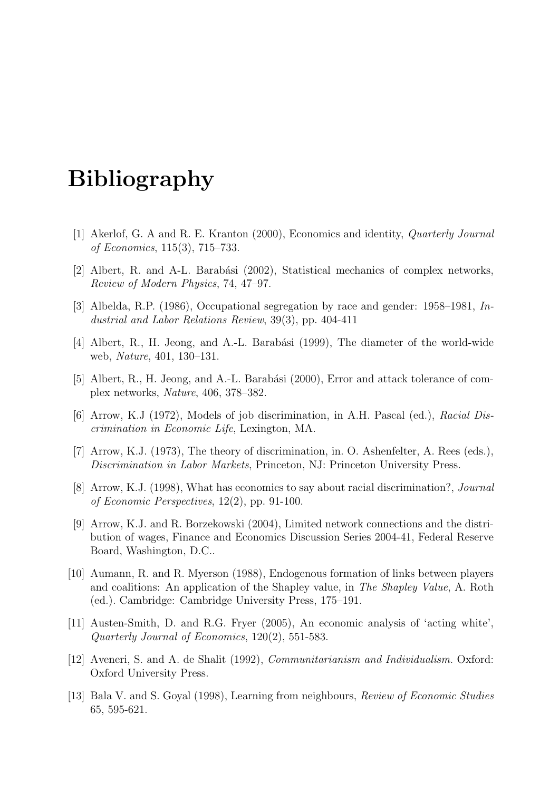## Bibliography

- [1] Akerlof, G. A and R. E. Kranton (2000), Economics and identity, Quarterly Journal of Economics, 115(3), 715–733.
- $[2]$  Albert, R. and A-L. Barabási (2002), Statistical mechanics of complex networks, Review of Modern Physics, 74, 47–97.
- [3] Albelda, R.P. (1986), Occupational segregation by race and gender: 1958–1981, Industrial and Labor Relations Review, 39(3), pp. 404-411
- [4] Albert, R., H. Jeong, and A.-L. Barabási (1999), The diameter of the world-wide web, Nature, 401, 130–131.
- [5] Albert, R., H. Jeong, and A.-L. Barabási (2000), Error and attack tolerance of complex networks, Nature, 406, 378–382.
- [6] Arrow, K.J (1972), Models of job discrimination, in A.H. Pascal (ed.), Racial Discrimination in Economic Life, Lexington, MA.
- [7] Arrow, K.J. (1973), The theory of discrimination, in. O. Ashenfelter, A. Rees (eds.), Discrimination in Labor Markets, Princeton, NJ: Princeton University Press.
- [8] Arrow, K.J. (1998), What has economics to say about racial discrimination?, Journal of Economic Perspectives, 12(2), pp. 91-100.
- [9] Arrow, K.J. and R. Borzekowski (2004), Limited network connections and the distribution of wages, Finance and Economics Discussion Series 2004-41, Federal Reserve Board, Washington, D.C..
- [10] Aumann, R. and R. Myerson (1988), Endogenous formation of links between players and coalitions: An application of the Shapley value, in The Shapley Value, A. Roth (ed.). Cambridge: Cambridge University Press, 175–191.
- [11] Austen-Smith, D. and R.G. Fryer (2005), An economic analysis of 'acting white', Quarterly Journal of Economics, 120(2), 551-583.
- [12] Aveneri, S. and A. de Shalit (1992), Communitarianism and Individualism. Oxford: Oxford University Press.
- [13] Bala V. and S. Goyal (1998), Learning from neighbours, Review of Economic Studies 65, 595-621.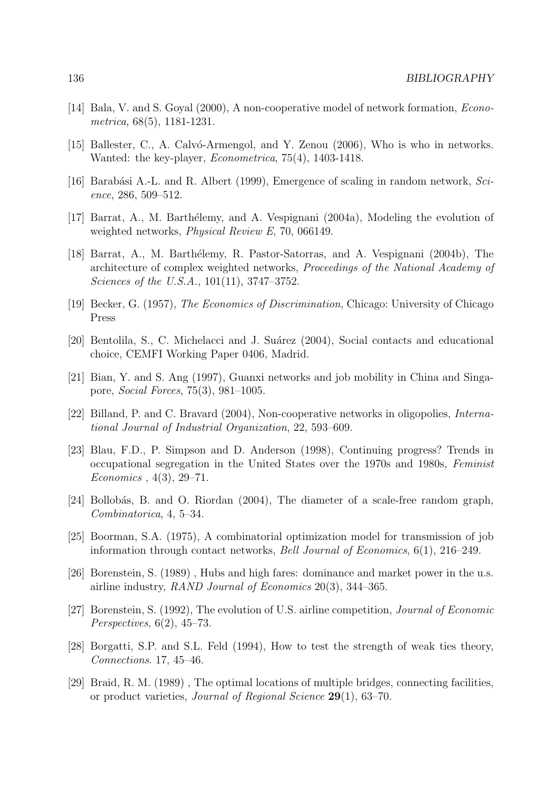- [14] Bala, V. and S. Goyal (2000), A non-cooperative model of network formation, Econometrica, 68(5), 1181-1231.
- [15] Ballester, C., A. Calvó-Armengol, and Y. Zenou  $(2006)$ , Who is who in networks. Wanted: the key-player, Econometrica, 75(4), 1403-1418.
- [16] Barabási A.-L. and R. Albert (1999), Emergence of scaling in random network,  $Sci$ ence, 286, 509–512.
- [17] Barrat, A., M. Barth´elemy, and A. Vespignani (2004a), Modeling the evolution of weighted networks, Physical Review E, 70, 066149.
- [18] Barrat, A., M. Barth´elemy, R. Pastor-Satorras, and A. Vespignani (2004b), The architecture of complex weighted networks, Proceedings of the National Academy of Sciences of the U.S.A., 101(11), 3747–3752.
- [19] Becker, G. (1957), The Economics of Discrimination, Chicago: University of Chicago Press
- [20] Bentolila, S., C. Michelacci and J. Suárez (2004), Social contacts and educational choice, CEMFI Working Paper 0406, Madrid.
- [21] Bian, Y. and S. Ang (1997), Guanxi networks and job mobility in China and Singapore, Social Forces, 75(3), 981–1005.
- [22] Billand, P. and C. Bravard (2004), Non-cooperative networks in oligopolies, International Journal of Industrial Organization, 22, 593–609.
- [23] Blau, F.D., P. Simpson and D. Anderson (1998), Continuing progress? Trends in occupational segregation in the United States over the 1970s and 1980s, Feminist Economics , 4(3), 29–71.
- [24] Bollobás, B. and O. Riordan (2004), The diameter of a scale-free random graph, Combinatorica, 4, 5–34.
- [25] Boorman, S.A. (1975), A combinatorial optimization model for transmission of job information through contact networks, Bell Journal of Economics, 6(1), 216–249.
- [26] Borenstein, S. (1989) , Hubs and high fares: dominance and market power in the u.s. airline industry, RAND Journal of Economics 20(3), 344–365.
- [27] Borenstein, S. (1992), The evolution of U.S. airline competition, Journal of Economic Perspectives, 6(2), 45–73.
- [28] Borgatti, S.P. and S.L. Feld (1994), How to test the strength of weak ties theory, Connections. 17, 45–46.
- [29] Braid, R. M. (1989) , The optimal locations of multiple bridges, connecting facilities, or product varieties, Journal of Regional Science 29(1), 63–70.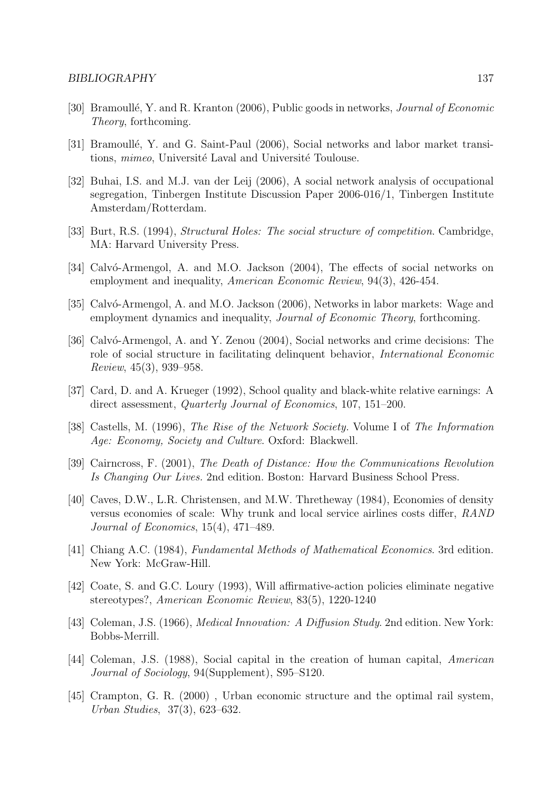- [30] Bramoullé, Y. and R. Kranton (2006), Public goods in networks, *Journal of Economic* Theory, forthcoming.
- [31] Bramoullé, Y. and G. Saint-Paul (2006), Social networks and labor market transitions, mimeo, Université Laval and Université Toulouse.
- [32] Buhai, I.S. and M.J. van der Leij (2006), A social network analysis of occupational segregation, Tinbergen Institute Discussion Paper 2006-016/1, Tinbergen Institute Amsterdam/Rotterdam.
- [33] Burt, R.S. (1994), Structural Holes: The social structure of competition. Cambridge, MA: Harvard University Press.
- [34] Calvó-Armengol, A. and M.O. Jackson (2004), The effects of social networks on employment and inequality, *American Economic Review*, 94(3), 426-454.
- [35] Calvó-Armengol, A. and M.O. Jackson (2006), Networks in labor markets: Wage and employment dynamics and inequality, *Journal of Economic Theory*, forthcoming.
- [36] Calvó-Armengol, A. and Y. Zenou (2004), Social networks and crime decisions: The role of social structure in facilitating delinquent behavior, International Economic Review, 45(3), 939–958.
- [37] Card, D. and A. Krueger (1992), School quality and black-white relative earnings: A direct assessment, *Quarterly Journal of Economics*, 107, 151–200.
- [38] Castells, M. (1996), The Rise of the Network Society. Volume I of The Information Age: Economy, Society and Culture. Oxford: Blackwell.
- [39] Cairncross, F. (2001), The Death of Distance: How the Communications Revolution Is Changing Our Lives. 2nd edition. Boston: Harvard Business School Press.
- [40] Caves, D.W., L.R. Christensen, and M.W. Thretheway (1984), Economies of density versus economies of scale: Why trunk and local service airlines costs differ, RAND Journal of Economics, 15(4), 471–489.
- [41] Chiang A.C. (1984), Fundamental Methods of Mathematical Economics. 3rd edition. New York: McGraw-Hill.
- [42] Coate, S. and G.C. Loury (1993), Will affirmative-action policies eliminate negative stereotypes?, American Economic Review, 83(5), 1220-1240
- [43] Coleman, J.S. (1966), *Medical Innovation: A Diffusion Study*. 2nd edition. New York: Bobbs-Merrill.
- [44] Coleman, J.S. (1988), Social capital in the creation of human capital, American Journal of Sociology, 94(Supplement), S95–S120.
- [45] Crampton, G. R. (2000) , Urban economic structure and the optimal rail system, Urban Studies, 37(3), 623–632.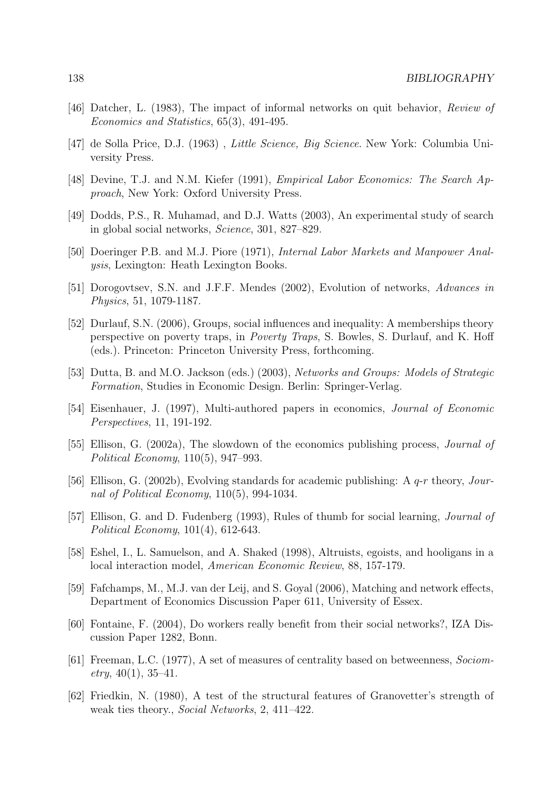- [46] Datcher, L. (1983), The impact of informal networks on quit behavior, Review of Economics and Statistics, 65(3), 491-495.
- [47] de Solla Price, D.J. (1963) , Little Science, Big Science. New York: Columbia University Press.
- [48] Devine, T.J. and N.M. Kiefer (1991), *Empirical Labor Economics: The Search Ap*proach, New York: Oxford University Press.
- [49] Dodds, P.S., R. Muhamad, and D.J. Watts (2003), An experimental study of search in global social networks, Science, 301, 827–829.
- [50] Doeringer P.B. and M.J. Piore (1971), Internal Labor Markets and Manpower Analysis, Lexington: Heath Lexington Books.
- [51] Dorogovtsev, S.N. and J.F.F. Mendes (2002), Evolution of networks, Advances in Physics, 51, 1079-1187.
- [52] Durlauf, S.N. (2006), Groups, social influences and inequality: A memberships theory perspective on poverty traps, in Poverty Traps, S. Bowles, S. Durlauf, and K. Hoff (eds.). Princeton: Princeton University Press, forthcoming.
- [53] Dutta, B. and M.O. Jackson (eds.) (2003), Networks and Groups: Models of Strategic Formation, Studies in Economic Design. Berlin: Springer-Verlag.
- [54] Eisenhauer, J. (1997), Multi-authored papers in economics, Journal of Economic Perspectives, 11, 191-192.
- [55] Ellison, G. (2002a), The slowdown of the economics publishing process, Journal of Political Economy, 110(5), 947–993.
- [56] Ellison, G. (2002b), Evolving standards for academic publishing: A  $q$ -r theory, Journal of Political Economy, 110(5), 994-1034.
- [57] Ellison, G. and D. Fudenberg (1993), Rules of thumb for social learning, Journal of Political Economy, 101(4), 612-643.
- [58] Eshel, I., L. Samuelson, and A. Shaked (1998), Altruists, egoists, and hooligans in a local interaction model, American Economic Review, 88, 157-179.
- [59] Fafchamps, M., M.J. van der Leij, and S. Goyal (2006), Matching and network effects, Department of Economics Discussion Paper 611, University of Essex.
- [60] Fontaine, F. (2004), Do workers really benefit from their social networks?, IZA Discussion Paper 1282, Bonn.
- [61] Freeman, L.C. (1977), A set of measures of centrality based on betweenness, Sociom- $\text{etry}, 40(1), 35-41.$
- [62] Friedkin, N. (1980), A test of the structural features of Granovetter's strength of weak ties theory., Social Networks, 2, 411–422.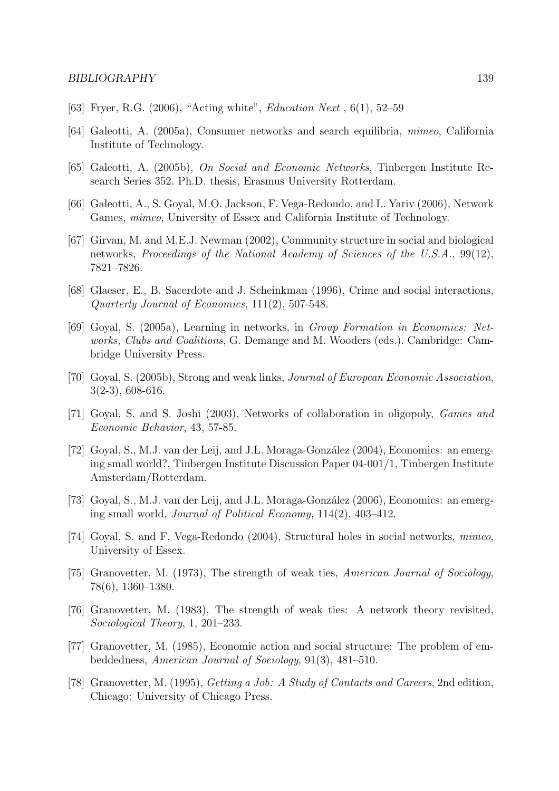- [63] Fryer, R.G. (2006), "Acting white", Education Next , 6(1), 52–59
- [64] Galeotti, A. (2005a), Consumer networks and search equilibria, mimeo, California Institute of Technology.
- [65] Galeotti, A. (2005b), On Social and Economic Networks, Tinbergen Institute Research Series 352. Ph.D. thesis, Erasmus University Rotterdam.
- [66] Galeotti, A., S. Goyal, M.O. Jackson, F. Vega-Redondo, and L. Yariv (2006), Network Games, mimeo, University of Essex and California Institute of Technology.
- [67] Girvan, M. and M.E.J. Newman (2002), Community structure in social and biological networks, Proceedings of the National Academy of Sciences of the U.S.A., 99(12), 7821–7826.
- [68] Glaeser, E., B. Sacerdote and J. Scheinkman (1996), Crime and social interactions, Quarterly Journal of Economics, 111(2), 507-548.
- [69] Goyal, S. (2005a), Learning in networks, in Group Formation in Economics: Networks, Clubs and Coalitions, G. Demange and M. Wooders (eds.). Cambridge: Cambridge University Press.
- [70] Goyal, S. (2005b), Strong and weak links, Journal of European Economic Association, 3(2-3), 608-616.
- [71] Goyal, S. and S. Joshi (2003), Networks of collaboration in oligopoly, Games and Economic Behavior, 43, 57-85.
- [72] Goyal, S., M.J. van der Leij, and J.L. Moraga-González (2004), Economics: an emerging small world?, Tinbergen Institute Discussion Paper 04-001/1, Tinbergen Institute Amsterdam/Rotterdam.
- [73] Goyal, S., M.J. van der Leij, and J.L. Moraga-González (2006), Economics: an emerging small world, Journal of Political Economy, 114(2), 403–412.
- [74] Goyal, S. and F. Vega-Redondo (2004), Structural holes in social networks, mimeo, University of Essex.
- [75] Granovetter, M. (1973), The strength of weak ties, American Journal of Sociology, 78(6), 1360–1380.
- [76] Granovetter, M. (1983), The strength of weak ties: A network theory revisited, Sociological Theory, 1, 201–233.
- [77] Granovetter, M. (1985), Economic action and social structure: The problem of embeddedness, American Journal of Sociology, 91(3), 481–510.
- [78] Granovetter, M. (1995), Getting a Job: A Study of Contacts and Careers, 2nd edition, Chicago: University of Chicago Press.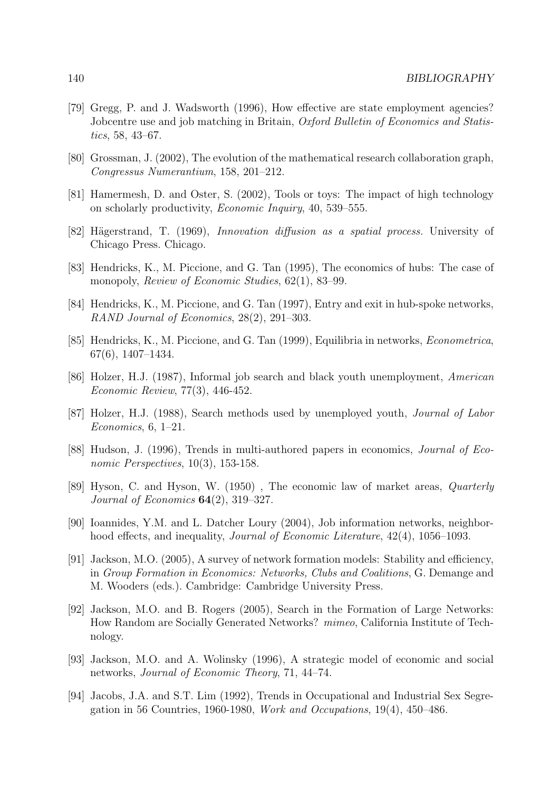- [79] Gregg, P. and J. Wadsworth (1996), How effective are state employment agencies? Jobcentre use and job matching in Britain, Oxford Bulletin of Economics and Statistics, 58, 43–67.
- [80] Grossman, J. (2002), The evolution of the mathematical research collaboration graph, Congressus Numerantium, 158, 201–212.
- [81] Hamermesh, D. and Oster, S. (2002), Tools or toys: The impact of high technology on scholarly productivity, Economic Inquiry, 40, 539–555.
- [82] Hägerstrand, T. (1969), *Innovation diffusion as a spatial process*. University of Chicago Press. Chicago.
- [83] Hendricks, K., M. Piccione, and G. Tan (1995), The economics of hubs: The case of monopoly, Review of Economic Studies, 62(1), 83–99.
- [84] Hendricks, K., M. Piccione, and G. Tan (1997), Entry and exit in hub-spoke networks, RAND Journal of Economics, 28(2), 291–303.
- [85] Hendricks, K., M. Piccione, and G. Tan (1999), Equilibria in networks, *Econometrica*, 67(6), 1407–1434.
- [86] Holzer, H.J. (1987), Informal job search and black youth unemployment, American Economic Review, 77(3), 446-452.
- [87] Holzer, H.J. (1988), Search methods used by unemployed youth, Journal of Labor Economics, 6, 1–21.
- [88] Hudson, J. (1996), Trends in multi-authored papers in economics, Journal of Economic Perspectives, 10(3), 153-158.
- [89] Hyson, C. and Hyson, W. (1950) , The economic law of market areas, Quarterly Journal of Economics  $64(2)$ , 319–327.
- [90] Ioannides, Y.M. and L. Datcher Loury (2004), Job information networks, neighborhood effects, and inequality, *Journal of Economic Literature*,  $42(4)$ , 1056–1093.
- [91] Jackson, M.O. (2005), A survey of network formation models: Stability and efficiency, in Group Formation in Economics: Networks, Clubs and Coalitions, G. Demange and M. Wooders (eds.). Cambridge: Cambridge University Press.
- [92] Jackson, M.O. and B. Rogers (2005), Search in the Formation of Large Networks: How Random are Socially Generated Networks? mimeo, California Institute of Technology.
- [93] Jackson, M.O. and A. Wolinsky (1996), A strategic model of economic and social networks, Journal of Economic Theory, 71, 44–74.
- [94] Jacobs, J.A. and S.T. Lim (1992), Trends in Occupational and Industrial Sex Segregation in 56 Countries, 1960-1980, Work and Occupations, 19(4), 450–486.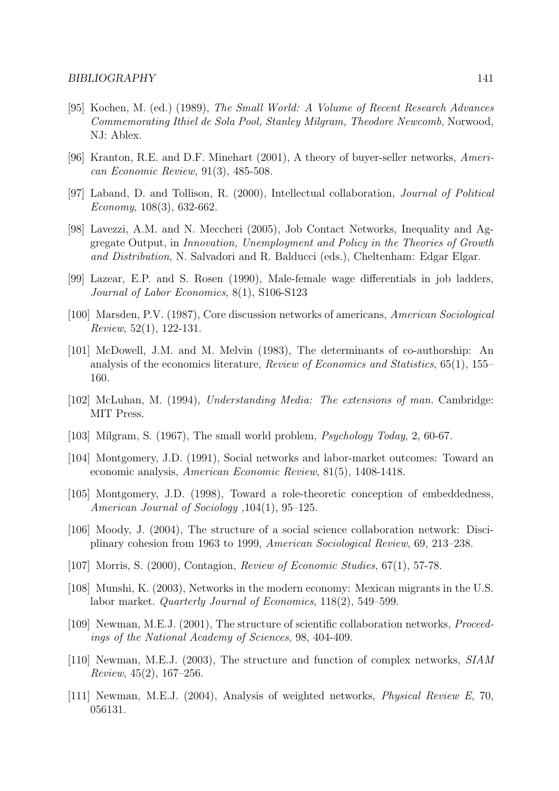- [95] Kochen, M. (ed.) (1989), The Small World: A Volume of Recent Research Advances Commemorating Ithiel de Sola Pool, Stanley Milgram, Theodore Newcomb, Norwood, NJ: Ablex.
- [96] Kranton, R.E. and D.F. Minehart (2001), A theory of buyer-seller networks, American Economic Review, 91(3), 485-508.
- [97] Laband, D. and Tollison, R. (2000), Intellectual collaboration, Journal of Political Economy, 108(3), 632-662.
- [98] Lavezzi, A.M. and N. Meccheri (2005), Job Contact Networks, Inequality and Aggregate Output, in Innovation, Unemployment and Policy in the Theories of Growth and Distribution, N. Salvadori and R. Balducci (eds.), Cheltenham: Edgar Elgar.
- [99] Lazear, E.P. and S. Rosen (1990), Male-female wage differentials in job ladders, Journal of Labor Economics, 8(1), S106-S123
- [100] Marsden, P.V. (1987), Core discussion networks of americans, American Sociological Review, 52(1), 122-131.
- [101] McDowell, J.M. and M. Melvin (1983), The determinants of co-authorship: An analysis of the economics literature, Review of Economics and Statistics, 65(1), 155– 160.
- [102] McLuhan, M. (1994), Understanding Media: The extensions of man. Cambridge: MIT Press.
- [103] Milgram, S. (1967), The small world problem, *Psychology Today*, 2, 60-67.
- [104] Montgomery, J.D. (1991), Social networks and labor-market outcomes: Toward an economic analysis, American Economic Review, 81(5), 1408-1418.
- [105] Montgomery, J.D. (1998), Toward a role-theoretic conception of embeddedness, American Journal of Sociology ,104(1), 95–125.
- [106] Moody, J. (2004), The structure of a social science collaboration network: Disciplinary cohesion from 1963 to 1999, American Sociological Review, 69, 213–238.
- [107] Morris, S. (2000), Contagion, Review of Economic Studies, 67(1), 57-78.
- [108] Munshi, K. (2003), Networks in the modern economy: Mexican migrants in the U.S. labor market. Quarterly Journal of Economics, 118(2), 549–599.
- [109] Newman, M.E.J. (2001), The structure of scientific collaboration networks, Proceedings of the National Academy of Sciences, 98, 404-409.
- [110] Newman, M.E.J. (2003), The structure and function of complex networks, SIAM Review, 45(2), 167–256.
- [111] Newman, M.E.J. (2004), Analysis of weighted networks, Physical Review E, 70, 056131.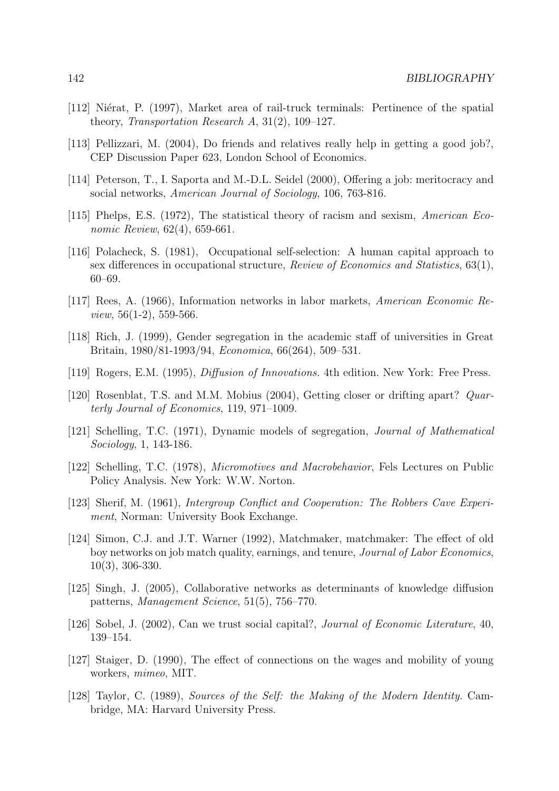- [112] Niérat, P. (1997), Market area of rail-truck terminals: Pertinence of the spatial theory, Transportation Research A, 31(2), 109–127.
- [113] Pellizzari, M. (2004), Do friends and relatives really help in getting a good job?, CEP Discussion Paper 623, London School of Economics.
- [114] Peterson, T., I. Saporta and M.-D.L. Seidel (2000), Offering a job: meritocracy and social networks, American Journal of Sociology, 106, 763-816.
- [115] Phelps, E.S. (1972), The statistical theory of racism and sexism, American Economic Review, 62(4), 659-661.
- [116] Polacheck, S. (1981), Occupational self-selection: A human capital approach to sex differences in occupational structure, Review of Economics and Statistics, 63(1), 60–69.
- [117] Rees, A. (1966), Information networks in labor markets, American Economic Re*view*,  $56(1-2)$ ,  $559-566$ .
- [118] Rich, J. (1999), Gender segregation in the academic staff of universities in Great Britain, 1980/81-1993/94, Economica, 66(264), 509–531.
- [119] Rogers, E.M. (1995), Diffusion of Innovations. 4th edition. New York: Free Press.
- [120] Rosenblat, T.S. and M.M. Mobius (2004), Getting closer or drifting apart? *Quar*terly Journal of Economics, 119, 971–1009.
- [121] Schelling, T.C. (1971), Dynamic models of segregation, Journal of Mathematical Sociology, 1, 143-186.
- [122] Schelling, T.C. (1978), Micromotives and Macrobehavior, Fels Lectures on Public Policy Analysis. New York: W.W. Norton.
- [123] Sherif, M. (1961), Intergroup Conflict and Cooperation: The Robbers Cave Experiment, Norman: University Book Exchange.
- [124] Simon, C.J. and J.T. Warner (1992), Matchmaker, matchmaker: The effect of old boy networks on job match quality, earnings, and tenure, Journal of Labor Economics, 10(3), 306-330.
- [125] Singh, J. (2005), Collaborative networks as determinants of knowledge diffusion patterns, Management Science, 51(5), 756–770.
- [126] Sobel, J. (2002), Can we trust social capital?, Journal of Economic Literature, 40, 139–154.
- [127] Staiger, D. (1990), The effect of connections on the wages and mobility of young workers, mimeo, MIT.
- [128] Taylor, C. (1989), Sources of the Self: the Making of the Modern Identity. Cambridge, MA: Harvard University Press.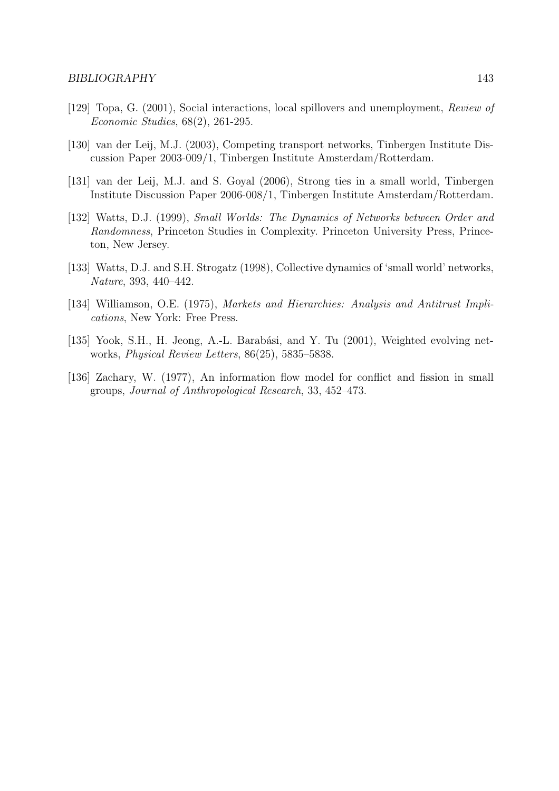- [129] Topa, G. (2001), Social interactions, local spillovers and unemployment, Review of Economic Studies, 68(2), 261-295.
- [130] van der Leij, M.J. (2003), Competing transport networks, Tinbergen Institute Discussion Paper 2003-009/1, Tinbergen Institute Amsterdam/Rotterdam.
- [131] van der Leij, M.J. and S. Goyal (2006), Strong ties in a small world, Tinbergen Institute Discussion Paper 2006-008/1, Tinbergen Institute Amsterdam/Rotterdam.
- [132] Watts, D.J. (1999), Small Worlds: The Dynamics of Networks between Order and Randomness, Princeton Studies in Complexity. Princeton University Press, Princeton, New Jersey.
- [133] Watts, D.J. and S.H. Strogatz (1998), Collective dynamics of 'small world' networks, Nature, 393, 440–442.
- [134] Williamson, O.E. (1975), Markets and Hierarchies: Analysis and Antitrust Implications, New York: Free Press.
- [135] Yook, S.H., H. Jeong, A.-L. Barabási, and Y. Tu (2001), Weighted evolving networks, Physical Review Letters, 86(25), 5835–5838.
- [136] Zachary, W. (1977), An information flow model for conflict and fission in small groups, Journal of Anthropological Research, 33, 452–473.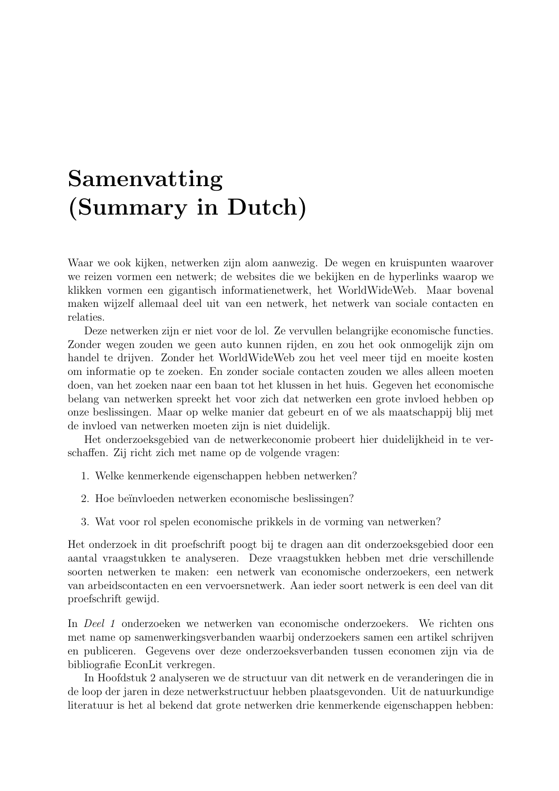## Samenvatting (Summary in Dutch)

Waar we ook kijken, netwerken zijn alom aanwezig. De wegen en kruispunten waarover we reizen vormen een netwerk; de websites die we bekijken en de hyperlinks waarop we klikken vormen een gigantisch informatienetwerk, het WorldWideWeb. Maar bovenal maken wijzelf allemaal deel uit van een netwerk, het netwerk van sociale contacten en relaties.

Deze netwerken zijn er niet voor de lol. Ze vervullen belangrijke economische functies. Zonder wegen zouden we geen auto kunnen rijden, en zou het ook onmogelijk zijn om handel te drijven. Zonder het WorldWideWeb zou het veel meer tijd en moeite kosten om informatie op te zoeken. En zonder sociale contacten zouden we alles alleen moeten doen, van het zoeken naar een baan tot het klussen in het huis. Gegeven het economische belang van netwerken spreekt het voor zich dat netwerken een grote invloed hebben op onze beslissingen. Maar op welke manier dat gebeurt en of we als maatschappij blij met de invloed van netwerken moeten zijn is niet duidelijk.

Het onderzoeksgebied van de netwerkeconomie probeert hier duidelijkheid in te verschaffen. Zij richt zich met name op de volgende vragen:

- 1. Welke kenmerkende eigenschappen hebben netwerken?
- 2. Hoe beïnvloeden netwerken economische beslissingen?
- 3. Wat voor rol spelen economische prikkels in de vorming van netwerken?

Het onderzoek in dit proefschrift poogt bij te dragen aan dit onderzoeksgebied door een aantal vraagstukken te analyseren. Deze vraagstukken hebben met drie verschillende soorten netwerken te maken: een netwerk van economische onderzoekers, een netwerk van arbeidscontacten en een vervoersnetwerk. Aan ieder soort netwerk is een deel van dit proefschrift gewijd.

In Deel 1 onderzoeken we netwerken van economische onderzoekers. We richten ons met name op samenwerkingsverbanden waarbij onderzoekers samen een artikel schrijven en publiceren. Gegevens over deze onderzoeksverbanden tussen economen zijn via de bibliografie EconLit verkregen.

In Hoofdstuk 2 analyseren we de structuur van dit netwerk en de veranderingen die in de loop der jaren in deze netwerkstructuur hebben plaatsgevonden. Uit de natuurkundige literatuur is het al bekend dat grote netwerken drie kenmerkende eigenschappen hebben: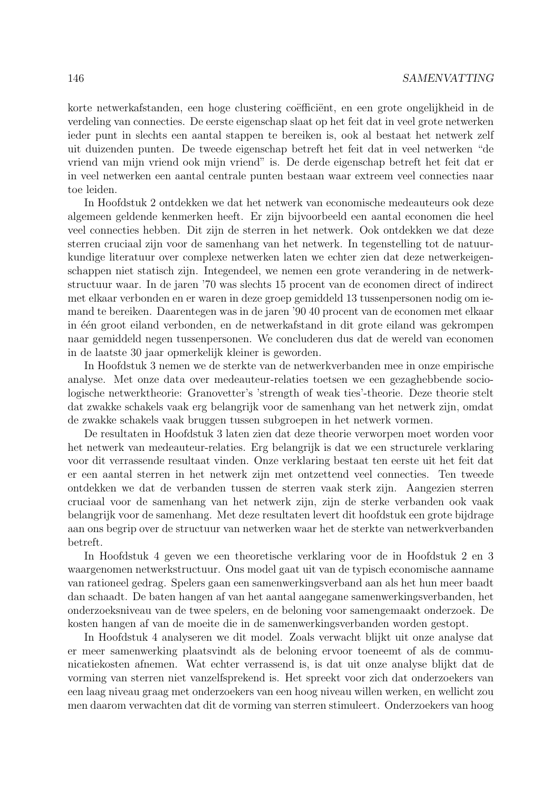korte netwerkafstanden, een hoge clustering coëfficiënt, en een grote ongelijkheid in de verdeling van connecties. De eerste eigenschap slaat op het feit dat in veel grote netwerken ieder punt in slechts een aantal stappen te bereiken is, ook al bestaat het netwerk zelf uit duizenden punten. De tweede eigenschap betreft het feit dat in veel netwerken "de vriend van mijn vriend ook mijn vriend" is. De derde eigenschap betreft het feit dat er in veel netwerken een aantal centrale punten bestaan waar extreem veel connecties naar toe leiden.

In Hoofdstuk 2 ontdekken we dat het netwerk van economische medeauteurs ook deze algemeen geldende kenmerken heeft. Er zijn bijvoorbeeld een aantal economen die heel veel connecties hebben. Dit zijn de sterren in het netwerk. Ook ontdekken we dat deze sterren cruciaal zijn voor de samenhang van het netwerk. In tegenstelling tot de natuurkundige literatuur over complexe netwerken laten we echter zien dat deze netwerkeigenschappen niet statisch zijn. Integendeel, we nemen een grote verandering in de netwerkstructuur waar. In de jaren '70 was slechts 15 procent van de economen direct of indirect met elkaar verbonden en er waren in deze groep gemiddeld 13 tussenpersonen nodig om iemand te bereiken. Daarentegen was in de jaren '90 40 procent van de economen met elkaar in één groot eiland verbonden, en de netwerkafstand in dit grote eiland was gekrompen naar gemiddeld negen tussenpersonen. We concluderen dus dat de wereld van economen in de laatste 30 jaar opmerkelijk kleiner is geworden.

In Hoofdstuk 3 nemen we de sterkte van de netwerkverbanden mee in onze empirische analyse. Met onze data over medeauteur-relaties toetsen we een gezaghebbende sociologische netwerktheorie: Granovetter's 'strength of weak ties'-theorie. Deze theorie stelt dat zwakke schakels vaak erg belangrijk voor de samenhang van het netwerk zijn, omdat de zwakke schakels vaak bruggen tussen subgroepen in het netwerk vormen.

De resultaten in Hoofdstuk 3 laten zien dat deze theorie verworpen moet worden voor het netwerk van medeauteur-relaties. Erg belangrijk is dat we een structurele verklaring voor dit verrassende resultaat vinden. Onze verklaring bestaat ten eerste uit het feit dat er een aantal sterren in het netwerk zijn met ontzettend veel connecties. Ten tweede ontdekken we dat de verbanden tussen de sterren vaak sterk zijn. Aangezien sterren cruciaal voor de samenhang van het netwerk zijn, zijn de sterke verbanden ook vaak belangrijk voor de samenhang. Met deze resultaten levert dit hoofdstuk een grote bijdrage aan ons begrip over de structuur van netwerken waar het de sterkte van netwerkverbanden betreft.

In Hoofdstuk 4 geven we een theoretische verklaring voor de in Hoofdstuk 2 en 3 waargenomen netwerkstructuur. Ons model gaat uit van de typisch economische aanname van rationeel gedrag. Spelers gaan een samenwerkingsverband aan als het hun meer baadt dan schaadt. De baten hangen af van het aantal aangegane samenwerkingsverbanden, het onderzoeksniveau van de twee spelers, en de beloning voor samengemaakt onderzoek. De kosten hangen af van de moeite die in de samenwerkingsverbanden worden gestopt.

In Hoofdstuk 4 analyseren we dit model. Zoals verwacht blijkt uit onze analyse dat er meer samenwerking plaatsvindt als de beloning ervoor toeneemt of als de communicatiekosten afnemen. Wat echter verrassend is, is dat uit onze analyse blijkt dat de vorming van sterren niet vanzelfsprekend is. Het spreekt voor zich dat onderzoekers van een laag niveau graag met onderzoekers van een hoog niveau willen werken, en wellicht zou men daarom verwachten dat dit de vorming van sterren stimuleert. Onderzoekers van hoog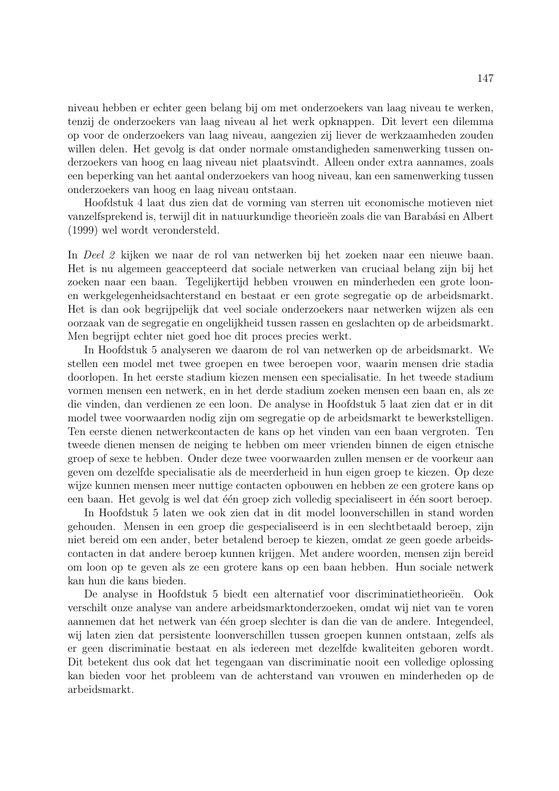niveau hebben er echter geen belang bij om met onderzoekers van laag niveau te werken, tenzij de onderzoekers van laag niveau al het werk opknappen. Dit levert een dilemma op voor de onderzoekers van laag niveau, aangezien zij liever de werkzaamheden zouden willen delen. Het gevolg is dat onder normale omstandigheden samenwerking tussen onderzoekers van hoog en laag niveau niet plaatsvindt. Alleen onder extra aannames, zoals een beperking van het aantal onderzoekers van hoog niveau, kan een samenwerking tussen onderzoekers van hoog en laag niveau ontstaan.

Hoofdstuk 4 laat dus zien dat de vorming van sterren uit economische motieven niet vanzelfsprekend is, terwijl dit in natuurkundige theorieën zoals die van Barabási en Albert (1999) wel wordt verondersteld.

In Deel 2 kijken we naar de rol van netwerken bij het zoeken naar een nieuwe baan. Het is nu algemeen geaccepteerd dat sociale netwerken van cruciaal belang zijn bij het zoeken naar een baan. Tegelijkertijd hebben vrouwen en minderheden een grote loonen werkgelegenheidsachterstand en bestaat er een grote segregatie op de arbeidsmarkt. Het is dan ook begrijpelijk dat veel sociale onderzoekers naar netwerken wijzen als een oorzaak van de segregatie en ongelijkheid tussen rassen en geslachten op de arbeidsmarkt. Men begrijpt echter niet goed hoe dit proces precies werkt.

In Hoofdstuk 5 analyseren we daarom de rol van netwerken op de arbeidsmarkt. We stellen een model met twee groepen en twee beroepen voor, waarin mensen drie stadia doorlopen. In het eerste stadium kiezen mensen een specialisatie. In het tweede stadium vormen mensen een netwerk, en in het derde stadium zoeken mensen een baan en, als ze die vinden, dan verdienen ze een loon. De analyse in Hoofdstuk 5 laat zien dat er in dit model twee voorwaarden nodig zijn om segregatie op de arbeidsmarkt te bewerkstelligen. Ten eerste dienen netwerkcontacten de kans op het vinden van een baan vergroten. Ten tweede dienen mensen de neiging te hebben om meer vrienden binnen de eigen etnische groep of sexe te hebben. Onder deze twee voorwaarden zullen mensen er de voorkeur aan geven om dezelfde specialisatie als de meerderheid in hun eigen groep te kiezen. Op deze wijze kunnen mensen meer nuttige contacten opbouwen en hebben ze een grotere kans op een baan. Het gevolg is wel dat één groep zich volledig specialiseert in één soort beroep.

In Hoofdstuk 5 laten we ook zien dat in dit model loonverschillen in stand worden gehouden. Mensen in een groep die gespecialiseerd is in een slechtbetaald beroep, zijn niet bereid om een ander, beter betalend beroep te kiezen, omdat ze geen goede arbeidscontacten in dat andere beroep kunnen krijgen. Met andere woorden, mensen zijn bereid om loon op te geven als ze een grotere kans op een baan hebben. Hun sociale netwerk kan hun die kans bieden.

De analyse in Hoofdstuk 5 biedt een alternatief voor discriminatietheorieën. Ook verschilt onze analyse van andere arbeidsmarktonderzoeken, omdat wij niet van te voren aannemen dat het netwerk van één groep slechter is dan die van de andere. Integendeel, wij laten zien dat persistente loonverschillen tussen groepen kunnen ontstaan, zelfs als er geen discriminatie bestaat en als iedereen met dezelfde kwaliteiten geboren wordt. Dit betekent dus ook dat het tegengaan van discriminatie nooit een volledige oplossing kan bieden voor het probleem van de achterstand van vrouwen en minderheden op de arbeidsmarkt.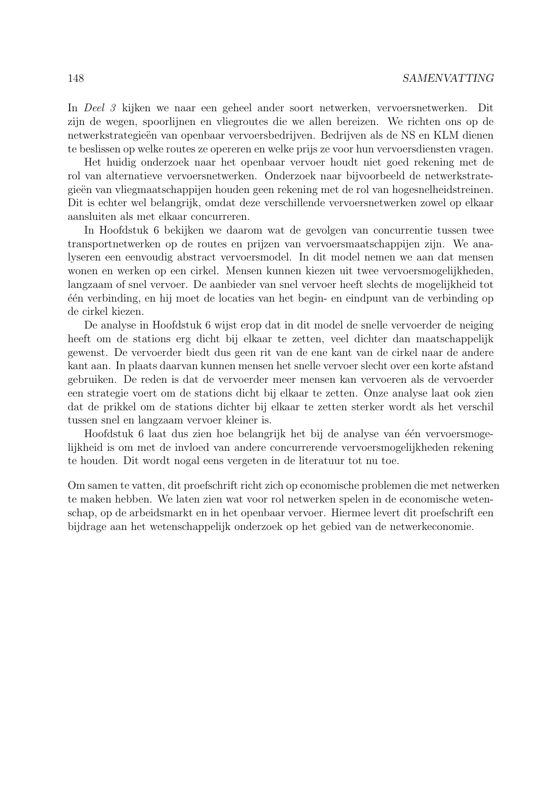In Deel 3 kijken we naar een geheel ander soort netwerken, vervoersnetwerken. Dit zijn de wegen, spoorlijnen en vliegroutes die we allen bereizen. We richten ons op de netwerkstrategieën van openbaar vervoersbedrijven. Bedrijven als de NS en KLM dienen te beslissen op welke routes ze opereren en welke prijs ze voor hun vervoersdiensten vragen.

Het huidig onderzoek naar het openbaar vervoer houdt niet goed rekening met de rol van alternatieve vervoersnetwerken. Onderzoek naar bijvoorbeeld de netwerkstrategieën van vliegmaatschappijen houden geen rekening met de rol van hogesnelheidstreinen. Dit is echter wel belangrijk, omdat deze verschillende vervoersnetwerken zowel op elkaar aansluiten als met elkaar concurreren.

In Hoofdstuk 6 bekijken we daarom wat de gevolgen van concurrentie tussen twee transportnetwerken op de routes en prijzen van vervoersmaatschappijen zijn. We analyseren een eenvoudig abstract vervoersmodel. In dit model nemen we aan dat mensen wonen en werken op een cirkel. Mensen kunnen kiezen uit twee vervoersmogelijkheden, langzaam of snel vervoer. De aanbieder van snel vervoer heeft slechts de mogelijkheid tot ´e´en verbinding, en hij moet de locaties van het begin- en eindpunt van de verbinding op de cirkel kiezen.

De analyse in Hoofdstuk 6 wijst erop dat in dit model de snelle vervoerder de neiging heeft om de stations erg dicht bij elkaar te zetten, veel dichter dan maatschappelijk gewenst. De vervoerder biedt dus geen rit van de ene kant van de cirkel naar de andere kant aan. In plaats daarvan kunnen mensen het snelle vervoer slecht over een korte afstand gebruiken. De reden is dat de vervoerder meer mensen kan vervoeren als de vervoerder een strategie voert om de stations dicht bij elkaar te zetten. Onze analyse laat ook zien dat de prikkel om de stations dichter bij elkaar te zetten sterker wordt als het verschil tussen snel en langzaam vervoer kleiner is.

Hoofdstuk 6 laat dus zien hoe belangrijk het bij de analyse van één vervoersmogelijkheid is om met de invloed van andere concurrerende vervoersmogelijkheden rekening te houden. Dit wordt nogal eens vergeten in de literatuur tot nu toe.

Om samen te vatten, dit proefschrift richt zich op economische problemen die met netwerken te maken hebben. We laten zien wat voor rol netwerken spelen in de economische wetenschap, op de arbeidsmarkt en in het openbaar vervoer. Hiermee levert dit proefschrift een bijdrage aan het wetenschappelijk onderzoek op het gebied van de netwerkeconomie.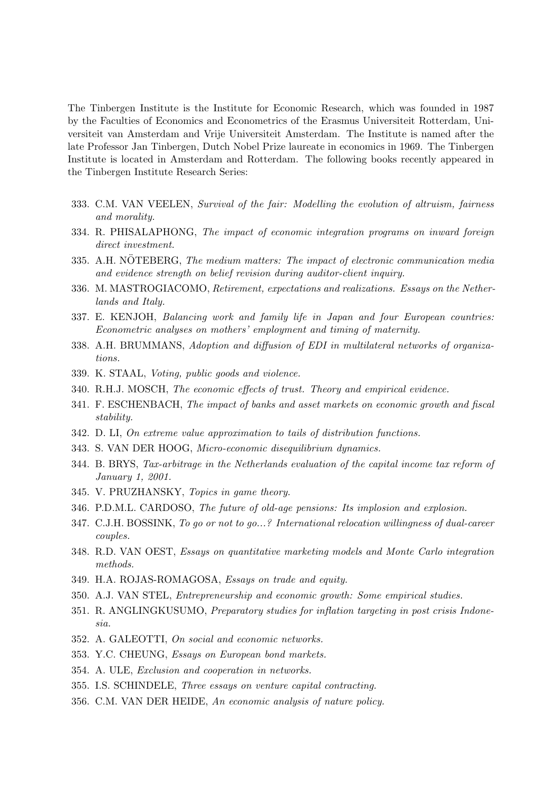The Tinbergen Institute is the Institute for Economic Research, which was founded in 1987 by the Faculties of Economics and Econometrics of the Erasmus Universiteit Rotterdam, Universiteit van Amsterdam and Vrije Universiteit Amsterdam. The Institute is named after the late Professor Jan Tinbergen, Dutch Nobel Prize laureate in economics in 1969. The Tinbergen Institute is located in Amsterdam and Rotterdam. The following books recently appeared in the Tinbergen Institute Research Series:

- 333. C.M. VAN VEELEN, Survival of the fair: Modelling the evolution of altruism, fairness and morality.
- 334. R. PHISALAPHONG, The impact of economic integration programs on inward foreign direct investment.
- 335. A.H. NÖTEBERG, The medium matters: The impact of electronic communication media and evidence strength on belief revision during auditor-client inquiry.
- 336. M. MASTROGIACOMO, Retirement, expectations and realizations. Essays on the Netherlands and Italy.
- 337. E. KENJOH, Balancing work and family life in Japan and four European countries: Econometric analyses on mothers' employment and timing of maternity.
- 338. A.H. BRUMMANS, Adoption and diffusion of EDI in multilateral networks of organizations.
- 339. K. STAAL, Voting, public goods and violence.
- 340. R.H.J. MOSCH, The economic effects of trust. Theory and empirical evidence.
- 341. F. ESCHENBACH, The impact of banks and asset markets on economic growth and fiscal stability.
- 342. D. LI, On extreme value approximation to tails of distribution functions.
- 343. S. VAN DER HOOG, Micro-economic disequilibrium dynamics.
- 344. B. BRYS, Tax-arbitrage in the Netherlands evaluation of the capital income tax reform of January 1, 2001.
- 345. V. PRUZHANSKY, Topics in game theory.
- 346. P.D.M.L. CARDOSO, The future of old-age pensions: Its implosion and explosion.
- 347. C.J.H. BOSSINK, To go or not to go...? International relocation willingness of dual-career couples.
- 348. R.D. VAN OEST, Essays on quantitative marketing models and Monte Carlo integration methods.
- 349. H.A. ROJAS-ROMAGOSA, Essays on trade and equity.
- 350. A.J. VAN STEL, Entrepreneurship and economic growth: Some empirical studies.
- 351. R. ANGLINGKUSUMO, Preparatory studies for inflation targeting in post crisis Indonesia.
- 352. A. GALEOTTI, On social and economic networks.
- 353. Y.C. CHEUNG, Essays on European bond markets.
- 354. A. ULE, Exclusion and cooperation in networks.
- 355. I.S. SCHINDELE, Three essays on venture capital contracting.
- 356. C.M. VAN DER HEIDE, An economic analysis of nature policy.